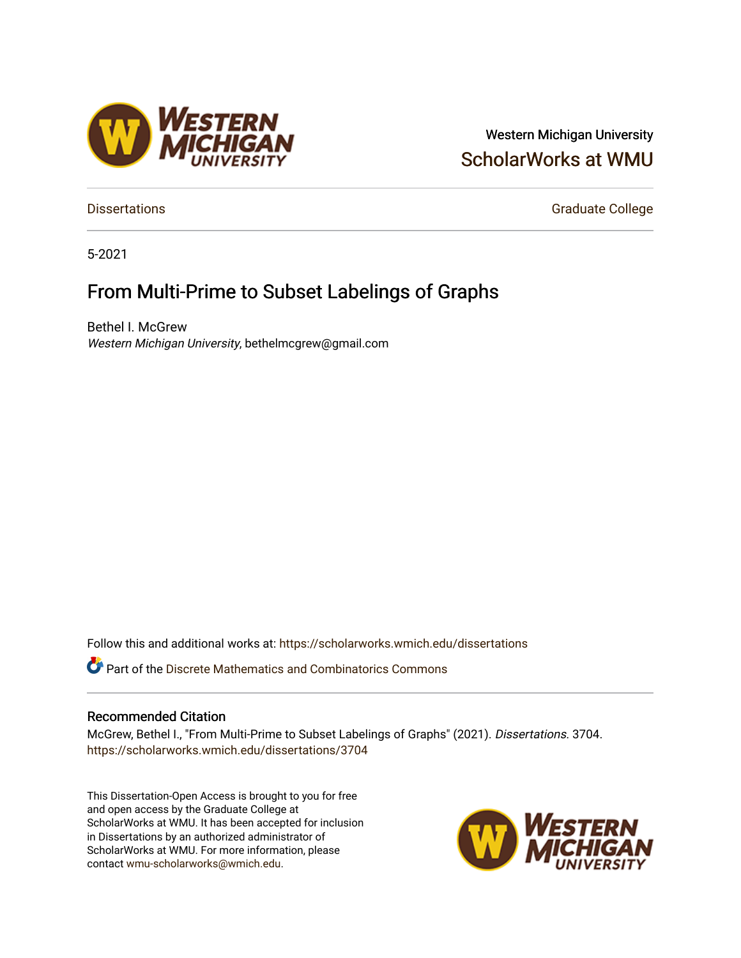### Western Michigan University [ScholarWorks at WMU](https://scholarworks.wmich.edu/)

[Dissertations](https://scholarworks.wmich.edu/dissertations) **Graduate College** 

5-2021

### From Multi-Prime to Subset Labelings of Graphs

Bethel I. McGrew Western Michigan University, bethelmcgrew@gmail.com

Follow this and additional works at: [https://scholarworks.wmich.edu/dissertations](https://scholarworks.wmich.edu/dissertations?utm_source=scholarworks.wmich.edu%2Fdissertations%2F3704&utm_medium=PDF&utm_campaign=PDFCoverPages)

*O* Part of the Discrete Mathematics and Combinatorics Commons

#### Recommended Citation

McGrew, Bethel I., "From Multi-Prime to Subset Labelings of Graphs" (2021). Dissertations. 3704. [https://scholarworks.wmich.edu/dissertations/3704](https://scholarworks.wmich.edu/dissertations/3704?utm_source=scholarworks.wmich.edu%2Fdissertations%2F3704&utm_medium=PDF&utm_campaign=PDFCoverPages)

This Dissertation-Open Access is brought to you for free and open access by the Graduate College at ScholarWorks at WMU. It has been accepted for inclusion in Dissertations by an authorized administrator of ScholarWorks at WMU. For more information, please contact [wmu-scholarworks@wmich.edu](mailto:wmu-scholarworks@wmich.edu).



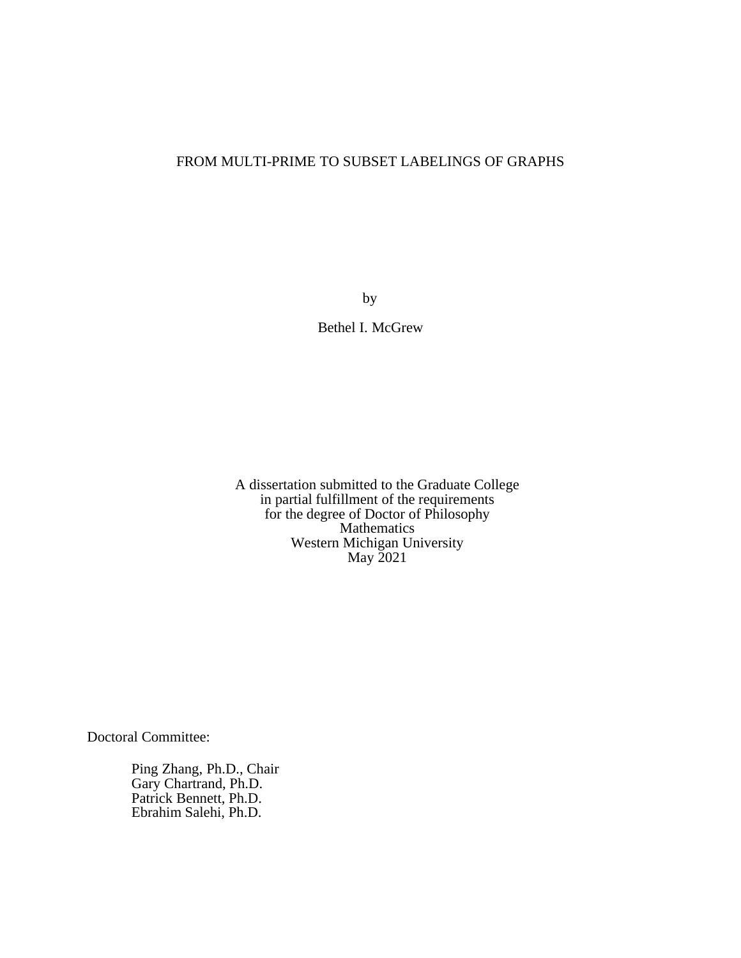#### FROM MULTI-PRIME TO SUBSET LABELINGS OF GRAPHS

by

Bethel I. McGrew

A dissertation submitted to the Graduate College in partial fulfillment of the requirements for the degree of Doctor of Philosophy Mathematics Western Michigan University May 2021

Doctoral Committee:

Ping Zhang, Ph.D., Chair Gary Chartrand, Ph.D. Patrick Bennett, Ph.D. Ebrahim Salehi, Ph.D.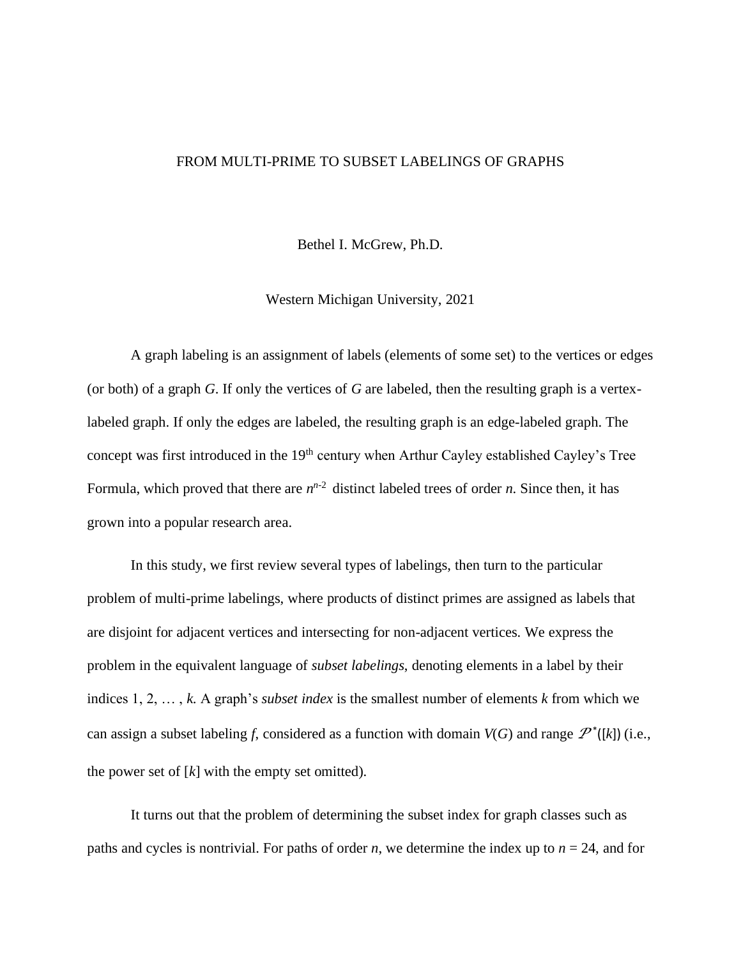#### FROM MULTI-PRIME TO SUBSET LABELINGS OF GRAPHS

Bethel I. McGrew, Ph.D.

Western Michigan University, 2021

A graph labeling is an assignment of labels (elements of some set) to the vertices or edges (or both) of a graph *G*. If only the vertices of *G* are labeled, then the resulting graph is a vertexlabeled graph. If only the edges are labeled, the resulting graph is an edge-labeled graph. The concept was first introduced in the 19<sup>th</sup> century when Arthur Cayley established Cayley's Tree Formula, which proved that there are  $n^{n-2}$  distinct labeled trees of order *n*. Since then, it has grown into a popular research area.

In this study, we first review several types of labelings, then turn to the particular problem of multi-prime labelings, where products of distinct primes are assigned as labels that are disjoint for adjacent vertices and intersecting for non-adjacent vertices. We express the problem in the equivalent language of *subset labelings*, denoting elements in a label by their indices 1, 2, … , *k*. A graph's *subset index* is the smallest number of elements *k* from which we can assign a subset labeling *f*, considered as a function with domain  $V(G)$  and range  $\mathcal{P}^*([k])$  (i.e., the power set of  $[k]$  with the empty set omitted).

It turns out that the problem of determining the subset index for graph classes such as paths and cycles is nontrivial. For paths of order *n*, we determine the index up to  $n = 24$ , and for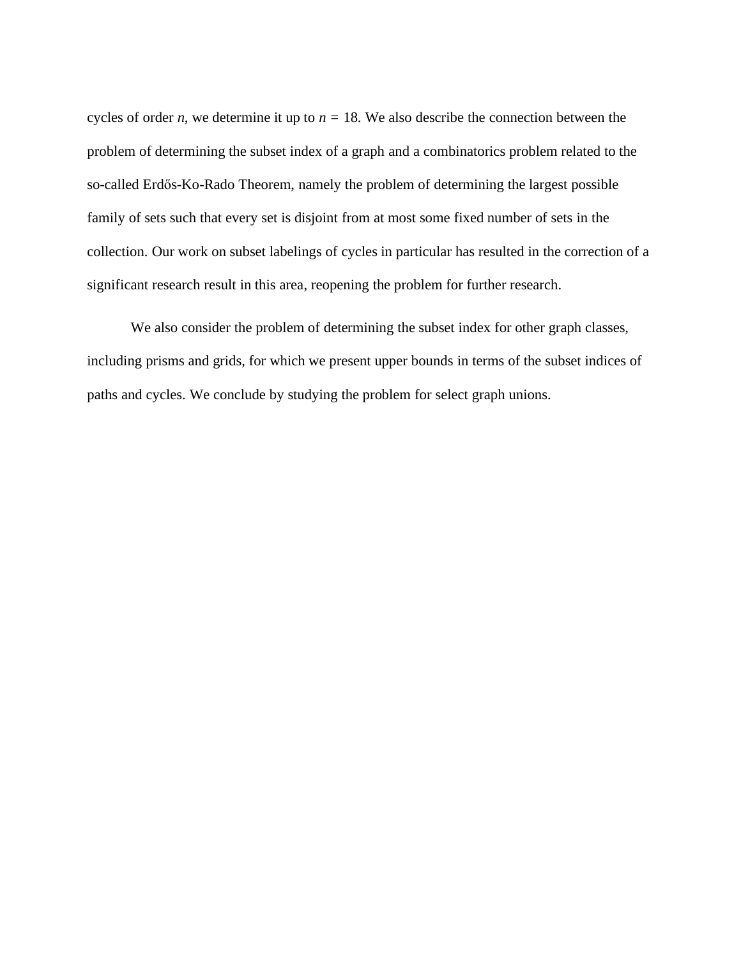cycles of order *n*, we determine it up to  $n = 18$ . We also describe the connection between the problem of determining the subset index of a graph and a combinatorics problem related to the so-called Erdős-Ko-Rado Theorem, namely the problem of determining the largest possible family of sets such that every set is disjoint from at most some fixed number of sets in the collection. Our work on subset labelings of cycles in particular has resulted in the correction of a significant research result in this area, reopening the problem for further research.

We also consider the problem of determining the subset index for other graph classes, including prisms and grids, for which we present upper bounds in terms of the subset indices of paths and cycles. We conclude by studying the problem for select graph unions.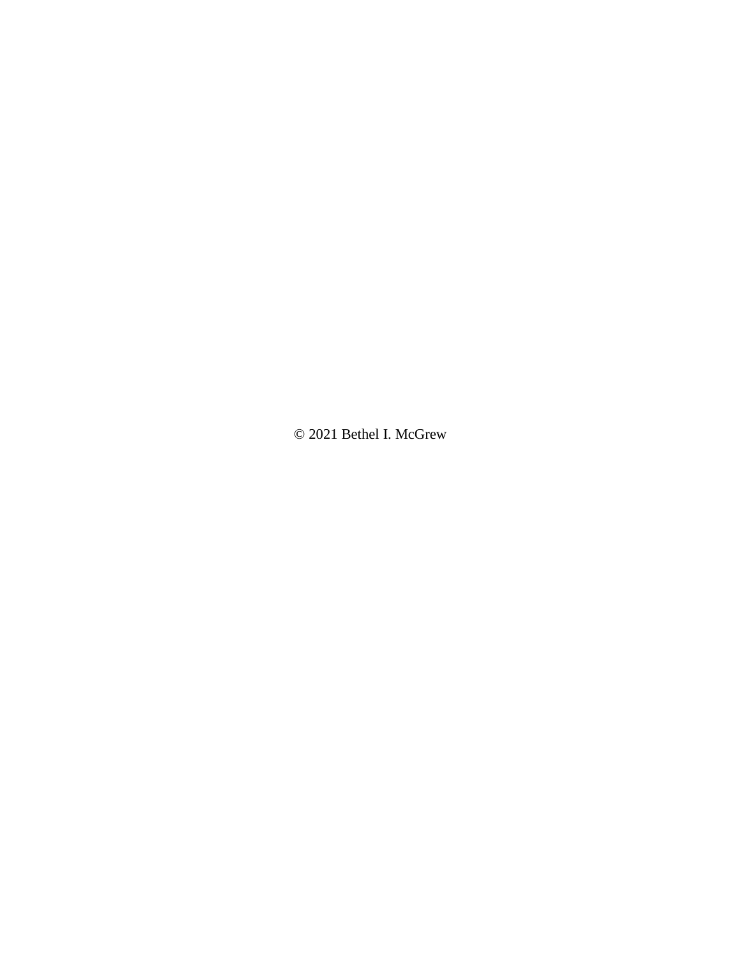© 2021 Bethel I. McGrew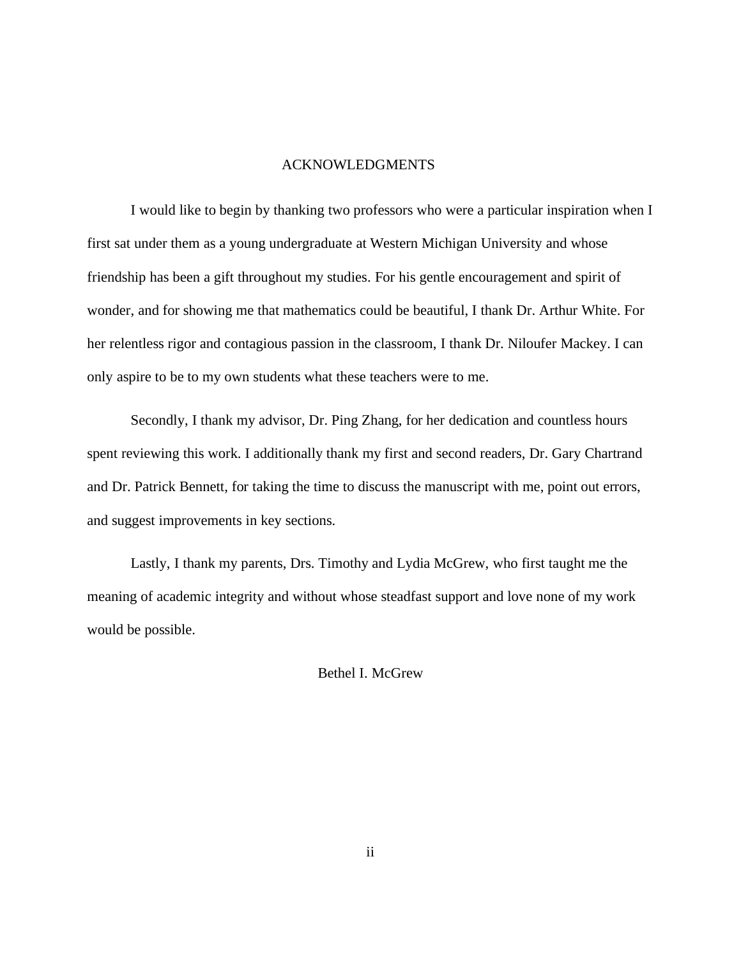#### ACKNOWLEDGMENTS

I would like to begin by thanking two professors who were a particular inspiration when I first sat under them as a young undergraduate at Western Michigan University and whose friendship has been a gift throughout my studies. For his gentle encouragement and spirit of wonder, and for showing me that mathematics could be beautiful, I thank Dr. Arthur White. For her relentless rigor and contagious passion in the classroom, I thank Dr. Niloufer Mackey. I can only aspire to be to my own students what these teachers were to me.

Secondly, I thank my advisor, Dr. Ping Zhang, for her dedication and countless hours spent reviewing this work. I additionally thank my first and second readers, Dr. Gary Chartrand and Dr. Patrick Bennett, for taking the time to discuss the manuscript with me, point out errors, and suggest improvements in key sections.

Lastly, I thank my parents, Drs. Timothy and Lydia McGrew, who first taught me the meaning of academic integrity and without whose steadfast support and love none of my work would be possible.

Bethel I. McGrew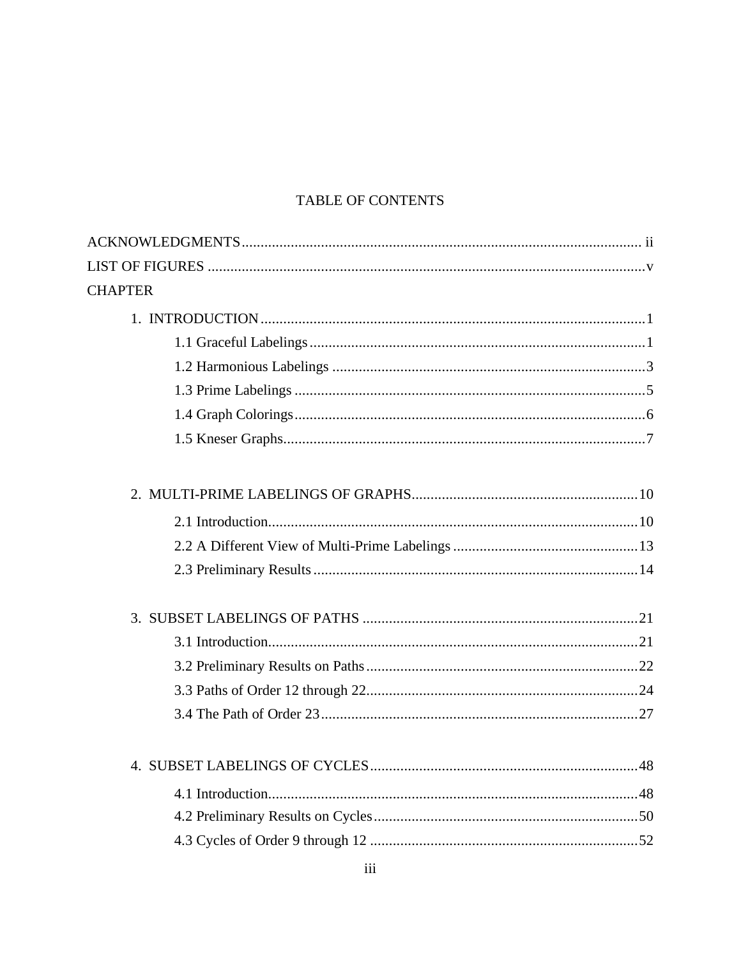### TABLE OF CONTENTS

| <b>CHAPTER</b> |
|----------------|
|                |
|                |
|                |
|                |
|                |
|                |
|                |
|                |
|                |
|                |
|                |
|                |
|                |
|                |
|                |
|                |
|                |
|                |
|                |
|                |
|                |
|                |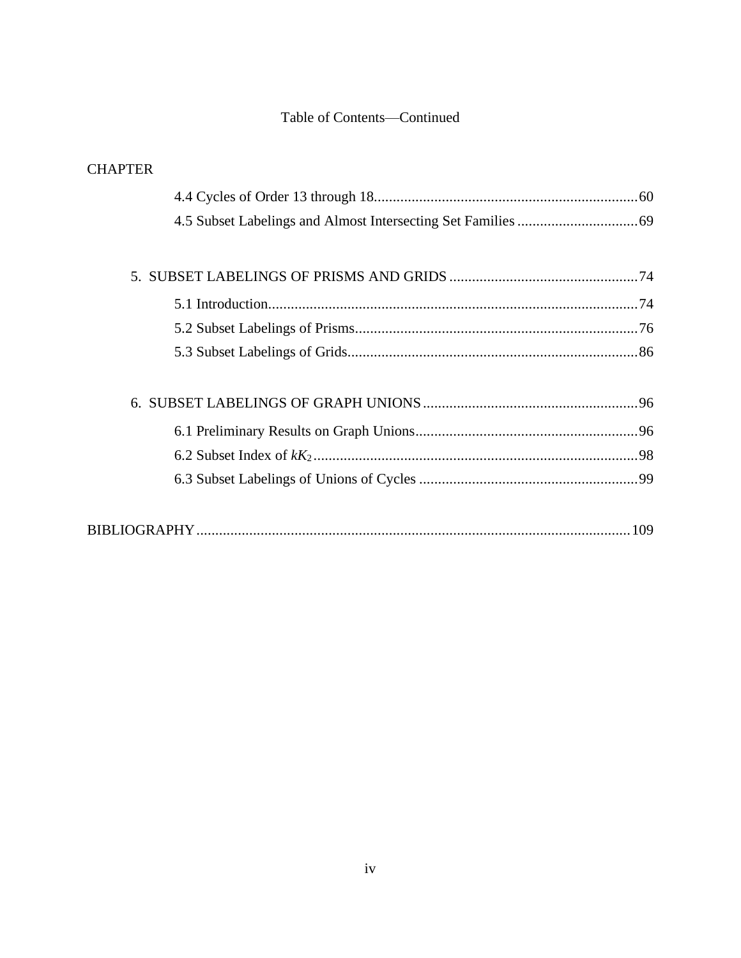#### Table of Contents—Continued

### **CHAPTER**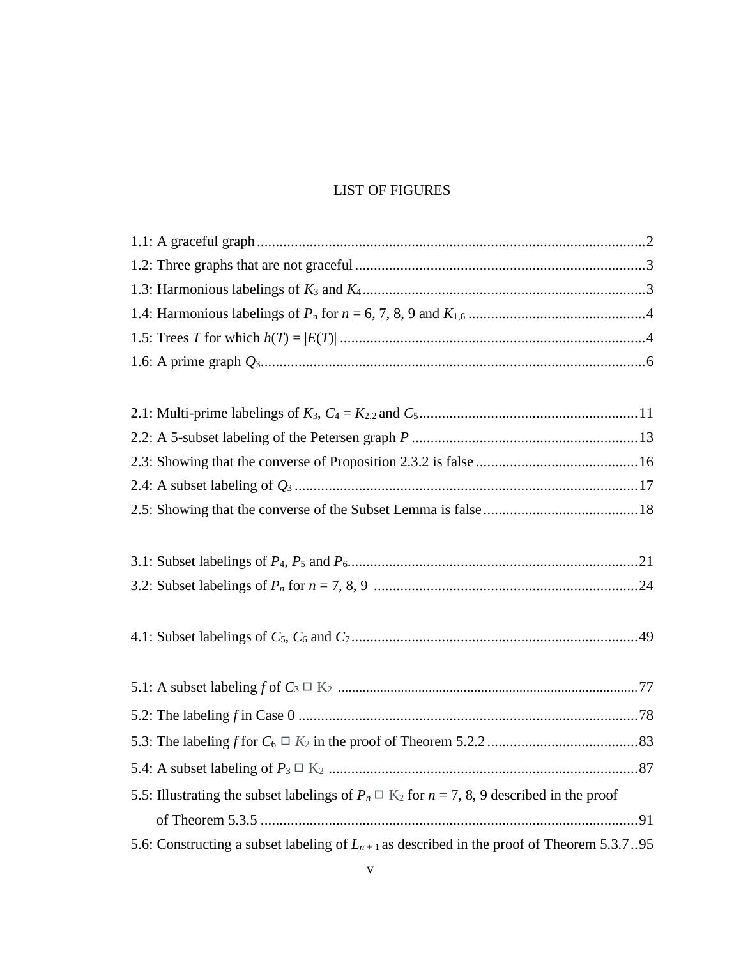#### **LIST OF FIGURES**

| 5.5: Illustrating the subset labelings of $P_n \square K_2$ for $n = 7, 8, 9$ described in the proof |
|------------------------------------------------------------------------------------------------------|
|                                                                                                      |
| 5.6: Constructing a subset labeling of $L_{n+1}$ as described in the proof of Theorem 5.3.795        |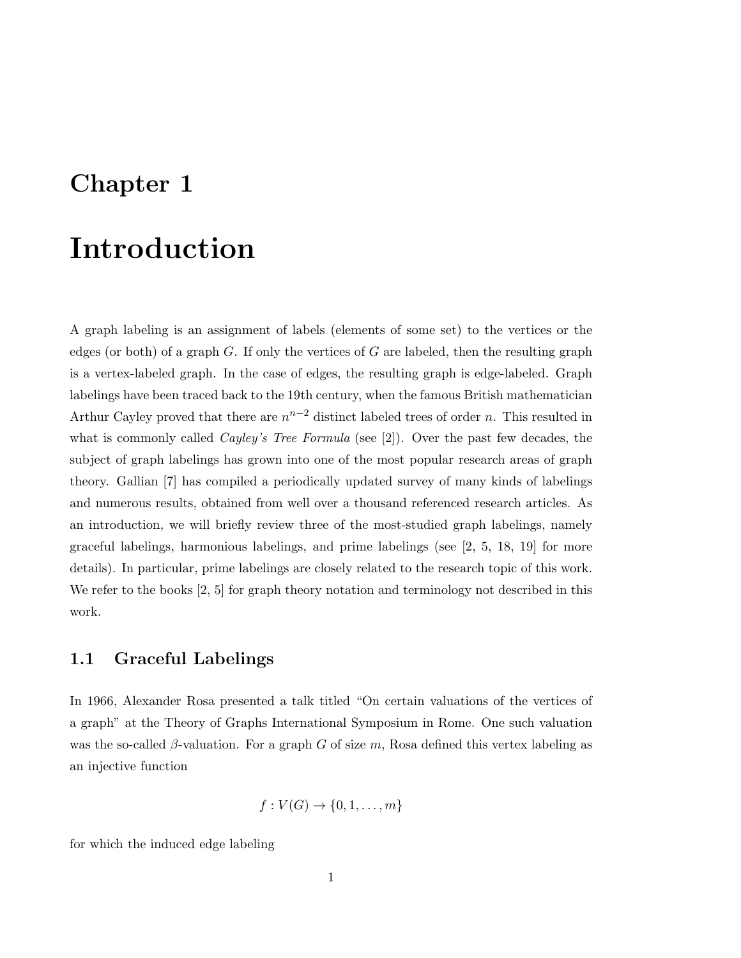## Chapter 1

# Introduction

A graph labeling is an assignment of labels (elements of some set) to the vertices or the edges (or both) of a graph  $G$ . If only the vertices of  $G$  are labeled, then the resulting graph is a vertex-labeled graph. In the case of edges, the resulting graph is edge-labeled. Graph labelings have been traced back to the 19th century, when the famous British mathematician Arthur Cayley proved that there are  $n^{n-2}$  distinct labeled trees of order n. This resulted in what is commonly called *Cayley's Tree Formula* (see [2]). Over the past few decades, the subject of graph labelings has grown into one of the most popular research areas of graph theory. Gallian [7] has compiled a periodically updated survey of many kinds of labelings and numerous results, obtained from well over a thousand referenced research articles. As an introduction, we will briefly review three of the most-studied graph labelings, namely graceful labelings, harmonious labelings, and prime labelings (see [2, 5, 18, 19] for more details). In particular, prime labelings are closely related to the research topic of this work. We refer to the books [2, 5] for graph theory notation and terminology not described in this work.

#### 1.1 Graceful Labelings

In 1966, Alexander Rosa presented a talk titled "On certain valuations of the vertices of a graph" at the Theory of Graphs International Symposium in Rome. One such valuation was the so-called  $\beta$ -valuation. For a graph G of size m, Rosa defined this vertex labeling as an injective function

$$
f: V(G) \to \{0, 1, \ldots, m\}
$$

for which the induced edge labeling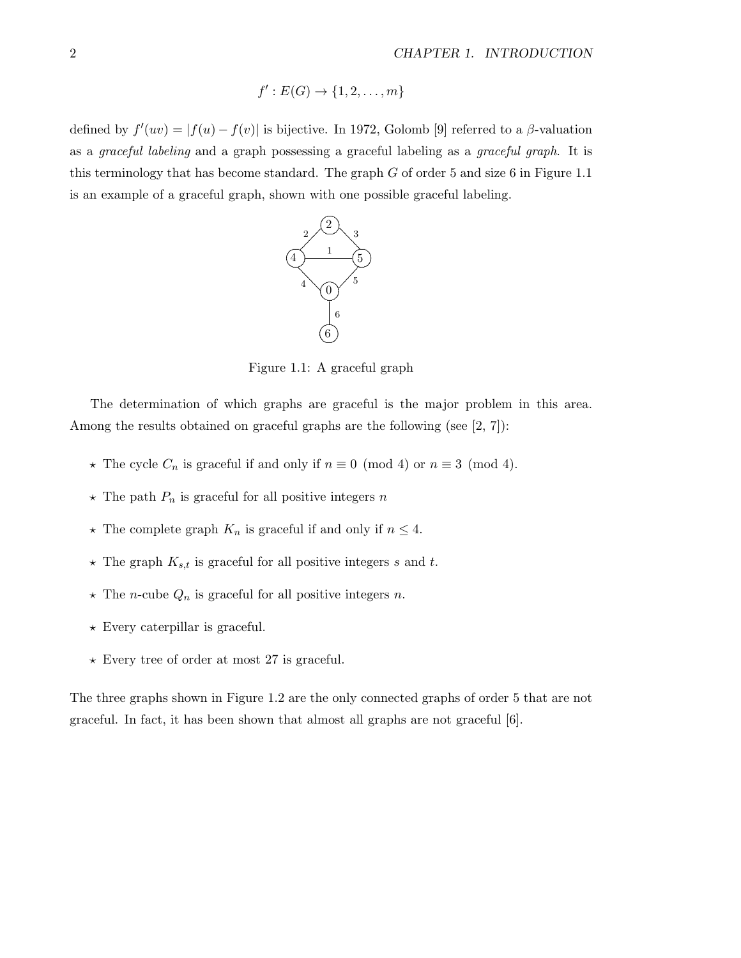$$
f': E(G) \to \{1, 2, \ldots, m\}
$$

defined by  $f'(uv) = |f(u) - f(v)|$  is bijective. In 1972, Golomb [9] referred to a  $\beta$ -valuation as a graceful labeling and a graph possessing a graceful labeling as a graceful graph. It is this terminology that has become standard. The graph G of order 5 and size 6 in Figure 1.1 is an example of a graceful graph, shown with one possible graceful labeling.



Figure 1.1: A graceful graph

The determination of which graphs are graceful is the major problem in this area. Among the results obtained on graceful graphs are the following (see [2, 7]):

- $\star$  The cycle  $C_n$  is graceful if and only if  $n \equiv 0 \pmod{4}$  or  $n \equiv 3 \pmod{4}$ .
- $\star$  The path  $P_n$  is graceful for all positive integers n
- $\star$  The complete graph  $K_n$  is graceful if and only if  $n\leq 4.$
- $\star$  The graph  $K_{s,t}$  is graceful for all positive integers s and t.
- $\star$  The  $n\text{-cube }Q_n$  is graceful for all positive integers  $n.$
- $\star$  Every caterpillar is graceful.
- $\star$  Every tree of order at most 27 is graceful.

The three graphs shown in Figure 1.2 are the only connected graphs of order 5 that are not graceful. In fact, it has been shown that almost all graphs are not graceful [6].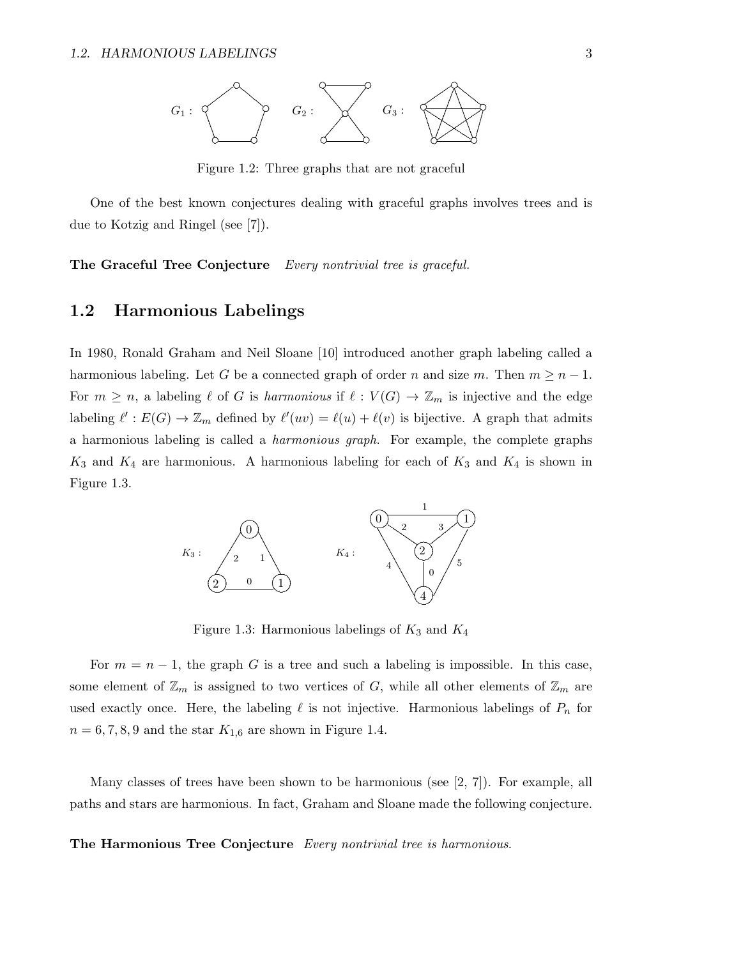

Figure 1.2: Three graphs that are not graceful

One of the best known conjectures dealing with graceful graphs involves trees and is due to Kotzig and Ringel (see [7]).

The Graceful Tree Conjecture Every nontrivial tree is graceful.

#### $1.2$ Harmonious Labelings

In 1980, Ronald Graham and Neil Sloane [10] introduced another graph labeling called a harmonious labeling. Let G be a connected graph of order n and size m. Then  $m \geq n-1$ . For  $m \geq n$ , a labeling  $\ell$  of G is harmonious if  $\ell : V(G) \to \mathbb{Z}_m$  is injective and the edge labeling  $\ell': E(G) \to \mathbb{Z}_m$  defined by  $\ell'(uv) = \ell(u) + \ell(v)$  is bijective. A graph that admits a harmonious labeling is called a *harmonious graph*. For example, the complete graphs  $K_3$  and  $K_4$  are harmonious. A harmonious labeling for each of  $K_3$  and  $K_4$  is shown in Figure 1.3.



Figure 1.3: Harmonious labelings of  $K_3$  and  $K_4$ 

For  $m = n - 1$ , the graph G is a tree and such a labeling is impossible. In this case, some element of  $\mathbb{Z}_m$  is assigned to two vertices of G, while all other elements of  $\mathbb{Z}_m$  are used exactly once. Here, the labeling  $\ell$  is not injective. Harmonious labelings of  $P_n$  for  $n = 6, 7, 8, 9$  and the star  $K_{1,6}$  are shown in Figure 1.4.

Many classes of trees have been shown to be harmonious (see  $[2, 7]$ ). For example, all paths and stars are harmonious. In fact, Graham and Sloane made the following conjecture.

The Harmonious Tree Conjecture Every nontrivial tree is harmonious.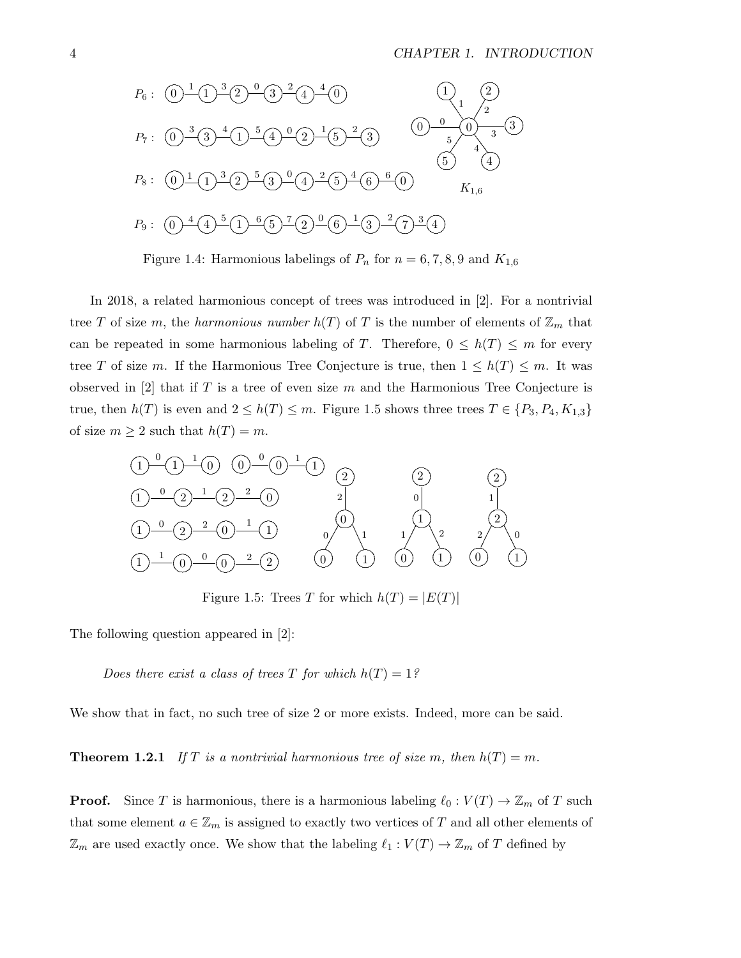

Figure 1.4: Harmonious labelings of  $P_n$  for  $n = 6, 7, 8, 9$  and  $K_{1,6}$ 

In 2018, a related harmonious concept of trees was introduced in  $[2]$ . For a nontrivial tree T of size m, the harmonious number  $h(T)$  of T is the number of elements of  $\mathbb{Z}_m$  that can be repeated in some harmonious labeling of T. Therefore,  $0 \leq h(T) \leq m$  for every tree T of size m. If the Harmonious Tree Conjecture is true, then  $1 \leq h(T) \leq m$ . It was observed in [2] that if T is a tree of even size m and the Harmonious Tree Conjecture is true, then  $h(T)$  is even and  $2 \leq h(T) \leq m$ . Figure 1.5 shows three trees  $T \in \{P_3, P_4, K_{1,3}\}\$ of size  $m \geq 2$  such that  $h(T) = m$ .



Figure 1.5: Trees T for which  $h(T) = |E(T)|$ 

The following question appeared in  $[2]$ :

Does there exist a class of trees T for which  $h(T) = 1$ ?

We show that in fact, no such tree of size 2 or more exists. Indeed, more can be said.

**Theorem 1.2.1** If T is a nontrivial harmonious tree of size m, then  $h(T) = m$ .

**Proof.** Since T is harmonious, there is a harmonious labeling  $\ell_0: V(T) \to \mathbb{Z}_m$  of T such that some element  $a \in \mathbb{Z}_m$  is assigned to exactly two vertices of T and all other elements of  $\mathbb{Z}_m$  are used exactly once. We show that the labeling  $\ell_1:V(T)\to\mathbb{Z}_m$  of T defined by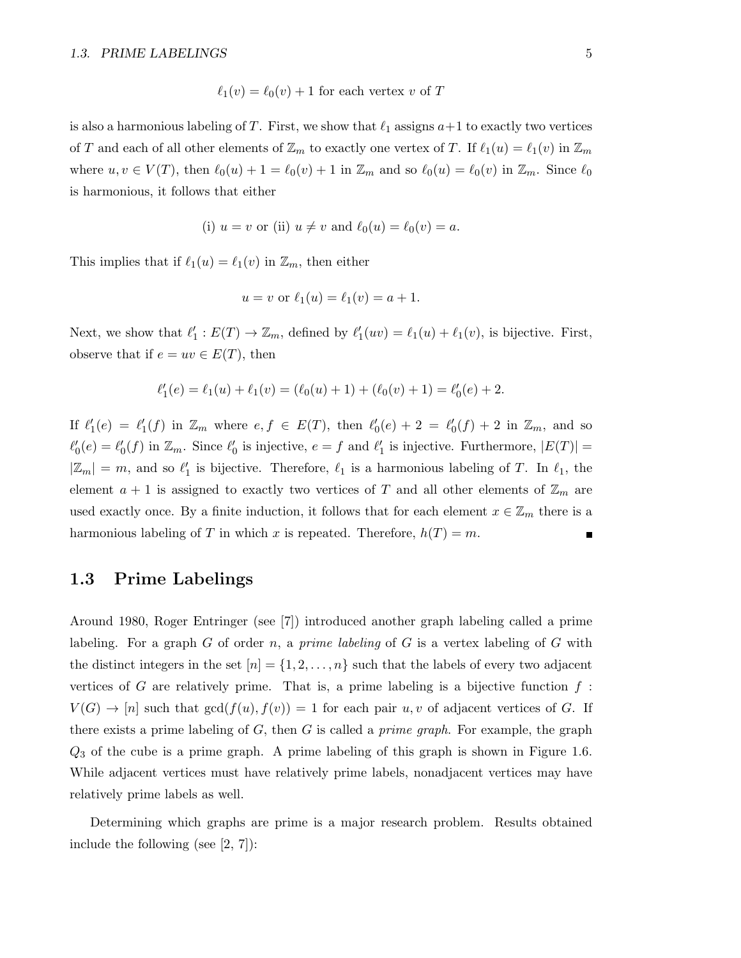$$
\ell_1(v) = \ell_0(v) + 1
$$
 for each vertex v of T

is also a harmonious labeling of T. First, we show that  $\ell_1$  assigns  $a+1$  to exactly two vertices of T and each of all other elements of  $\mathbb{Z}_m$  to exactly one vertex of T. If  $\ell_1(u) = \ell_1(v)$  in  $\mathbb{Z}_m$ where  $u, v \in V(T)$ , then  $\ell_0(u) + 1 = \ell_0(v) + 1$  in  $\mathbb{Z}_m$  and so  $\ell_0(u) = \ell_0(v)$  in  $\mathbb{Z}_m$ . Since  $\ell_0$ is harmonious, it follows that either

(i) 
$$
u = v
$$
 or (ii)  $u \neq v$  and  $\ell_0(u) = \ell_0(v) = a$ .

This implies that if  $\ell_1(u) = \ell_1(v)$  in  $\mathbb{Z}_m$ , then either

$$
u = v
$$
 or  $\ell_1(u) = \ell_1(v) = a + 1$ .

Next, we show that  $\ell'_1 : E(T) \to \mathbb{Z}_m$ , defined by  $\ell'_1(uv) = \ell_1(u) + \ell_1(v)$ , is bijective. First, observe that if  $e = uv \in E(T)$ , then

$$
\ell_1'(e) = \ell_1(u) + \ell_1(v) = (\ell_0(u) + 1) + (\ell_0(v) + 1) = \ell_0'(e) + 2.
$$

If  $\ell'_1(e) = \ell'_1(f)$  in  $\mathbb{Z}_m$  where  $e, f \in E(T)$ , then  $\ell'_0(e) + 2 = \ell'_0(f) + 2$  in  $\mathbb{Z}_m$ , and so  $\ell'_0(e) = \ell'_0(f)$  in  $\mathbb{Z}_m$ . Since  $\ell'_0$  is injective,  $e = f$  and  $\ell'_1$  is injective. Furthermore,  $|E(T)| =$  $|\mathbb{Z}_m| = m$ , and so  $\ell'_1$  is bijective. Therefore,  $\ell_1$  is a harmonious labeling of T. In  $\ell_1$ , the element  $a + 1$  is assigned to exactly two vertices of T and all other elements of  $\mathbb{Z}_m$  are used exactly once. By a finite induction, it follows that for each element  $x \in \mathbb{Z}_m$  there is a harmonious labeling of T in which x is repeated. Therefore,  $h(T) = m$ . П

#### 1.3 Prime Labelings

Around 1980, Roger Entringer (see [7]) introduced another graph labeling called a prime labeling. For a graph G of order n, a prime labeling of G is a vertex labeling of G with the distinct integers in the set  $[n] = \{1, 2, \ldots, n\}$  such that the labels of every two adjacent vertices of G are relatively prime. That is, a prime labeling is a bijective function  $f$ :  $V(G) \to [n]$  such that  $gcd(f(u), f(v)) = 1$  for each pair u, v of adjacent vertices of G. If there exists a prime labeling of  $G$ , then  $G$  is called a *prime graph*. For example, the graph  $Q_3$  of the cube is a prime graph. A prime labeling of this graph is shown in Figure 1.6. While adjacent vertices must have relatively prime labels, nonadjacent vertices may have relatively prime labels as well.

Determining which graphs are prime is a major research problem. Results obtained include the following (see [2, 7]):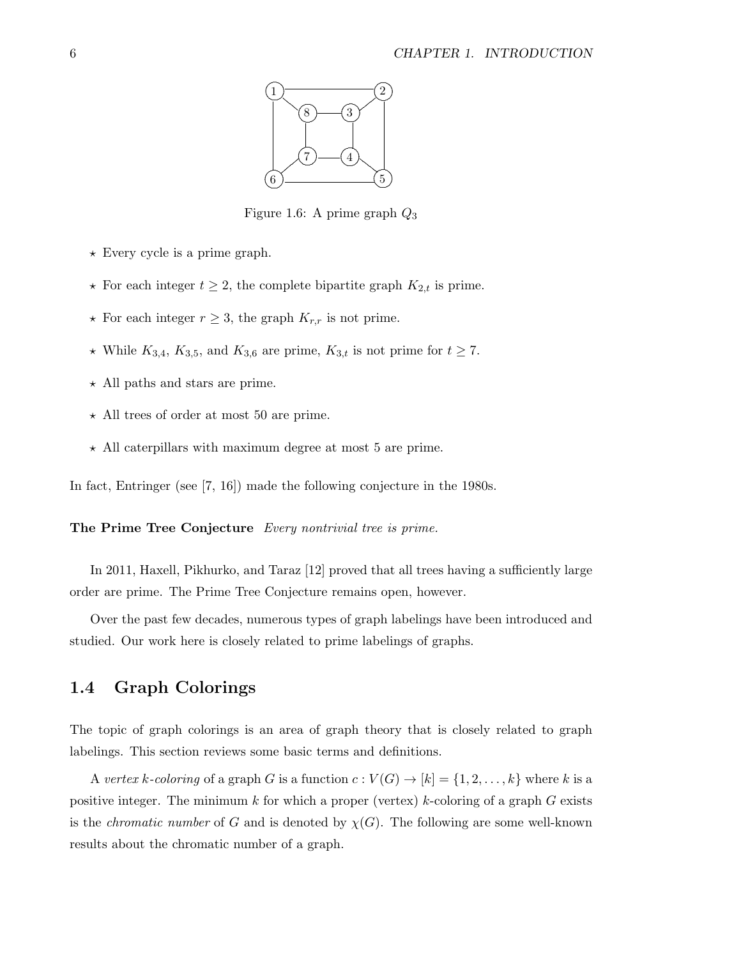

Figure 1.6: A prime graph  $Q_3$ 

- $\star$  Every cycle is a prime graph.
- $\star$  For each integer  $t \geq 2$ , the complete bipartite graph  $K_{2,t}$  is prime.
- $\star$  For each integer  $r \geq 3$ , the graph  $K_{r,r}$  is not prime.
- \* While  $K_{3,4}$ ,  $K_{3,5}$ , and  $K_{3,6}$  are prime,  $K_{3,t}$  is not prime for  $t \ge 7$ .
- $\star$  All paths and stars are prime.
- $\star$  All trees of order at most 50 are prime.
- $\star$  All caterpillars with maximum degree at most 5 are prime.

In fact, Entringer (see  $[7, 16]$ ) made the following conjecture in the 1980s.

#### The Prime Tree Conjecture Every nontrivial tree is prime.

In 2011, Haxell, Pikhurko, and Taraz [12] proved that all trees having a sufficiently large order are prime. The Prime Tree Conjecture remains open, however.

Over the past few decades, numerous types of graph labelings have been introduced and studied. Our work here is closely related to prime labelings of graphs.

#### **Graph Colorings**  $1.4$

The topic of graph colorings is an area of graph theory that is closely related to graph labelings. This section reviews some basic terms and definitions.

A vertex k-coloring of a graph G is a function  $c: V(G) \to [k] = \{1, 2, ..., k\}$  where k is a positive integer. The minimum k for which a proper (vertex) k-coloring of a graph G exists is the *chromatic number* of G and is denoted by  $\chi(G)$ . The following are some well-known results about the chromatic number of a graph.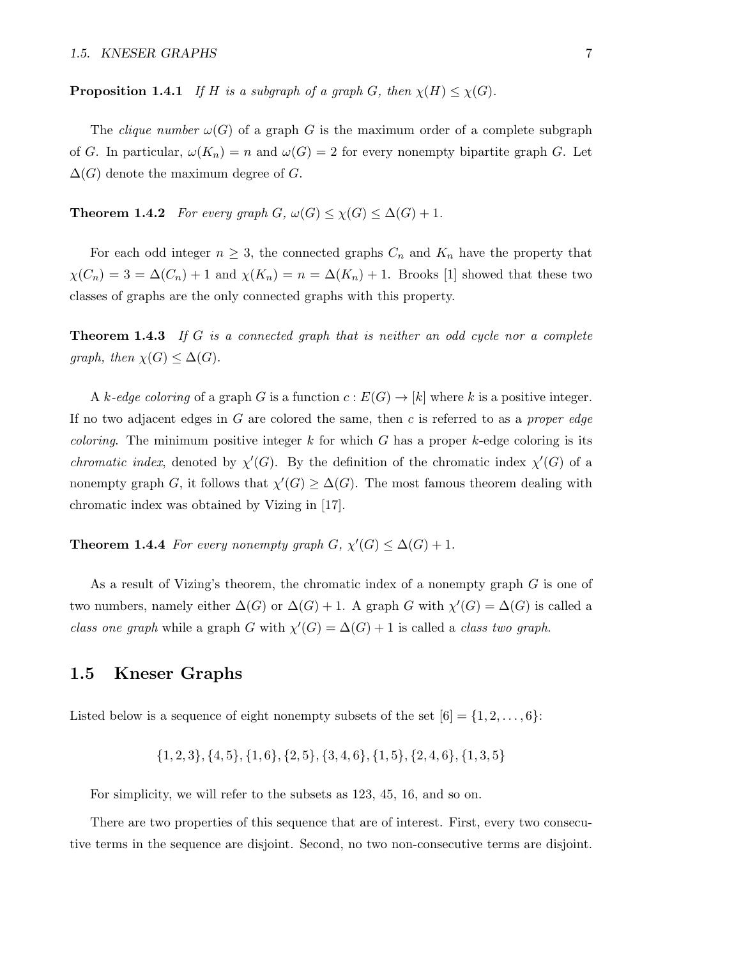**Proposition 1.4.1** If H is a subgraph of a graph G, then  $\chi(H) \leq \chi(G)$ .

The *clique number*  $\omega(G)$  of a graph G is the maximum order of a complete subgraph of G. In particular,  $\omega(K_n) = n$  and  $\omega(G) = 2$  for every nonempty bipartite graph G. Let  $\Delta(G)$  denote the maximum degree of G.

**Theorem 1.4.2** For every graph  $G$ ,  $\omega(G) \leq \chi(G) \leq \Delta(G) + 1$ .

For each odd integer  $n \geq 3$ , the connected graphs  $C_n$  and  $K_n$  have the property that  $\chi(C_n) = 3 = \Delta(C_n) + 1$  and  $\chi(K_n) = n = \Delta(K_n) + 1$ . Brooks [1] showed that these two classes of graphs are the only connected graphs with this property.

**Theorem 1.4.3** If  $G$  is a connected graph that is neither an odd cycle nor a complete graph, then  $\chi(G) \leq \Delta(G)$ .

A k-edge coloring of a graph G is a function  $c: E(G) \to [k]$  where k is a positive integer. If no two adjacent edges in  $G$  are colored the same, then  $c$  is referred to as a *proper edge coloring.* The minimum positive integer k for which G has a proper k-edge coloring is its *chromatic index*, denoted by  $\chi'(G)$ . By the definition of the chromatic index  $\chi'(G)$  of a nonempty graph G, it follows that  $\chi'(G) \geq \Delta(G)$ . The most famous theorem dealing with chromatic index was obtained by Vizing in [17].

**Theorem 1.4.4** For every nonempty graph  $G$ ,  $\chi'(G) \leq \Delta(G) + 1$ .

As a result of Vizing's theorem, the chromatic index of a nonempty graph G is one of two numbers, namely either  $\Delta(G)$  or  $\Delta(G) + 1$ . A graph G with  $\chi'(G) = \Delta(G)$  is called a class one graph while a graph G with  $\chi'(G) = \Delta(G) + 1$  is called a class two graph.

#### 1.5 Kneser Graphs

Listed below is a sequence of eight nonempty subsets of the set  $[6] = \{1, 2, \ldots, 6\}$ :

$$
\{1,2,3\},\{4,5\},\{1,6\},\{2,5\},\{3,4,6\},\{1,5\},\{2,4,6\},\{1,3,5\}
$$

For simplicity, we will refer to the subsets as 123, 45, 16, and so on.

There are two properties of this sequence that are of interest. First, every two consecutive terms in the sequence are disjoint. Second, no two non-consecutive terms are disjoint.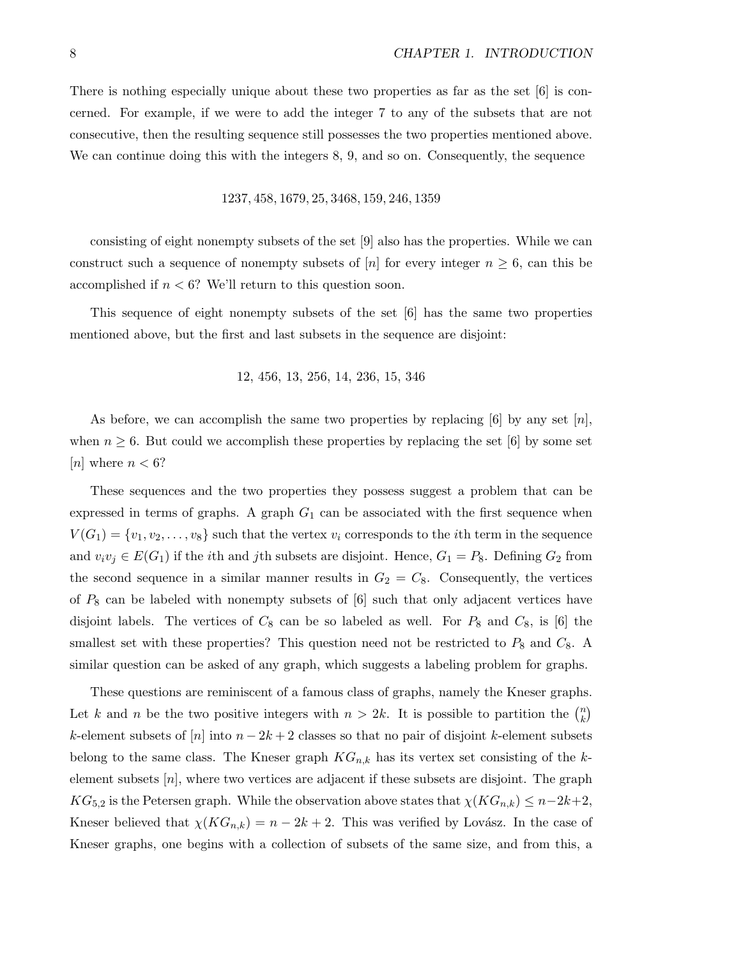There is nothing especially unique about these two properties as far as the set  $[6]$  is concerned. For example, if we were to add the integer 7 to any of the subsets that are not consecutive, then the resulting sequence still possesses the two properties mentioned above. We can continue doing this with the integers 8, 9, and so on. Consequently, the sequence

1237, 458, 1679, 25, 3468, 159, 246, 1359

consisting of eight nonempty subsets of the set [9] also has the properties. While we can construct such a sequence of nonempty subsets of [n] for every integer  $n \geq 6$ , can this be accomplished if  $n < 6$ ? We'll return to this question soon.

This sequence of eight nonempty subsets of the set [6] has the same two properties mentioned above, but the first and last subsets in the sequence are disjoint:

12, 456, 13, 256, 14, 236, 15, 346

As before, we can accomplish the same two properties by replacing [6] by any set  $[n]$ , when  $n \geq 6$ . But could we accomplish these properties by replacing the set [6] by some set [*n*] where  $n < 6$ ?

These sequences and the two properties they possess suggest a problem that can be expressed in terms of graphs. A graph  $G_1$  can be associated with the first sequence when  $V(G_1) = \{v_1, v_2, \ldots, v_8\}$  such that the vertex  $v_i$  corresponds to the *i*th term in the sequence and  $v_i v_j \in E(G_1)$  if the *i*th and *j*th subsets are disjoint. Hence,  $G_1 = P_8$ . Defining  $G_2$  from the second sequence in a similar manner results in  $G_2 = C_8$ . Consequently, the vertices of  $P_8$  can be labeled with nonempty subsets of  $[6]$  such that only adjacent vertices have disjoint labels. The vertices of  $C_8$  can be so labeled as well. For  $P_8$  and  $C_8$ , is [6] the smallest set with these properties? This question need not be restricted to  $P_8$  and  $C_8$ . A similar question can be asked of any graph, which suggests a labeling problem for graphs.

These questions are reminiscent of a famous class of graphs, namely the Kneser graphs. Let k and n be the two positive integers with  $n > 2k$ . It is possible to partition the  $\binom{n}{k}$  $\binom{n}{k}$ k-element subsets of  $[n]$  into  $n-2k+2$  classes so that no pair of disjoint k-element subsets belong to the same class. The Kneser graph  $KG_{n,k}$  has its vertex set consisting of the kelement subsets  $[n]$ , where two vertices are adjacent if these subsets are disjoint. The graph  $KG_{5,2}$  is the Petersen graph. While the observation above states that  $\chi(KG_{n,k}) \leq n-2k+2$ , Kneser believed that  $\chi(KG_{n,k}) = n - 2k + 2$ . This was verified by Lovász. In the case of Kneser graphs, one begins with a collection of subsets of the same size, and from this, a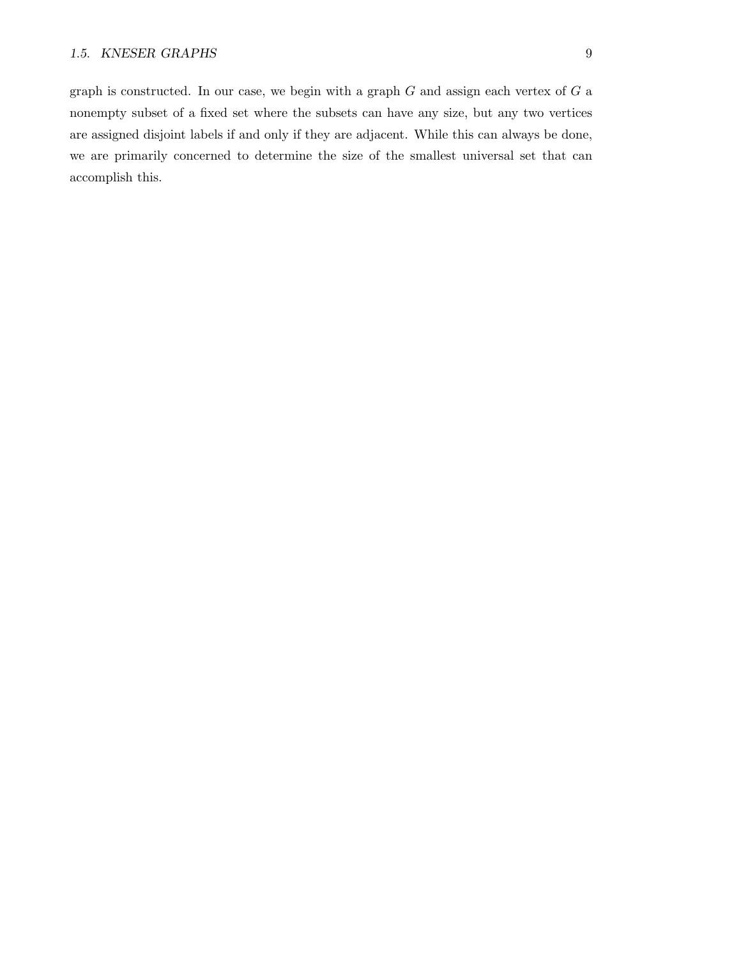graph is constructed. In our case, we begin with a graph  $G$  and assign each vertex of  $G$  a nonempty subset of a fixed set where the subsets can have any size, but any two vertices are assigned disjoint labels if and only if they are adjacent. While this can always be done, we are primarily concerned to determine the size of the smallest universal set that can accomplish this.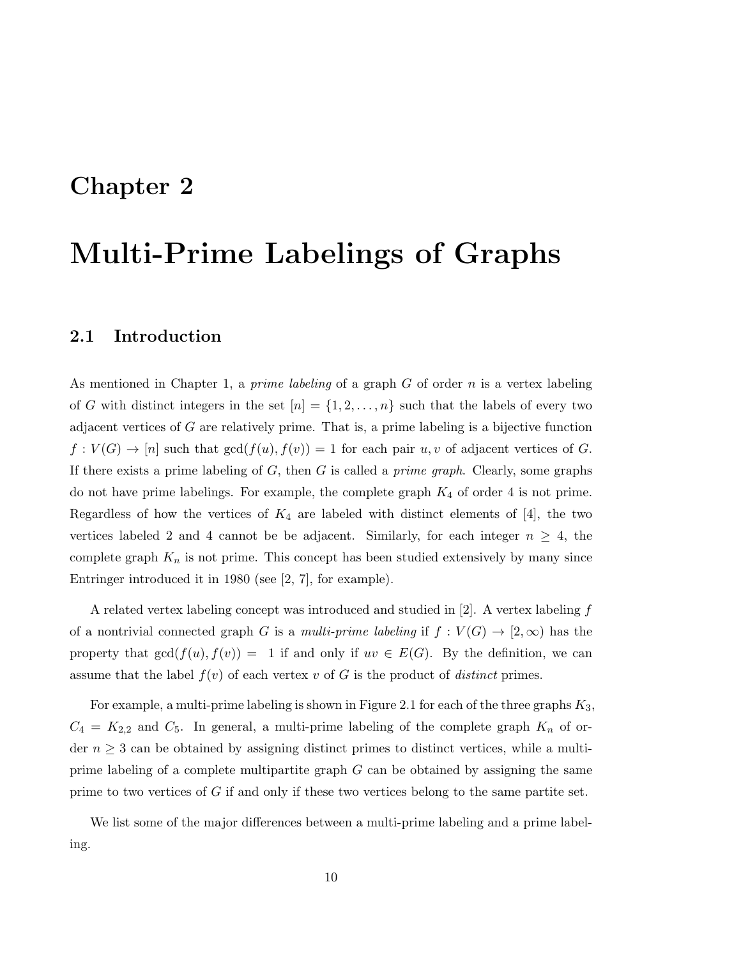### Chapter 2

# Multi-Prime Labelings of Graphs

#### 2.1 Introduction

As mentioned in Chapter 1, a *prime labeling* of a graph  $G$  of order  $n$  is a vertex labeling of G with distinct integers in the set  $[n] = \{1, 2, \ldots, n\}$  such that the labels of every two adjacent vertices of G are relatively prime. That is, a prime labeling is a bijective function  $f: V(G) \to [n]$  such that  $gcd(f(u), f(v)) = 1$  for each pair  $u, v$  of adjacent vertices of G. If there exists a prime labeling of  $G$ , then  $G$  is called a *prime graph*. Clearly, some graphs do not have prime labelings. For example, the complete graph  $K_4$  of order 4 is not prime. Regardless of how the vertices of  $K_4$  are labeled with distinct elements of [4], the two vertices labeled 2 and 4 cannot be be adjacent. Similarly, for each integer  $n \geq 4$ , the complete graph  $K_n$  is not prime. This concept has been studied extensively by many since Entringer introduced it in 1980 (see [2, 7], for example).

A related vertex labeling concept was introduced and studied in  $[2]$ . A vertex labeling f of a nontrivial connected graph G is a multi-prime labeling if  $f: V(G) \to [2,\infty)$  has the property that  $gcd(f(u), f(v)) = 1$  if and only if  $uv \in E(G)$ . By the definition, we can assume that the label  $f(v)$  of each vertex v of G is the product of *distinct* primes.

For example, a multi-prime labeling is shown in Figure 2.1 for each of the three graphs  $K_3$ ,  $C_4 = K_{2,2}$  and  $C_5$ . In general, a multi-prime labeling of the complete graph  $K_n$  of order  $n \geq 3$  can be obtained by assigning distinct primes to distinct vertices, while a multiprime labeling of a complete multipartite graph  $G$  can be obtained by assigning the same prime to two vertices of G if and only if these two vertices belong to the same partite set.

We list some of the major differences between a multi-prime labeling and a prime labeling.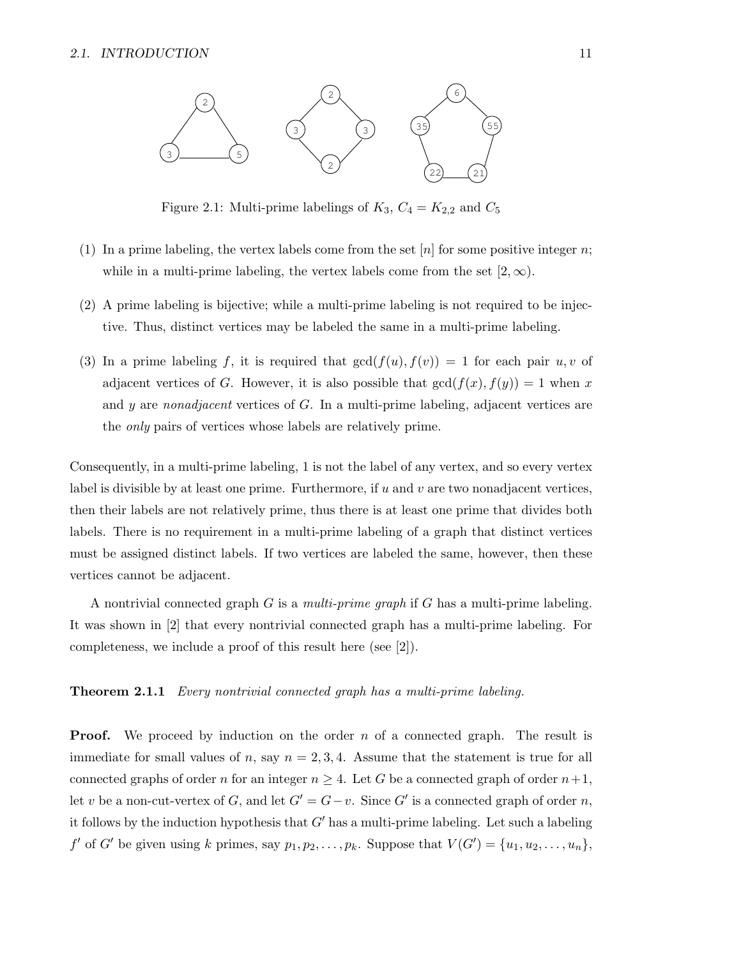

Figure 2.1: Multi-prime labelings of  $K_3$ ,  $C_4 = K_{2,2}$  and  $C_5$ 

- (1) In a prime labeling, the vertex labels come from the set  $[n]$  for some positive integer n; while in a multi-prime labeling, the vertex labels come from the set  $[2, \infty)$ .
- (2) A prime labeling is bijective; while a multi-prime labeling is not required to be injective. Thus, distinct vertices may be labeled the same in a multi-prime labeling.
- (3) In a prime labeling f, it is required that  $gcd(f(u), f(v)) = 1$  for each pair u, v of adjacent vertices of G. However, it is also possible that  $gcd(f(x), f(y)) = 1$  when x and y are nonadjacent vertices of G. In a multi-prime labeling, adjacent vertices are the only pairs of vertices whose labels are relatively prime.

Consequently, in a multi-prime labeling, 1 is not the label of any vertex, and so every vertex label is divisible by at least one prime. Furthermore, if  $u$  and  $v$  are two nonadjacent vertices, then their labels are not relatively prime, thus there is at least one prime that divides both labels. There is no requirement in a multi-prime labeling of a graph that distinct vertices must be assigned distinct labels. If two vertices are labeled the same, however, then these vertices cannot be adjacent.

A nontrivial connected graph  $G$  is a *multi-prime graph* if  $G$  has a multi-prime labeling. It was shown in [2] that every nontrivial connected graph has a multi-prime labeling. For completeness, we include a proof of this result here (see [2]).

#### **Theorem 2.1.1** Every nontrivial connected graph has a multi-prime labeling.

**Proof.** We proceed by induction on the order  $n$  of a connected graph. The result is immediate for small values of n, say  $n = 2, 3, 4$ . Assume that the statement is true for all connected graphs of order n for an integer  $n \geq 4$ . Let G be a connected graph of order  $n+1$ , let v be a non-cut-vertex of G, and let  $G' = G - v$ . Since G' is a connected graph of order n, it follows by the induction hypothesis that  $G'$  has a multi-prime labeling. Let such a labeling  $f'$  of  $G'$  be given using k primes, say  $p_1, p_2, \ldots, p_k$ . Suppose that  $V(G') = \{u_1, u_2, \ldots, u_n\}$ ,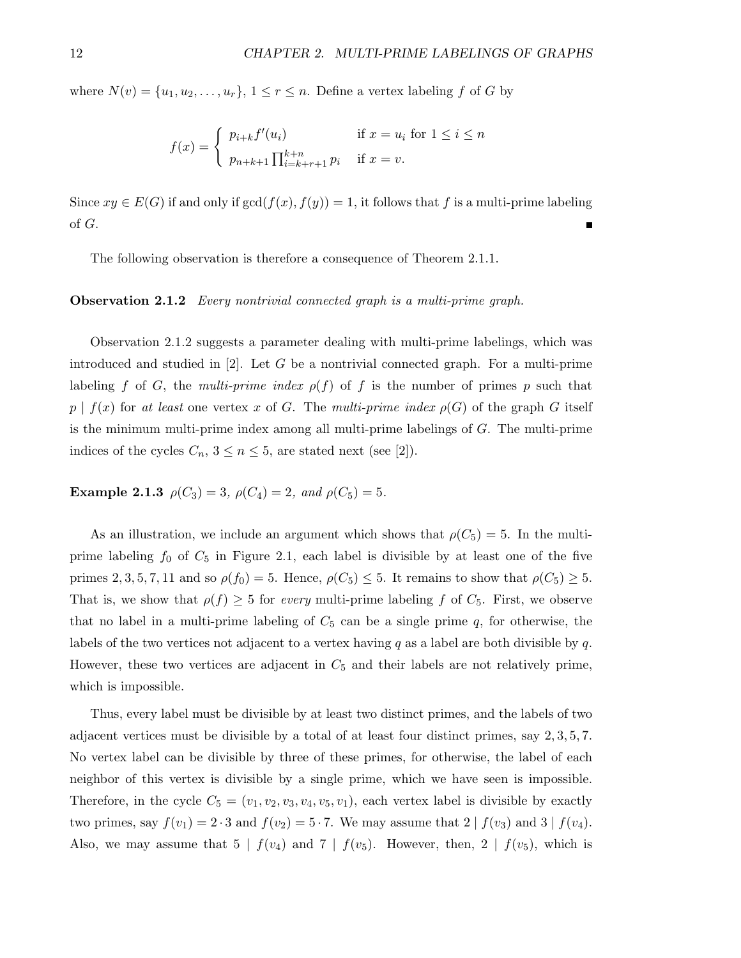where  $N(v) = \{u_1, u_2, \ldots, u_r\}, 1 \leq r \leq n$ . Define a vertex labeling f of G by

$$
f(x) = \begin{cases} p_{i+k} f'(u_i) & \text{if } x = u_i \text{ for } 1 \le i \le n \\ p_{n+k+1} \prod_{i=k+r+1}^{k+n} p_i & \text{if } x = v. \end{cases}
$$

Since  $xy \in E(G)$  if and only if  $gcd(f(x), f(y)) = 1$ , it follows that f is a multi-prime labeling of G.

The following observation is therefore a consequence of Theorem 2.1.1.

#### Observation 2.1.2 Every nontrivial connected graph is a multi-prime graph.

Observation 2.1.2 suggests a parameter dealing with multi-prime labelings, which was introduced and studied in  $[2]$ . Let G be a nontrivial connected graph. For a multi-prime labeling f of G, the multi-prime index  $\rho(f)$  of f is the number of primes p such that  $p \mid f(x)$  for at least one vertex x of G. The multi-prime index  $\rho(G)$  of the graph G itself is the minimum multi-prime index among all multi-prime labelings of G. The multi-prime indices of the cycles  $C_n$ ,  $3 \leq n \leq 5$ , are stated next (see [2]).

Example 2.1.3  $\rho(C_3) = 3$ ,  $\rho(C_4) = 2$ , and  $\rho(C_5) = 5$ .

As an illustration, we include an argument which shows that  $\rho(C_5) = 5$ . In the multiprime labeling  $f_0$  of  $C_5$  in Figure 2.1, each label is divisible by at least one of the five primes 2, 3, 5, 7, 11 and so  $\rho(f_0) = 5$ . Hence,  $\rho(C_5) \leq 5$ . It remains to show that  $\rho(C_5) \geq 5$ . That is, we show that  $\rho(f) \geq 5$  for every multi-prime labeling f of  $C_5$ . First, we observe that no label in a multi-prime labeling of  $C_5$  can be a single prime  $q$ , for otherwise, the labels of the two vertices not adjacent to a vertex having q as a label are both divisible by q. However, these two vertices are adjacent in  $C_5$  and their labels are not relatively prime, which is impossible.

Thus, every label must be divisible by at least two distinct primes, and the labels of two adjacent vertices must be divisible by a total of at least four distinct primes, say 2, 3, 5, 7. No vertex label can be divisible by three of these primes, for otherwise, the label of each neighbor of this vertex is divisible by a single prime, which we have seen is impossible. Therefore, in the cycle  $C_5 = (v_1, v_2, v_3, v_4, v_5, v_1)$ , each vertex label is divisible by exactly two primes, say  $f(v_1) = 2 \cdot 3$  and  $f(v_2) = 5 \cdot 7$ . We may assume that  $2 \mid f(v_3)$  and  $3 \mid f(v_4)$ . Also, we may assume that  $5 | f(v_4)$  and  $7 | f(v_5)$ . However, then,  $2 | f(v_5)$ , which is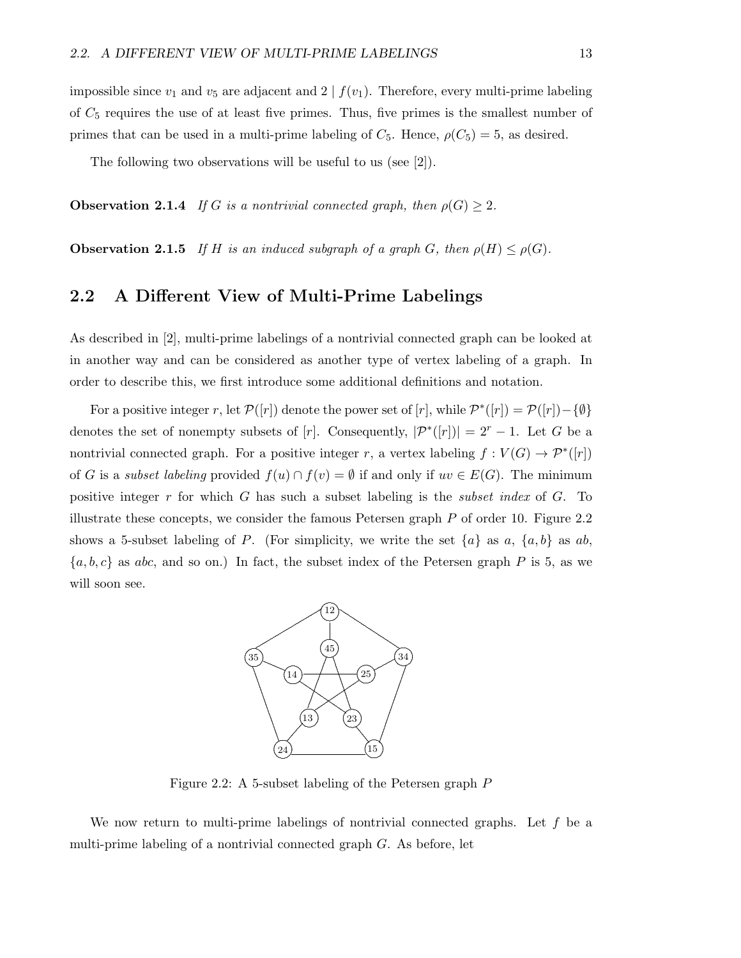impossible since  $v_1$  and  $v_5$  are adjacent and  $2 \mid f(v_1)$ . Therefore, every multi-prime labeling of  $C_5$  requires the use of at least five primes. Thus, five primes is the smallest number of primes that can be used in a multi-prime labeling of  $C_5$ . Hence,  $\rho(C_5) = 5$ , as desired.

The following two observations will be useful to us (see [2]).

**Observation 2.1.4** If G is a nontrivial connected graph, then  $\rho(G) \geq 2$ .

**Observation 2.1.5** If H is an induced subgraph of a graph G, then  $\rho(H) \leq \rho(G)$ .

#### 2.2 A Different View of Multi-Prime Labelings

As described in [2], multi-prime labelings of a nontrivial connected graph can be looked at in another way and can be considered as another type of vertex labeling of a graph. In order to describe this, we first introduce some additional definitions and notation.

For a positive integer r, let  $\mathcal{P}([r])$  denote the power set of  $[r]$ , while  $\mathcal{P}^*([r]) = \mathcal{P}([r]) - \{\emptyset\}$ denotes the set of nonempty subsets of [r]. Consequently,  $|\mathcal{P}^*(r)| = 2^r - 1$ . Let G be a nontrivial connected graph. For a positive integer r, a vertex labeling  $f: V(G) \to \mathcal{P}^*([r])$ of G is a *subset labeling* provided  $f(u) \cap f(v) = \emptyset$  if and only if  $uv \in E(G)$ . The minimum positive integer r for which G has such a subset labeling is the *subset index* of G. To illustrate these concepts, we consider the famous Petersen graph  $P$  of order 10. Figure 2.2 shows a 5-subset labeling of P. (For simplicity, we write the set  $\{a\}$  as a,  $\{a,b\}$  as ab,  $\{a, b, c\}$  as abc, and so on.) In fact, the subset index of the Petersen graph P is 5, as we will soon see.



Figure 2.2: A 5-subset labeling of the Petersen graph P

We now return to multi-prime labelings of nontrivial connected graphs. Let  $f$  be a multi-prime labeling of a nontrivial connected graph G. As before, let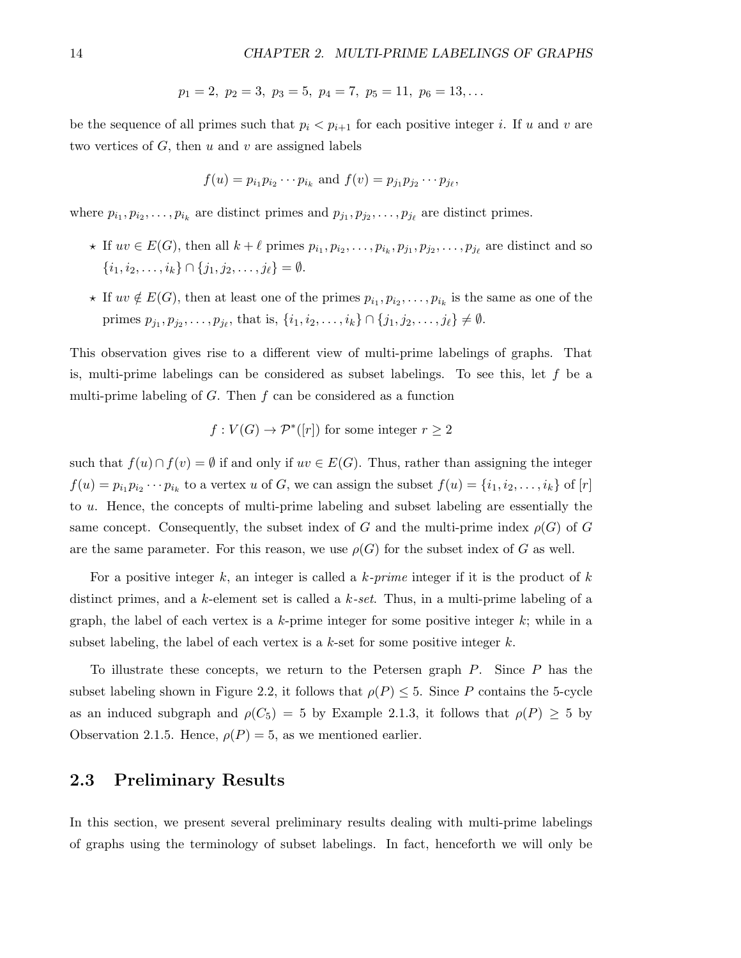$$
p_1 = 2, p_2 = 3, p_3 = 5, p_4 = 7, p_5 = 11, p_6 = 13,...
$$

be the sequence of all primes such that  $p_i < p_{i+1}$  for each positive integer i. If u and v are two vertices of  $G$ , then  $u$  and  $v$  are assigned labels

$$
f(u) = p_{i_1} p_{i_2} \cdots p_{i_k}
$$
 and  $f(v) = p_{j_1} p_{j_2} \cdots p_{j_\ell}$ ,

where  $p_{i_1}, p_{i_2}, \ldots, p_{i_k}$  are distinct primes and  $p_{j_1}, p_{j_2}, \ldots, p_{j_\ell}$  are distinct primes.

- $\star$  If  $uv \in E(G)$ , then all  $k + \ell$  primes  $p_{i_1}, p_{i_2}, \ldots, p_{i_k}, p_{j_1}, p_{j_2}, \ldots, p_{j_\ell}$  are distinct and so  $\{i_1, i_2, \ldots, i_k\} \cap \{j_1, j_2, \ldots, j_\ell\} = \emptyset.$
- $\star$  If  $uv \notin E(G)$ , then at least one of the primes  $p_{i_1}, p_{i_2}, \ldots, p_{i_k}$  is the same as one of the primes  $p_{j_1}, p_{j_2}, \ldots, p_{j_\ell}$ , that is,  $\{i_1, i_2, \ldots, i_k\} \cap \{j_1, j_2, \ldots, j_\ell\} \neq \emptyset$ .

This observation gives rise to a different view of multi-prime labelings of graphs. That is, multi-prime labelings can be considered as subset labelings. To see this, let  $f$  be a multi-prime labeling of  $G$ . Then  $f$  can be considered as a function

$$
f: V(G) \to \mathcal{P}^*([r])
$$
 for some integer  $r \geq 2$ 

such that  $f(u) \cap f(v) = \emptyset$  if and only if  $uv \in E(G)$ . Thus, rather than assigning the integer  $f(u) = p_{i_1} p_{i_2} \cdots p_{i_k}$  to a vertex u of G, we can assign the subset  $f(u) = \{i_1, i_2, \ldots, i_k\}$  of  $[r]$ to u. Hence, the concepts of multi-prime labeling and subset labeling are essentially the same concept. Consequently, the subset index of G and the multi-prime index  $\rho(G)$  of G are the same parameter. For this reason, we use  $\rho(G)$  for the subset index of G as well.

For a positive integer k, an integer is called a  $k$ -prime integer if it is the product of  $k$ distinct primes, and a k-element set is called a  $k\text{-}set$ . Thus, in a multi-prime labeling of a graph, the label of each vertex is a k-prime integer for some positive integer  $k$ ; while in a subset labeling, the label of each vertex is a  $k$ -set for some positive integer  $k$ .

To illustrate these concepts, we return to the Petersen graph P. Since P has the subset labeling shown in Figure 2.2, it follows that  $\rho(P) \leq 5$ . Since P contains the 5-cycle as an induced subgraph and  $\rho(C_5) = 5$  by Example 2.1.3, it follows that  $\rho(P) \geq 5$  by Observation 2.1.5. Hence,  $\rho(P) = 5$ , as we mentioned earlier.

#### 2.3 Preliminary Results

In this section, we present several preliminary results dealing with multi-prime labelings of graphs using the terminology of subset labelings. In fact, henceforth we will only be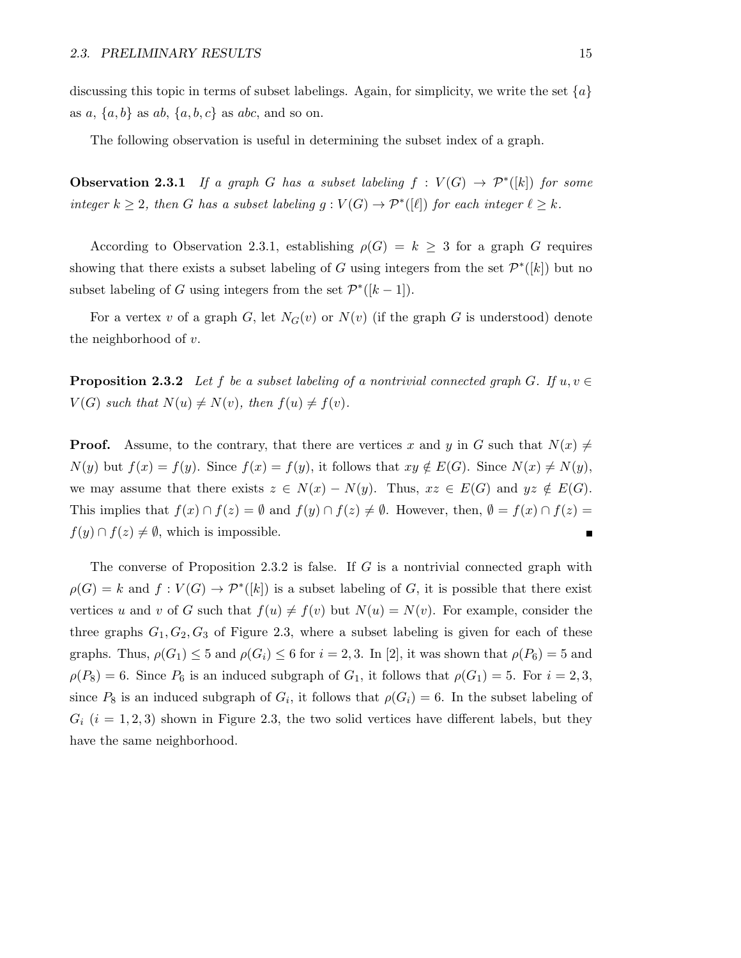discussing this topic in terms of subset labelings. Again, for simplicity, we write the set  $\{a\}$ as  $a, \{a, b\}$  as  $ab, \{a, b, c\}$  as  $abc$ , and so on.

The following observation is useful in determining the subset index of a graph.

**Observation 2.3.1** If a graph G has a subset labeling  $f : V(G) \rightarrow \mathcal{P}^*([k])$  for some integer  $k \geq 2$ , then G has a subset labeling  $g: V(G) \to \mathcal{P}^*([\ell])$  for each integer  $\ell \geq k$ .

According to Observation 2.3.1, establishing  $\rho(G) = k \geq 3$  for a graph G requires showing that there exists a subset labeling of G using integers from the set  $\mathcal{P}^*([k])$  but no subset labeling of G using integers from the set  $\mathcal{P}^*([k-1])$ .

For a vertex v of a graph G, let  $N_G(v)$  or  $N(v)$  (if the graph G is understood) denote the neighborhood of v.

**Proposition 2.3.2** Let f be a subset labeling of a nontrivial connected graph G. If  $u, v \in$  $V(G)$  such that  $N(u) \neq N(v)$ , then  $f(u) \neq f(v)$ .

**Proof.** Assume, to the contrary, that there are vertices x and y in G such that  $N(x) \neq$  $N(y)$  but  $f(x) = f(y)$ . Since  $f(x) = f(y)$ , it follows that  $xy \notin E(G)$ . Since  $N(x) \neq N(y)$ , we may assume that there exists  $z \in N(x) - N(y)$ . Thus,  $xz \in E(G)$  and  $yz \notin E(G)$ . This implies that  $f(x) \cap f(z) = \emptyset$  and  $f(y) \cap f(z) \neq \emptyset$ . However, then,  $\emptyset = f(x) \cap f(z) = \emptyset$  $f(y) \cap f(z) \neq \emptyset$ , which is impossible.  $\blacksquare$ 

The converse of Proposition 2.3.2 is false. If G is a nontrivial connected graph with  $\rho(G) = k$  and  $f: V(G) \to \mathcal{P}^*([k])$  is a subset labeling of G, it is possible that there exist vertices u and v of G such that  $f(u) \neq f(v)$  but  $N(u) = N(v)$ . For example, consider the three graphs  $G_1, G_2, G_3$  of Figure 2.3, where a subset labeling is given for each of these graphs. Thus,  $\rho(G_1) \leq 5$  and  $\rho(G_i) \leq 6$  for  $i = 2, 3$ . In [2], it was shown that  $\rho(P_6) = 5$  and  $\rho(P_8) = 6$ . Since  $P_6$  is an induced subgraph of  $G_1$ , it follows that  $\rho(G_1) = 5$ . For  $i = 2, 3$ , since  $P_8$  is an induced subgraph of  $G_i$ , it follows that  $\rho(G_i) = 6$ . In the subset labeling of  $G_i$  (i = 1, 2, 3) shown in Figure 2.3, the two solid vertices have different labels, but they have the same neighborhood.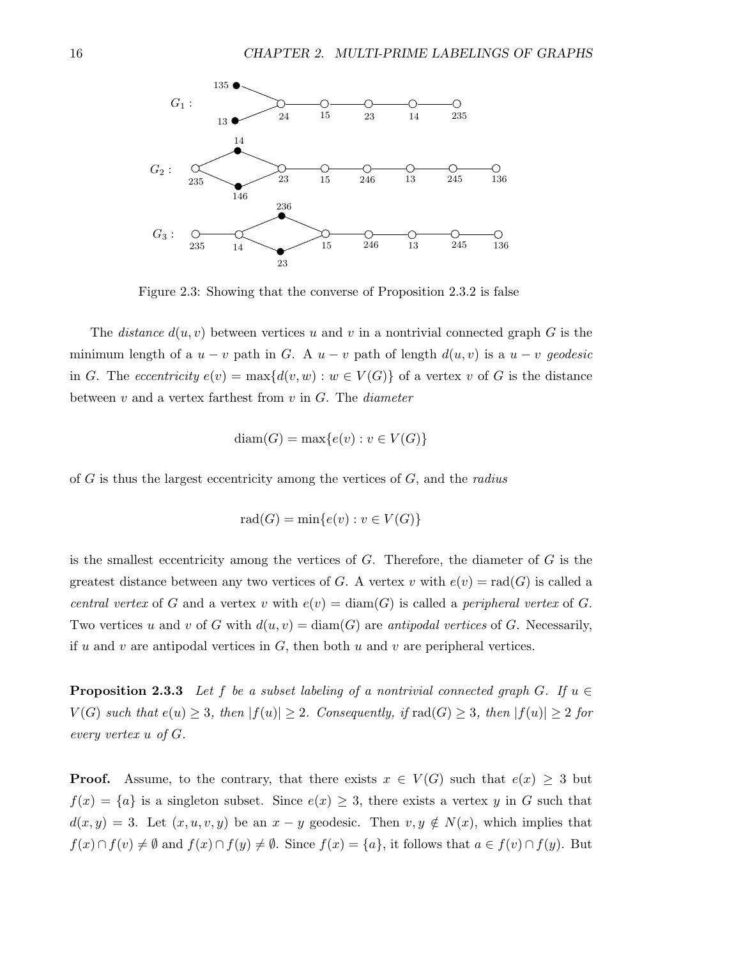

Figure 2.3: Showing that the converse of Proposition 2.3.2 is false

The *distance*  $d(u, v)$  between vertices u and v in a nontrivial connected graph G is the minimum length of a  $u - v$  path in G. A  $u - v$  path of length  $d(u, v)$  is a  $u - v$  geodesic in G. The eccentricity  $e(v) = \max\{d(v, w) : w \in V(G)\}\$  of a vertex v of G is the distance between  $v$  and a vertex farthest from  $v$  in  $G$ . The *diameter* 

$$
diam(G) = max{e(v) : v \in V(G)}
$$

of  $G$  is thus the largest eccentricity among the vertices of  $G$ , and the *radius* 

$$
rad(G) = min\{e(v) : v \in V(G)\}\
$$

is the smallest eccentricity among the vertices of  $G$ . Therefore, the diameter of  $G$  is the greatest distance between any two vertices of G. A vertex v with  $e(v) = rad(G)$  is called a central vertex of G and a vertex v with  $e(v) = \text{diam}(G)$  is called a peripheral vertex of G. Two vertices u and v of G with  $d(u, v) = \text{diam}(G)$  are antipodal vertices of G. Necessarily, if u and v are antipodal vertices in  $G$ , then both u and v are peripheral vertices.

**Proposition 2.3.3** Let f be a subset labeling of a nontrivial connected graph G. If  $u \in$  $V(G)$  such that  $e(u) \geq 3$ , then  $|f(u)| \geq 2$ . Consequently, if  $\text{rad}(G) \geq 3$ , then  $|f(u)| \geq 2$  for every vertex  $u$  of  $G$ .

**Proof.** Assume, to the contrary, that there exists  $x \in V(G)$  such that  $e(x) \geq 3$  but  $f(x) = \{a\}$  is a singleton subset. Since  $e(x) \geq 3$ , there exists a vertex y in G such that  $d(x, y) = 3$ . Let  $(x, u, v, y)$  be an  $x - y$  geodesic. Then  $v, y \notin N(x)$ , which implies that  $f(x) \cap f(v) \neq \emptyset$  and  $f(x) \cap f(y) \neq \emptyset$ . Since  $f(x) = \{a\}$ , it follows that  $a \in f(v) \cap f(y)$ . But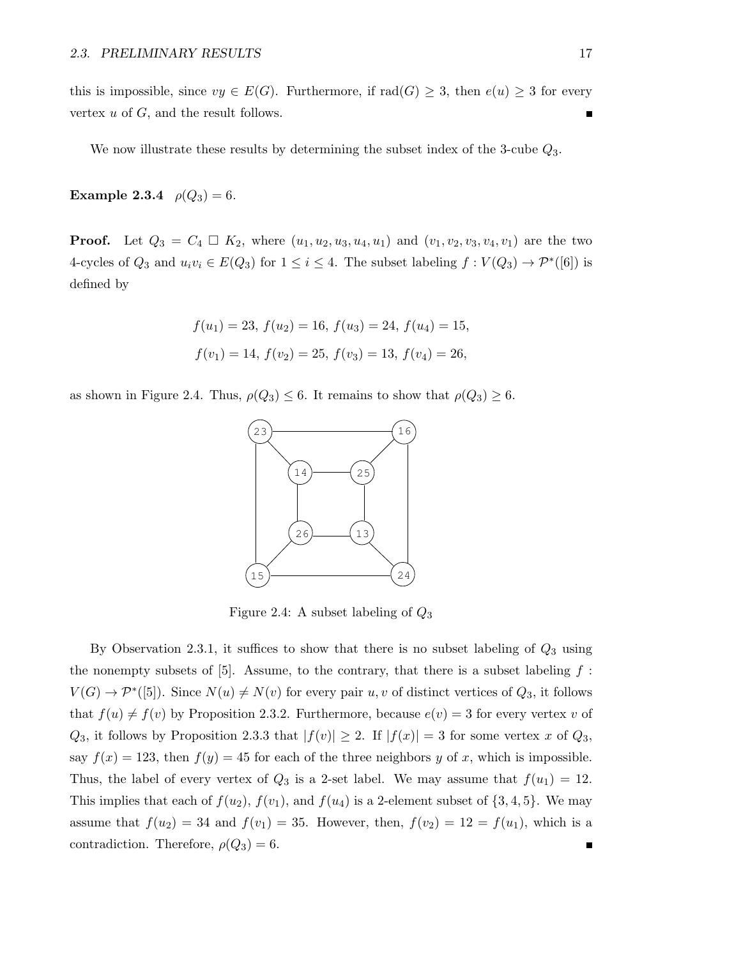this is impossible, since  $vy \in E(G)$ . Furthermore, if  $\text{rad}(G) \geq 3$ , then  $e(u) \geq 3$  for every vertex  $u$  of  $G$ , and the result follows.

We now illustrate these results by determining the subset index of the 3-cube  $Q_3$ .

**Example 2.3.4**  $\rho(Q_3) = 6$ .

**Proof.** Let  $Q_3 = C_4 \square K_2$ , where  $(u_1, u_2, u_3, u_4, u_1)$  and  $(v_1, v_2, v_3, v_4, v_1)$  are the two 4-cycles of  $Q_3$  and  $u_i v_i \in E(Q_3)$  for  $1 \leq i \leq 4$ . The subset labeling  $f: V(Q_3) \to \mathcal{P}^*([6])$  is defined by

$$
f(u_1) = 23
$$
,  $f(u_2) = 16$ ,  $f(u_3) = 24$ ,  $f(u_4) = 15$ ,  
 $f(v_1) = 14$ ,  $f(v_2) = 25$ ,  $f(v_3) = 13$ ,  $f(v_4) = 26$ ,

as shown in Figure 2.4. Thus,  $\rho(Q_3) \leq 6$ . It remains to show that  $\rho(Q_3) \geq 6$ .



Figure 2.4: A subset labeling of  $Q_3$ 

By Observation 2.3.1, it suffices to show that there is no subset labeling of  $Q_3$  using the nonempty subsets of  $[5]$ . Assume, to the contrary, that there is a subset labeling  $f$ :  $V(G) \to \mathcal{P}^*([5])$ . Since  $N(u) \neq N(v)$  for every pair  $u, v$  of distinct vertices of  $Q_3$ , it follows that  $f(u) \neq f(v)$  by Proposition 2.3.2. Furthermore, because  $e(v) = 3$  for every vertex v of  $Q_3$ , it follows by Proposition 2.3.3 that  $|f(v)| \geq 2$ . If  $|f(x)| = 3$  for some vertex x of  $Q_3$ , say  $f(x) = 123$ , then  $f(y) = 45$  for each of the three neighbors y of x, which is impossible. Thus, the label of every vertex of  $Q_3$  is a 2-set label. We may assume that  $f(u_1) = 12$ . This implies that each of  $f(u_2)$ ,  $f(v_1)$ , and  $f(u_4)$  is a 2-element subset of  $\{3, 4, 5\}$ . We may assume that  $f(u_2) = 34$  and  $f(v_1) = 35$ . However, then,  $f(v_2) = 12 = f(u_1)$ , which is a contradiction. Therefore,  $\rho(Q_3) = 6$ .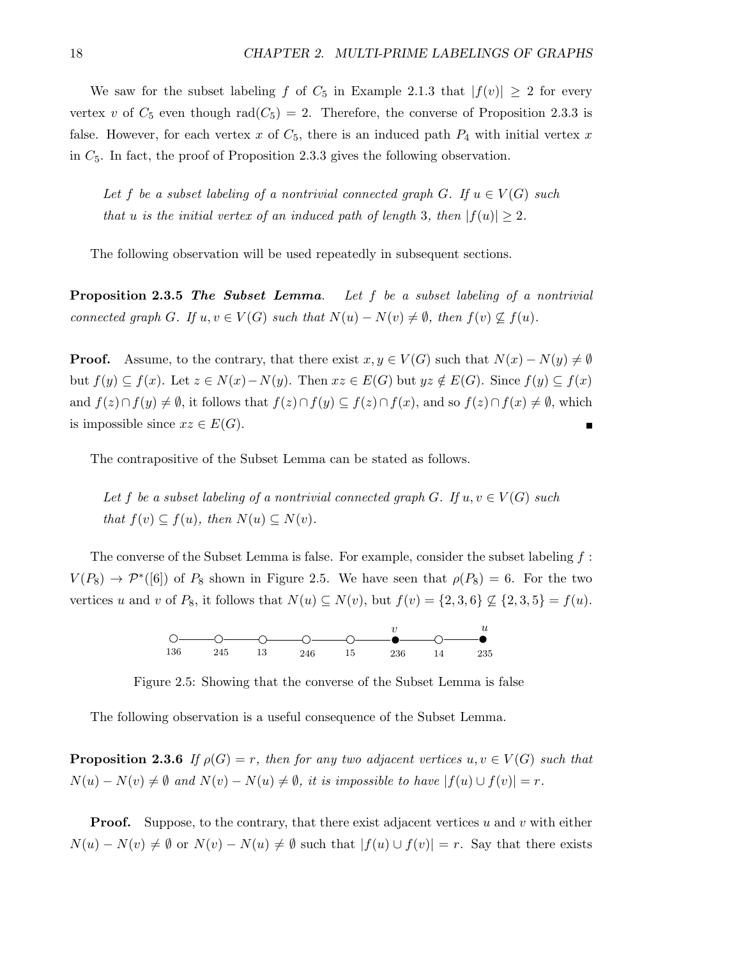We saw for the subset labeling f of  $C_5$  in Example 2.1.3 that  $|f(v)| \geq 2$  for every vertex v of  $C_5$  even though rad $(C_5) = 2$ . Therefore, the converse of Proposition 2.3.3 is false. However, for each vertex x of  $C_5$ , there is an induced path  $P_4$  with initial vertex x in  $C_5$ . In fact, the proof of Proposition 2.3.3 gives the following observation.

Let f be a subset labeling of a nontrivial connected graph G. If  $u \in V(G)$  such that u is the initial vertex of an induced path of length 3, then  $|f(u)| \geq 2$ .

The following observation will be used repeatedly in subsequent sections.

**Proposition 2.3.5 The Subset Lemma.** Let f be a subset labeling of a nontrivial connected graph G. If  $u, v \in V(G)$  such that  $N(u) - N(v) \neq \emptyset$ , then  $f(v) \nsubseteq f(u)$ .

**Proof.** Assume, to the contrary, that there exist  $x, y \in V(G)$  such that  $N(x) - N(y) \neq \emptyset$ but  $f(y) \subseteq f(x)$ . Let  $z \in N(x) - N(y)$ . Then  $xz \in E(G)$  but  $yz \notin E(G)$ . Since  $f(y) \subseteq f(x)$ and  $f(z)\cap f(y)\neq \emptyset$ , it follows that  $f(z)\cap f(y)\subseteq f(z)\cap f(x)$ , and so  $f(z)\cap f(x)\neq \emptyset$ , which is impossible since  $xz \in E(G)$ .

The contrapositive of the Subset Lemma can be stated as follows.

Let f be a subset labeling of a nontrivial connected graph G. If  $u, v \in V(G)$  such that  $f(v) \subseteq f(u)$ , then  $N(u) \subseteq N(v)$ .

The converse of the Subset Lemma is false. For example, consider the subset labeling  $f$ :  $V(P_8) \rightarrow \mathcal{P}^*([6])$  of  $P_8$  shown in Figure 2.5. We have seen that  $\rho(P_8) = 6$ . For the two vertices u and v of  $P_8$ , it follows that  $N(u) \subseteq N(v)$ , but  $f(v) = \{2, 3, 6\} \not\subseteq \{2, 3, 5\} = f(u)$ .



Figure 2.5: Showing that the converse of the Subset Lemma is false

The following observation is a useful consequence of the Subset Lemma.

**Proposition 2.3.6** If  $\rho(G) = r$ , then for any two adjacent vertices  $u, v \in V(G)$  such that  $N(u) - N(v) \neq \emptyset$  and  $N(v) - N(u) \neq \emptyset$ , it is impossible to have  $|f(u) \cup f(v)| = r$ .

**Proof.** Suppose, to the contrary, that there exist adjacent vertices u and v with either  $N(u) - N(v) \neq \emptyset$  or  $N(v) - N(u) \neq \emptyset$  such that  $|f(u) \cup f(v)| = r$ . Say that there exists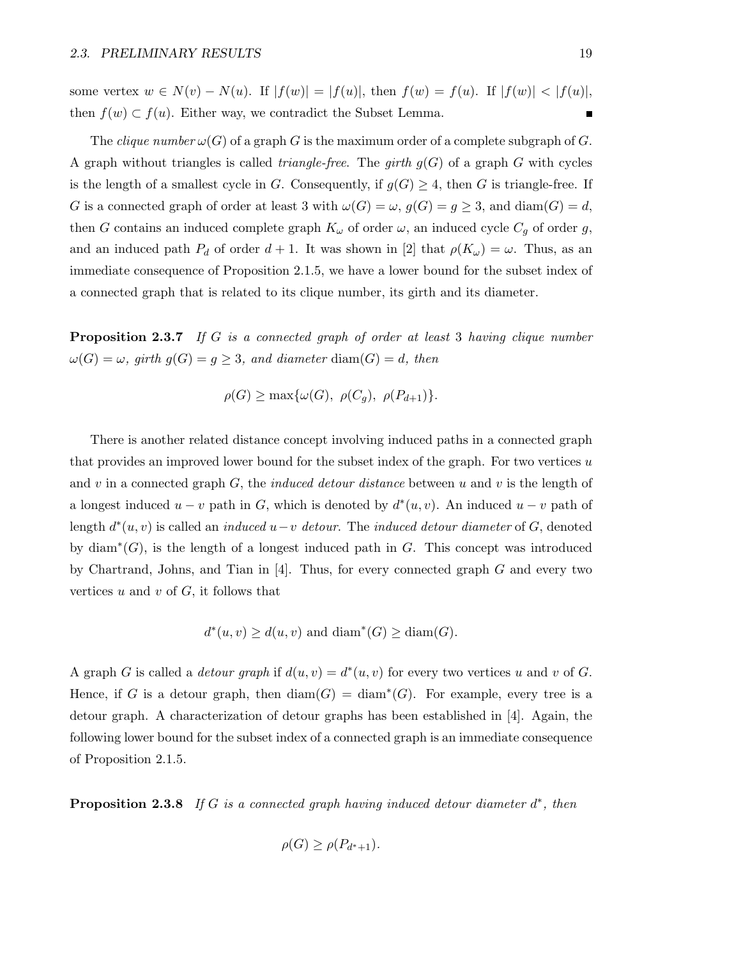some vertex  $w \in N(v) - N(u)$ . If  $|f(w)| = |f(u)|$ , then  $f(w) = f(u)$ . If  $|f(w)| < |f(u)|$ , then  $f(w) \subset f(u)$ . Either way, we contradict the Subset Lemma. п

The *clique number*  $\omega(G)$  of a graph G is the maximum order of a complete subgraph of G. A graph without triangles is called *triangle-free*. The *girth*  $g(G)$  of a graph G with cycles is the length of a smallest cycle in G. Consequently, if  $g(G) \geq 4$ , then G is triangle-free. If G is a connected graph of order at least 3 with  $\omega(G) = \omega$ ,  $g(G) = g \geq 3$ , and  $\text{diam}(G) = d$ , then G contains an induced complete graph  $K_{\omega}$  of order  $\omega$ , an induced cycle  $C_g$  of order g, and an induced path  $P_d$  of order  $d + 1$ . It was shown in [2] that  $\rho(K_\omega) = \omega$ . Thus, as an immediate consequence of Proposition 2.1.5, we have a lower bound for the subset index of a connected graph that is related to its clique number, its girth and its diameter.

**Proposition 2.3.7** If G is a connected graph of order at least 3 having clique number  $\omega(G) = \omega$ , girth  $g(G) = g \geq 3$ , and diameter diam(G) = d, then

$$
\rho(G) \ge \max{\omega(G), \ \rho(C_g), \ \rho(P_{d+1})}.
$$

There is another related distance concept involving induced paths in a connected graph that provides an improved lower bound for the subset index of the graph. For two vertices  $u$ and v in a connected graph  $G$ , the *induced detour distance* between u and v is the length of a longest induced  $u - v$  path in G, which is denoted by  $d^*(u, v)$ . An induced  $u - v$  path of length  $d^*(u, v)$  is called an *induced*  $u - v$  *detour.* The *induced detour diameter* of G, denoted by  $\text{diam}^*(G)$ , is the length of a longest induced path in G. This concept was introduced by Chartrand, Johns, and Tian in  $[4]$ . Thus, for every connected graph G and every two vertices  $u$  and  $v$  of  $G$ , it follows that

$$
d^*(u, v) \ge d(u, v) \text{ and } \text{diam}^*(G) \ge \text{diam}(G).
$$

A graph G is called a *detour graph* if  $d(u, v) = d^*(u, v)$  for every two vertices u and v of G. Hence, if G is a detour graph, then  $\text{diam}(G) = \text{diam}^*(G)$ . For example, every tree is a detour graph. A characterization of detour graphs has been established in [4]. Again, the following lower bound for the subset index of a connected graph is an immediate consequence of Proposition 2.1.5.

**Proposition 2.3.8** If G is a connected graph having induced detour diameter  $d^*$ , then

$$
\rho(G) \ge \rho(P_{d^*+1}).
$$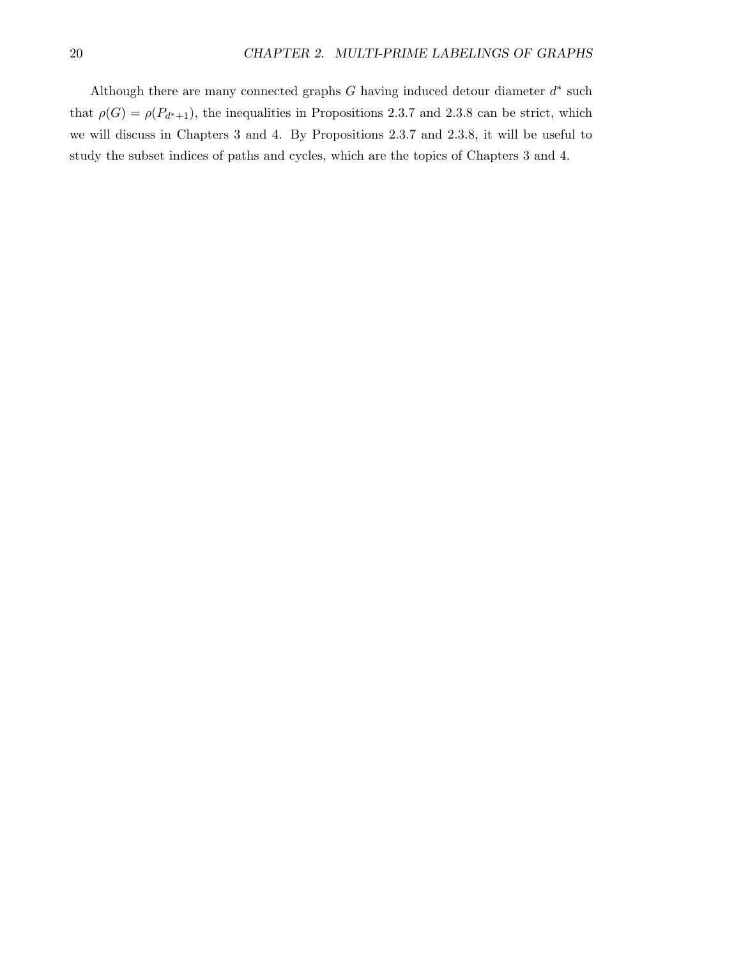Although there are many connected graphs  $G$  having induced detour diameter  $d^*$  such that  $\rho(G) = \rho(P_{d^*+1})$ , the inequalities in Propositions 2.3.7 and 2.3.8 can be strict, which we will discuss in Chapters 3 and 4. By Propositions 2.3.7 and 2.3.8, it will be useful to study the subset indices of paths and cycles, which are the topics of Chapters 3 and 4.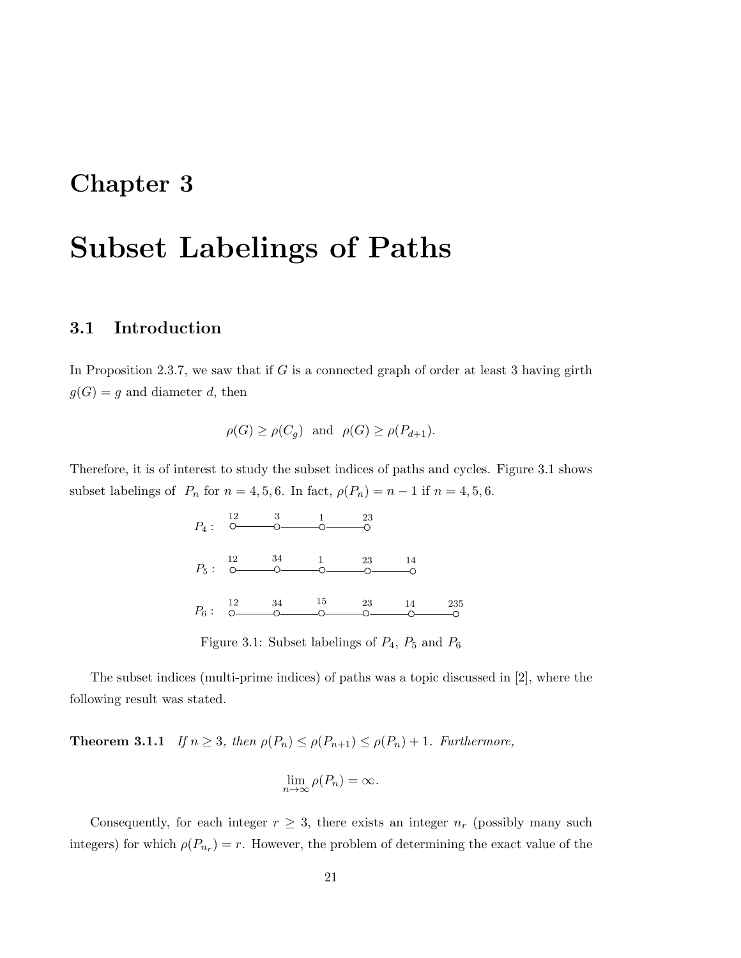## Chapter 3

# Subset Labelings of Paths

#### 3.1 Introduction

In Proposition 2.3.7, we saw that if  $G$  is a connected graph of order at least 3 having girth  $g(G) = g$  and diameter d, then

$$
\rho(G) \ge \rho(C_g)
$$
 and  $\rho(G) \ge \rho(P_{d+1}).$ 

Therefore, it is of interest to study the subset indices of paths and cycles. Figure 3.1 shows subset labelings of  $P_n$  for  $n = 4, 5, 6$ . In fact,  $\rho(P_n) = n - 1$  if  $n = 4, 5, 6$ .

|  | $P_4: \begin{array}{c} 12 & 3 & 1 \\ 0 & 0 & 0 \end{array}$ | - 23                                                                                                                                                                                                                                                                                                                                                                                                                                                                  |  |
|--|-------------------------------------------------------------|-----------------------------------------------------------------------------------------------------------------------------------------------------------------------------------------------------------------------------------------------------------------------------------------------------------------------------------------------------------------------------------------------------------------------------------------------------------------------|--|
|  |                                                             | $P_5: \begin{array}{cccc} 12 & 34 & 1 & 23 & 14 \\ \hline 0 & 0 & 0 & 0 & 0 \end{array}$                                                                                                                                                                                                                                                                                                                                                                              |  |
|  |                                                             | $P_6: \begin{array}{cccc} 12 & 34 & 15 & 23 & 14 & 235 \\ \odot & \odot & \odot & \odot & \odot & \odot \qquad \odot \qquad \odot \qquad \odot \qquad \odot \qquad \odot \qquad \odot \qquad \odot \qquad \odot \qquad \odot \qquad \odot \qquad \odot \qquad \odot \qquad \odot \qquad \odot \qquad \odot \qquad \odot \qquad \odot \qquad \odot \qquad \odot \qquad \odot \qquad \odot \qquad \odot \qquad \odot \qquad \odot \qquad \odot \qquad \odot \qquad \od$ |  |

Figure 3.1: Subset labelings of  $P_4$ ,  $P_5$  and  $P_6$ 

The subset indices (multi-prime indices) of paths was a topic discussed in [2], where the following result was stated.

**Theorem 3.1.1** If  $n \geq 3$ , then  $\rho(P_n) \leq \rho(P_{n+1}) \leq \rho(P_n) + 1$ . Furthermore,

$$
\lim_{n\to\infty}\rho(P_n)=\infty.
$$

Consequently, for each integer  $r \geq 3$ , there exists an integer  $n_r$  (possibly many such integers) for which  $\rho(P_{n_r}) = r$ . However, the problem of determining the exact value of the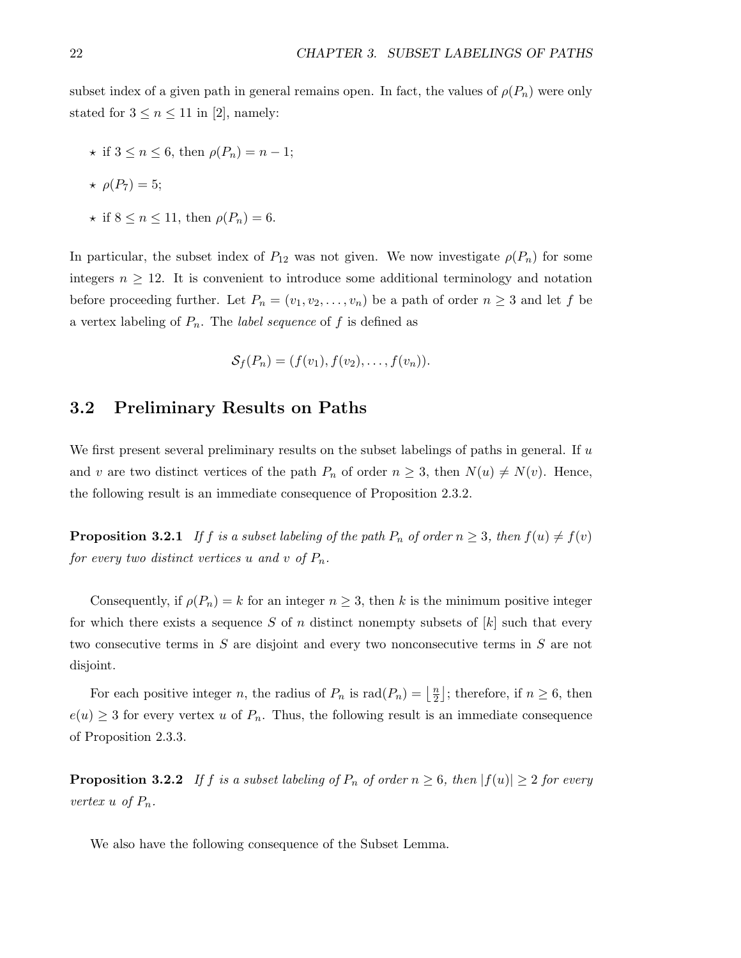subset index of a given path in general remains open. In fact, the values of  $\rho(P_n)$  were only stated for  $3 \leq n \leq 11$  in [2], namely:

$$
\star \text{ if } 3 \le n \le 6, \text{ then } \rho(P_n) = n - 1;
$$

$$
\star \ \rho(P_7)=5;
$$

$$
\star \text{ if } 8 \le n \le 11, \text{ then } \rho(P_n) = 6.
$$

In particular, the subset index of  $P_{12}$  was not given. We now investigate  $\rho(P_n)$  for some integers  $n \geq 12$ . It is convenient to introduce some additional terminology and notation before proceeding further. Let  $P_n = (v_1, v_2, \ldots, v_n)$  be a path of order  $n \geq 3$  and let f be a vertex labeling of  $P_n$ . The *label sequence* of f is defined as

$$
\mathcal{S}_f(P_n)=(f(v_1),f(v_2),\ldots,f(v_n)).
$$

#### 3.2 Preliminary Results on Paths

We first present several preliminary results on the subset labelings of paths in general. If  $u$ and v are two distinct vertices of the path  $P_n$  of order  $n \geq 3$ , then  $N(u) \neq N(v)$ . Hence, the following result is an immediate consequence of Proposition 2.3.2.

**Proposition 3.2.1** If f is a subset labeling of the path  $P_n$  of order  $n \geq 3$ , then  $f(u) \neq f(v)$ for every two distinct vertices u and v of  $P_n$ .

Consequently, if  $\rho(P_n) = k$  for an integer  $n \geq 3$ , then k is the minimum positive integer for which there exists a sequence S of n distinct nonempty subsets of  $[k]$  such that every two consecutive terms in S are disjoint and every two nonconsecutive terms in S are not disjoint.

For each positive integer *n*, the radius of  $P_n$  is  $rad(P_n) = \frac{n}{2}$  $\frac{n}{2}$ ; therefore, if  $n \geq 6$ , then  $e(u) \geq 3$  for every vertex u of  $P_n$ . Thus, the following result is an immediate consequence of Proposition 2.3.3.

**Proposition 3.2.2** If f is a subset labeling of  $P_n$  of order  $n \geq 6$ , then  $|f(u)| \geq 2$  for every vertex u of  $P_n$ .

We also have the following consequence of the Subset Lemma.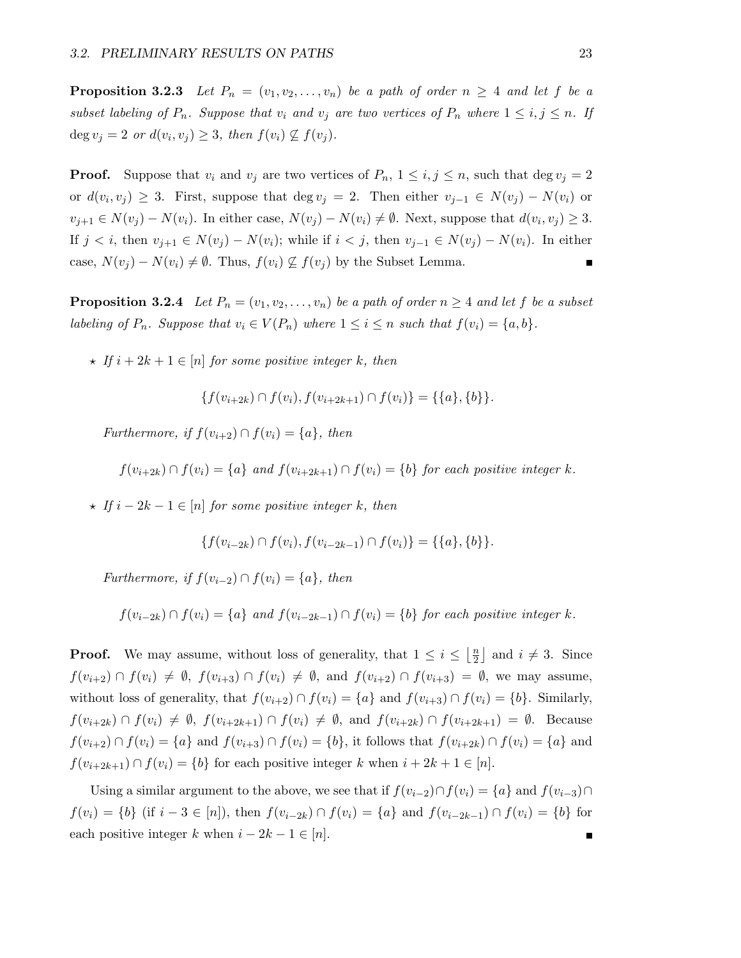**Proposition 3.2.3** Let  $P_n = (v_1, v_2, \ldots, v_n)$  be a path of order  $n \geq 4$  and let f be a subset labeling of  $P_n$ . Suppose that  $v_i$  and  $v_j$  are two vertices of  $P_n$  where  $1 \le i, j \le n$ . If deg  $v_j = 2$  or  $d(v_i, v_j) \geq 3$ , then  $f(v_i) \nsubseteq f(v_j)$ .

**Proof.** Suppose that  $v_i$  and  $v_j$  are two vertices of  $P_n$ ,  $1 \leq i, j \leq n$ , such that deg  $v_j = 2$ or  $d(v_i, v_j) \geq 3$ . First, suppose that deg  $v_j = 2$ . Then either  $v_{j-1} \in N(v_j) - N(v_i)$  or  $v_{j+1} \in N(v_j) - N(v_i)$ . In either case,  $N(v_j) - N(v_i) \neq \emptyset$ . Next, suppose that  $d(v_i, v_j) \geq 3$ . If  $j < i$ , then  $v_{j+1} \in N(v_j) - N(v_i)$ ; while if  $i < j$ , then  $v_{j-1} \in N(v_j) - N(v_i)$ . In either case,  $N(v_i) - N(v_i) \neq \emptyset$ . Thus,  $f(v_i) \not\subseteq f(v_j)$  by the Subset Lemma.

**Proposition 3.2.4** Let  $P_n = (v_1, v_2, \ldots, v_n)$  be a path of order  $n \geq 4$  and let f be a subset labeling of  $P_n$ . Suppose that  $v_i \in V(P_n)$  where  $1 \leq i \leq n$  such that  $f(v_i) = \{a, b\}$ .

 $\star$  If  $i + 2k + 1 \in [n]$  for some positive integer k, then

$$
\{f(v_{i+2k}) \cap f(v_i), f(v_{i+2k+1}) \cap f(v_i)\} = \{\{a\}, \{b\}\}.
$$

Furthermore, if  $f(v_{i+2}) \cap f(v_i) = \{a\}$ , then

$$
f(v_{i+2k}) \cap f(v_i) = \{a\}
$$
 and  $f(v_{i+2k+1}) \cap f(v_i) = \{b\}$  for each positive integer k.

 $\star$  If  $i - 2k - 1 \in [n]$  for some positive integer k, then

$$
\{f(v_{i-2k}) \cap f(v_i), f(v_{i-2k-1}) \cap f(v_i)\} = \{\{a\}, \{b\}\}.
$$

Furthermore, if  $f(v_{i-2}) \cap f(v_i) = \{a\}$ , then

$$
f(v_{i-2k}) \cap f(v_i) = \{a\}
$$
 and  $f(v_{i-2k-1}) \cap f(v_i) = \{b\}$  for each positive integer k.

**Proof.** We may assume, without loss of generality, that  $1 \leq i \leq \left\lfloor \frac{n}{2} \right\rfloor$  $\frac{n}{2}$  and  $i \neq 3$ . Since  $f(v_{i+2}) \cap f(v_i) \neq \emptyset$ ,  $f(v_{i+3}) \cap f(v_i) \neq \emptyset$ , and  $f(v_{i+2}) \cap f(v_{i+3}) = \emptyset$ , we may assume, without loss of generality, that  $f(v_{i+2}) \cap f(v_i) = \{a\}$  and  $f(v_{i+3}) \cap f(v_i) = \{b\}$ . Similarly,  $f(v_{i+2k}) \cap f(v_i) \neq \emptyset$ ,  $f(v_{i+2k+1}) \cap f(v_i) \neq \emptyset$ , and  $f(v_{i+2k}) \cap f(v_{i+2k+1}) = \emptyset$ . Because  $f(v_{i+2}) \cap f(v_i) = \{a\}$  and  $f(v_{i+3}) \cap f(v_i) = \{b\}$ , it follows that  $f(v_{i+2k}) \cap f(v_i) = \{a\}$  and  $f(v_{i+2k+1}) \cap f(v_i) = \{b\}$  for each positive integer k when  $i + 2k + 1 \in [n]$ .

Using a similar argument to the above, we see that if  $f(v_{i-2}) \cap f(v_i) = \{a\}$  and  $f(v_{i-3}) \cap f(v_i)$  $f(v_i) = \{b\}$  (if  $i - 3 \in [n]$ ), then  $f(v_{i-2k}) \cap f(v_i) = \{a\}$  and  $f(v_{i-2k-1}) \cap f(v_i) = \{b\}$  for each positive integer k when  $i - 2k - 1 \in [n]$ .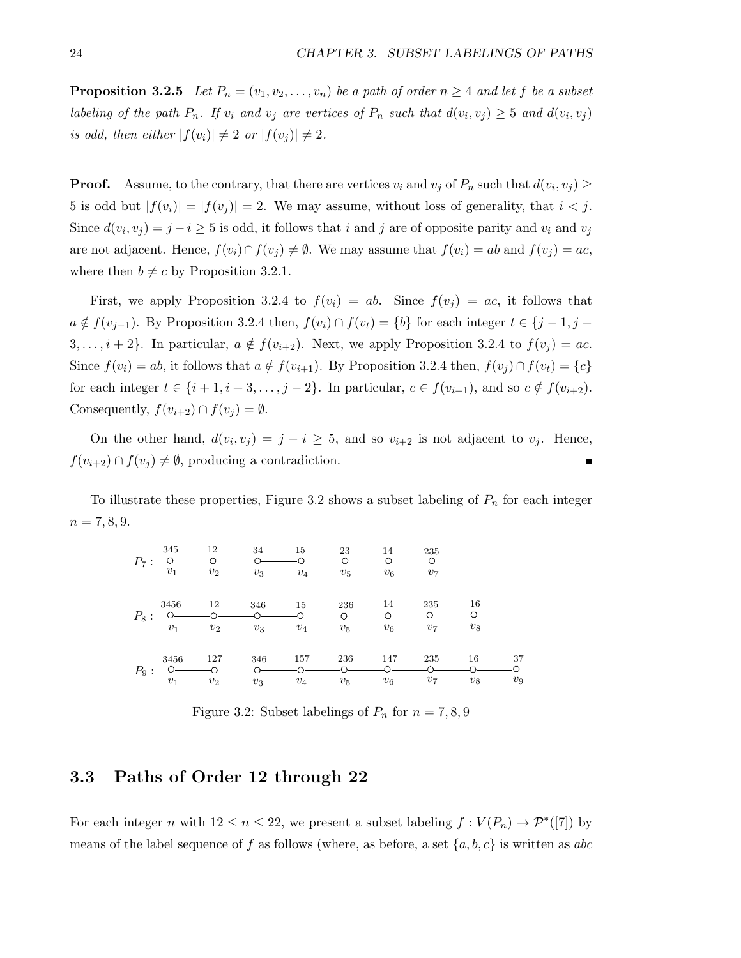**Proposition 3.2.5** Let  $P_n = (v_1, v_2, \ldots, v_n)$  be a path of order  $n \geq 4$  and let f be a subset labeling of the path  $P_n$ . If  $v_i$  and  $v_j$  are vertices of  $P_n$  such that  $d(v_i, v_j) \geq 5$  and  $d(v_i, v_j)$ is odd, then either  $|f(v_i)| \neq 2$  or  $|f(v_j)| \neq 2$ .

**Proof.** Assume, to the contrary, that there are vertices  $v_i$  and  $v_j$  of  $P_n$  such that  $d(v_i, v_j) \ge$ 5 is odd but  $|f(v_i)| = |f(v_j)| = 2$ . We may assume, without loss of generality, that  $i < j$ . Since  $d(v_i, v_j) = j - i \geq 5$  is odd, it follows that i and j are of opposite parity and  $v_i$  and  $v_j$ are not adjacent. Hence,  $f(v_i) \cap f(v_j) \neq \emptyset$ . We may assume that  $f(v_i) = ab$  and  $f(v_j) = ac$ , where then  $b \neq c$  by Proposition 3.2.1.

First, we apply Proposition 3.2.4 to  $f(v_i) = ab$ . Since  $f(v_j) = ac$ , it follows that  $a \notin f(v_{j-1})$ . By Proposition 3.2.4 then,  $f(v_i) \cap f(v_t) = \{b\}$  for each integer  $t \in \{j-1, j-1\}$ 3, ...,  $i + 2$ . In particular,  $a \notin f(v_{i+2})$ . Next, we apply Proposition 3.2.4 to  $f(v_j) = ac$ . Since  $f(v_i) = ab$ , it follows that  $a \notin f(v_{i+1})$ . By Proposition 3.2.4 then,  $f(v_i) \cap f(v_t) = \{c\}$ for each integer  $t \in \{i+1, i+3, \ldots, j-2\}$ . In particular,  $c \in f(v_{i+1})$ , and so  $c \notin f(v_{i+2})$ . Consequently,  $f(v_{i+2}) \cap f(v_i) = \emptyset$ .

On the other hand,  $d(v_i, v_j) = j - i \geq 5$ , and so  $v_{i+2}$  is not adjacent to  $v_j$ . Hence,  $f(v_{i+2}) \cap f(v_i) \neq \emptyset$ , producing a contradiction. П

To illustrate these properties, Figure 3.2 shows a subset labeling of  $P_n$  for each integer  $n = 7, 8, 9.$ 



Figure 3.2: Subset labelings of  $P_n$  for  $n = 7, 8, 9$ 

#### 3.3 Paths of Order 12 through 22

For each integer n with  $12 \le n \le 22$ , we present a subset labeling  $f: V(P_n) \to \mathcal{P}^*([7])$  by means of the label sequence of f as follows (where, as before, a set  $\{a, b, c\}$  is written as abc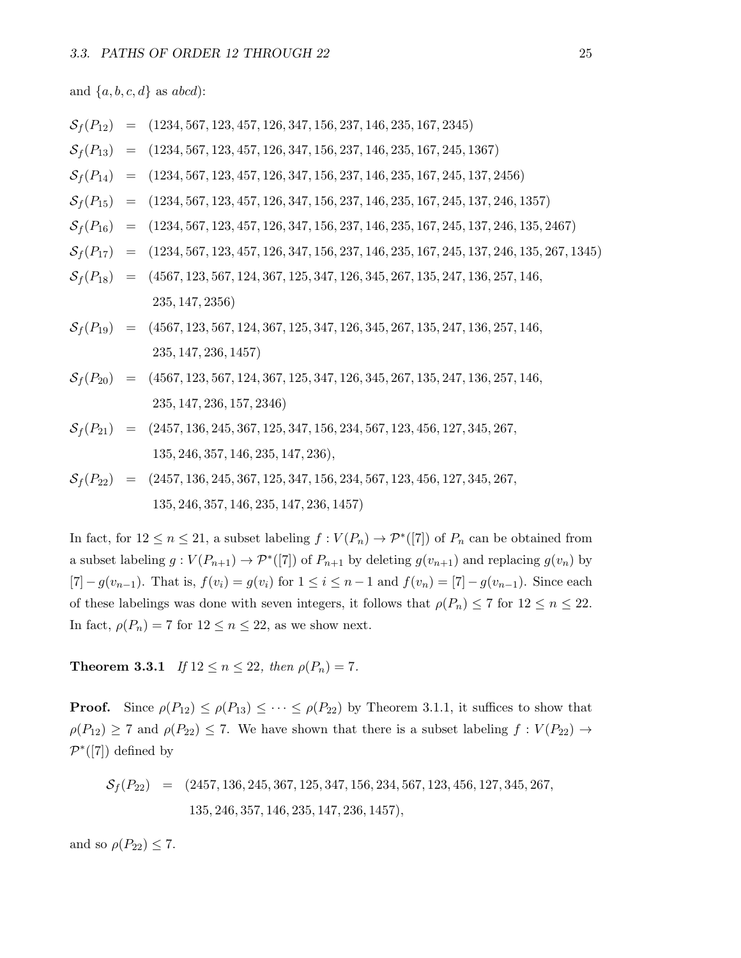and  $\{a, b, c, d\}$  as abcd):

$$
S_f(P_{12}) = (1234, 567, 123, 457, 126, 347, 156, 237, 146, 235, 167, 2345)
$$
\n
$$
S_f(P_{13}) = (1234, 567, 123, 457, 126, 347, 156, 237, 146, 235, 167, 245, 1367)
$$
\n
$$
S_f(P_{14}) = (1234, 567, 123, 457, 126, 347, 156, 237, 146, 235, 167, 245, 137, 2456)
$$
\n
$$
S_f(P_{15}) = (1234, 567, 123, 457, 126, 347, 156, 237, 146, 235, 167, 245, 137, 246, 1357)
$$
\n
$$
S_f(P_{16}) = (1234, 567, 123, 457, 126, 347, 156, 237, 146, 235, 167, 245, 137, 246, 135, 2467)
$$
\n
$$
S_f(P_{17}) = (1234, 567, 123, 457, 126, 347, 156, 237, 146, 235, 167, 245, 137, 246, 135, 2467)
$$
\n
$$
S_f(P_{18}) = (4567, 123, 567, 124, 367, 125, 347, 126, 345, 267, 135, 247, 136, 257, 146, 235, 147, 2356)
$$
\n
$$
S_f(P_{19}) = (4567, 123, 567, 124, 367, 125, 347, 126, 345, 267, 135, 247, 136, 257, 146, 235, 147, 236, 1457)
$$

$$
S_f(P_{21}) = (2457, 136, 245, 367, 125, 347, 156, 234, 567, 123, 456, 127, 345, 267,
$$
  

$$
135, 246, 357, 146, 235, 147, 236),
$$

 $S_f(P_{22}) = (2457, 136, 245, 367, 125, 347, 156, 234, 567, 123, 456, 127, 345, 267,$ 135, 246, 357, 146, 235, 147, 236, 1457)

In fact, for  $12 \le n \le 21$ , a subset labeling  $f: V(P_n) \to \mathcal{P}^*([7])$  of  $P_n$  can be obtained from a subset labeling  $g: V(P_{n+1}) \to \mathcal{P}^*([7])$  of  $P_{n+1}$  by deleting  $g(v_{n+1})$  and replacing  $g(v_n)$  by [7]  $-g(v_{n-1})$ . That is,  $f(v_i) = g(v_i)$  for  $1 \le i \le n-1$  and  $f(v_n) = [7] - g(v_{n-1})$ . Since each of these labelings was done with seven integers, it follows that  $\rho(P_n) \leq 7$  for  $12 \leq n \leq 22$ . In fact,  $\rho(P_n) = 7$  for  $12 \le n \le 22$ , as we show next.

**Theorem 3.3.1** If  $12 \le n \le 22$ , then  $\rho(P_n) = 7$ .

235, 147, 236, 157, 2346)

**Proof.** Since  $\rho(P_{12}) \leq \rho(P_{13}) \leq \cdots \leq \rho(P_{22})$  by Theorem 3.1.1, it suffices to show that  $\rho(P_{12}) \ge 7$  and  $\rho(P_{22}) \le 7$ . We have shown that there is a subset labeling  $f : V(P_{22}) \to V(P_{22})$  $\mathcal{P}^*([7])$  defined by

$$
S_f(P_{22}) = (2457, 136, 245, 367, 125, 347, 156, 234, 567, 123, 456, 127, 345, 267,
$$
  

$$
135, 246, 357, 146, 235, 147, 236, 1457),
$$

and so  $\rho(P_{22}) \leq 7$ .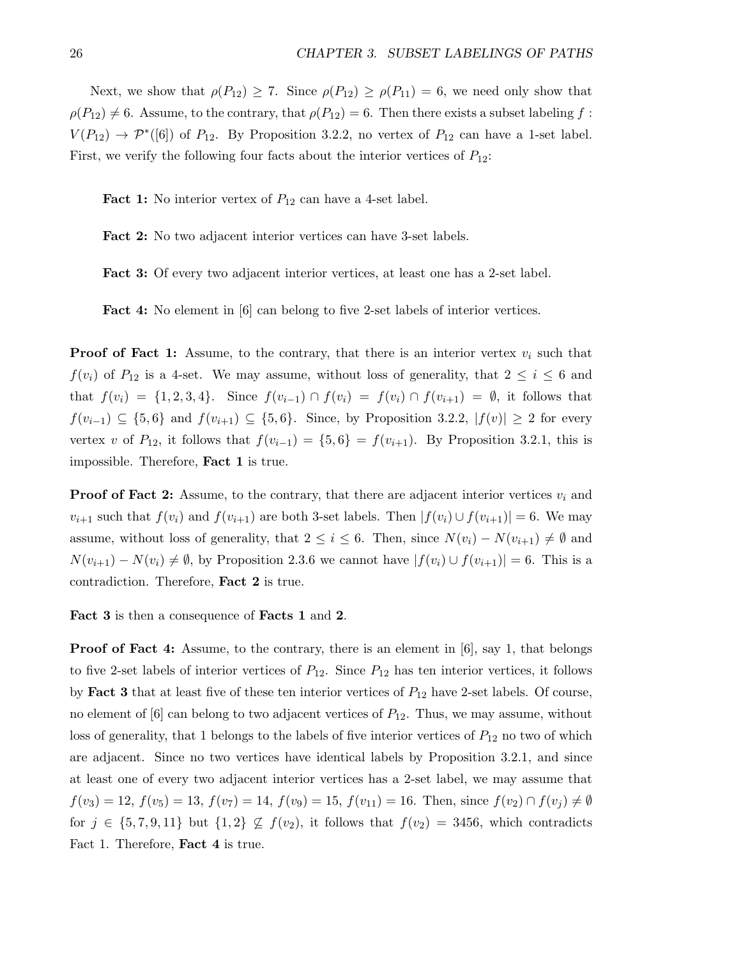Next, we show that  $\rho(P_{12}) \ge 7$ . Since  $\rho(P_{12}) \ge \rho(P_{11}) = 6$ , we need only show that  $\rho(P_{12}) \neq 6$ . Assume, to the contrary, that  $\rho(P_{12}) = 6$ . Then there exists a subset labeling f:  $V(P_{12}) \rightarrow \mathcal{P}^*([6])$  of  $P_{12}$ . By Proposition 3.2.2, no vertex of  $P_{12}$  can have a 1-set label. First, we verify the following four facts about the interior vertices of  $P_{12}$ :

**Fact 1:** No interior vertex of  $P_{12}$  can have a 4-set label.

Fact 2: No two adjacent interior vertices can have 3-set labels.

Fact 3: Of every two adjacent interior vertices, at least one has a 2-set label.

Fact 4: No element in [6] can belong to five 2-set labels of interior vertices.

**Proof of Fact 1:** Assume, to the contrary, that there is an interior vertex  $v_i$  such that  $f(v_i)$  of  $P_{12}$  is a 4-set. We may assume, without loss of generality, that  $2 \leq i \leq 6$  and that  $f(v_i) = \{1, 2, 3, 4\}$ . Since  $f(v_{i-1}) \cap f(v_i) = f(v_i) \cap f(v_{i+1}) = \emptyset$ , it follows that  $f(v_{i-1}) \subseteq \{5,6\}$  and  $f(v_{i+1}) \subseteq \{5,6\}$ . Since, by Proposition 3.2.2,  $|f(v)| \geq 2$  for every vertex v of  $P_{12}$ , it follows that  $f(v_{i-1}) = \{5, 6\} = f(v_{i+1})$ . By Proposition 3.2.1, this is impossible. Therefore, Fact 1 is true.

**Proof of Fact 2:** Assume, to the contrary, that there are adjacent interior vertices  $v_i$  and  $v_{i+1}$  such that  $f(v_i)$  and  $f(v_{i+1})$  are both 3-set labels. Then  $|f(v_i) \cup f(v_{i+1})| = 6$ . We may assume, without loss of generality, that  $2 \leq i \leq 6$ . Then, since  $N(v_i) - N(v_{i+1}) \neq \emptyset$  and  $N(v_{i+1}) - N(v_i) \neq \emptyset$ , by Proposition 2.3.6 we cannot have  $|f(v_i) \cup f(v_{i+1})| = 6$ . This is a contradiction. Therefore, Fact 2 is true.

Fact 3 is then a consequence of Facts 1 and 2.

**Proof of Fact 4:** Assume, to the contrary, there is an element in  $[6]$ , say 1, that belongs to five 2-set labels of interior vertices of  $P_{12}$ . Since  $P_{12}$  has ten interior vertices, it follows by **Fact 3** that at least five of these ten interior vertices of  $P_{12}$  have 2-set labels. Of course, no element of  $[6]$  can belong to two adjacent vertices of  $P_{12}$ . Thus, we may assume, without loss of generality, that 1 belongs to the labels of five interior vertices of  $P_{12}$  no two of which are adjacent. Since no two vertices have identical labels by Proposition 3.2.1, and since at least one of every two adjacent interior vertices has a 2-set label, we may assume that  $f(v_3) = 12$ ,  $f(v_5) = 13$ ,  $f(v_7) = 14$ ,  $f(v_9) = 15$ ,  $f(v_{11}) = 16$ . Then, since  $f(v_2) \cap f(v_j) \neq \emptyset$ for  $j \in \{5, 7, 9, 11\}$  but  $\{1, 2\} \nsubseteq f(v_2)$ , it follows that  $f(v_2) = 3456$ , which contradicts Fact 1. Therefore, **Fact 4** is true.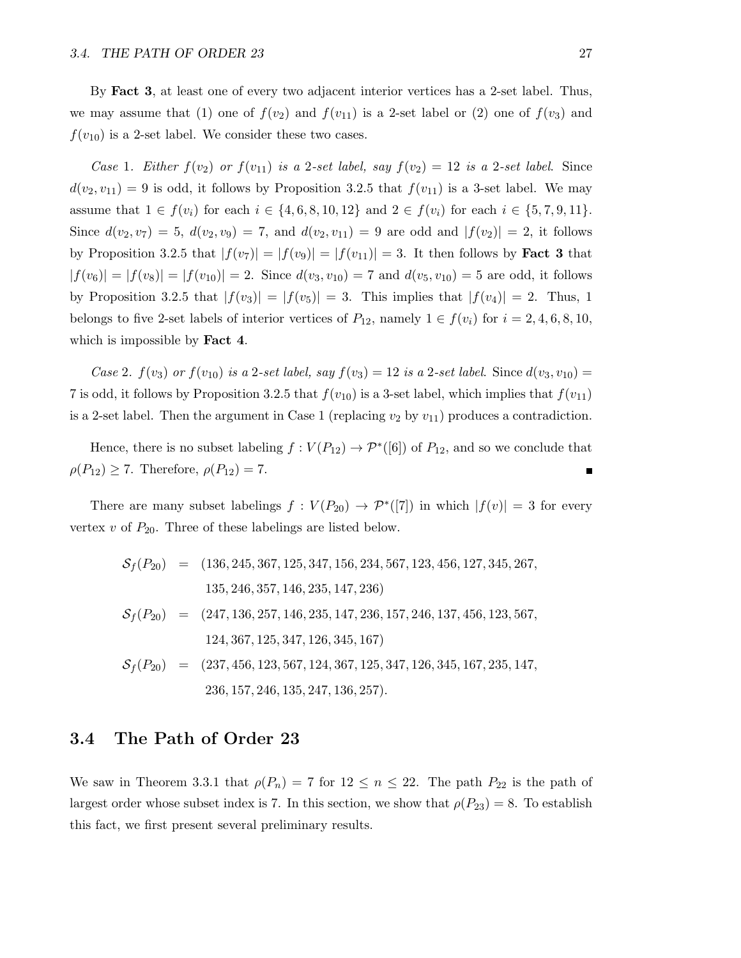By Fact 3, at least one of every two adjacent interior vertices has a 2-set label. Thus, we may assume that (1) one of  $f(v_2)$  and  $f(v_{11})$  is a 2-set label or (2) one of  $f(v_3)$  and  $f(v_{10})$  is a 2-set label. We consider these two cases.

Case 1. Either  $f(v_2)$  or  $f(v_{11})$  is a 2-set label, say  $f(v_2) = 12$  is a 2-set label. Since  $d(v_2, v_{11}) = 9$  is odd, it follows by Proposition 3.2.5 that  $f(v_{11})$  is a 3-set label. We may assume that  $1 \in f(v_i)$  for each  $i \in \{4, 6, 8, 10, 12\}$  and  $2 \in f(v_i)$  for each  $i \in \{5, 7, 9, 11\}$ . Since  $d(v_2, v_7) = 5$ ,  $d(v_2, v_9) = 7$ , and  $d(v_2, v_{11}) = 9$  are odd and  $|f(v_2)| = 2$ , it follows by Proposition 3.2.5 that  $|f(v_7)| = |f(v_9)| = |f(v_{11})| = 3$ . It then follows by **Fact 3** that  $|f(v_6)| = |f(v_8)| = |f(v_{10})| = 2$ . Since  $d(v_3, v_{10}) = 7$  and  $d(v_5, v_{10}) = 5$  are odd, it follows by Proposition 3.2.5 that  $|f(v_3)| = |f(v_5)| = 3$ . This implies that  $|f(v_4)| = 2$ . Thus, 1 belongs to five 2-set labels of interior vertices of  $P_{12}$ , namely  $1 \in f(v_i)$  for  $i = 2, 4, 6, 8, 10$ , which is impossible by **Fact 4**.

Case 2.  $f(v_3)$  or  $f(v_{10})$  is a 2-set label, say  $f(v_3) = 12$  is a 2-set label. Since  $d(v_3, v_{10}) =$ 7 is odd, it follows by Proposition 3.2.5 that  $f(v_{10})$  is a 3-set label, which implies that  $f(v_{11})$ is a 2-set label. Then the argument in Case 1 (replacing  $v_2$  by  $v_{11}$ ) produces a contradiction.

Hence, there is no subset labeling  $f: V(P_{12}) \to \mathcal{P}^*([6])$  of  $P_{12}$ , and so we conclude that  $\rho(P_{12}) \geq 7$ . Therefore,  $\rho(P_{12}) = 7$ . П

There are many subset labelings  $f: V(P_{20}) \to \mathcal{P}^*([7])$  in which  $|f(v)| = 3$  for every vertex  $v$  of  $P_{20}$ . Three of these labelings are listed below.

 $S_f(P_{20}) = (136, 245, 367, 125, 347, 156, 234, 567, 123, 456, 127, 345, 267,$ 135, 246, 357, 146, 235, 147, 236)  $S_f(P_{20}) = (247, 136, 257, 146, 235, 147, 236, 157, 246, 137, 456, 123, 567,$ 124, 367, 125, 347, 126, 345, 167)  $S_f(P_{20}) = (237, 456, 123, 567, 124, 367, 125, 347, 126, 345, 167, 235, 147,$ 236, 157, 246, 135, 247, 136, 257).

#### 3.4 The Path of Order 23

We saw in Theorem 3.3.1 that  $\rho(P_n) = 7$  for  $12 \leq n \leq 22$ . The path  $P_{22}$  is the path of largest order whose subset index is 7. In this section, we show that  $\rho(P_{23}) = 8$ . To establish this fact, we first present several preliminary results.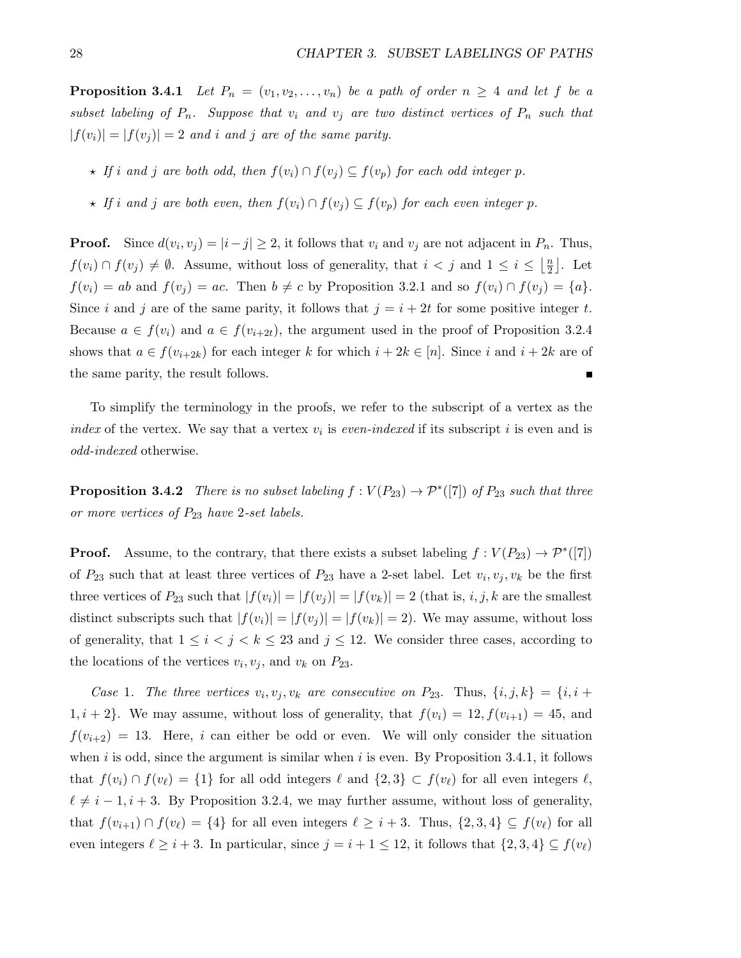**Proposition 3.4.1** Let  $P_n = (v_1, v_2, \ldots, v_n)$  be a path of order  $n \geq 4$  and let f be a subset labeling of  $P_n$ . Suppose that  $v_i$  and  $v_j$  are two distinct vertices of  $P_n$  such that  $|f(v_i)| = |f(v_j)| = 2$  and i and j are of the same parity.

- $\star$  If i and j are both odd, then  $f(v_i) \cap f(v_j) \subseteq f(v_p)$  for each odd integer p.
- $\star$  If i and j are both even, then  $f(v_i) \cap f(v_j) \subseteq f(v_p)$  for each even integer p.

**Proof.** Since  $d(v_i, v_j) = |i - j| \ge 2$ , it follows that  $v_i$  and  $v_j$  are not adjacent in  $P_n$ . Thus,  $f(v_i) \cap f(v_j) \neq \emptyset$ . Assume, without loss of generality, that  $i < j$  and  $1 \leq i \leq \lfloor \frac{n}{2} \rfloor$  $\frac{n}{2}$ . Let  $f(v_i) = ab$  and  $f(v_j) = ac$ . Then  $b \neq c$  by Proposition 3.2.1 and so  $f(v_i) \cap f(v_j) = \{a\}.$ Since i and j are of the same parity, it follows that  $j = i + 2t$  for some positive integer t. Because  $a \in f(v_i)$  and  $a \in f(v_{i+2t})$ , the argument used in the proof of Proposition 3.2.4 shows that  $a \in f(v_{i+2k})$  for each integer k for which  $i + 2k \in [n]$ . Since i and  $i + 2k$  are of the same parity, the result follows. П

To simplify the terminology in the proofs, we refer to the subscript of a vertex as the index of the vertex. We say that a vertex  $v_i$  is even-indexed if its subscript i is even and is odd-indexed otherwise.

**Proposition 3.4.2** There is no subset labeling  $f: V(P_{23}) \to \mathcal{P}^*([7])$  of  $P_{23}$  such that three or more vertices of  $P_{23}$  have 2-set labels.

**Proof.** Assume, to the contrary, that there exists a subset labeling  $f : V(P_{23}) \to \mathcal{P}^*([7])$ of  $P_{23}$  such that at least three vertices of  $P_{23}$  have a 2-set label. Let  $v_i, v_j, v_k$  be the first three vertices of  $P_{23}$  such that  $|f(v_i)| = |f(v_j)| = |f(v_k)| = 2$  (that is, *i*, *j*, *k* are the smallest distinct subscripts such that  $|f(v_i)| = |f(v_j)| = |f(v_k)| = 2$ . We may assume, without loss of generality, that  $1 \leq i < j < k \leq 23$  and  $j \leq 12$ . We consider three cases, according to the locations of the vertices  $v_i, v_j$ , and  $v_k$  on  $P_{23}$ .

Case 1. The three vertices  $v_i, v_j, v_k$  are consecutive on  $P_{23}$ . Thus,  $\{i, j, k\} = \{i, i +$  $1, i + 2$ . We may assume, without loss of generality, that  $f(v_i) = 12, f(v_{i+1}) = 45$ , and  $f(v_{i+2}) = 13$ . Here, i can either be odd or even. We will only consider the situation when  $i$  is odd, since the argument is similar when  $i$  is even. By Proposition 3.4.1, it follows that  $f(v_i) \cap f(v_\ell) = \{1\}$  for all odd integers  $\ell$  and  $\{2, 3\} \subset f(v_\ell)$  for all even integers  $\ell$ ,  $\ell \neq i - 1, i + 3$ . By Proposition 3.2.4, we may further assume, without loss of generality, that  $f(v_{i+1}) \cap f(v_\ell) = \{4\}$  for all even integers  $\ell \geq i + 3$ . Thus,  $\{2, 3, 4\} \subseteq f(v_\ell)$  for all even integers  $\ell \geq i + 3$ . In particular, since  $j = i + 1 \leq 12$ , it follows that  $\{2, 3, 4\} \subseteq f(v_{\ell})$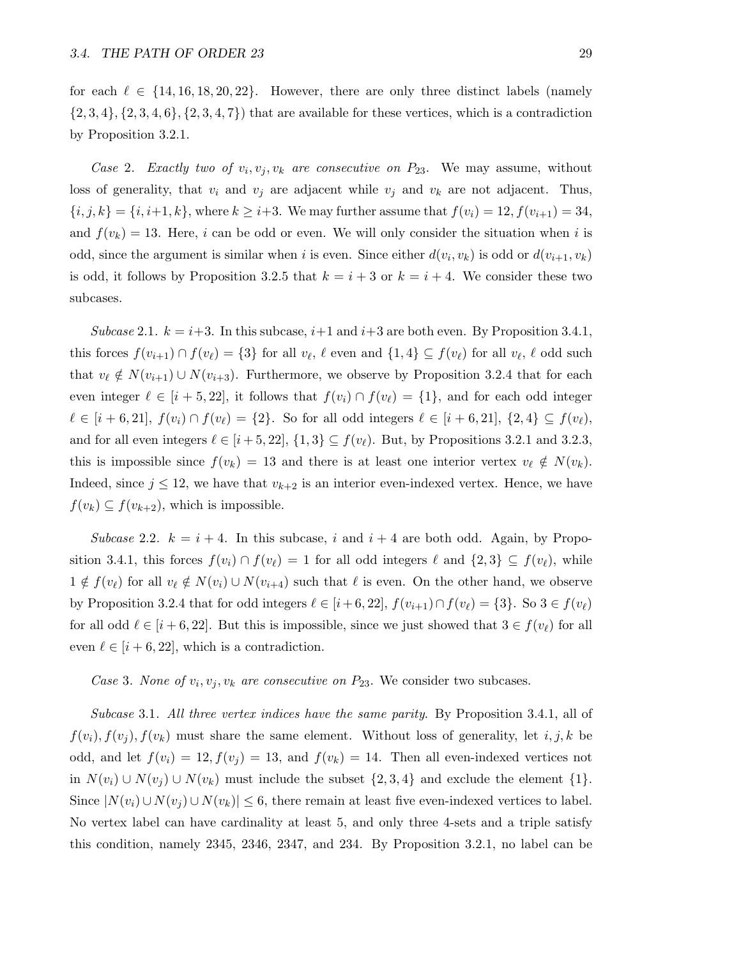for each  $\ell \in \{14, 16, 18, 20, 22\}$ . However, there are only three distinct labels (namely  $\{2,3,4\}, \{2,3,4,6\}, \{2,3,4,7\}$  that are available for these vertices, which is a contradiction by Proposition 3.2.1.

Case 2. Exactly two of  $v_i, v_j, v_k$  are consecutive on  $P_{23}$ . We may assume, without loss of generality, that  $v_i$  and  $v_j$  are adjacent while  $v_j$  and  $v_k$  are not adjacent. Thus,  ${i, j, k} = {i, i+1, k}$ , where  $k \ge i+3$ . We may further assume that  $f(v_i) = 12, f(v_{i+1}) = 34$ , and  $f(v_k) = 13$ . Here, i can be odd or even. We will only consider the situation when i is odd, since the argument is similar when i is even. Since either  $d(v_i, v_k)$  is odd or  $d(v_{i+1}, v_k)$ is odd, it follows by Proposition 3.2.5 that  $k = i + 3$  or  $k = i + 4$ . We consider these two subcases.

Subcase 2.1.  $k = i+3$ . In this subcase,  $i+1$  and  $i+3$  are both even. By Proposition 3.4.1, this forces  $f(v_{i+1}) \cap f(v_\ell) = \{3\}$  for all  $v_\ell, \ell$  even and  $\{1, 4\} \subseteq f(v_\ell)$  for all  $v_\ell, \ell$  odd such that  $v_{\ell} \notin N(v_{i+1}) \cup N(v_{i+3})$ . Furthermore, we observe by Proposition 3.2.4 that for each even integer  $\ell \in [i + 5, 22]$ , it follows that  $f(v_i) \cap f(v_\ell) = \{1\}$ , and for each odd integer  $\ell \in [i + 6, 21], f(v_i) \cap f(v_\ell) = \{2\}.$  So for all odd integers  $\ell \in [i + 6, 21], \{2, 4\} \subseteq f(v_\ell),$ and for all even integers  $\ell \in [i+5, 22], \{1, 3\} \subseteq f(v_{\ell}).$  But, by Propositions 3.2.1 and 3.2.3, this is impossible since  $f(v_k) = 13$  and there is at least one interior vertex  $v_\ell \notin N(v_k)$ . Indeed, since  $j \leq 12$ , we have that  $v_{k+2}$  is an interior even-indexed vertex. Hence, we have  $f(v_k) \subseteq f(v_{k+2})$ , which is impossible.

Subcase 2.2.  $k = i + 4$ . In this subcase, i and  $i + 4$  are both odd. Again, by Proposition 3.4.1, this forces  $f(v_i) \cap f(v_\ell) = 1$  for all odd integers  $\ell$  and  $\{2, 3\} \subseteq f(v_\ell)$ , while  $1 \notin f(v_\ell)$  for all  $v_\ell \notin N(v_i) \cup N(v_{i+4})$  such that  $\ell$  is even. On the other hand, we observe by Proposition 3.2.4 that for odd integers  $\ell \in [i + 6, 22]$ ,  $f(v_{i+1}) \cap f(v_{\ell}) = \{3\}$ . So  $3 \in f(v_{\ell})$ for all odd  $\ell \in [i + 6, 22]$ . But this is impossible, since we just showed that  $3 \in f(v_{\ell})$  for all even  $\ell \in [i + 6, 22]$ , which is a contradiction.

Case 3. None of  $v_i, v_j, v_k$  are consecutive on  $P_{23}$ . We consider two subcases.

Subcase 3.1. All three vertex indices have the same parity. By Proposition 3.4.1, all of  $f(v_i), f(v_j), f(v_k)$  must share the same element. Without loss of generality, let i, j, k be odd, and let  $f(v_i) = 12, f(v_j) = 13$ , and  $f(v_k) = 14$ . Then all even-indexed vertices not in  $N(v_i) \cup N(v_j) \cup N(v_k)$  must include the subset  $\{2,3,4\}$  and exclude the element  $\{1\}$ . Since  $|N(v_i) \cup N(v_i) \cup N(v_k)| \leq 6$ , there remain at least five even-indexed vertices to label. No vertex label can have cardinality at least 5, and only three 4-sets and a triple satisfy this condition, namely 2345, 2346, 2347, and 234. By Proposition 3.2.1, no label can be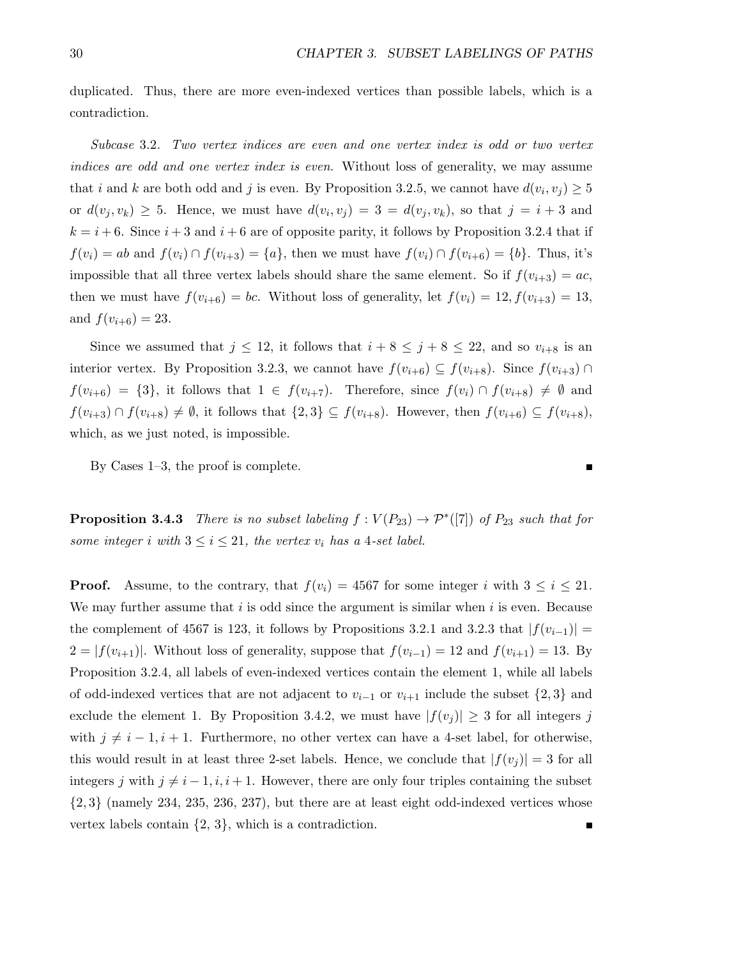duplicated. Thus, there are more even-indexed vertices than possible labels, which is a contradiction.

Subcase 3.2. Two vertex indices are even and one vertex index is odd or two vertex indices are odd and one vertex index is even. Without loss of generality, we may assume that i and k are both odd and j is even. By Proposition 3.2.5, we cannot have  $d(v_i, v_j) \geq 5$ or  $d(v_j, v_k) \geq 5$ . Hence, we must have  $d(v_i, v_j) = 3 = d(v_j, v_k)$ , so that  $j = i + 3$  and  $k = i + 6$ . Since  $i + 3$  and  $i + 6$  are of opposite parity, it follows by Proposition 3.2.4 that if  $f(v_i) = ab$  and  $f(v_i) \cap f(v_{i+3}) = \{a\}$ , then we must have  $f(v_i) \cap f(v_{i+6}) = \{b\}$ . Thus, it's impossible that all three vertex labels should share the same element. So if  $f(v_{i+3}) = ac$ , then we must have  $f(v_{i+6}) = bc$ . Without loss of generality, let  $f(v_i) = 12, f(v_{i+3}) = 13$ , and  $f(v_{i+6}) = 23$ .

Since we assumed that  $j \leq 12$ , it follows that  $i + 8 \leq j + 8 \leq 22$ , and so  $v_{i+8}$  is an interior vertex. By Proposition 3.2.3, we cannot have  $f(v_{i+6}) \subseteq f(v_{i+8})$ . Since  $f(v_{i+3}) \cap$  $f(v_{i+6}) = \{3\}$ , it follows that  $1 \in f(v_{i+7})$ . Therefore, since  $f(v_i) \cap f(v_{i+8}) \neq \emptyset$  and  $f(v_{i+3}) \cap f(v_{i+8}) \neq \emptyset$ , it follows that  $\{2,3\} \subseteq f(v_{i+8})$ . However, then  $f(v_{i+6}) \subseteq f(v_{i+8})$ , which, as we just noted, is impossible.

By Cases 1–3, the proof is complete.

**Proposition 3.4.3** There is no subset labeling  $f: V(P_{23}) \to \mathcal{P}^*([7])$  of  $P_{23}$  such that for some integer i with  $3 \leq i \leq 21$ , the vertex  $v_i$  has a 4-set label.

**Proof.** Assume, to the contrary, that  $f(v_i) = 4567$  for some integer i with  $3 \leq i \leq 21$ . We may further assume that  $i$  is odd since the argument is similar when  $i$  is even. Because the complement of 4567 is 123, it follows by Propositions 3.2.1 and 3.2.3 that  $|f(v_{i-1})| =$  $2 = |f(v_{i+1})|$ . Without loss of generality, suppose that  $f(v_{i-1}) = 12$  and  $f(v_{i+1}) = 13$ . By Proposition 3.2.4, all labels of even-indexed vertices contain the element 1, while all labels of odd-indexed vertices that are not adjacent to  $v_{i-1}$  or  $v_{i+1}$  include the subset  $\{2,3\}$  and exclude the element 1. By Proposition 3.4.2, we must have  $|f(v_j)| \geq 3$  for all integers j with  $j \neq i - 1, i + 1$ . Furthermore, no other vertex can have a 4-set label, for otherwise, this would result in at least three 2-set labels. Hence, we conclude that  $|f(v_j)| = 3$  for all integers j with  $j \neq i - 1, i, i + 1$ . However, there are only four triples containing the subset  $\{2,3\}$  (namely 234, 235, 236, 237), but there are at least eight odd-indexed vertices whose vertex labels contain  $\{2, 3\}$ , which is a contradiction.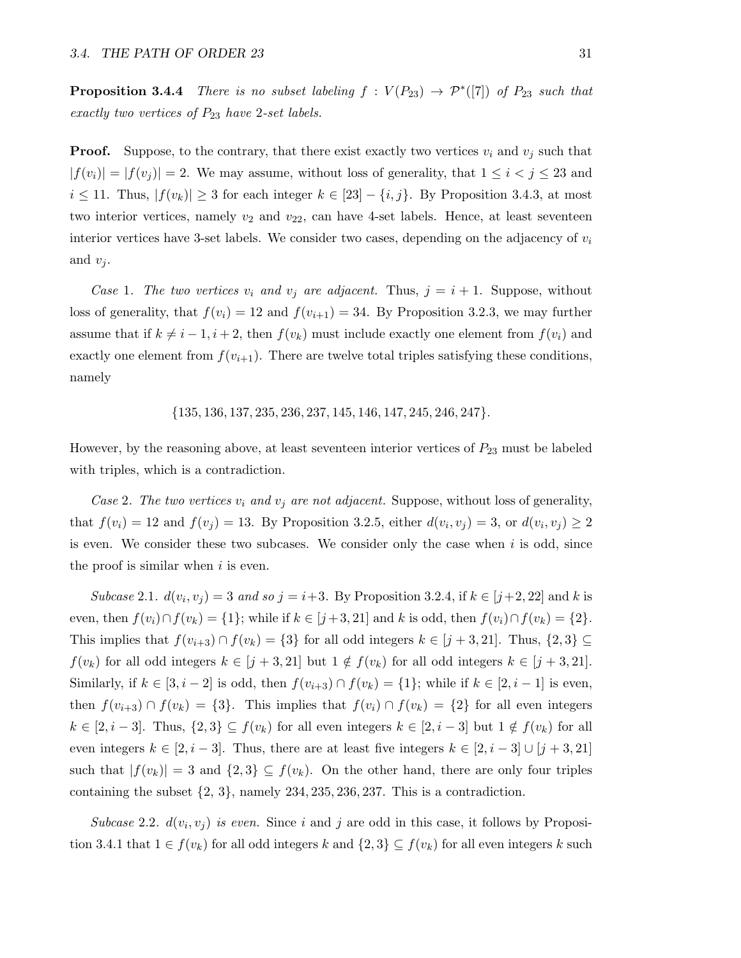**Proposition 3.4.4** There is no subset labeling  $f: V(P_{23}) \rightarrow \mathcal{P}^*([7])$  of  $P_{23}$  such that exactly two vertices of  $P_{23}$  have 2-set labels.

**Proof.** Suppose, to the contrary, that there exist exactly two vertices  $v_i$  and  $v_j$  such that  $|f(v_i)| = |f(v_j)| = 2$ . We may assume, without loss of generality, that  $1 \leq i < j \leq 23$  and  $i \le 11$ . Thus,  $|f(v_k)| \ge 3$  for each integer  $k \in [23] - \{i, j\}$ . By Proposition 3.4.3, at most two interior vertices, namely  $v_2$  and  $v_{22}$ , can have 4-set labels. Hence, at least seventeen interior vertices have 3-set labels. We consider two cases, depending on the adjacency of  $v_i$ and  $v_i$ .

Case 1. The two vertices  $v_i$  and  $v_j$  are adjacent. Thus,  $j = i + 1$ . Suppose, without loss of generality, that  $f(v_i) = 12$  and  $f(v_{i+1}) = 34$ . By Proposition 3.2.3, we may further assume that if  $k \neq i - 1, i + 2$ , then  $f(v_k)$  must include exactly one element from  $f(v_i)$  and exactly one element from  $f(v_{i+1})$ . There are twelve total triples satisfying these conditions, namely

{135, 136, 137, 235, 236, 237, 145, 146, 147, 245, 246, 247}.

However, by the reasoning above, at least seventeen interior vertices of  $P_{23}$  must be labeled with triples, which is a contradiction.

Case 2. The two vertices  $v_i$  and  $v_j$  are not adjacent. Suppose, without loss of generality, that  $f(v_i) = 12$  and  $f(v_j) = 13$ . By Proposition 3.2.5, either  $d(v_i, v_j) = 3$ , or  $d(v_i, v_j) \ge 2$ is even. We consider these two subcases. We consider only the case when  $i$  is odd, since the proof is similar when  $i$  is even.

Subcase 2.1.  $d(v_i, v_j) = 3$  and so  $j = i+3$ . By Proposition 3.2.4, if  $k \in [j+2, 22]$  and k is even, then  $f(v_i) \cap f(v_k) = \{1\}$ ; while if  $k \in [j+3, 21]$  and k is odd, then  $f(v_i) \cap f(v_k) = \{2\}$ . This implies that  $f(v_{i+3}) \cap f(v_k) = \{3\}$  for all odd integers  $k \in [j+3, 21]$ . Thus,  $\{2, 3\} \subseteq$  $f(v_k)$  for all odd integers  $k \in [j+3, 21]$  but  $1 \notin f(v_k)$  for all odd integers  $k \in [j+3, 21]$ . Similarly, if  $k \in [3, i-2]$  is odd, then  $f(v_{i+3}) \cap f(v_k) = \{1\}$ ; while if  $k \in [2, i-1]$  is even, then  $f(v_{i+3}) \cap f(v_k) = \{3\}$ . This implies that  $f(v_i) \cap f(v_k) = \{2\}$  for all even integers  $k \in [2, i-3]$ . Thus,  $\{2,3\} \subseteq f(v_k)$  for all even integers  $k \in [2, i-3]$  but  $1 \notin f(v_k)$  for all even integers  $k \in [2, i-3]$ . Thus, there are at least five integers  $k \in [2, i-3] \cup [j+3, 21]$ such that  $|f(v_k)| = 3$  and  $\{2,3\} \subseteq f(v_k)$ . On the other hand, there are only four triples containing the subset  $\{2, 3\}$ , namely  $234, 235, 236, 237$ . This is a contradiction.

Subcase 2.2.  $d(v_i, v_j)$  is even. Since i and j are odd in this case, it follows by Proposition 3.4.1 that  $1 \in f(v_k)$  for all odd integers k and  $\{2,3\} \subseteq f(v_k)$  for all even integers k such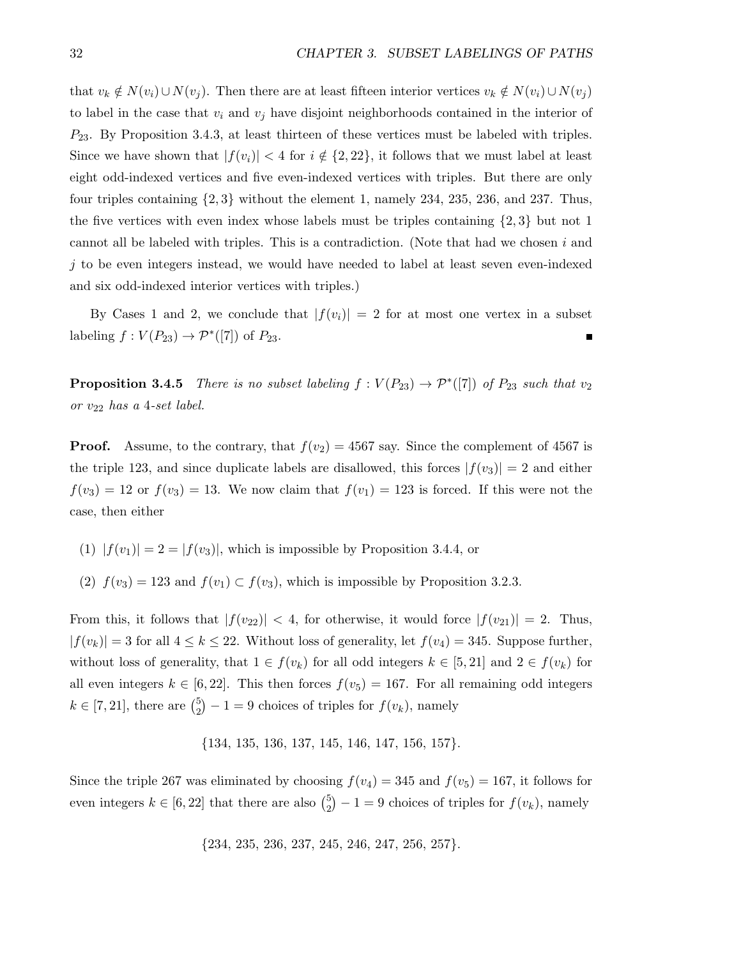that  $v_k \notin N(v_i) \cup N(v_j)$ . Then there are at least fifteen interior vertices  $v_k \notin N(v_i) \cup N(v_j)$ to label in the case that  $v_i$  and  $v_j$  have disjoint neighborhoods contained in the interior of  $P_{23}$ . By Proposition 3.4.3, at least thirteen of these vertices must be labeled with triples. Since we have shown that  $|f(v_i)| < 4$  for  $i \notin \{2, 22\}$ , it follows that we must label at least eight odd-indexed vertices and five even-indexed vertices with triples. But there are only four triples containing  $\{2,3\}$  without the element 1, namely 234, 235, 236, and 237. Thus, the five vertices with even index whose labels must be triples containing  $\{2, 3\}$  but not 1 cannot all be labeled with triples. This is a contradiction. (Note that had we chosen  $i$  and  $j$  to be even integers instead, we would have needed to label at least seven even-indexed and six odd-indexed interior vertices with triples.)

By Cases 1 and 2, we conclude that  $|f(v_i)| = 2$  for at most one vertex in a subset labeling  $f: V(P_{23}) \to \mathcal{P}^*([7])$  of  $P_{23}$ . Г

**Proposition 3.4.5** There is no subset labeling  $f : V(P_{23}) \to \mathcal{P}^*([7])$  of  $P_{23}$  such that  $v_2$ or  $v_{22}$  has a 4-set label.

**Proof.** Assume, to the contrary, that  $f(v_2) = 4567$  say. Since the complement of 4567 is the triple 123, and since duplicate labels are disallowed, this forces  $|f(v_3)| = 2$  and either  $f(v_3) = 12$  or  $f(v_3) = 13$ . We now claim that  $f(v_1) = 123$  is forced. If this were not the case, then either

- (1)  $|f(v_1)| = 2 = |f(v_3)|$ , which is impossible by Proposition 3.4.4, or
- (2)  $f(v_3) = 123$  and  $f(v_1) \subset f(v_3)$ , which is impossible by Proposition 3.2.3.

From this, it follows that  $|f(v_{22})| < 4$ , for otherwise, it would force  $|f(v_{21})| = 2$ . Thus,  $|f(v_k)| = 3$  for all  $4 \leq k \leq 22$ . Without loss of generality, let  $f(v_4) = 345$ . Suppose further, without loss of generality, that  $1 \in f(v_k)$  for all odd integers  $k \in [5, 21]$  and  $2 \in f(v_k)$  for all even integers  $k \in [6, 22]$ . This then forces  $f(v_5) = 167$ . For all remaining odd integers  $k \in [7, 21]$ , there are  $\binom{5}{2}$  $2^{5}_{2}$ ) – 1 = 9 choices of triples for  $f(v_k)$ , namely

$$
\{134, 135, 136, 137, 145, 146, 147, 156, 157\}.
$$

Since the triple 267 was eliminated by choosing  $f(v_4) = 345$  and  $f(v_5) = 167$ , it follows for even integers  $k \in [6, 22]$  that there are also  $\binom{5}{2}$  $2^{5}_{2}$ ) – 1 = 9 choices of triples for  $f(v_k)$ , namely

$$
{234, 235, 236, 237, 245, 246, 247, 256, 257}.
$$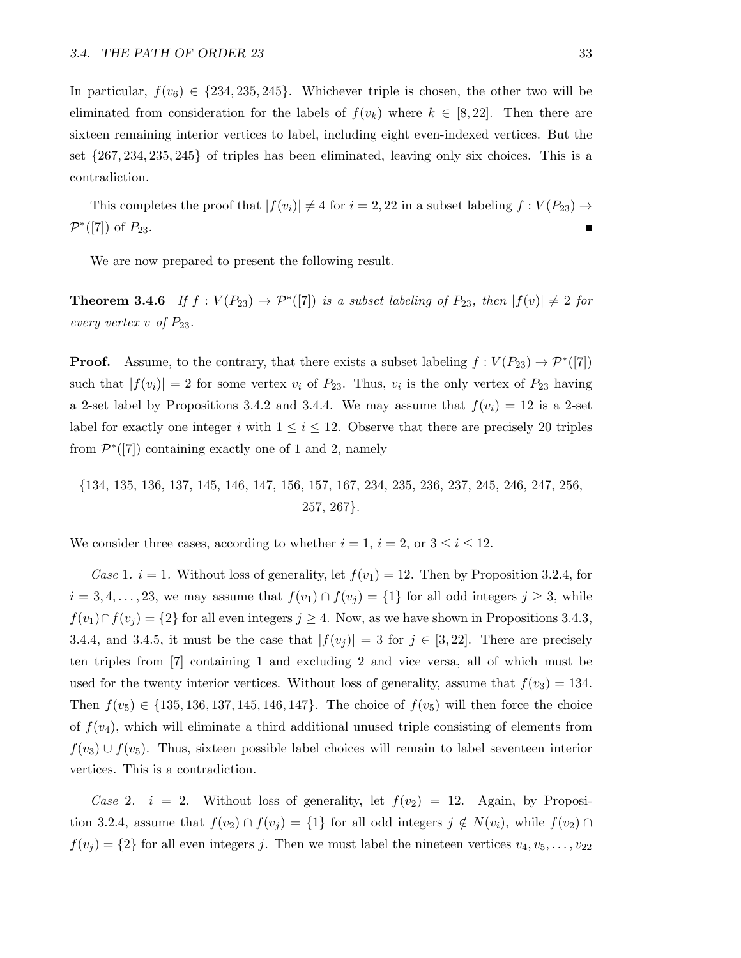In particular,  $f(v_6) \in \{234, 235, 245\}$ . Whichever triple is chosen, the other two will be eliminated from consideration for the labels of  $f(v_k)$  where  $k \in [8, 22]$ . Then there are sixteen remaining interior vertices to label, including eight even-indexed vertices. But the set  $\{267, 234, 235, 245\}$  of triples has been eliminated, leaving only six choices. This is a contradiction.

This completes the proof that  $|f(v_i)| \neq 4$  for  $i = 2, 22$  in a subset labeling  $f : V(P_{23}) \rightarrow$  $\mathcal{P}^*([7])$  of  $P_{23}$ .

We are now prepared to present the following result.

**Theorem 3.4.6** If  $f: V(P_{23}) \to \mathcal{P}^*([7])$  is a subset labeling of  $P_{23}$ , then  $|f(v)| \neq 2$  for every vertex v of  $P_{23}$ .

**Proof.** Assume, to the contrary, that there exists a subset labeling  $f : V(P_{23}) \to \mathcal{P}^*([7])$ such that  $|f(v_i)| = 2$  for some vertex  $v_i$  of  $P_{23}$ . Thus,  $v_i$  is the only vertex of  $P_{23}$  having a 2-set label by Propositions 3.4.2 and 3.4.4. We may assume that  $f(v_i) = 12$  is a 2-set label for exactly one integer i with  $1 \leq i \leq 12$ . Observe that there are precisely 20 triples from  $\mathcal{P}^*([7])$  containing exactly one of 1 and 2, namely

{134, 135, 136, 137, 145, 146, 147, 156, 157, 167, 234, 235, 236, 237, 245, 246, 247, 256, 257, 267}.

We consider three cases, according to whether  $i = 1$ ,  $i = 2$ , or  $3 \le i \le 12$ .

Case 1.  $i = 1$ . Without loss of generality, let  $f(v_1) = 12$ . Then by Proposition 3.2.4, for  $i = 3, 4, \ldots, 23$ , we may assume that  $f(v_1) \cap f(v_j) = \{1\}$  for all odd integers  $j \geq 3$ , while  $f(v_1) \cap f(v_i) = \{2\}$  for all even integers  $j \geq 4$ . Now, as we have shown in Propositions 3.4.3, 3.4.4, and 3.4.5, it must be the case that  $|f(v_j)| = 3$  for  $j \in [3, 22]$ . There are precisely ten triples from [7] containing 1 and excluding 2 and vice versa, all of which must be used for the twenty interior vertices. Without loss of generality, assume that  $f(v_3) = 134$ . Then  $f(v_5) \in \{135, 136, 137, 145, 146, 147\}$ . The choice of  $f(v_5)$  will then force the choice of  $f(v_4)$ , which will eliminate a third additional unused triple consisting of elements from  $f(v_3) \cup f(v_5)$ . Thus, sixteen possible label choices will remain to label seventeen interior vertices. This is a contradiction.

Case 2.  $i = 2$ . Without loss of generality, let  $f(v_2) = 12$ . Again, by Proposition 3.2.4, assume that  $f(v_2) \cap f(v_j) = \{1\}$  for all odd integers  $j \notin N(v_i)$ , while  $f(v_2) \cap$  $f(v_i) = \{2\}$  for all even integers j. Then we must label the nineteen vertices  $v_4, v_5, \ldots, v_{22}$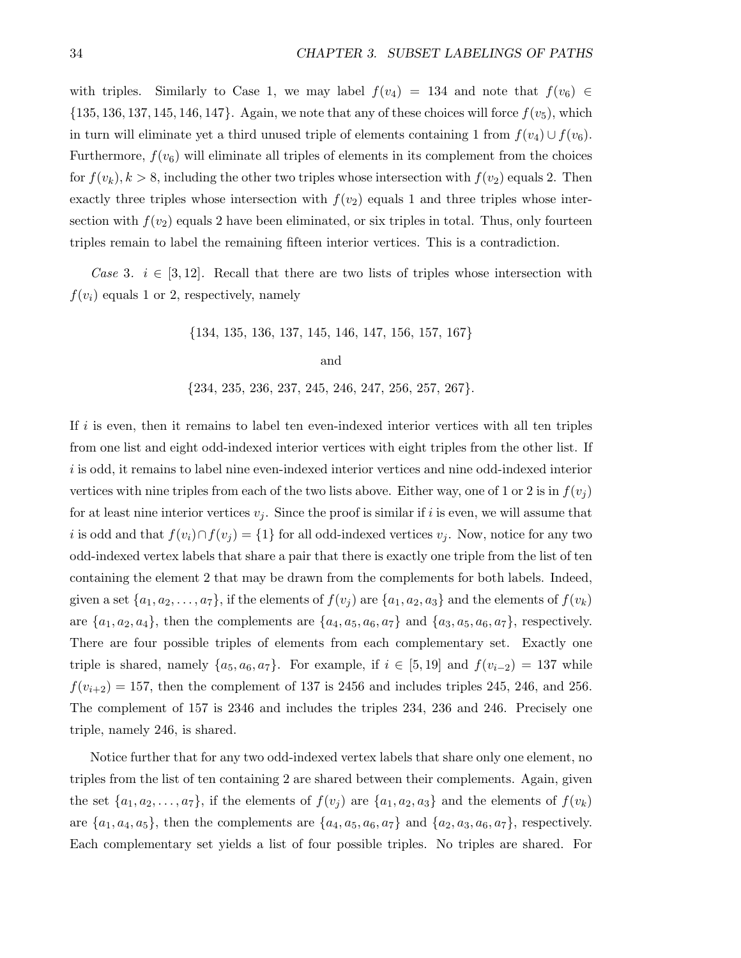with triples. Similarly to Case 1, we may label  $f(v_4) = 134$  and note that  $f(v_6) \in$  $\{135, 136, 137, 145, 146, 147\}$ . Again, we note that any of these choices will force  $f(v_5)$ , which in turn will eliminate yet a third unused triple of elements containing 1 from  $f(v_4) \cup f(v_6)$ . Furthermore,  $f(v_6)$  will eliminate all triples of elements in its complement from the choices for  $f(v_k)$ ,  $k > 8$ , including the other two triples whose intersection with  $f(v_2)$  equals 2. Then exactly three triples whose intersection with  $f(v_2)$  equals 1 and three triples whose intersection with  $f(v_2)$  equals 2 have been eliminated, or six triples in total. Thus, only fourteen triples remain to label the remaining fifteen interior vertices. This is a contradiction.

Case 3.  $i \in [3, 12]$ . Recall that there are two lists of triples whose intersection with  $f(v_i)$  equals 1 or 2, respectively, namely

> {134, 135, 136, 137, 145, 146, 147, 156, 157, 167} and  $\{234, 235, 236, 237, 245, 246, 247, 256, 257, 267\}.$

If  $i$  is even, then it remains to label ten even-indexed interior vertices with all ten triples from one list and eight odd-indexed interior vertices with eight triples from the other list. If  $i$  is odd, it remains to label nine even-indexed interior vertices and nine odd-indexed interior vertices with nine triples from each of the two lists above. Either way, one of 1 or 2 is in  $f(v_i)$ for at least nine interior vertices  $v_i$ . Since the proof is similar if i is even, we will assume that i is odd and that  $f(v_i) \cap f(v_j) = \{1\}$  for all odd-indexed vertices  $v_j$ . Now, notice for any two odd-indexed vertex labels that share a pair that there is exactly one triple from the list of ten containing the element 2 that may be drawn from the complements for both labels. Indeed, given a set  $\{a_1, a_2, \ldots, a_7\}$ , if the elements of  $f(v_j)$  are  $\{a_1, a_2, a_3\}$  and the elements of  $f(v_k)$ are  $\{a_1, a_2, a_4\}$ , then the complements are  $\{a_4, a_5, a_6, a_7\}$  and  $\{a_3, a_5, a_6, a_7\}$ , respectively. There are four possible triples of elements from each complementary set. Exactly one triple is shared, namely  $\{a_5, a_6, a_7\}$ . For example, if  $i \in [5, 19]$  and  $f(v_{i-2}) = 137$  while  $f(v_{i+2}) = 157$ , then the complement of 137 is 2456 and includes triples 245, 246, and 256. The complement of 157 is 2346 and includes the triples 234, 236 and 246. Precisely one triple, namely 246, is shared.

Notice further that for any two odd-indexed vertex labels that share only one element, no triples from the list of ten containing 2 are shared between their complements. Again, given the set  $\{a_1, a_2, \ldots, a_7\}$ , if the elements of  $f(v_j)$  are  $\{a_1, a_2, a_3\}$  and the elements of  $f(v_k)$ are  $\{a_1, a_4, a_5\}$ , then the complements are  $\{a_4, a_5, a_6, a_7\}$  and  $\{a_2, a_3, a_6, a_7\}$ , respectively. Each complementary set yields a list of four possible triples. No triples are shared. For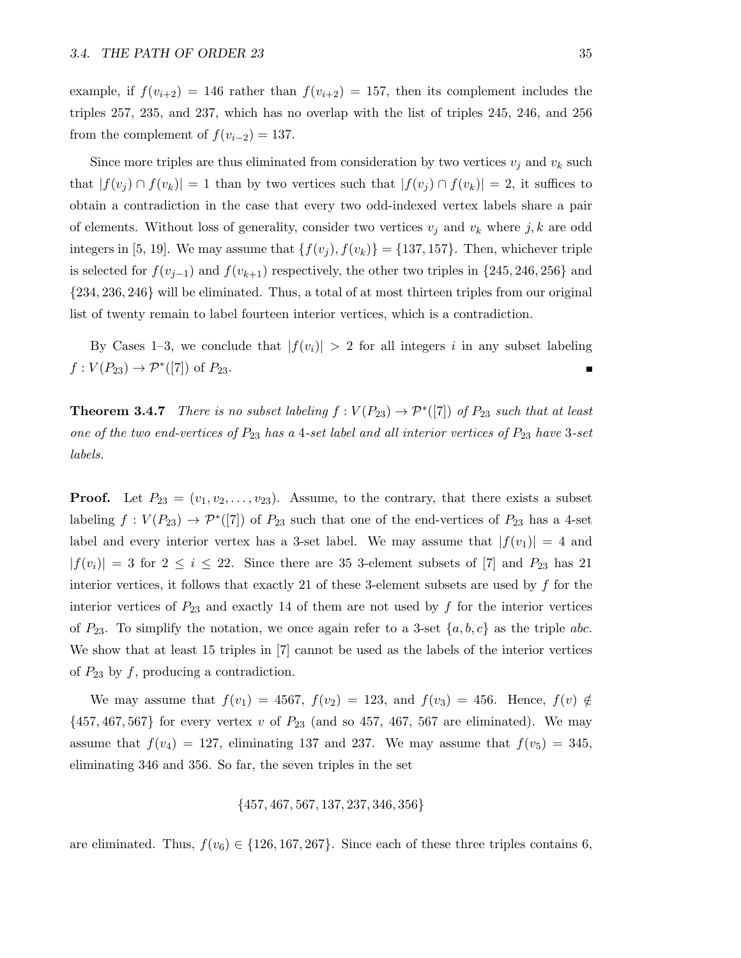example, if  $f(v_{i+2}) = 146$  rather than  $f(v_{i+2}) = 157$ , then its complement includes the triples 257, 235, and 237, which has no overlap with the list of triples 245, 246, and 256 from the complement of  $f(v_{i-2}) = 137$ .

Since more triples are thus eliminated from consideration by two vertices  $v_j$  and  $v_k$  such that  $|f(v_j) \cap f(v_k)| = 1$  than by two vertices such that  $|f(v_j) \cap f(v_k)| = 2$ , it suffices to obtain a contradiction in the case that every two odd-indexed vertex labels share a pair of elements. Without loss of generality, consider two vertices  $v_j$  and  $v_k$  where  $j, k$  are odd integers in [5, 19]. We may assume that  $\{f(v_j), f(v_k)\} = \{137, 157\}$ . Then, whichever triple is selected for  $f(v_{j-1})$  and  $f(v_{k+1})$  respectively, the other two triples in {245, 246, 256} and {234, 236, 246} will be eliminated. Thus, a total of at most thirteen triples from our original list of twenty remain to label fourteen interior vertices, which is a contradiction.

By Cases 1–3, we conclude that  $|f(v_i)| > 2$  for all integers i in any subset labeling  $f: V(P_{23}) \to \mathcal{P}^*([7])$  of  $P_{23}$ . Г

**Theorem 3.4.7** There is no subset labeling  $f : V(P_{23}) \to \mathcal{P}^*([7])$  of  $P_{23}$  such that at least one of the two end-vertices of  $P_{23}$  has a 4-set label and all interior vertices of  $P_{23}$  have 3-set labels.

**Proof.** Let  $P_{23} = (v_1, v_2, \ldots, v_{23})$ . Assume, to the contrary, that there exists a subset labeling  $f: V(P_{23}) \to \mathcal{P}^*([7])$  of  $P_{23}$  such that one of the end-vertices of  $P_{23}$  has a 4-set label and every interior vertex has a 3-set label. We may assume that  $|f(v_1)| = 4$  and  $|f(v_i)| = 3$  for  $2 \le i \le 22$ . Since there are 35 3-element subsets of [7] and  $P_{23}$  has 21 interior vertices, it follows that exactly 21 of these 3-element subsets are used by  $f$  for the interior vertices of  $P_{23}$  and exactly 14 of them are not used by f for the interior vertices of  $P_{23}$ . To simplify the notation, we once again refer to a 3-set  $\{a, b, c\}$  as the triple abc. We show that at least 15 triples in [7] cannot be used as the labels of the interior vertices of  $P_{23}$  by f, producing a contradiction.

We may assume that  $f(v_1) = 4567$ ,  $f(v_2) = 123$ , and  $f(v_3) = 456$ . Hence,  $f(v) \notin$  $\{457, 467, 567\}$  for every vertex v of  $P_{23}$  (and so 457, 467, 567 are eliminated). We may assume that  $f(v_4) = 127$ , eliminating 137 and 237. We may assume that  $f(v_5) = 345$ , eliminating 346 and 356. So far, the seven triples in the set

$$
\{ 457, 467, 567, 137, 237, 346, 356 \}
$$

are eliminated. Thus,  $f(v_6) \in \{126, 167, 267\}$ . Since each of these three triples contains 6,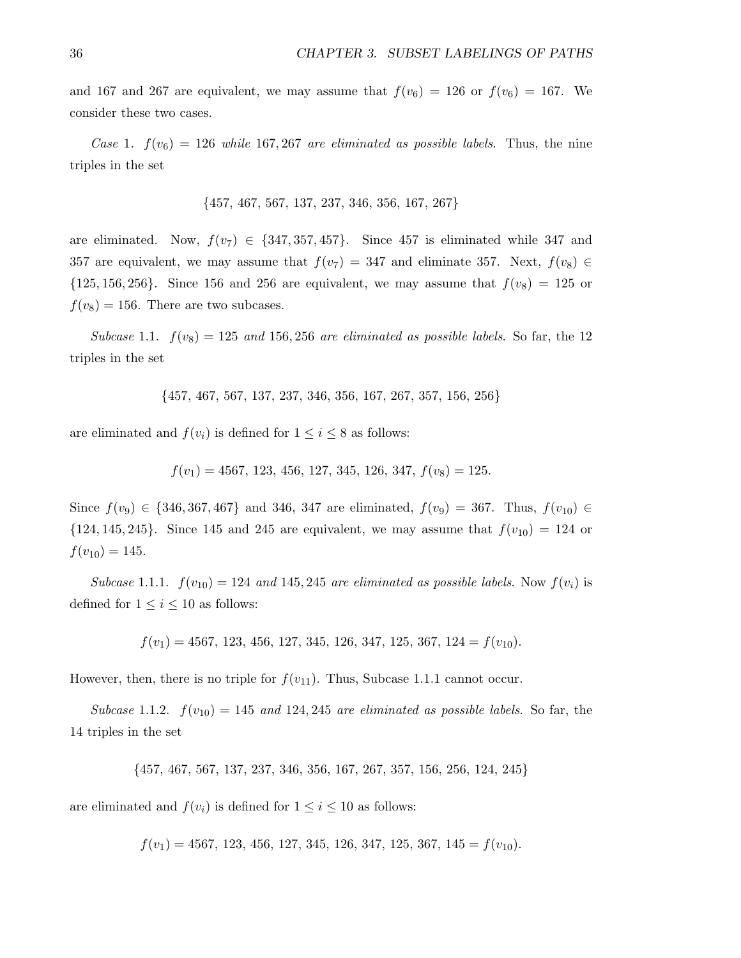and 167 and 267 are equivalent, we may assume that  $f(v_6) = 126$  or  $f(v_6) = 167$ . We consider these two cases.

Case 1.  $f(v_6) = 126$  while 167, 267 are eliminated as possible labels. Thus, the nine triples in the set

{457, 467, 567, 137, 237, 346, 356, 167, 267}

are eliminated. Now,  $f(v_7) \in \{347, 357, 457\}$ . Since 457 is eliminated while 347 and 357 are equivalent, we may assume that  $f(v_7) = 347$  and eliminate 357. Next,  $f(v_8) \in$  $\{125, 156, 256\}$ . Since 156 and 256 are equivalent, we may assume that  $f(v_8) = 125$  or  $f(v_8) = 156$ . There are two subcases.

Subcase 1.1.  $f(v_8) = 125$  and 156, 256 are eliminated as possible labels. So far, the 12 triples in the set

{457, 467, 567, 137, 237, 346, 356, 167, 267, 357, 156, 256}

are eliminated and  $f(v_i)$  is defined for  $1 \leq i \leq 8$  as follows:

 $f(v_1) = 4567, 123, 456, 127, 345, 126, 347, f(v_8) = 125.$ 

Since  $f(v_9) \in \{346, 367, 467\}$  and 346, 347 are eliminated,  $f(v_9) = 367$ . Thus,  $f(v_{10}) \in$  $\{124, 145, 245\}$ . Since 145 and 245 are equivalent, we may assume that  $f(v_{10}) = 124$  or  $f(v_{10}) = 145.$ 

Subcase 1.1.1.  $f(v_{10}) = 124$  and 145, 245 are eliminated as possible labels. Now  $f(v_i)$  is defined for  $1 \leq i \leq 10$  as follows:

 $f(v_1) = 4567, 123, 456, 127, 345, 126, 347, 125, 367, 124 = f(v_{10}).$ 

However, then, there is no triple for  $f(v_{11})$ . Thus, Subcase 1.1.1 cannot occur.

Subcase 1.1.2.  $f(v_{10}) = 145$  and 124, 245 are eliminated as possible labels. So far, the 14 triples in the set

{457, 467, 567, 137, 237, 346, 356, 167, 267, 357, 156, 256, 124, 245}

are eliminated and  $f(v_i)$  is defined for  $1 \leq i \leq 10$  as follows:

 $f(v_1) = 4567, 123, 456, 127, 345, 126, 347, 125, 367, 145 = f(v_{10}).$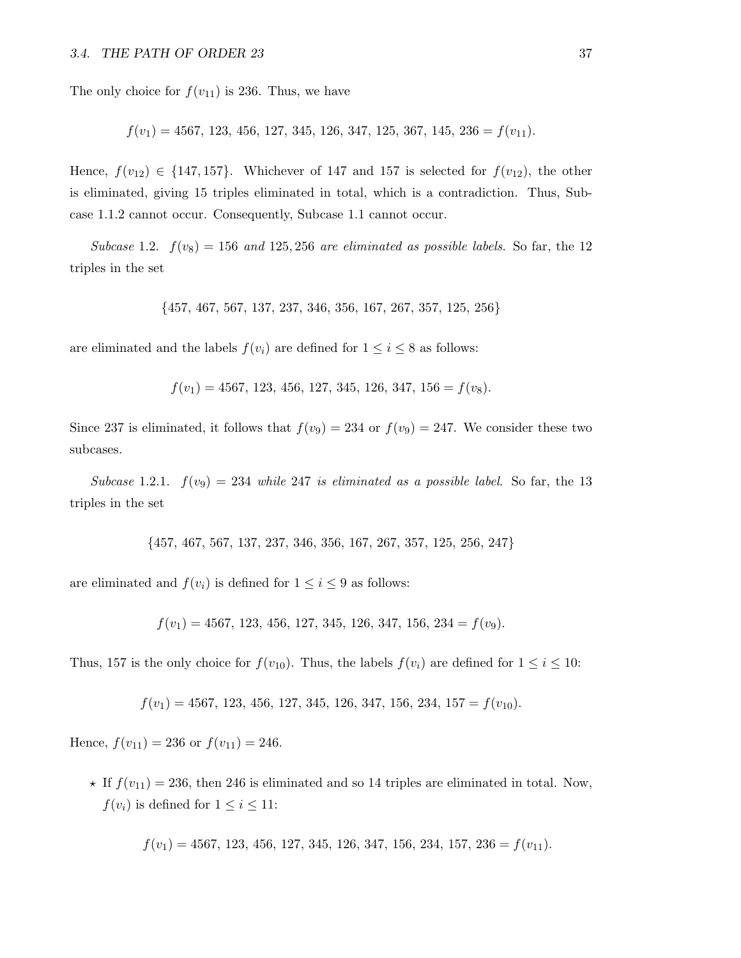The only choice for  $f(v_{11})$  is 236. Thus, we have

$$
f(v_1) = 4567, 123, 456, 127, 345, 126, 347, 125, 367, 145, 236 = f(v_{11}).
$$

Hence,  $f(v_{12}) \in \{147, 157\}$ . Whichever of 147 and 157 is selected for  $f(v_{12})$ , the other is eliminated, giving 15 triples eliminated in total, which is a contradiction. Thus, Subcase 1.1.2 cannot occur. Consequently, Subcase 1.1 cannot occur.

Subcase 1.2.  $f(v_8) = 156$  and 125, 256 are eliminated as possible labels. So far, the 12 triples in the set

$$
\{457, 467, 567, 137, 237, 346, 356, 167, 267, 357, 125, 256\}
$$

are eliminated and the labels  $f(v_i)$  are defined for  $1 \leq i \leq 8$  as follows:

 $f(v_1) = 4567, 123, 456, 127, 345, 126, 347, 156 = f(v_8).$ 

Since 237 is eliminated, it follows that  $f(v_9) = 234$  or  $f(v_9) = 247$ . We consider these two subcases.

Subcase 1.2.1.  $f(v_9) = 234$  while 247 is eliminated as a possible label. So far, the 13 triples in the set

{457, 467, 567, 137, 237, 346, 356, 167, 267, 357, 125, 256, 247}

are eliminated and  $f(v_i)$  is defined for  $1 \leq i \leq 9$  as follows:

 $f(v_1) = 4567, 123, 456, 127, 345, 126, 347, 156, 234 = f(v_9).$ 

Thus, 157 is the only choice for  $f(v_{10})$ . Thus, the labels  $f(v_i)$  are defined for  $1 \le i \le 10$ :

$$
f(v_1) = 4567, 123, 456, 127, 345, 126, 347, 156, 234, 157 = f(v_{10}).
$$

Hence,  $f(v_{11}) = 236$  or  $f(v_{11}) = 246$ .

 $\star$  If  $f(v_{11}) = 236$ , then 246 is eliminated and so 14 triples are eliminated in total. Now,  $f(v_i)$  is defined for  $1 \leq i \leq 11$ :

 $f(v_1) = 4567, 123, 456, 127, 345, 126, 347, 156, 234, 157, 236 = f(v_{11}).$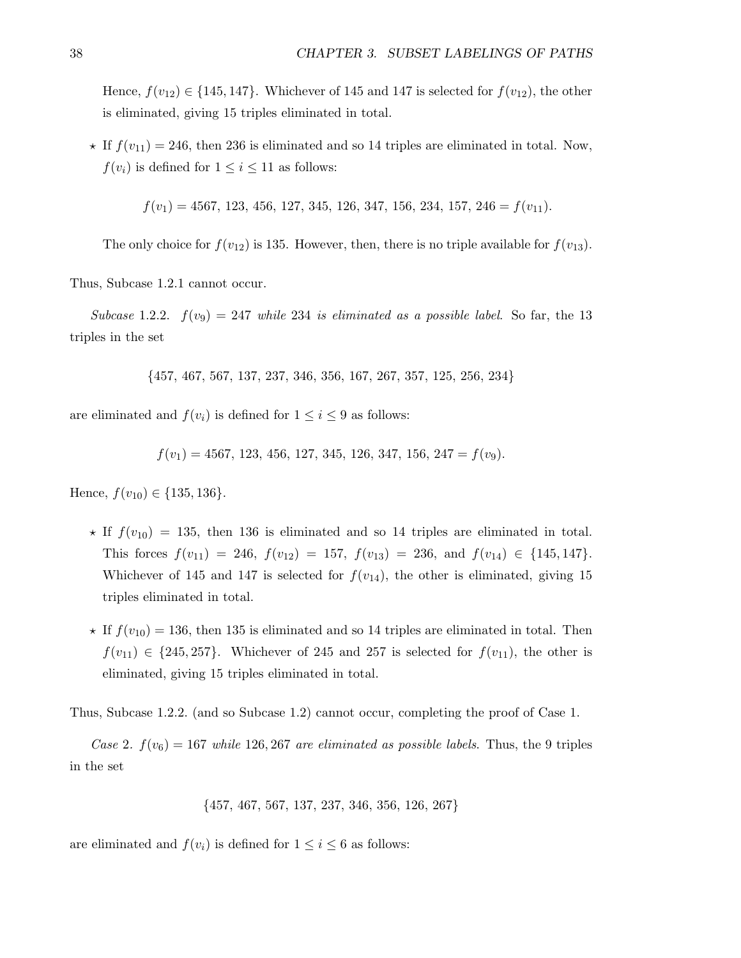Hence,  $f(v_{12}) \in \{145, 147\}$ . Whichever of 145 and 147 is selected for  $f(v_{12})$ , the other is eliminated, giving 15 triples eliminated in total.

 $\star$  If  $f(v_{11}) = 246$ , then 236 is eliminated and so 14 triples are eliminated in total. Now,  $f(v_i)$  is defined for  $1 \leq i \leq 11$  as follows:

 $f(v_1) = 4567, 123, 456, 127, 345, 126, 347, 156, 234, 157, 246 = f(v_{11}).$ 

The only choice for  $f(v_{12})$  is 135. However, then, there is no triple available for  $f(v_{13})$ .

Thus, Subcase 1.2.1 cannot occur.

Subcase 1.2.2.  $f(v_9) = 247$  while 234 is eliminated as a possible label. So far, the 13 triples in the set

{457, 467, 567, 137, 237, 346, 356, 167, 267, 357, 125, 256, 234}

are eliminated and  $f(v_i)$  is defined for  $1 \leq i \leq 9$  as follows:

$$
f(v_1) = 4567, 123, 456, 127, 345, 126, 347, 156, 247 = f(v_9).
$$

Hence,  $f(v_{10}) \in \{135, 136\}.$ 

- $\star$  If  $f(v_{10}) = 135$ , then 136 is eliminated and so 14 triples are eliminated in total. This forces  $f(v_{11}) = 246$ ,  $f(v_{12}) = 157$ ,  $f(v_{13}) = 236$ , and  $f(v_{14}) \in \{145, 147\}$ . Whichever of 145 and 147 is selected for  $f(v_{14})$ , the other is eliminated, giving 15 triples eliminated in total.
- $\star$  If  $f(v_{10}) = 136$ , then 135 is eliminated and so 14 triples are eliminated in total. Then  $f(v_{11}) \in \{245, 257\}$ . Whichever of 245 and 257 is selected for  $f(v_{11})$ , the other is eliminated, giving 15 triples eliminated in total.

Thus, Subcase 1.2.2. (and so Subcase 1.2) cannot occur, completing the proof of Case 1.

Case 2.  $f(v_6) = 167$  while 126, 267 are eliminated as possible labels. Thus, the 9 triples in the set

$$
\{457, 467, 567, 137, 237, 346, 356, 126, 267\}
$$

are eliminated and  $f(v_i)$  is defined for  $1 \leq i \leq 6$  as follows: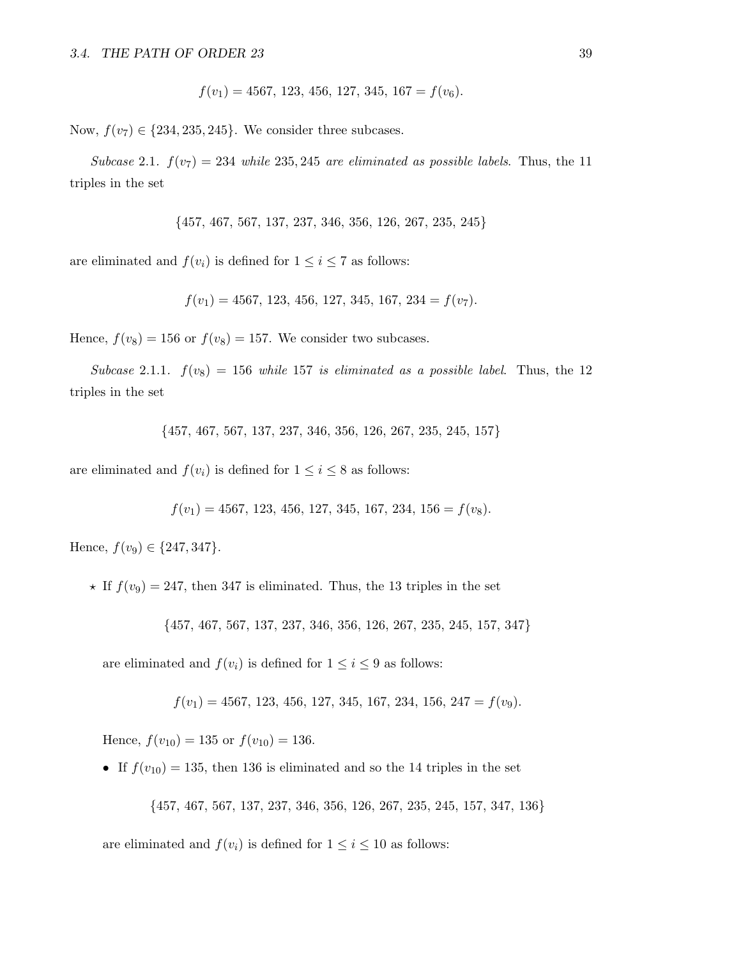$$
f(v_1) = 4567, 123, 456, 127, 345, 167 = f(v_6).
$$

Now,  $f(v_7) \in \{234, 235, 245\}$ . We consider three subcases.

Subcase 2.1.  $f(v_7) = 234$  while 235, 245 are eliminated as possible labels. Thus, the 11 triples in the set

{457, 467, 567, 137, 237, 346, 356, 126, 267, 235, 245}

are eliminated and  $f(v_i)$  is defined for  $1 \leq i \leq 7$  as follows:

$$
f(v_1) = 4567, 123, 456, 127, 345, 167, 234 = f(v_7).
$$

Hence,  $f(v_8) = 156$  or  $f(v_8) = 157$ . We consider two subcases.

Subcase 2.1.1.  $f(v_8) = 156$  while 157 is eliminated as a possible label. Thus, the 12 triples in the set

{457, 467, 567, 137, 237, 346, 356, 126, 267, 235, 245, 157}

are eliminated and  $f(v_i)$  is defined for  $1 \leq i \leq 8$  as follows:

$$
f(v_1) = 4567, 123, 456, 127, 345, 167, 234, 156 = f(v_8).
$$

Hence,  $f(v_9) \in \{247, 347\}.$ 

 $\star$  If  $f(v_9) = 247$ , then 347 is eliminated. Thus, the 13 triples in the set

{457, 467, 567, 137, 237, 346, 356, 126, 267, 235, 245, 157, 347}

are eliminated and  $f(v_i)$  is defined for  $1 \leq i \leq 9$  as follows:

 $f(v_1) = 4567, 123, 456, 127, 345, 167, 234, 156, 247 = f(v_9).$ 

Hence,  $f(v_{10}) = 135$  or  $f(v_{10}) = 136$ .

• If  $f(v_{10}) = 135$ , then 136 is eliminated and so the 14 triples in the set

{457, 467, 567, 137, 237, 346, 356, 126, 267, 235, 245, 157, 347, 136}

are eliminated and  $f(v_i)$  is defined for  $1 \leq i \leq 10$  as follows: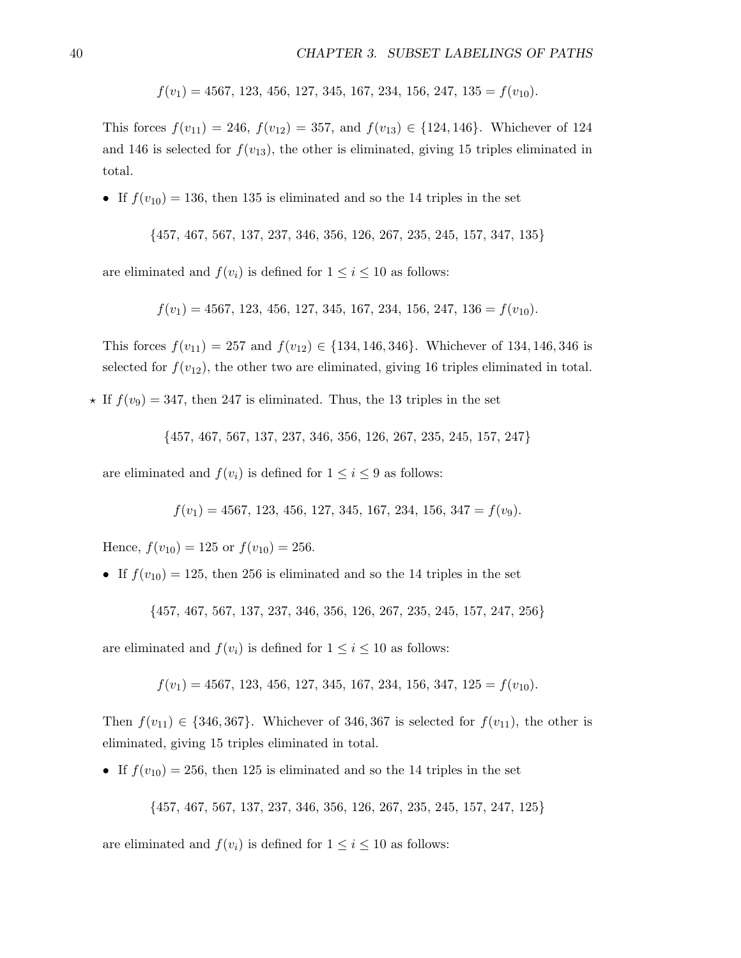$f(v_1) = 4567, 123, 456, 127, 345, 167, 234, 156, 247, 135 = f(v_{10}).$ 

This forces  $f(v_{11}) = 246$ ,  $f(v_{12}) = 357$ , and  $f(v_{13}) \in \{124, 146\}$ . Whichever of 124 and 146 is selected for  $f(v_{13})$ , the other is eliminated, giving 15 triples eliminated in total.

• If  $f(v_{10}) = 136$ , then 135 is eliminated and so the 14 triples in the set

$$
\{457, 467, 567, 137, 237, 346, 356, 126, 267, 235, 245, 157, 347, 135\}
$$

are eliminated and  $f(v_i)$  is defined for  $1 \leq i \leq 10$  as follows:

 $f(v_1) = 4567, 123, 456, 127, 345, 167, 234, 156, 247, 136 = f(v_{10}).$ 

This forces  $f(v_{11}) = 257$  and  $f(v_{12}) \in \{134, 146, 346\}$ . Whichever of 134, 146, 346 is selected for  $f(v_{12})$ , the other two are eliminated, giving 16 triples eliminated in total.

 $\star$  If  $f(v_9) = 347$ , then 247 is eliminated. Thus, the 13 triples in the set

{457, 467, 567, 137, 237, 346, 356, 126, 267, 235, 245, 157, 247}

are eliminated and  $f(v_i)$  is defined for  $1 \leq i \leq 9$  as follows:

 $f(v_1) = 4567, 123, 456, 127, 345, 167, 234, 156, 347 = f(v_9).$ 

Hence,  $f(v_{10}) = 125$  or  $f(v_{10}) = 256$ .

• If  $f(v_{10}) = 125$ , then 256 is eliminated and so the 14 triples in the set

{457, 467, 567, 137, 237, 346, 356, 126, 267, 235, 245, 157, 247, 256}

are eliminated and  $f(v_i)$  is defined for  $1 \leq i \leq 10$  as follows:

$$
f(v_1) = 4567, 123, 456, 127, 345, 167, 234, 156, 347, 125 = f(v_{10}).
$$

Then  $f(v_{11}) \in \{346, 367\}$ . Whichever of 346, 367 is selected for  $f(v_{11})$ , the other is eliminated, giving 15 triples eliminated in total.

• If  $f(v_{10}) = 256$ , then 125 is eliminated and so the 14 triples in the set

{457, 467, 567, 137, 237, 346, 356, 126, 267, 235, 245, 157, 247, 125}

are eliminated and  $f(v_i)$  is defined for  $1 \leq i \leq 10$  as follows: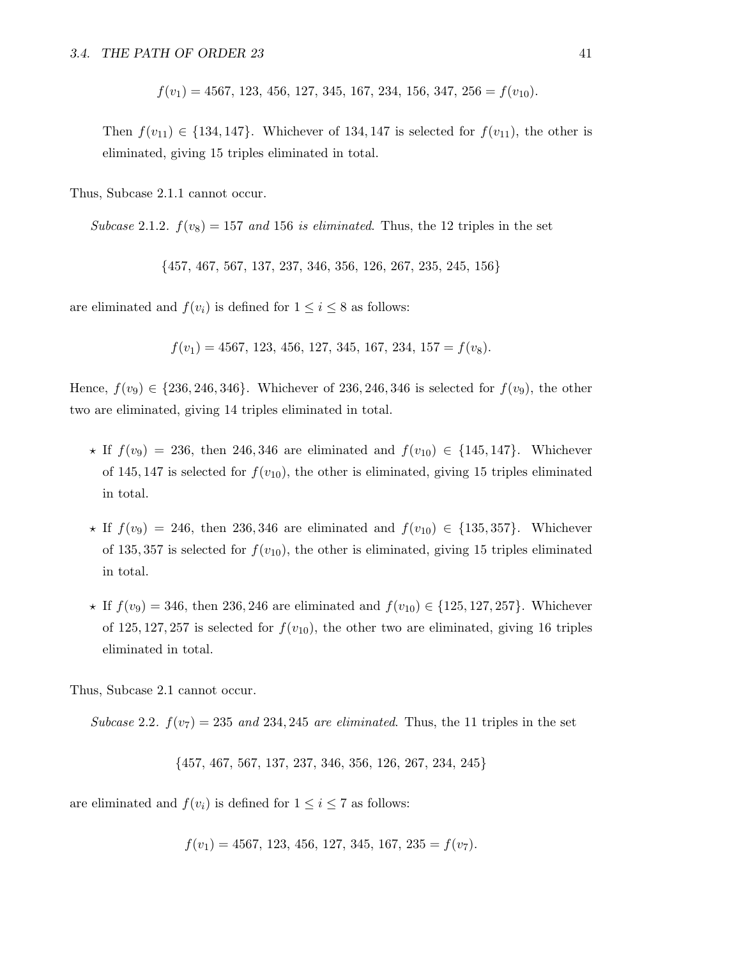$f(v_1) = 4567, 123, 456, 127, 345, 167, 234, 156, 347, 256 = f(v_{10}).$ 

Then  $f(v_{11}) \in \{134, 147\}$ . Whichever of 134, 147 is selected for  $f(v_{11})$ , the other is eliminated, giving 15 triples eliminated in total.

Thus, Subcase 2.1.1 cannot occur.

Subcase 2.1.2.  $f(v_8) = 157$  and 156 is eliminated. Thus, the 12 triples in the set

{457, 467, 567, 137, 237, 346, 356, 126, 267, 235, 245, 156}

are eliminated and  $f(v_i)$  is defined for  $1 \leq i \leq 8$  as follows:

$$
f(v_1) = 4567, 123, 456, 127, 345, 167, 234, 157 = f(v_8).
$$

Hence,  $f(v_9) \in \{236, 246, 346\}$ . Whichever of 236, 246, 346 is selected for  $f(v_9)$ , the other two are eliminated, giving 14 triples eliminated in total.

- $\star$  If  $f(v_9) = 236$ , then 246, 346 are eliminated and  $f(v_{10}) \in \{145, 147\}$ . Whichever of 145, 147 is selected for  $f(v_{10})$ , the other is eliminated, giving 15 triples eliminated in total.
- $\star$  If  $f(v_9) = 246$ , then 236, 346 are eliminated and  $f(v_{10}) \in \{135, 357\}$ . Whichever of 135, 357 is selected for  $f(v_{10})$ , the other is eliminated, giving 15 triples eliminated in total.
- $\star$  If  $f(v_9) = 346$ , then 236, 246 are eliminated and  $f(v_{10}) \in \{125, 127, 257\}$ . Whichever of 125, 127, 257 is selected for  $f(v_{10})$ , the other two are eliminated, giving 16 triples eliminated in total.

Thus, Subcase 2.1 cannot occur.

Subcase 2.2.  $f(v_7) = 235$  and 234, 245 are eliminated. Thus, the 11 triples in the set

{457, 467, 567, 137, 237, 346, 356, 126, 267, 234, 245}

are eliminated and  $f(v_i)$  is defined for  $1 \leq i \leq 7$  as follows:

$$
f(v_1) = 4567, 123, 456, 127, 345, 167, 235 = f(v_7).
$$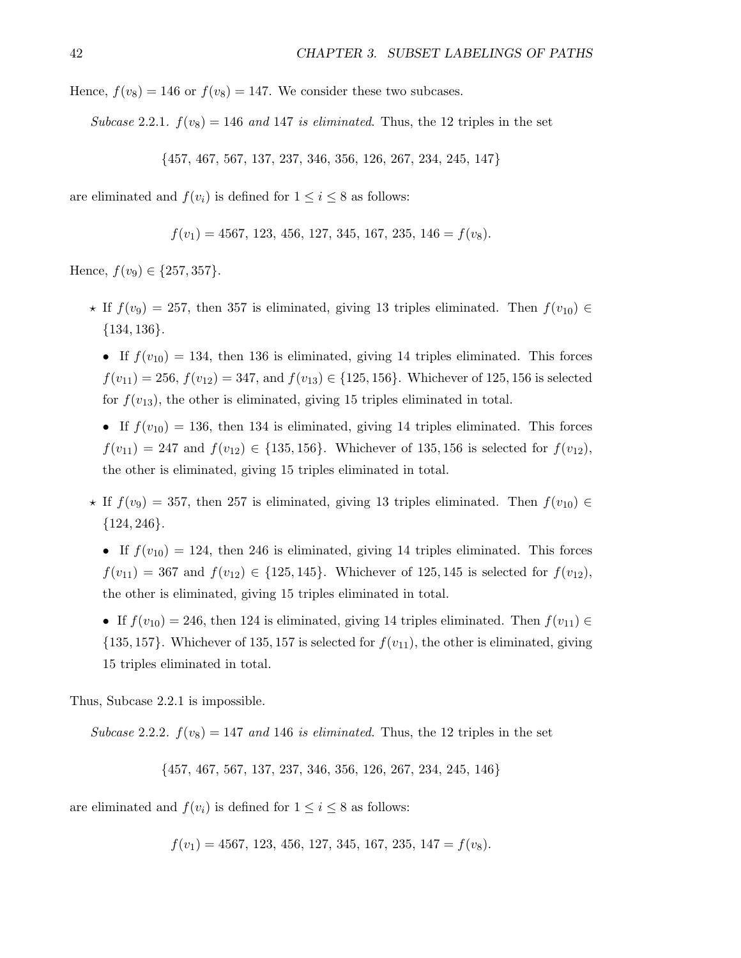Hence,  $f(v_8) = 146$  or  $f(v_8) = 147$ . We consider these two subcases.

Subcase 2.2.1.  $f(v_8) = 146$  and 147 is eliminated. Thus, the 12 triples in the set

{457, 467, 567, 137, 237, 346, 356, 126, 267, 234, 245, 147}

are eliminated and  $f(v_i)$  is defined for  $1 \leq i \leq 8$  as follows:

 $f(v_1) = 4567, 123, 456, 127, 345, 167, 235, 146 = f(v_8).$ 

Hence,  $f(v_9) \in \{257, 357\}.$ 

- $\star$  If  $f(v_9) = 257$ , then 357 is eliminated, giving 13 triples eliminated. Then  $f(v_{10}) \in$  ${134, 136}.$ 
	- If  $f(v_{10}) = 134$ , then 136 is eliminated, giving 14 triples eliminated. This forces  $f(v_{11}) = 256$ ,  $f(v_{12}) = 347$ , and  $f(v_{13}) \in \{125, 156\}$ . Whichever of 125, 156 is selected for  $f(v_{13})$ , the other is eliminated, giving 15 triples eliminated in total.
	- If  $f(v_{10}) = 136$ , then 134 is eliminated, giving 14 triples eliminated. This forces  $f(v_{11}) = 247$  and  $f(v_{12}) \in \{135, 156\}$ . Whichever of 135, 156 is selected for  $f(v_{12})$ , the other is eliminated, giving 15 triples eliminated in total.
- $\star$  If  $f(v_9) = 357$ , then 257 is eliminated, giving 13 triples eliminated. Then  $f(v_{10}) \in$  ${124, 246}.$

• If  $f(v_{10}) = 124$ , then 246 is eliminated, giving 14 triples eliminated. This forces  $f(v_{11}) = 367$  and  $f(v_{12}) \in \{125, 145\}$ . Whichever of 125, 145 is selected for  $f(v_{12})$ , the other is eliminated, giving 15 triples eliminated in total.

• If  $f(v_{10}) = 246$ , then 124 is eliminated, giving 14 triples eliminated. Then  $f(v_{11}) \in$  $\{135, 157\}$ . Whichever of 135, 157 is selected for  $f(v_{11})$ , the other is eliminated, giving 15 triples eliminated in total.

Thus, Subcase 2.2.1 is impossible.

Subcase 2.2.2.  $f(v_8) = 147$  and 146 is eliminated. Thus, the 12 triples in the set

{457, 467, 567, 137, 237, 346, 356, 126, 267, 234, 245, 146}

are eliminated and  $f(v_i)$  is defined for  $1 \leq i \leq 8$  as follows:

$$
f(v_1) = 4567, 123, 456, 127, 345, 167, 235, 147 = f(v_8).
$$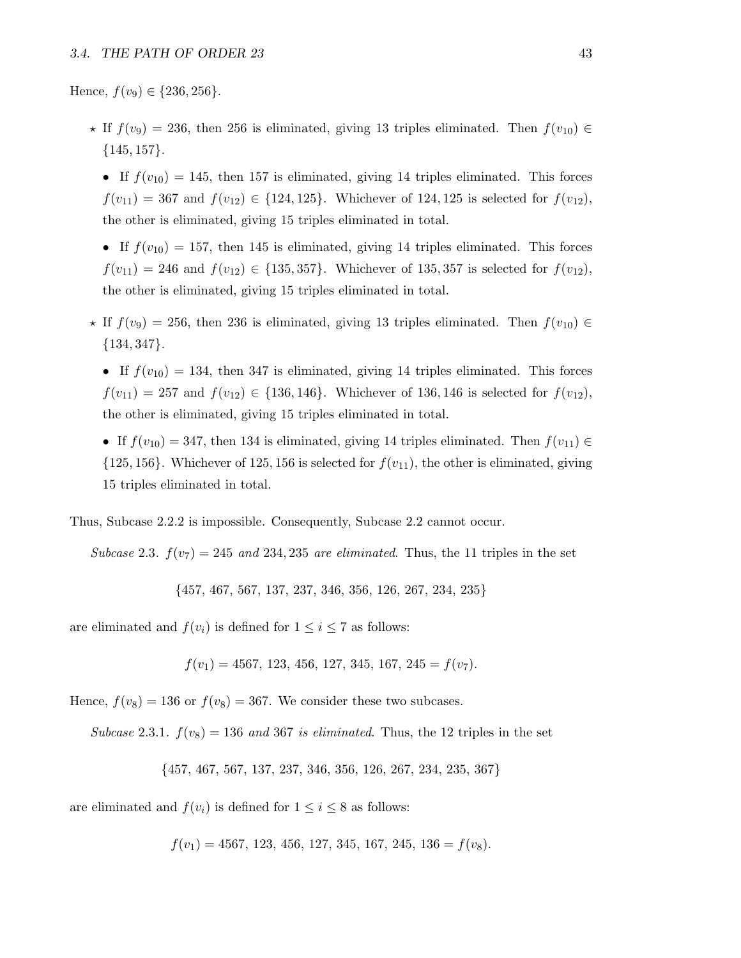Hence,  $f(v_9) \in \{236, 256\}.$ 

- $\star$  If  $f(v_9) = 236$ , then 256 is eliminated, giving 13 triples eliminated. Then  $f(v_{10}) \in$  ${145, 157}.$ 
	- If  $f(v_{10}) = 145$ , then 157 is eliminated, giving 14 triples eliminated. This forces  $f(v_{11}) = 367$  and  $f(v_{12}) \in \{124, 125\}$ . Whichever of 124, 125 is selected for  $f(v_{12})$ , the other is eliminated, giving 15 triples eliminated in total.
	- If  $f(v_{10}) = 157$ , then 145 is eliminated, giving 14 triples eliminated. This forces  $f(v_{11}) = 246$  and  $f(v_{12}) \in \{135, 357\}$ . Whichever of 135, 357 is selected for  $f(v_{12})$ , the other is eliminated, giving 15 triples eliminated in total.
- $\star$  If  $f(v_9) = 256$ , then 236 is eliminated, giving 13 triples eliminated. Then  $f(v_{10}) \in$  ${134, 347}.$ 
	- If  $f(v_{10}) = 134$ , then 347 is eliminated, giving 14 triples eliminated. This forces  $f(v_{11}) = 257$  and  $f(v_{12}) \in \{136, 146\}$ . Whichever of 136, 146 is selected for  $f(v_{12})$ , the other is eliminated, giving 15 triples eliminated in total.
	- If  $f(v_{10}) = 347$ , then 134 is eliminated, giving 14 triples eliminated. Then  $f(v_{11}) \in$  $\{125, 156\}$ . Whichever of 125, 156 is selected for  $f(v_{11})$ , the other is eliminated, giving 15 triples eliminated in total.

Thus, Subcase 2.2.2 is impossible. Consequently, Subcase 2.2 cannot occur.

Subcase 2.3.  $f(v_7) = 245$  and 234, 235 are eliminated. Thus, the 11 triples in the set

{457, 467, 567, 137, 237, 346, 356, 126, 267, 234, 235}

are eliminated and  $f(v_i)$  is defined for  $1 \leq i \leq 7$  as follows:

$$
f(v_1) = 4567, 123, 456, 127, 345, 167, 245 = f(v_7).
$$

Hence,  $f(v_8) = 136$  or  $f(v_8) = 367$ . We consider these two subcases.

Subcase 2.3.1.  $f(v_8) = 136$  and 367 is eliminated. Thus, the 12 triples in the set

{457, 467, 567, 137, 237, 346, 356, 126, 267, 234, 235, 367}

are eliminated and  $f(v_i)$  is defined for  $1 \leq i \leq 8$  as follows:

$$
f(v_1) = 4567, 123, 456, 127, 345, 167, 245, 136 = f(v_8).
$$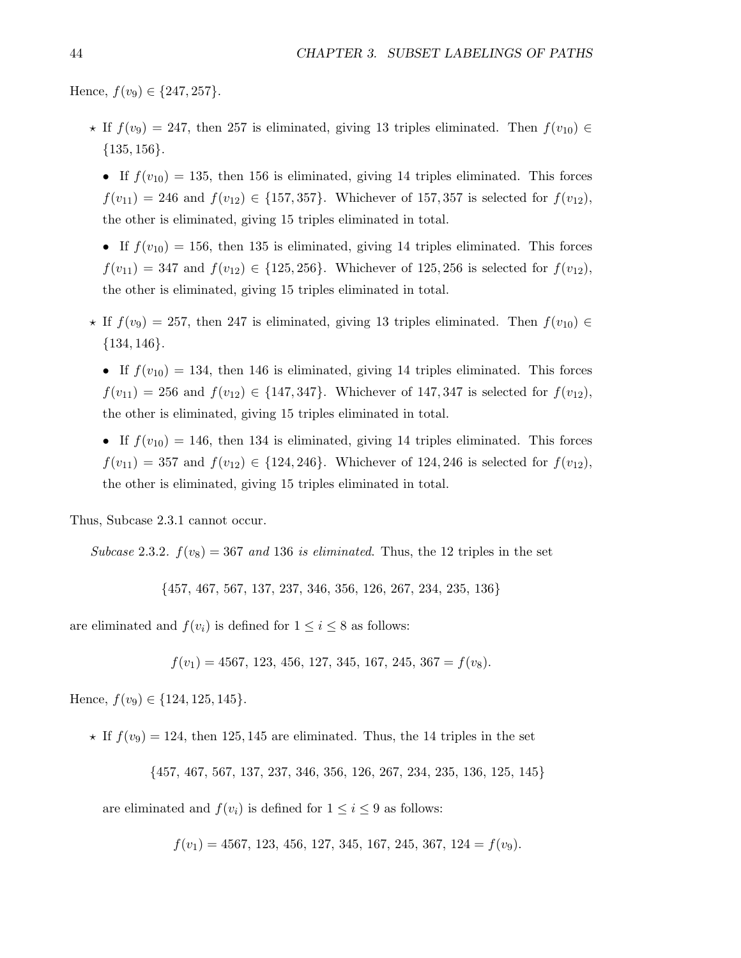Hence,  $f(v_9) \in \{247, 257\}$ .

- $\star$  If  $f(v_9) = 247$ , then 257 is eliminated, giving 13 triples eliminated. Then  $f(v_{10}) \in$  $\{135, 156\}.$ 
	- If  $f(v_{10}) = 135$ , then 156 is eliminated, giving 14 triples eliminated. This forces  $f(v_{11}) = 246$  and  $f(v_{12}) \in \{157, 357\}$ . Whichever of 157, 357 is selected for  $f(v_{12})$ , the other is eliminated, giving 15 triples eliminated in total.
	- If  $f(v_{10}) = 156$ , then 135 is eliminated, giving 14 triples eliminated. This forces  $f(v_{11}) = 347$  and  $f(v_{12}) \in \{125, 256\}$ . Whichever of 125, 256 is selected for  $f(v_{12})$ , the other is eliminated, giving 15 triples eliminated in total.
- $\star$  If  $f(v_9) = 257$ , then 247 is eliminated, giving 13 triples eliminated. Then  $f(v_{10}) \in$ {134, 146}.
	- If  $f(v_{10}) = 134$ , then 146 is eliminated, giving 14 triples eliminated. This forces  $f(v_{11}) = 256$  and  $f(v_{12}) \in \{147, 347\}$ . Whichever of 147, 347 is selected for  $f(v_{12})$ , the other is eliminated, giving 15 triples eliminated in total.
	- If  $f(v_{10}) = 146$ , then 134 is eliminated, giving 14 triples eliminated. This forces  $f(v_{11}) = 357$  and  $f(v_{12}) \in \{124, 246\}$ . Whichever of 124, 246 is selected for  $f(v_{12})$ , the other is eliminated, giving 15 triples eliminated in total.

Thus, Subcase 2.3.1 cannot occur.

Subcase 2.3.2.  $f(v_8) = 367$  and 136 is eliminated. Thus, the 12 triples in the set

{457, 467, 567, 137, 237, 346, 356, 126, 267, 234, 235, 136}

are eliminated and  $f(v_i)$  is defined for  $1 \leq i \leq 8$  as follows:

$$
f(v_1) = 4567, 123, 456, 127, 345, 167, 245, 367 = f(v_8).
$$

Hence,  $f(v_9) \in \{124, 125, 145\}.$ 

 $\star$  If  $f(v_9) = 124$ , then 125, 145 are eliminated. Thus, the 14 triples in the set

{457, 467, 567, 137, 237, 346, 356, 126, 267, 234, 235, 136, 125, 145}

are eliminated and  $f(v_i)$  is defined for  $1 \leq i \leq 9$  as follows:

 $f(v_1) = 4567, 123, 456, 127, 345, 167, 245, 367, 124 = f(v_9).$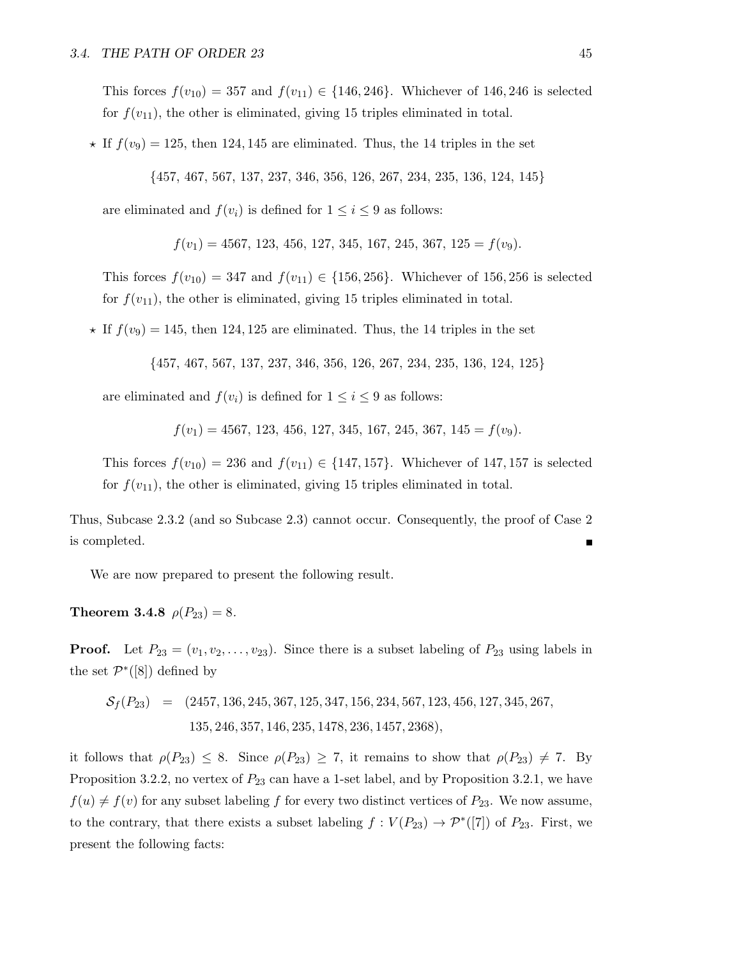This forces  $f(v_{10}) = 357$  and  $f(v_{11}) \in \{146, 246\}$ . Whichever of 146, 246 is selected for  $f(v_{11})$ , the other is eliminated, giving 15 triples eliminated in total.

 $\star$  If  $f(v_9) = 125$ , then 124, 145 are eliminated. Thus, the 14 triples in the set

{457, 467, 567, 137, 237, 346, 356, 126, 267, 234, 235, 136, 124, 145}

are eliminated and  $f(v_i)$  is defined for  $1 \leq i \leq 9$  as follows:

 $f(v_1) = 4567, 123, 456, 127, 345, 167, 245, 367, 125 = f(v_9).$ 

This forces  $f(v_{10}) = 347$  and  $f(v_{11}) \in \{156, 256\}$ . Whichever of 156, 256 is selected for  $f(v_{11})$ , the other is eliminated, giving 15 triples eliminated in total.

 $\star$  If  $f(v_9) = 145$ , then 124, 125 are eliminated. Thus, the 14 triples in the set

{457, 467, 567, 137, 237, 346, 356, 126, 267, 234, 235, 136, 124, 125}

are eliminated and  $f(v_i)$  is defined for  $1 \leq i \leq 9$  as follows:

 $f(v_1) = 4567, 123, 456, 127, 345, 167, 245, 367, 145 = f(v_9).$ 

This forces  $f(v_{10}) = 236$  and  $f(v_{11}) \in \{147, 157\}$ . Whichever of 147, 157 is selected for  $f(v_{11})$ , the other is eliminated, giving 15 triples eliminated in total.

Thus, Subcase 2.3.2 (and so Subcase 2.3) cannot occur. Consequently, the proof of Case 2 is completed.

We are now prepared to present the following result.

Theorem 3.4.8  $\rho(P_{23}) = 8$ .

**Proof.** Let  $P_{23} = (v_1, v_2, \ldots, v_{23})$ . Since there is a subset labeling of  $P_{23}$  using labels in the set  $\mathcal{P}^*([8])$  defined by

$$
S_f(P_{23}) = (2457, 136, 245, 367, 125, 347, 156, 234, 567, 123, 456, 127, 345, 267, 135, 246, 357, 146, 235, 1478, 236, 1457, 2368),
$$

it follows that  $\rho(P_{23}) \leq 8$ . Since  $\rho(P_{23}) \geq 7$ , it remains to show that  $\rho(P_{23}) \neq 7$ . By Proposition 3.2.2, no vertex of  $P_{23}$  can have a 1-set label, and by Proposition 3.2.1, we have  $f(u) \neq f(v)$  for any subset labeling f for every two distinct vertices of  $P_{23}$ . We now assume, to the contrary, that there exists a subset labeling  $f: V(P_{23}) \to \mathcal{P}^*([7])$  of  $P_{23}$ . First, we present the following facts: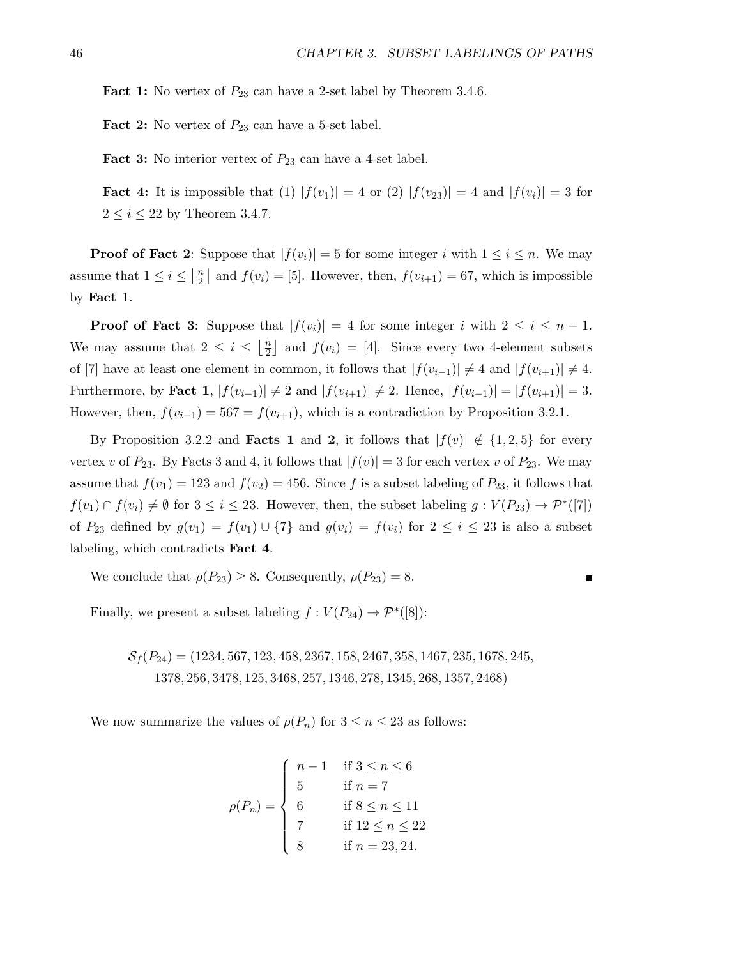**Fact 1:** No vertex of  $P_{23}$  can have a 2-set label by Theorem 3.4.6.

**Fact 2:** No vertex of  $P_{23}$  can have a 5-set label.

**Fact 3:** No interior vertex of  $P_{23}$  can have a 4-set label.

**Fact 4:** It is impossible that (1)  $|f(v_1)| = 4$  or (2)  $|f(v_2)| = 4$  and  $|f(v_i)| = 3$  for  $2 \leq i \leq 22$  by Theorem 3.4.7.

**Proof of Fact 2:** Suppose that  $|f(v_i)| = 5$  for some integer i with  $1 \leq i \leq n$ . We may assume that  $1 \leq i \leq \left\lfloor \frac{n}{2} \right\rfloor$  $\frac{n}{2}$  and  $f(v_i) = [5]$ . However, then,  $f(v_{i+1}) = 67$ , which is impossible by Fact 1.

**Proof of Fact 3:** Suppose that  $|f(v_i)| = 4$  for some integer i with  $2 \le i \le n - 1$ . We may assume that  $2 \leq i \leq \left\lfloor \frac{n}{2} \right\rfloor$  $\frac{n}{2}$  and  $f(v_i) = [4]$ . Since every two 4-element subsets of [7] have at least one element in common, it follows that  $|f(v_{i-1})| \neq 4$  and  $|f(v_{i+1})| \neq 4$ . Furthermore, by Fact 1,  $|f(v_{i-1})| \neq 2$  and  $|f(v_{i+1})| \neq 2$ . Hence,  $|f(v_{i-1})| = |f(v_{i+1})| = 3$ . However, then,  $f(v_{i-1}) = 567 = f(v_{i+1})$ , which is a contradiction by Proposition 3.2.1.

By Proposition 3.2.2 and **Facts 1** and 2, it follows that  $|f(v)| \notin \{1,2,5\}$  for every vertex v of  $P_{23}$ . By Facts 3 and 4, it follows that  $|f(v)| = 3$  for each vertex v of  $P_{23}$ . We may assume that  $f(v_1) = 123$  and  $f(v_2) = 456$ . Since f is a subset labeling of  $P_{23}$ , it follows that  $f(v_1) \cap f(v_i) \neq \emptyset$  for  $3 \leq i \leq 23$ . However, then, the subset labeling  $g: V(P_{23}) \to \mathcal{P}^*([7])$ of  $P_{23}$  defined by  $g(v_1) = f(v_1) \cup \{7\}$  and  $g(v_i) = f(v_i)$  for  $2 \leq i \leq 23$  is also a subset labeling, which contradicts Fact 4.

We conclude that  $\rho(P_{23}) \geq 8$ . Consequently,  $\rho(P_{23}) = 8$ .

П

Finally, we present a subset labeling  $f : V(P_{24}) \to \mathcal{P}^*([8])$ :

 $S_f(P_{24}) = (1234, 567, 123, 458, 2367, 158, 2467, 358, 1467, 235, 1678, 245,$ 1378, 256, 3478, 125, 3468, 257, 1346, 278, 1345, 268, 1357, 2468)

We now summarize the values of  $\rho(P_n)$  for  $3 \leq n \leq 23$  as follows:

$$
\rho(P_n) = \begin{cases}\n n - 1 & \text{if } 3 \le n \le 6 \\
 5 & \text{if } n = 7 \\
 6 & \text{if } 8 \le n \le 11 \\
 7 & \text{if } 12 \le n \le 22 \\
 8 & \text{if } n = 23, 24.\n\end{cases}
$$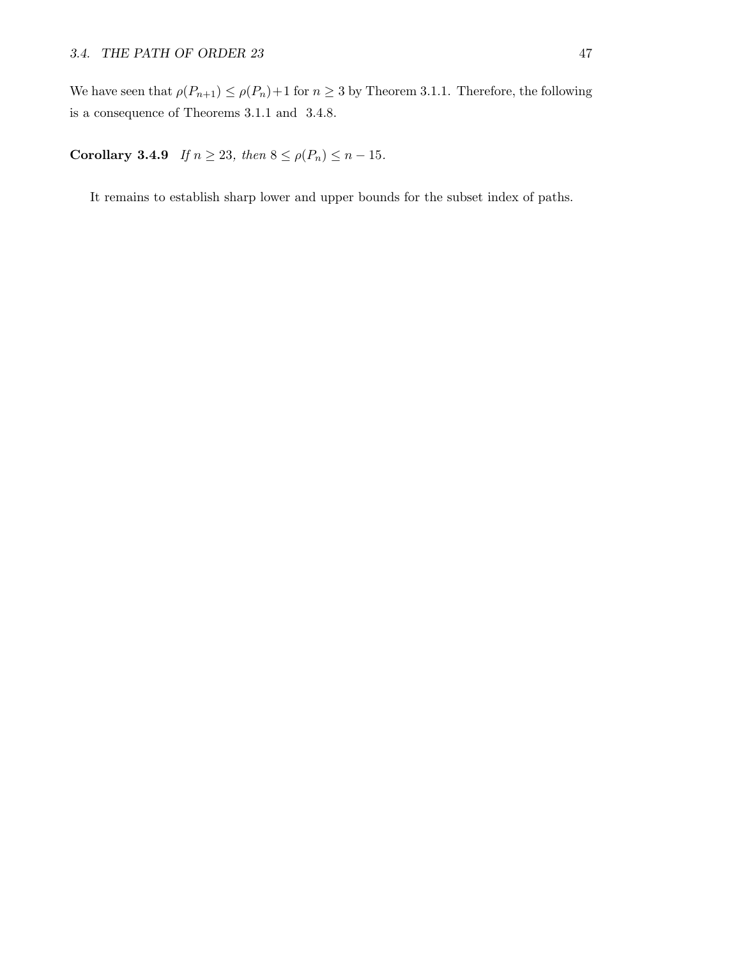We have seen that  $\rho(P_{n+1}) \leq \rho(P_n) + 1$  for  $n \geq 3$  by Theorem 3.1.1. Therefore, the following is a consequence of Theorems 3.1.1 and 3.4.8.

Corollary 3.4.9 If  $n \ge 23$ , then  $8 \le \rho(P_n) \le n - 15$ .

It remains to establish sharp lower and upper bounds for the subset index of paths.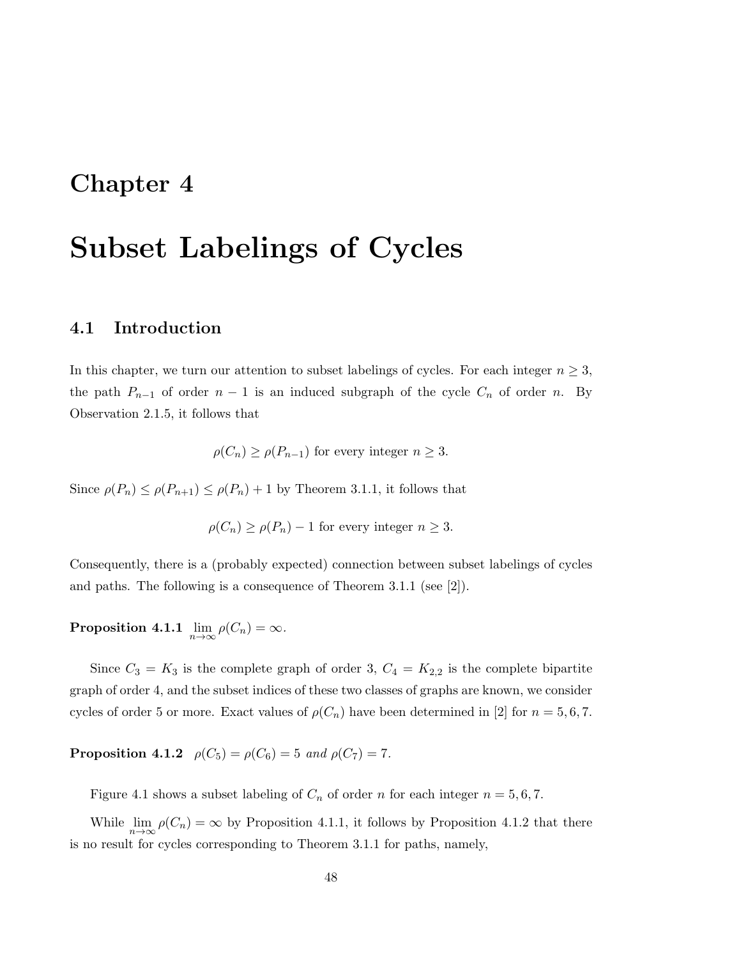# Chapter 4

# Subset Labelings of Cycles

### 4.1 Introduction

In this chapter, we turn our attention to subset labelings of cycles. For each integer  $n \geq 3$ , the path  $P_{n-1}$  of order  $n-1$  is an induced subgraph of the cycle  $C_n$  of order n. By Observation 2.1.5, it follows that

$$
\rho(C_n) \ge \rho(P_{n-1})
$$
 for every integer  $n \ge 3$ .

Since  $\rho(P_n) \leq \rho(P_{n+1}) \leq \rho(P_n) + 1$  by Theorem 3.1.1, it follows that

$$
\rho(C_n) \ge \rho(P_n) - 1
$$
 for every integer  $n \ge 3$ .

Consequently, there is a (probably expected) connection between subset labelings of cycles and paths. The following is a consequence of Theorem 3.1.1 (see [2]).

 $\textbf{Proposition 4.1.1} \lim_{n \to \infty} \rho(C_n) = \infty.$ 

Since  $C_3 = K_3$  is the complete graph of order 3,  $C_4 = K_{2,2}$  is the complete bipartite graph of order 4, and the subset indices of these two classes of graphs are known, we consider cycles of order 5 or more. Exact values of  $\rho(C_n)$  have been determined in [2] for  $n = 5, 6, 7$ .

**Proposition 4.1.2**  $\rho(C_5) = \rho(C_6) = 5$  and  $\rho(C_7) = 7$ .

Figure 4.1 shows a subset labeling of  $C_n$  of order n for each integer  $n = 5, 6, 7$ .

While  $\lim_{n\to\infty} \rho(C_n) = \infty$  by Proposition 4.1.1, it follows by Proposition 4.1.2 that there is no result for cycles corresponding to Theorem 3.1.1 for paths, namely,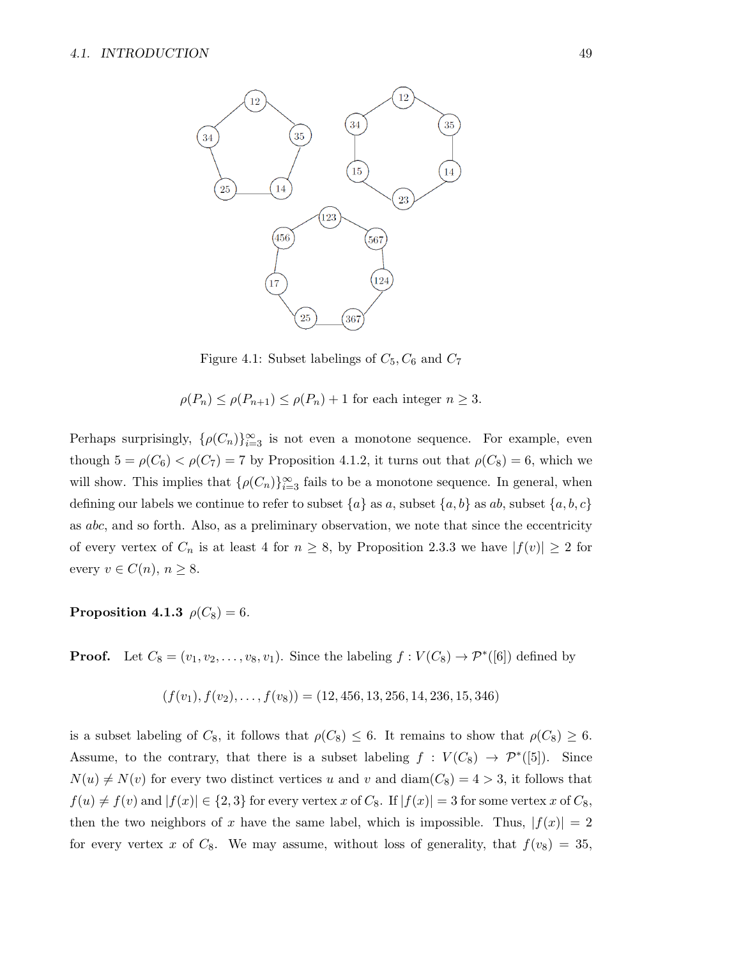

Figure 4.1: Subset labelings of  $C_5$ ,  $C_6$  and  $C_7$ 

$$
\rho(P_n) \le \rho(P_{n+1}) \le \rho(P_n) + 1
$$
 for each integer  $n \ge 3$ .

Perhaps surprisingly,  $\{\rho(C_n)\}_{i=3}^{\infty}$  is not even a monotone sequence. For example, even though  $5 = \rho(C_6) < \rho(C_7) = 7$  by Proposition 4.1.2, it turns out that  $\rho(C_8) = 6$ , which we will show. This implies that  $\{\rho(C_n)\}_{i=3}^{\infty}$  fails to be a monotone sequence. In general, when defining our labels we continue to refer to subset  $\{a\}$  as a, subset  $\{a, b\}$  as ab, subset  $\{a, b, c\}$ as abc, and so forth. Also, as a preliminary observation, we note that since the eccentricity of every vertex of  $C_n$  is at least 4 for  $n \geq 8$ , by Proposition 2.3.3 we have  $|f(v)| \geq 2$  for every  $v \in C(n)$ ,  $n \geq 8$ .

Proposition 4.1.3  $\rho(C_8) = 6$ .

**Proof.** Let  $C_8 = (v_1, v_2, \dots, v_8, v_1)$ . Since the labeling  $f: V(C_8) \to \mathcal{P}^*([6])$  defined by

$$
(f(v_1), f(v_2), \ldots, f(v_8)) = (12, 456, 13, 256, 14, 236, 15, 346)
$$

is a subset labeling of  $C_8$ , it follows that  $\rho(C_8) \leq 6$ . It remains to show that  $\rho(C_8) \geq 6$ . Assume, to the contrary, that there is a subset labeling  $f : V(C_8) \to \mathcal{P}^*([5])$ . Since  $N(u) \neq N(v)$  for every two distinct vertices u and v and diam( $C_8$ ) = 4 > 3, it follows that  $f(u) \neq f(v)$  and  $|f(x)| \in \{2,3\}$  for every vertex x of  $C_8$ . If  $|f(x)| = 3$  for some vertex x of  $C_8$ , then the two neighbors of x have the same label, which is impossible. Thus,  $|f(x)| = 2$ for every vertex x of  $C_8$ . We may assume, without loss of generality, that  $f(v_8) = 35$ ,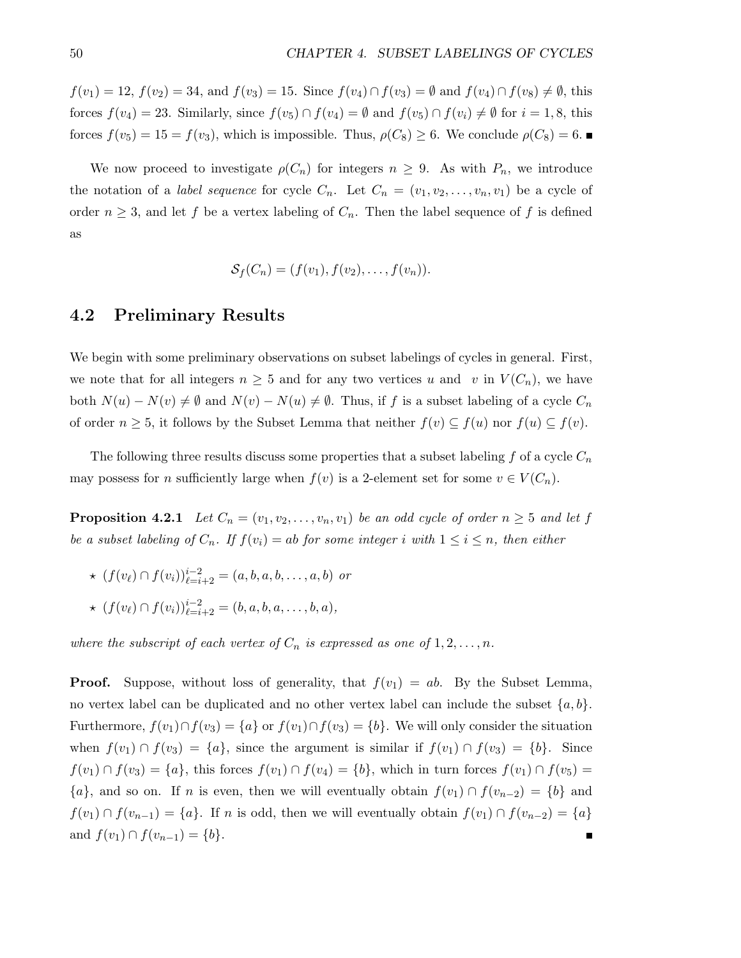$f(v_1) = 12, f(v_2) = 34, \text{ and } f(v_3) = 15. \text{ Since } f(v_4) \cap f(v_3) = \emptyset \text{ and } f(v_4) \cap f(v_8) \neq \emptyset, \text{ this}$ forces  $f(v_4) = 23$ . Similarly, since  $f(v_5) \cap f(v_4) = \emptyset$  and  $f(v_5) \cap f(v_4) \neq \emptyset$  for  $i = 1, 8$ , this forces  $f(v_5) = 15 = f(v_3)$ , which is impossible. Thus,  $\rho(C_8) \geq 6$ . We conclude  $\rho(C_8) = 6$ .

We now proceed to investigate  $\rho(C_n)$  for integers  $n \geq 9$ . As with  $P_n$ , we introduce the notation of a *label sequence* for cycle  $C_n$ . Let  $C_n = (v_1, v_2, \ldots, v_n, v_1)$  be a cycle of order  $n \geq 3$ , and let f be a vertex labeling of  $C_n$ . Then the label sequence of f is defined as

$$
\mathcal{S}_f(C_n)=(f(v_1),f(v_2),\ldots,f(v_n)).
$$

#### 4.2 Preliminary Results

We begin with some preliminary observations on subset labelings of cycles in general. First, we note that for all integers  $n \geq 5$  and for any two vertices u and v in  $V(C_n)$ , we have both  $N(u) - N(v) \neq \emptyset$  and  $N(v) - N(u) \neq \emptyset$ . Thus, if f is a subset labeling of a cycle  $C_n$ of order  $n \geq 5$ , it follows by the Subset Lemma that neither  $f(v) \subseteq f(u)$  nor  $f(u) \subseteq f(v)$ .

The following three results discuss some properties that a subset labeling f of a cycle  $C_n$ may possess for *n* sufficiently large when  $f(v)$  is a 2-element set for some  $v \in V(C_n)$ .

**Proposition 4.2.1** Let  $C_n = (v_1, v_2, \ldots, v_n, v_1)$  be an odd cycle of order  $n \geq 5$  and let f be a subset labeling of  $C_n$ . If  $f(v_i) = ab$  for some integer i with  $1 \leq i \leq n$ , then either

- $\star$   $(f(v_\ell) \cap f(v_i))_{\ell=i+2}^{i-2} = (a, b, a, b, \dots, a, b)$  or
- $\star$  (f(v<sub>l</sub>) ∩ f(v<sub>i</sub>))<sup>i-2</sup><sub>l=i+2</sub> = (b, a, b, a, . . . , b, a),

where the subscript of each vertex of  $C_n$  is expressed as one of  $1, 2, \ldots, n$ .

**Proof.** Suppose, without loss of generality, that  $f(v_1) = ab$ . By the Subset Lemma, no vertex label can be duplicated and no other vertex label can include the subset  $\{a, b\}$ . Furthermore,  $f(v_1) \cap f(v_3) = \{a\}$  or  $f(v_1) \cap f(v_3) = \{b\}$ . We will only consider the situation when  $f(v_1) \cap f(v_3) = \{a\}$ , since the argument is similar if  $f(v_1) \cap f(v_3) = \{b\}$ . Since  $f(v_1) \cap f(v_3) = \{a\}$ , this forces  $f(v_1) \cap f(v_4) = \{b\}$ , which in turn forces  $f(v_1) \cap f(v_5) =$  ${a}$ , and so on. If *n* is even, then we will eventually obtain  $f(v_1) \cap f(v_{n-2}) = {b}$  and  $f(v_1) \cap f(v_{n-1}) = \{a\}.$  If n is odd, then we will eventually obtain  $f(v_1) \cap f(v_{n-2}) = \{a\}$ and  $f(v_1) \cap f(v_{n-1}) = \{b\}.$ П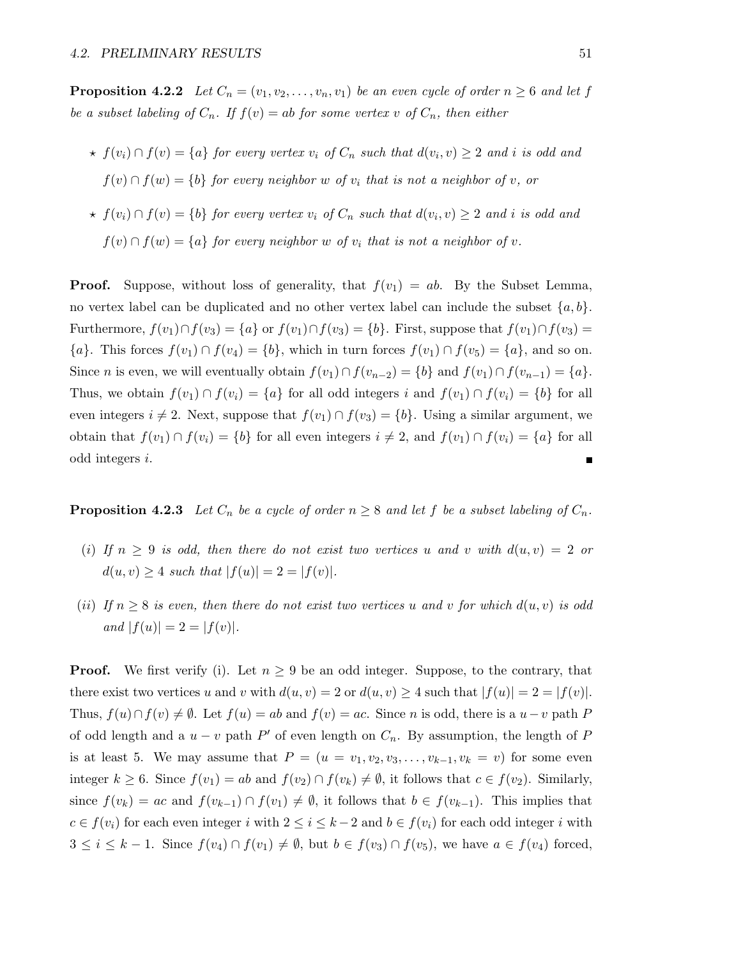**Proposition 4.2.2** Let  $C_n = (v_1, v_2, \ldots, v_n, v_1)$  be an even cycle of order  $n \geq 6$  and let f be a subset labeling of  $C_n$ . If  $f(v) = ab$  for some vertex v of  $C_n$ , then either

- $\star$   $f(v_i) \cap f(v) = \{a\}$  for every vertex  $v_i$  of  $C_n$  such that  $d(v_i, v) \geq 2$  and i is odd and  $f(v) \cap f(w) = \{b\}$  for every neighbor w of  $v_i$  that is not a neighbor of v, or
- $\star$   $f(v_i) \cap f(v) = \{b\}$  for every vertex  $v_i$  of  $C_n$  such that  $d(v_i, v) \geq 2$  and i is odd and  $f(v) \cap f(w) = \{a\}$  for every neighbor w of  $v_i$  that is not a neighbor of v.

**Proof.** Suppose, without loss of generality, that  $f(v_1) = ab$ . By the Subset Lemma, no vertex label can be duplicated and no other vertex label can include the subset  $\{a, b\}$ . Furthermore,  $f(v_1) \cap f(v_3) = \{a\}$  or  $f(v_1) \cap f(v_3) = \{b\}$ . First, suppose that  $f(v_1) \cap f(v_3) =$  ${a}.$  This forces  $f(v_1) \cap f(v_4) = {b}$ , which in turn forces  $f(v_1) \cap f(v_5) = {a}$ , and so on. Since *n* is even, we will eventually obtain  $f(v_1) \cap f(v_{n-2}) = \{b\}$  and  $f(v_1) \cap f(v_{n-1}) = \{a\}.$ Thus, we obtain  $f(v_1) \cap f(v_i) = \{a\}$  for all odd integers i and  $f(v_1) \cap f(v_i) = \{b\}$  for all even integers  $i \neq 2$ . Next, suppose that  $f(v_1) \cap f(v_3) = \{b\}$ . Using a similar argument, we obtain that  $f(v_1) \cap f(v_i) = \{b\}$  for all even integers  $i \neq 2$ , and  $f(v_1) \cap f(v_i) = \{a\}$  for all odd integers i. П

**Proposition 4.2.3** Let  $C_n$  be a cycle of order  $n \geq 8$  and let f be a subset labeling of  $C_n$ .

- (i) If  $n \geq 9$  is odd, then there do not exist two vertices u and v with  $d(u, v) = 2$  or  $d(u, v) \geq 4$  such that  $|f(u)| = 2 = |f(v)|$ .
- (ii) If  $n \geq 8$  is even, then there do not exist two vertices u and v for which  $d(u, v)$  is odd and  $|f(u)| = 2 = |f(v)|$ .

**Proof.** We first verify (i). Let  $n \geq 9$  be an odd integer. Suppose, to the contrary, that there exist two vertices u and v with  $d(u, v) = 2$  or  $d(u, v) \ge 4$  such that  $|f(u)| = 2 = |f(v)|$ . Thus,  $f(u) \cap f(v) \neq \emptyset$ . Let  $f(u) = ab$  and  $f(v) = ac$ . Since n is odd, there is a  $u-v$  path P of odd length and a  $u - v$  path P' of even length on  $C_n$ . By assumption, the length of P is at least 5. We may assume that  $P = (u = v_1, v_2, v_3, \dots, v_{k-1}, v_k = v)$  for some even integer  $k \geq 6$ . Since  $f(v_1) = ab$  and  $f(v_2) \cap f(v_k) \neq \emptyset$ , it follows that  $c \in f(v_2)$ . Similarly, since  $f(v_k) = ac$  and  $f(v_{k-1}) \cap f(v_1) \neq \emptyset$ , it follows that  $b \in f(v_{k-1})$ . This implies that  $c \in f(v_i)$  for each even integer i with  $2 \leq i \leq k-2$  and  $b \in f(v_i)$  for each odd integer i with  $3 \leq i \leq k-1$ . Since  $f(v_4) \cap f(v_1) \neq \emptyset$ , but  $b \in f(v_3) \cap f(v_5)$ , we have  $a \in f(v_4)$  forced,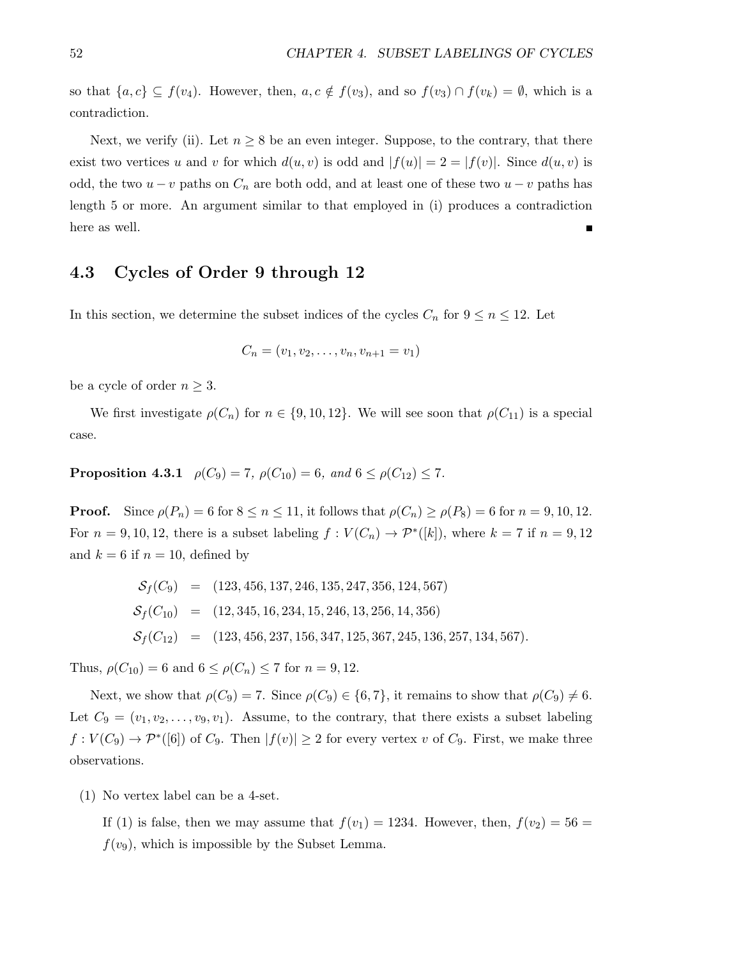so that  $\{a, c\} \subseteq f(v_4)$ . However, then,  $a, c \notin f(v_3)$ , and so  $f(v_3) \cap f(v_k) = \emptyset$ , which is a contradiction.

Next, we verify (ii). Let  $n \geq 8$  be an even integer. Suppose, to the contrary, that there exist two vertices u and v for which  $d(u, v)$  is odd and  $|f(u)| = 2 = |f(v)|$ . Since  $d(u, v)$  is odd, the two  $u - v$  paths on  $C_n$  are both odd, and at least one of these two  $u - v$  paths has length 5 or more. An argument similar to that employed in (i) produces a contradiction here as well. Ē

#### 4.3 Cycles of Order 9 through 12

In this section, we determine the subset indices of the cycles  $C_n$  for  $9 \leq n \leq 12$ . Let

$$
C_n = (v_1, v_2, \dots, v_n, v_{n+1} = v_1)
$$

be a cycle of order  $n \geq 3$ .

We first investigate  $\rho(C_n)$  for  $n \in \{9, 10, 12\}$ . We will see soon that  $\rho(C_{11})$  is a special case.

## **Proposition 4.3.1**  $\rho(C_9) = 7$ ,  $\rho(C_{10}) = 6$ , and  $6 \leq \rho(C_{12}) \leq 7$ .

**Proof.** Since  $\rho(P_n) = 6$  for  $8 \le n \le 11$ , it follows that  $\rho(C_n) \ge \rho(P_8) = 6$  for  $n = 9, 10, 12$ . For  $n = 9, 10, 12$ , there is a subset labeling  $f: V(C_n) \to \mathcal{P}^*([k])$ , where  $k = 7$  if  $n = 9, 12$ and  $k = 6$  if  $n = 10$ , defined by

$$
S_f(C_9) = (123, 456, 137, 246, 135, 247, 356, 124, 567)
$$
  
\n
$$
S_f(C_{10}) = (12, 345, 16, 234, 15, 246, 13, 256, 14, 356)
$$
  
\n
$$
S_f(C_{12}) = (123, 456, 237, 156, 347, 125, 367, 245, 136, 257, 134, 567).
$$

Thus,  $\rho(C_{10}) = 6$  and  $6 \leq \rho(C_n) \leq 7$  for  $n = 9, 12$ .

Next, we show that  $\rho(C_9) = 7$ . Since  $\rho(C_9) \in \{6, 7\}$ , it remains to show that  $\rho(C_9) \neq 6$ . Let  $C_9 = (v_1, v_2, \ldots, v_9, v_1)$ . Assume, to the contrary, that there exists a subset labeling  $f: V(C_9) \to \mathcal{P}^*([6])$  of  $C_9$ . Then  $|f(v)| \geq 2$  for every vertex v of  $C_9$ . First, we make three observations.

(1) No vertex label can be a 4-set.

If (1) is false, then we may assume that  $f(v_1) = 1234$ . However, then,  $f(v_2) = 56$  $f(v_9)$ , which is impossible by the Subset Lemma.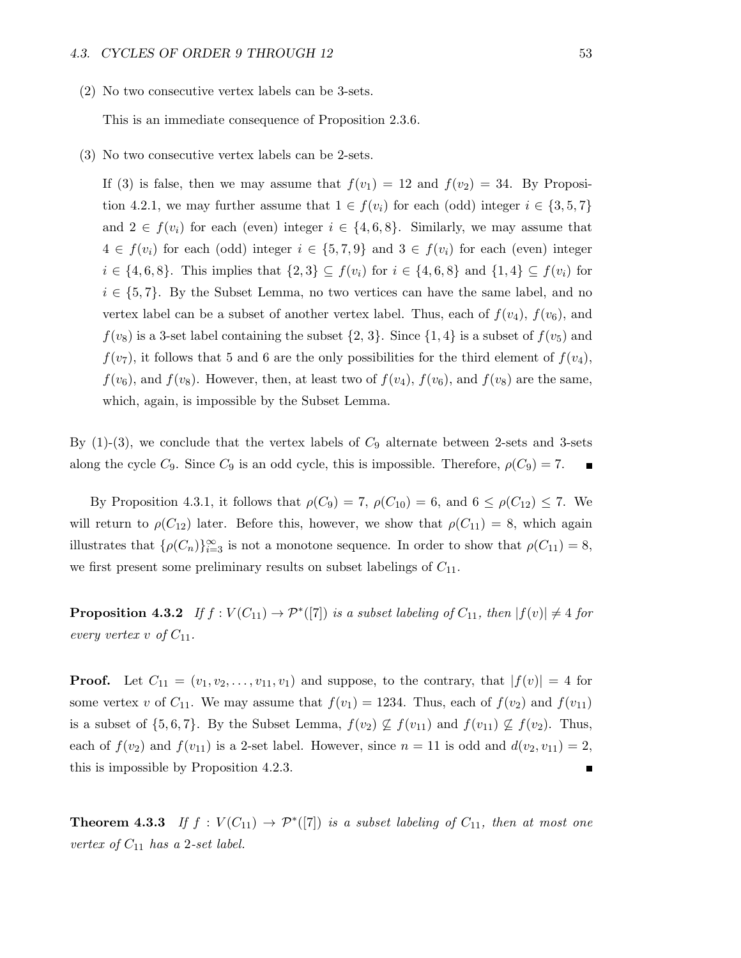(2) No two consecutive vertex labels can be 3-sets.

This is an immediate consequence of Proposition 2.3.6.

(3) No two consecutive vertex labels can be 2-sets.

If (3) is false, then we may assume that  $f(v_1) = 12$  and  $f(v_2) = 34$ . By Proposition 4.2.1, we may further assume that  $1 \in f(v_i)$  for each (odd) integer  $i \in \{3, 5, 7\}$ and  $2 \in f(v_i)$  for each (even) integer  $i \in \{4,6,8\}$ . Similarly, we may assume that  $4 \in f(v_i)$  for each (odd) integer  $i \in \{5, 7, 9\}$  and  $3 \in f(v_i)$  for each (even) integer  $i \in \{4, 6, 8\}$ . This implies that  $\{2, 3\} \subseteq f(v_i)$  for  $i \in \{4, 6, 8\}$  and  $\{1, 4\} \subseteq f(v_i)$  for  $i \in \{5, 7\}$ . By the Subset Lemma, no two vertices can have the same label, and no vertex label can be a subset of another vertex label. Thus, each of  $f(v_4)$ ,  $f(v_6)$ , and  $f(v_8)$  is a 3-set label containing the subset  $\{2, 3\}$ . Since  $\{1, 4\}$  is a subset of  $f(v_5)$  and  $f(v_7)$ , it follows that 5 and 6 are the only possibilities for the third element of  $f(v_4)$ ,  $f(v_6)$ , and  $f(v_8)$ . However, then, at least two of  $f(v_4)$ ,  $f(v_6)$ , and  $f(v_8)$  are the same, which, again, is impossible by the Subset Lemma.

By  $(1)-(3)$ , we conclude that the vertex labels of  $C_9$  alternate between 2-sets and 3-sets along the cycle  $C_9$ . Since  $C_9$  is an odd cycle, this is impossible. Therefore,  $\rho(C_9) = 7$ .

By Proposition 4.3.1, it follows that  $\rho(C_9) = 7$ ,  $\rho(C_{10}) = 6$ , and  $6 \leq \rho(C_{12}) \leq 7$ . We will return to  $\rho(C_{12})$  later. Before this, however, we show that  $\rho(C_{11}) = 8$ , which again illustrates that  $\{\rho(C_n)\}_{i=3}^{\infty}$  is not a monotone sequence. In order to show that  $\rho(C_{11}) = 8$ , we first present some preliminary results on subset labelings of  $C_{11}$ .

**Proposition 4.3.2** If  $f: V(C_{11}) \to \mathcal{P}^*([7])$  is a subset labeling of  $C_{11}$ , then  $|f(v)| \neq 4$  for every vertex v of  $C_{11}$ .

**Proof.** Let  $C_{11} = (v_1, v_2, \ldots, v_{11}, v_1)$  and suppose, to the contrary, that  $|f(v)| = 4$  for some vertex v of  $C_{11}$ . We may assume that  $f(v_1) = 1234$ . Thus, each of  $f(v_2)$  and  $f(v_{11})$ is a subset of  $\{5,6,7\}$ . By the Subset Lemma,  $f(v_2) \nsubseteq f(v_{11})$  and  $f(v_1) \nsubseteq f(v_2)$ . Thus, each of  $f(v_2)$  and  $f(v_{11})$  is a 2-set label. However, since  $n = 11$  is odd and  $d(v_2, v_{11}) = 2$ , this is impossible by Proposition 4.2.3. п

**Theorem 4.3.3** If  $f: V(C_{11}) \rightarrow \mathcal{P}^*([7])$  is a subset labeling of  $C_{11}$ , then at most one vertex of  $C_{11}$  has a 2-set label.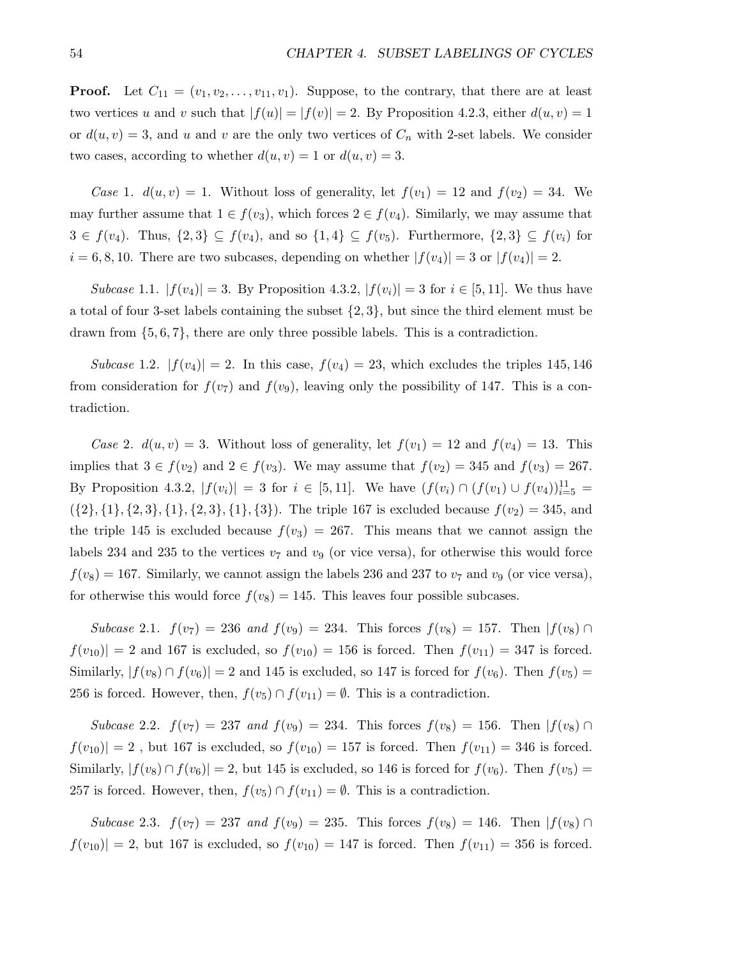**Proof.** Let  $C_{11} = (v_1, v_2, \ldots, v_{11}, v_1)$ . Suppose, to the contrary, that there are at least two vertices u and v such that  $|f(u)| = |f(v)| = 2$ . By Proposition 4.2.3, either  $d(u, v) = 1$ or  $d(u, v) = 3$ , and u and v are the only two vertices of  $C_n$  with 2-set labels. We consider two cases, according to whether  $d(u, v) = 1$  or  $d(u, v) = 3$ .

Case 1.  $d(u, v) = 1$ . Without loss of generality, let  $f(v_1) = 12$  and  $f(v_2) = 34$ . We may further assume that  $1 \in f(v_3)$ , which forces  $2 \in f(v_4)$ . Similarly, we may assume that  $3 \in f(v_4)$ . Thus,  $\{2,3\} \subseteq f(v_4)$ , and so  $\{1,4\} \subseteq f(v_5)$ . Furthermore,  $\{2,3\} \subseteq f(v_i)$  for  $i = 6, 8, 10$ . There are two subcases, depending on whether  $|f(v_4)| = 3$  or  $|f(v_4)| = 2$ .

*Subcase* 1.1.  $|f(v_4)| = 3$ . By Proposition 4.3.2,  $|f(v_i)| = 3$  for  $i \in [5, 11]$ . We thus have a total of four 3-set labels containing the subset  $\{2,3\}$ , but since the third element must be drawn from  $\{5, 6, 7\}$ , there are only three possible labels. This is a contradiction.

Subcase 1.2.  $|f(v_4)| = 2$ . In this case,  $f(v_4) = 23$ , which excludes the triples 145, 146 from consideration for  $f(v_7)$  and  $f(v_9)$ , leaving only the possibility of 147. This is a contradiction.

Case 2.  $d(u, v) = 3$ . Without loss of generality, let  $f(v_1) = 12$  and  $f(v_4) = 13$ . This implies that  $3 \in f(v_2)$  and  $2 \in f(v_3)$ . We may assume that  $f(v_2) = 345$  and  $f(v_3) = 267$ . By Proposition 4.3.2,  $|f(v_i)| = 3$  for  $i \in [5, 11]$ . We have  $(f(v_i) \cap (f(v_1) \cup f(v_4))_{i=5}^{11} =$  $({2}, {1}, {2}, {3}, {1}, {2}, {3}, {1}, {3})$ . The triple 167 is excluded because  $f(v_2) = 345$ , and the triple 145 is excluded because  $f(v_3) = 267$ . This means that we cannot assign the labels 234 and 235 to the vertices  $v_7$  and  $v_9$  (or vice versa), for otherwise this would force  $f(v_8) = 167$ . Similarly, we cannot assign the labels 236 and 237 to  $v_7$  and  $v_9$  (or vice versa), for otherwise this would force  $f(v_8) = 145$ . This leaves four possible subcases.

Subcase 2.1.  $f(v_7) = 236$  and  $f(v_9) = 234$ . This forces  $f(v_8) = 157$ . Then  $|f(v_8) \cap$  $|f(v_{10})| = 2$  and 167 is excluded, so  $f(v_{10}) = 156$  is forced. Then  $f(v_{11}) = 347$  is forced. Similarly,  $|f(v_8) \cap f(v_6)| = 2$  and 145 is excluded, so 147 is forced for  $f(v_6)$ . Then  $f(v_5) =$ 256 is forced. However, then,  $f(v_5) \cap f(v_{11}) = \emptyset$ . This is a contradiction.

Subcase 2.2.  $f(v_7) = 237$  and  $f(v_9) = 234$ . This forces  $f(v_8) = 156$ . Then  $|f(v_8) \cap$  $|f(v_{10})| = 2$ , but 167 is excluded, so  $f(v_{10}) = 157$  is forced. Then  $f(v_{11}) = 346$  is forced. Similarly,  $|f(v_8) \cap f(v_6)| = 2$ , but 145 is excluded, so 146 is forced for  $f(v_6)$ . Then  $f(v_5) =$ 257 is forced. However, then,  $f(v_5) \cap f(v_{11}) = \emptyset$ . This is a contradiction.

Subcase 2.3.  $f(v_7) = 237$  and  $f(v_9) = 235$ . This forces  $f(v_8) = 146$ . Then  $|f(v_8) \cap$  $|f(v_{10})| = 2$ , but 167 is excluded, so  $f(v_{10}) = 147$  is forced. Then  $f(v_{11}) = 356$  is forced.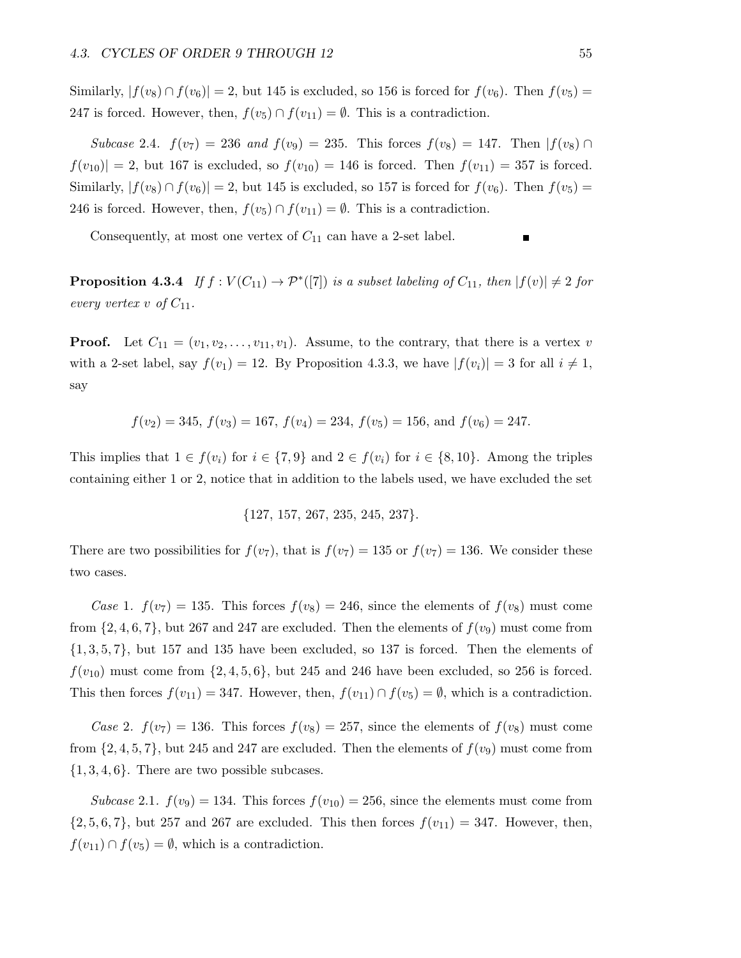Similarly,  $|f(v_8) \cap f(v_6)| = 2$ , but 145 is excluded, so 156 is forced for  $f(v_6)$ . Then  $f(v_5) =$ 247 is forced. However, then,  $f(v_5) \cap f(v_{11}) = \emptyset$ . This is a contradiction.

Subcase 2.4.  $f(v_7) = 236$  and  $f(v_9) = 235$ . This forces  $f(v_8) = 147$ . Then  $|f(v_8) \cap$  $|f(v_{10})| = 2$ , but 167 is excluded, so  $f(v_{10}) = 146$  is forced. Then  $f(v_{11}) = 357$  is forced. Similarly,  $|f(v_8) \cap f(v_6)| = 2$ , but 145 is excluded, so 157 is forced for  $f(v_6)$ . Then  $f(v_5) =$ 246 is forced. However, then,  $f(v_5) \cap f(v_{11}) = \emptyset$ . This is a contradiction.

Consequently, at most one vertex of  $C_{11}$  can have a 2-set label.

**Proposition 4.3.4** If  $f: V(C_{11}) \to \mathcal{P}^*([7])$  is a subset labeling of  $C_{11}$ , then  $|f(v)| \neq 2$  for every vertex v of  $C_{11}$ .

**Proof.** Let  $C_{11} = (v_1, v_2, \ldots, v_{11}, v_1)$ . Assume, to the contrary, that there is a vertex v with a 2-set label, say  $f(v_1) = 12$ . By Proposition 4.3.3, we have  $|f(v_i)| = 3$  for all  $i \neq 1$ , say

$$
f(v_2) = 345
$$
,  $f(v_3) = 167$ ,  $f(v_4) = 234$ ,  $f(v_5) = 156$ , and  $f(v_6) = 247$ .

This implies that  $1 \in f(v_i)$  for  $i \in \{7,9\}$  and  $2 \in f(v_i)$  for  $i \in \{8,10\}$ . Among the triples containing either 1 or 2, notice that in addition to the labels used, we have excluded the set

$$
\{127, 157, 267, 235, 245, 237\}.
$$

There are two possibilities for  $f(v_7)$ , that is  $f(v_7) = 135$  or  $f(v_7) = 136$ . We consider these two cases.

Case 1.  $f(v_7) = 135$ . This forces  $f(v_8) = 246$ , since the elements of  $f(v_8)$  must come from  $\{2, 4, 6, 7\}$ , but 267 and 247 are excluded. Then the elements of  $f(v_9)$  must come from  $\{1,3,5,7\}$ , but 157 and 135 have been excluded, so 137 is forced. Then the elements of  $f(v_{10})$  must come from  $\{2, 4, 5, 6\}$ , but 245 and 246 have been excluded, so 256 is forced. This then forces  $f(v_{11}) = 347$ . However, then,  $f(v_{11}) \cap f(v_5) = \emptyset$ , which is a contradiction.

Case 2.  $f(v_7) = 136$ . This forces  $f(v_8) = 257$ , since the elements of  $f(v_8)$  must come from  $\{2, 4, 5, 7\}$ , but 245 and 247 are excluded. Then the elements of  $f(v_9)$  must come from  $\{1, 3, 4, 6\}$ . There are two possible subcases.

Subcase 2.1.  $f(v_9) = 134$ . This forces  $f(v_{10}) = 256$ , since the elements must come from  $\{2, 5, 6, 7\}$ , but 257 and 267 are excluded. This then forces  $f(v_{11}) = 347$ . However, then,  $f(v_{11}) \cap f(v_5) = \emptyset$ , which is a contradiction.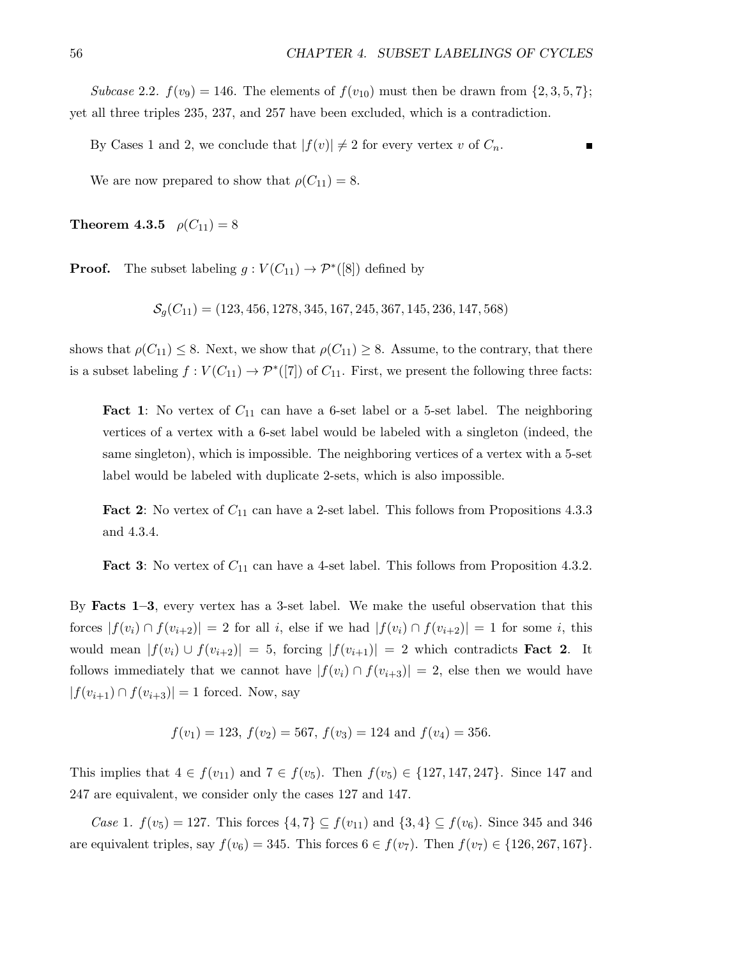Subcase 2.2.  $f(v_9) = 146$ . The elements of  $f(v_{10})$  must then be drawn from  $\{2,3,5,7\}$ ; yet all three triples 235, 237, and 257 have been excluded, which is a contradiction.

By Cases 1 and 2, we conclude that  $|f(v)| \neq 2$  for every vertex v of  $C_n$ .

We are now prepared to show that  $\rho(C_{11}) = 8$ .

**Theorem 4.3.5**  $\rho(C_{11}) = 8$ 

**Proof.** The subset labeling  $g: V(C_{11}) \to \mathcal{P}^*([8])$  defined by

 $S<sub>a</sub>(C<sub>11</sub>) = (123, 456, 1278, 345, 167, 245, 367, 145, 236, 147, 568)$ 

shows that  $\rho(C_{11}) \leq 8$ . Next, we show that  $\rho(C_{11}) \geq 8$ . Assume, to the contrary, that there is a subset labeling  $f: V(C_{11}) \to \mathcal{P}^*([7])$  of  $C_{11}$ . First, we present the following three facts:

**Fact 1:** No vertex of  $C_{11}$  can have a 6-set label or a 5-set label. The neighboring vertices of a vertex with a 6-set label would be labeled with a singleton (indeed, the same singleton), which is impossible. The neighboring vertices of a vertex with a 5-set label would be labeled with duplicate 2-sets, which is also impossible.

**Fact 2:** No vertex of  $C_{11}$  can have a 2-set label. This follows from Propositions 4.3.3 and 4.3.4.

**Fact 3:** No vertex of  $C_{11}$  can have a 4-set label. This follows from Proposition 4.3.2.

By Facts 1–3, every vertex has a 3-set label. We make the useful observation that this forces  $|f(v_i) \cap f(v_{i+2})| = 2$  for all i, else if we had  $|f(v_i) \cap f(v_{i+2})| = 1$  for some i, this would mean  $|f(v_i) \cup f(v_{i+2})| = 5$ , forcing  $|f(v_{i+1})| = 2$  which contradicts **Fact 2.** It follows immediately that we cannot have  $|f(v_i) \cap f(v_{i+3})| = 2$ , else then we would have  $|f(v_{i+1}) \cap f(v_{i+3})| = 1$  forced. Now, say

$$
f(v_1) = 123
$$
,  $f(v_2) = 567$ ,  $f(v_3) = 124$  and  $f(v_4) = 356$ .

This implies that  $4 \in f(v_{11})$  and  $7 \in f(v_5)$ . Then  $f(v_5) \in \{127, 147, 247\}$ . Since 147 and 247 are equivalent, we consider only the cases 127 and 147.

*Case* 1.  $f(v_5) = 127$ . This forces  $\{4, 7\} \subseteq f(v_{11})$  and  $\{3, 4\} \subseteq f(v_6)$ . Since 345 and 346 are equivalent triples, say  $f(v_6) = 345$ . This forces  $6 \in f(v_7)$ . Then  $f(v_7) \in \{126, 267, 167\}$ .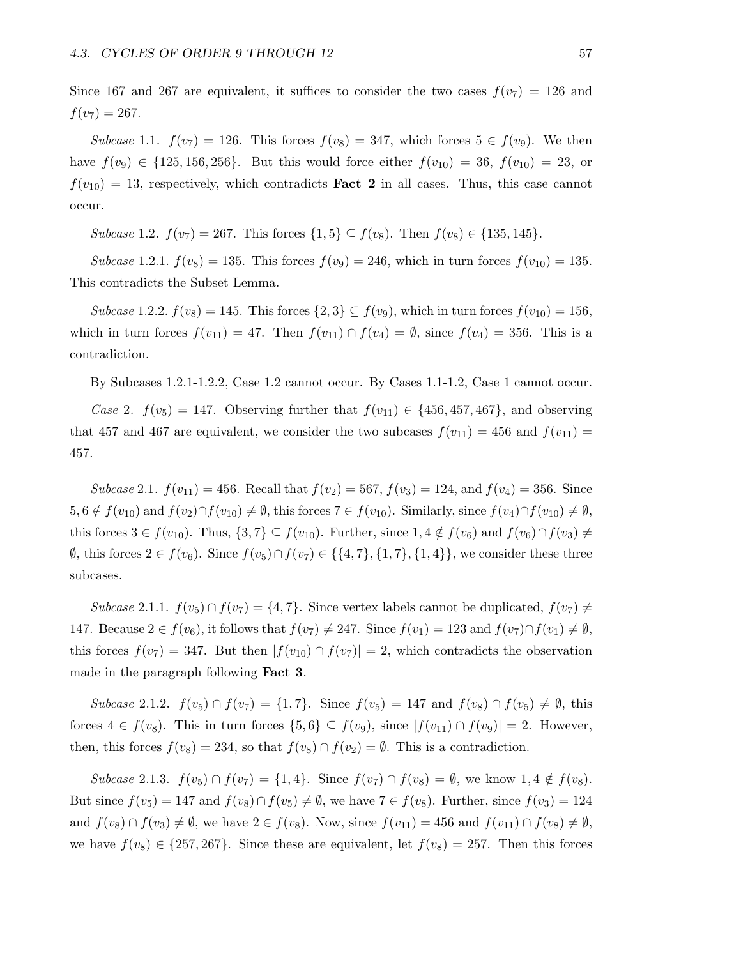Since 167 and 267 are equivalent, it suffices to consider the two cases  $f(v_7) = 126$  and  $f(v_7) = 267.$ 

Subcase 1.1.  $f(v_7) = 126$ . This forces  $f(v_8) = 347$ , which forces  $5 \in f(v_9)$ . We then have  $f(v_9) \in \{125, 156, 256\}$ . But this would force either  $f(v_{10}) = 36$ ,  $f(v_{10}) = 23$ , or  $f(v_{10}) = 13$ , respectively, which contradicts **Fact 2** in all cases. Thus, this case cannot occur.

Subcase 1.2.  $f(v_7) = 267$ . This forces  $\{1, 5\} \subseteq f(v_8)$ . Then  $f(v_8) \in \{135, 145\}$ .

Subcase 1.2.1.  $f(v_8) = 135$ . This forces  $f(v_9) = 246$ , which in turn forces  $f(v_{10}) = 135$ . This contradicts the Subset Lemma.

Subcase 1.2.2.  $f(v_8) = 145$ . This forces  $\{2,3\} \subseteq f(v_9)$ , which in turn forces  $f(v_{10}) = 156$ , which in turn forces  $f(v_{11}) = 47$ . Then  $f(v_{11}) \cap f(v_4) = \emptyset$ , since  $f(v_4) = 356$ . This is a contradiction.

By Subcases 1.2.1-1.2.2, Case 1.2 cannot occur. By Cases 1.1-1.2, Case 1 cannot occur.

Case 2.  $f(v_5) = 147$ . Observing further that  $f(v_{11}) \in \{456, 457, 467\}$ , and observing that 457 and 467 are equivalent, we consider the two subcases  $f(v_{11}) = 456$  and  $f(v_{11}) =$ 457.

Subcase 2.1.  $f(v_{11}) = 456$ . Recall that  $f(v_2) = 567$ ,  $f(v_3) = 124$ , and  $f(v_4) = 356$ . Since  $5, 6 \notin f(v_{10})$  and  $f(v_2) \cap f(v_{10}) \neq \emptyset$ , this forces  $7 \in f(v_{10})$ . Similarly, since  $f(v_4) \cap f(v_{10}) \neq \emptyset$ , this forces  $3 \in f(v_{10})$ . Thus,  $\{3, 7\} \subseteq f(v_{10})$ . Further, since  $1, 4 \notin f(v_6)$  and  $f(v_6) \cap f(v_3) \neq$  $\emptyset$ , this forces 2 ∈  $f(v_6)$ . Since  $f(v_5) \cap f(v_7)$  ∈ {{4,7}, {1,7}, {1,4}}, we consider these three subcases.

Subcase 2.1.1.  $f(v_5) \cap f(v_7) = \{4, 7\}$ . Since vertex labels cannot be duplicated,  $f(v_7) \neq$ 147. Because  $2 \in f(v_6)$ , it follows that  $f(v_7) \neq 247$ . Since  $f(v_1) = 123$  and  $f(v_7) \cap f(v_1) \neq \emptyset$ , this forces  $f(v_7) = 347$ . But then  $|f(v_{10}) \cap f(v_7)| = 2$ , which contradicts the observation made in the paragraph following Fact 3.

Subcase 2.1.2.  $f(v_5) \cap f(v_7) = \{1, 7\}$ . Since  $f(v_5) = 147$  and  $f(v_8) \cap f(v_5) \neq \emptyset$ , this forces  $4 \in f(v_8)$ . This in turn forces  $\{5,6\} \subseteq f(v_9)$ , since  $|f(v_{11}) \cap f(v_9)| = 2$ . However, then, this forces  $f(v_8) = 234$ , so that  $f(v_8) \cap f(v_2) = \emptyset$ . This is a contradiction.

Subcase 2.1.3.  $f(v_5) \cap f(v_7) = \{1, 4\}$ . Since  $f(v_7) \cap f(v_8) = \emptyset$ , we know  $1, 4 \notin f(v_8)$ . But since  $f(v_5) = 147$  and  $f(v_8) \cap f(v_5) \neq \emptyset$ , we have  $7 \in f(v_8)$ . Further, since  $f(v_3) = 124$ and  $f(v_8) \cap f(v_3) \neq \emptyset$ , we have  $2 \in f(v_8)$ . Now, since  $f(v_{11}) = 456$  and  $f(v_{11}) \cap f(v_8) \neq \emptyset$ , we have  $f(v_8) \in \{257, 267\}$ . Since these are equivalent, let  $f(v_8) = 257$ . Then this forces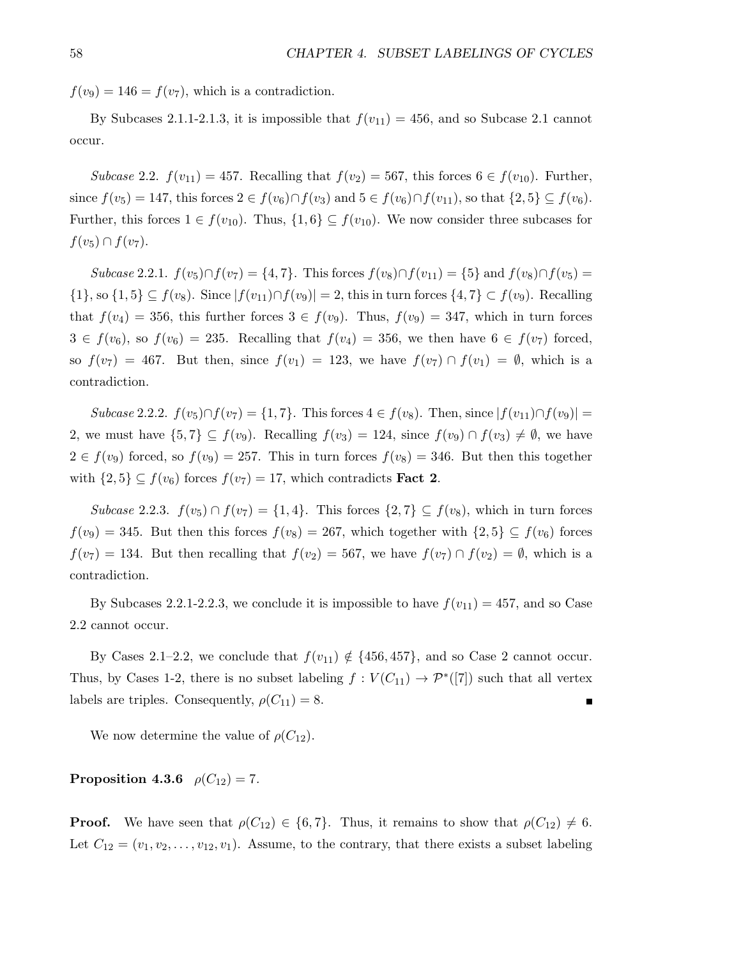$f(v_9) = 146 = f(v_7)$ , which is a contradiction.

By Subcases 2.1.1-2.1.3, it is impossible that  $f(v_{11}) = 456$ , and so Subcase 2.1 cannot occur.

Subcase 2.2.  $f(v_{11}) = 457$ . Recalling that  $f(v_2) = 567$ , this forces  $6 \in f(v_{10})$ . Further, since  $f(v_5) = 147$ , this forces  $2 \in f(v_6) \cap f(v_3)$  and  $5 \in f(v_6) \cap f(v_{11})$ , so that  $\{2, 5\} \subseteq f(v_6)$ . Further, this forces  $1 \in f(v_{10})$ . Thus,  $\{1,6\} \subseteq f(v_{10})$ . We now consider three subcases for  $f(v_5) \cap f(v_7)$ .

Subcase 2.2.1.  $f(v_5) \cap f(v_7) = \{4, 7\}$ . This forces  $f(v_8) \cap f(v_{11}) = \{5\}$  and  $f(v_8) \cap f(v_5) =$  $\{1\}$ , so  $\{1,5\} \subseteq f(v_8)$ . Since  $|f(v_{11}) \cap f(v_9)| = 2$ , this in turn forces  $\{4,7\} \subset f(v_9)$ . Recalling that  $f(v_4) = 356$ , this further forces  $3 \in f(v_9)$ . Thus,  $f(v_9) = 347$ , which in turn forces  $3 \in f(v_6)$ , so  $f(v_6) = 235$ . Recalling that  $f(v_4) = 356$ , we then have  $6 \in f(v_7)$  forced, so  $f(v_7) = 467$ . But then, since  $f(v_1) = 123$ , we have  $f(v_7) \cap f(v_1) = \emptyset$ , which is a contradiction.

Subcase 2.2.2.  $f(v_5) \cap f(v_7) = \{1, 7\}$ . This forces  $4 \in f(v_8)$ . Then, since  $|f(v_{11}) \cap f(v_9)| =$ 2, we must have  $\{5,7\} \subseteq f(v_9)$ . Recalling  $f(v_3) = 124$ , since  $f(v_9) \cap f(v_3) \neq \emptyset$ , we have  $2 \in f(v_9)$  forced, so  $f(v_9) = 257$ . This in turn forces  $f(v_8) = 346$ . But then this together with  $\{2, 5\} \subseteq f(v_6)$  forces  $f(v_7) = 17$ , which contradicts **Fact 2**.

Subcase 2.2.3.  $f(v_5) \cap f(v_7) = \{1, 4\}$ . This forces  $\{2, 7\} \subseteq f(v_8)$ , which in turn forces  $f(v_9) = 345$ . But then this forces  $f(v_8) = 267$ , which together with  $\{2,5\} \subseteq f(v_6)$  forces  $f(v_7) = 134$ . But then recalling that  $f(v_2) = 567$ , we have  $f(v_7) \cap f(v_2) = \emptyset$ , which is a contradiction.

By Subcases 2.2.1-2.2.3, we conclude it is impossible to have  $f(v_{11}) = 457$ , and so Case 2.2 cannot occur.

By Cases 2.1–2.2, we conclude that  $f(v_{11}) \notin \{456, 457\}$ , and so Case 2 cannot occur. Thus, by Cases 1-2, there is no subset labeling  $f: V(C_{11}) \to \mathcal{P}^*([7])$  such that all vertex labels are triples. Consequently,  $\rho(C_{11}) = 8$ . Г

We now determine the value of  $\rho(C_{12})$ .

**Proposition 4.3.6**  $\rho(C_{12}) = 7$ .

**Proof.** We have seen that  $\rho(C_{12}) \in \{6, 7\}$ . Thus, it remains to show that  $\rho(C_{12}) \neq 6$ . Let  $C_{12} = (v_1, v_2, \ldots, v_{12}, v_1)$ . Assume, to the contrary, that there exists a subset labeling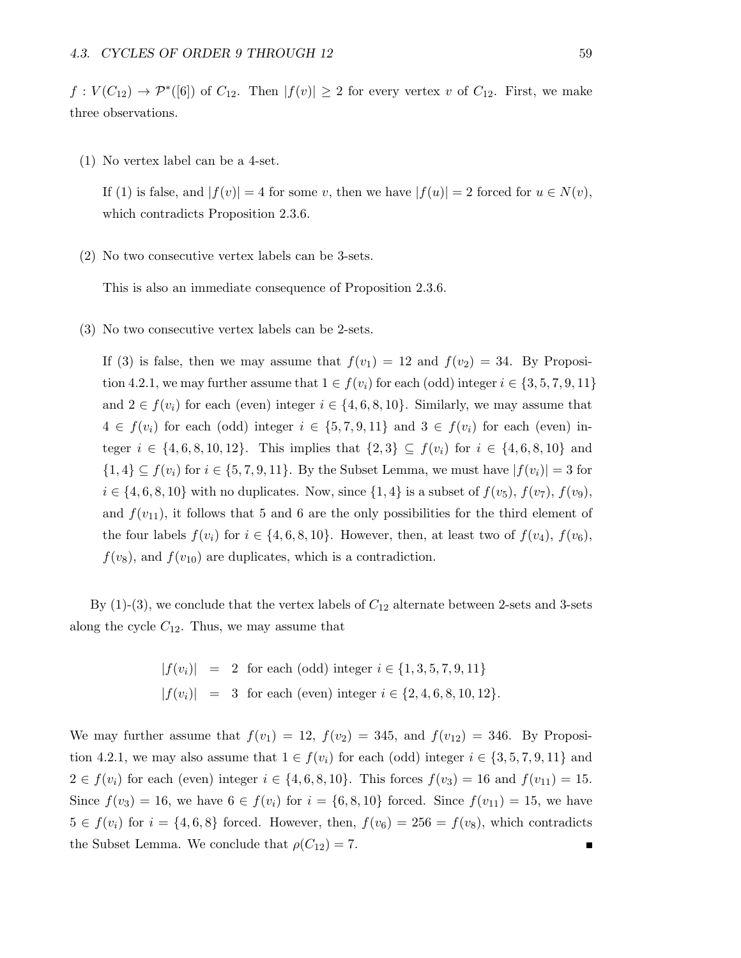$f: V(C_{12}) \to \mathcal{P}^*([6])$  of  $C_{12}$ . Then  $|f(v)| \geq 2$  for every vertex v of  $C_{12}$ . First, we make three observations.

(1) No vertex label can be a 4-set.

If (1) is false, and  $|f(v)| = 4$  for some v, then we have  $|f(u)| = 2$  forced for  $u \in N(v)$ , which contradicts Proposition 2.3.6.

(2) No two consecutive vertex labels can be 3-sets.

This is also an immediate consequence of Proposition 2.3.6.

(3) No two consecutive vertex labels can be 2-sets.

If (3) is false, then we may assume that  $f(v_1) = 12$  and  $f(v_2) = 34$ . By Proposition 4.2.1, we may further assume that  $1 \in f(v_i)$  for each (odd) integer  $i \in \{3, 5, 7, 9, 11\}$ and  $2 \in f(v_i)$  for each (even) integer  $i \in \{4, 6, 8, 10\}$ . Similarly, we may assume that  $4 \in f(v_i)$  for each (odd) integer  $i \in \{5, 7, 9, 11\}$  and  $3 \in f(v_i)$  for each (even) integer  $i \in \{4, 6, 8, 10, 12\}$ . This implies that  $\{2, 3\} \subseteq f(v_i)$  for  $i \in \{4, 6, 8, 10\}$  and  $\{1,4\} \subseteq f(v_i)$  for  $i \in \{5,7,9,11\}$ . By the Subset Lemma, we must have  $|f(v_i)| = 3$  for  $i \in \{4, 6, 8, 10\}$  with no duplicates. Now, since  $\{1, 4\}$  is a subset of  $f(v_5)$ ,  $f(v_7)$ ,  $f(v_9)$ , and  $f(v_{11})$ , it follows that 5 and 6 are the only possibilities for the third element of the four labels  $f(v_i)$  for  $i \in \{4, 6, 8, 10\}$ . However, then, at least two of  $f(v_4)$ ,  $f(v_6)$ ,  $f(v_8)$ , and  $f(v_{10})$  are duplicates, which is a contradiction.

By  $(1)-(3)$ , we conclude that the vertex labels of  $C_{12}$  alternate between 2-sets and 3-sets along the cycle  $C_{12}$ . Thus, we may assume that

$$
|f(v_i)| = 2 \text{ for each (odd) integer } i \in \{1, 3, 5, 7, 9, 11\}
$$
  

$$
|f(v_i)| = 3 \text{ for each (even) integer } i \in \{2, 4, 6, 8, 10, 12\}.
$$

We may further assume that  $f(v_1) = 12$ ,  $f(v_2) = 345$ , and  $f(v_{12}) = 346$ . By Proposition 4.2.1, we may also assume that  $1 \in f(v_i)$  for each (odd) integer  $i \in \{3, 5, 7, 9, 11\}$  and  $2 \in f(v_i)$  for each (even) integer  $i \in \{4, 6, 8, 10\}$ . This forces  $f(v_3) = 16$  and  $f(v_{11}) = 15$ . Since  $f(v_3) = 16$ , we have  $6 \in f(v_i)$  for  $i = \{6, 8, 10\}$  forced. Since  $f(v_{11}) = 15$ , we have  $5 \in f(v_i)$  for  $i = \{4, 6, 8\}$  forced. However, then,  $f(v_6) = 256 = f(v_8)$ , which contradicts the Subset Lemma. We conclude that  $\rho(C_{12}) = 7$ .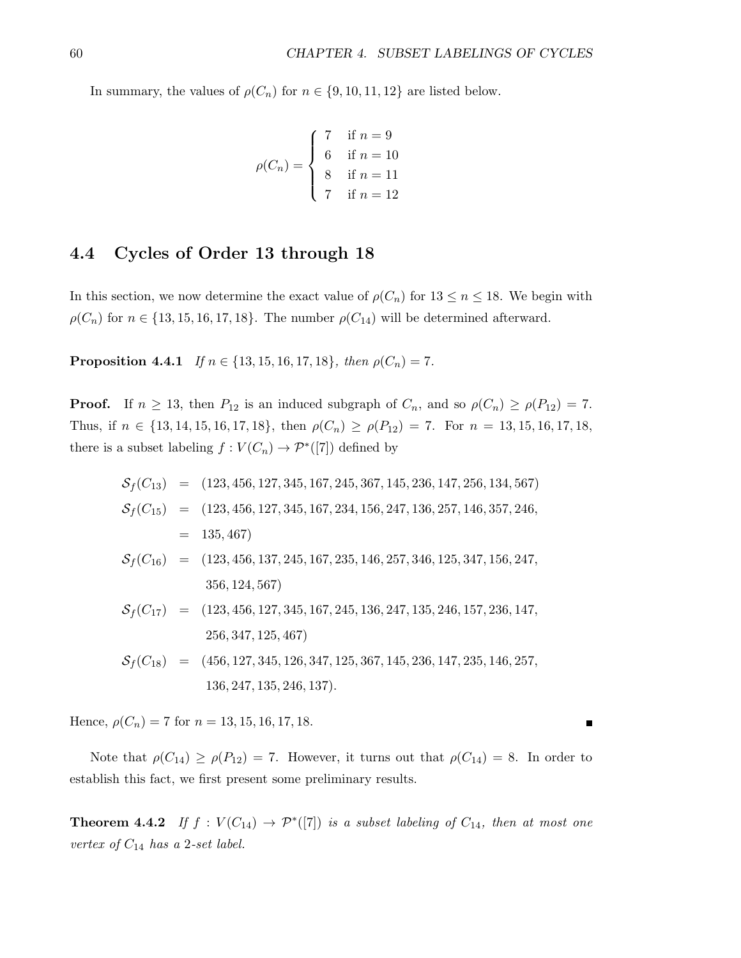In summary, the values of  $\rho(C_n)$  for  $n \in \{9, 10, 11, 12\}$  are listed below.

$$
\rho(C_n) = \begin{cases}\n7 & \text{if } n = 9 \\
6 & \text{if } n = 10 \\
8 & \text{if } n = 11 \\
7 & \text{if } n = 12\n\end{cases}
$$

#### 4.4 Cycles of Order 13 through 18

In this section, we now determine the exact value of  $\rho(C_n)$  for  $13 \leq n \leq 18$ . We begin with  $\rho(C_n)$  for  $n \in \{13, 15, 16, 17, 18\}$ . The number  $\rho(C_{14})$  will be determined afterward.

**Proposition 4.4.1** If  $n \in \{13, 15, 16, 17, 18\}$ , then  $\rho(C_n) = 7$ .

**Proof.** If  $n \ge 13$ , then  $P_{12}$  is an induced subgraph of  $C_n$ , and so  $\rho(C_n) \ge \rho(P_{12}) = 7$ . Thus, if  $n \in \{13, 14, 15, 16, 17, 18\}$ , then  $\rho(C_n) \ge \rho(P_{12}) = 7$ . For  $n = 13, 15, 16, 17, 18$ , there is a subset labeling  $f: V(C_n) \to \mathcal{P}^*([7])$  defined by

$$
S_f(C_{13}) = (123, 456, 127, 345, 167, 245, 367, 145, 236, 147, 256, 134, 567)
$$
  
\n
$$
S_f(C_{15}) = (123, 456, 127, 345, 167, 234, 156, 247, 136, 257, 146, 357, 246,
$$
  
\n
$$
= 135, 467
$$
  
\n
$$
S_f(C_{16}) = (123, 456, 137, 245, 167, 235, 146, 257, 346, 125, 347, 156, 247,
$$
  
\n
$$
356, 124, 567
$$
  
\n
$$
S_f(C_{17}) = (123, 456, 127, 345, 167, 245, 136, 247, 135, 246, 157, 236, 147,
$$
  
\n
$$
256, 347, 125, 467
$$
  
\n
$$
S_f(C_{18}) = (456, 127, 345, 126, 347, 125, 367, 145, 236, 147, 235, 146, 257,
$$
  
\n
$$
136, 247, 135, 246, 137
$$
.

Hence,  $\rho(C_n) = 7$  for  $n = 13, 15, 16, 17, 18$ .

Note that  $\rho(C_{14}) \ge \rho(P_{12}) = 7$ . However, it turns out that  $\rho(C_{14}) = 8$ . In order to establish this fact, we first present some preliminary results.

**Theorem 4.4.2** If  $f: V(C_{14}) \rightarrow \mathcal{P}^*([7])$  is a subset labeling of  $C_{14}$ , then at most one vertex of  $C_{14}$  has a 2-set label.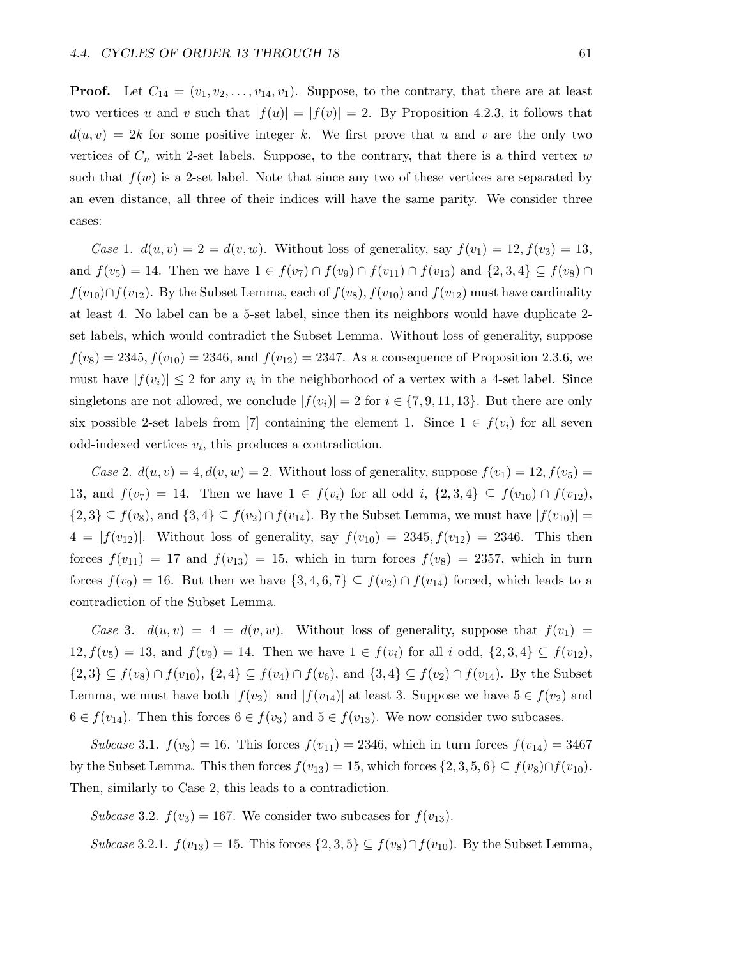**Proof.** Let  $C_{14} = (v_1, v_2, \ldots, v_{14}, v_1)$ . Suppose, to the contrary, that there are at least two vertices u and v such that  $|f(u)| = |f(v)| = 2$ . By Proposition 4.2.3, it follows that  $d(u, v) = 2k$  for some positive integer k. We first prove that u and v are the only two vertices of  $C_n$  with 2-set labels. Suppose, to the contrary, that there is a third vertex w such that  $f(w)$  is a 2-set label. Note that since any two of these vertices are separated by an even distance, all three of their indices will have the same parity. We consider three cases:

Case 1.  $d(u, v) = 2 = d(v, w)$ . Without loss of generality, say  $f(v_1) = 12$ ,  $f(v_3) = 13$ , and  $f(v_5) = 14$ . Then we have  $1 \in f(v_7) \cap f(v_9) \cap f(v_{11}) \cap f(v_{13})$  and  $\{2,3,4\} \subseteq f(v_8) \cap f(v_9)$  $f(v_{10}) \cap f(v_{12})$ . By the Subset Lemma, each of  $f(v_8)$ ,  $f(v_{10})$  and  $f(v_{12})$  must have cardinality at least 4. No label can be a 5-set label, since then its neighbors would have duplicate 2 set labels, which would contradict the Subset Lemma. Without loss of generality, suppose  $f(v_8) = 2345, f(v_{10}) = 2346$ , and  $f(v_{12}) = 2347$ . As a consequence of Proposition 2.3.6, we must have  $|f(v_i)| \leq 2$  for any  $v_i$  in the neighborhood of a vertex with a 4-set label. Since singletons are not allowed, we conclude  $|f(v_i)| = 2$  for  $i \in \{7, 9, 11, 13\}$ . But there are only six possible 2-set labels from [7] containing the element 1. Since  $1 \in f(v_i)$  for all seven odd-indexed vertices  $v_i$ , this produces a contradiction.

Case 2.  $d(u, v) = 4$ ,  $d(v, w) = 2$ . Without loss of generality, suppose  $f(v_1) = 12$ ,  $f(v_5) =$ 13, and  $f(v_7) = 14$ . Then we have  $1 \in f(v_i)$  for all odd i,  $\{2,3,4\} \subseteq f(v_{10}) \cap f(v_{12})$ ,  $\{2,3\} \subseteq f(v_8)$ , and  $\{3,4\} \subseteq f(v_2) \cap f(v_{14})$ . By the Subset Lemma, we must have  $|f(v_{10})|$  =  $4 = |f(v_{12})|$ . Without loss of generality, say  $f(v_{10}) = 2345, f(v_{12}) = 2346$ . This then forces  $f(v_{11}) = 17$  and  $f(v_{13}) = 15$ , which in turn forces  $f(v_8) = 2357$ , which in turn forces  $f(v_9) = 16$ . But then we have  $\{3, 4, 6, 7\} \subseteq f(v_2) \cap f(v_{14})$  forced, which leads to a contradiction of the Subset Lemma.

Case 3.  $d(u, v) = 4 = d(v, w)$ . Without loss of generality, suppose that  $f(v_1) =$  $12, f(v_5) = 13$ , and  $f(v_9) = 14$ . Then we have  $1 \in f(v_i)$  for all i odd,  $\{2, 3, 4\} \subseteq f(v_{12})$ ,  $\{2,3\} \subseteq f(v_8) \cap f(v_{10}), \{2,4\} \subseteq f(v_4) \cap f(v_6)$ , and  $\{3,4\} \subseteq f(v_2) \cap f(v_{14})$ . By the Subset Lemma, we must have both  $|f(v_2)|$  and  $|f(v_1)|$  at least 3. Suppose we have  $5 \in f(v_2)$  and  $6 \in f(v_{14})$ . Then this forces  $6 \in f(v_3)$  and  $5 \in f(v_{13})$ . We now consider two subcases.

Subcase 3.1.  $f(v_3) = 16$ . This forces  $f(v_{11}) = 2346$ , which in turn forces  $f(v_{14}) = 3467$ by the Subset Lemma. This then forces  $f(v_{13}) = 15$ , which forces  $\{2, 3, 5, 6\} \subseteq f(v_8) \cap f(v_{10})$ . Then, similarly to Case 2, this leads to a contradiction.

Subcase 3.2.  $f(v_3) = 167$ . We consider two subcases for  $f(v_{13})$ .

Subcase 3.2.1.  $f(v_{13}) = 15$ . This forces  $\{2,3,5\} \subseteq f(v_8) \cap f(v_{10})$ . By the Subset Lemma,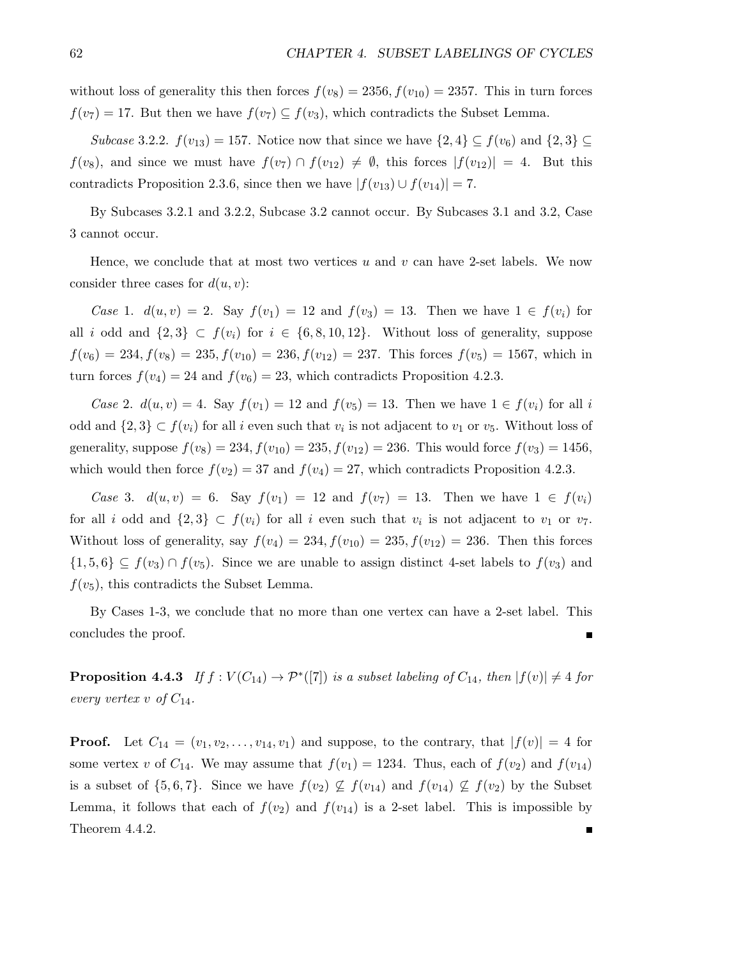without loss of generality this then forces  $f(v_8) = 2356, f(v_{10}) = 2357$ . This in turn forces  $f(v_7) = 17$ . But then we have  $f(v_7) \subseteq f(v_3)$ , which contradicts the Subset Lemma.

Subcase 3.2.2.  $f(v_{13}) = 157$ . Notice now that since we have  $\{2,4\} \subseteq f(v_6)$  and  $\{2,3\} \subseteq$  $f(v_8)$ , and since we must have  $f(v_7) \cap f(v_{12}) \neq \emptyset$ , this forces  $|f(v_{12})| = 4$ . But this contradicts Proposition 2.3.6, since then we have  $|f(v_{13}) \cup f(v_{14})| = 7$ .

By Subcases 3.2.1 and 3.2.2, Subcase 3.2 cannot occur. By Subcases 3.1 and 3.2, Case 3 cannot occur.

Hence, we conclude that at most two vertices  $u$  and  $v$  can have 2-set labels. We now consider three cases for  $d(u, v)$ :

*Case* 1.  $d(u, v) = 2$ . Say  $f(v_1) = 12$  and  $f(v_3) = 13$ . Then we have  $1 \in f(v_i)$  for all i odd and  $\{2,3\} \subset f(v_i)$  for  $i \in \{6,8,10,12\}$ . Without loss of generality, suppose  $f(v_6) = 234, f(v_8) = 235, f(v_{10}) = 236, f(v_{12}) = 237.$  This forces  $f(v_5) = 1567$ , which in turn forces  $f(v_4) = 24$  and  $f(v_6) = 23$ , which contradicts Proposition 4.2.3.

Case 2.  $d(u, v) = 4$ . Say  $f(v_1) = 12$  and  $f(v_5) = 13$ . Then we have  $1 \in f(v_i)$  for all i odd and  $\{2,3\} \subset f(v_i)$  for all i even such that  $v_i$  is not adjacent to  $v_1$  or  $v_5$ . Without loss of generality, suppose  $f(v_8) = 234, f(v_{10}) = 235, f(v_{12}) = 236$ . This would force  $f(v_3) = 1456$ , which would then force  $f(v_2) = 37$  and  $f(v_4) = 27$ , which contradicts Proposition 4.2.3.

Case 3.  $d(u, v) = 6$ . Say  $f(v_1) = 12$  and  $f(v_7) = 13$ . Then we have  $1 \in f(v_i)$ for all i odd and  $\{2,3\} \subset f(v_i)$  for all i even such that  $v_i$  is not adjacent to  $v_1$  or  $v_7$ . Without loss of generality, say  $f(v_4) = 234, f(v_{10}) = 235, f(v_{12}) = 236$ . Then this forces  $\{1,5,6\} \subseteq f(v_3) \cap f(v_5)$ . Since we are unable to assign distinct 4-set labels to  $f(v_3)$  and  $f(v_5)$ , this contradicts the Subset Lemma.

By Cases 1-3, we conclude that no more than one vertex can have a 2-set label. This concludes the proof.  $\blacksquare$ 

**Proposition 4.4.3** If  $f: V(C_{14}) \to \mathcal{P}^*([7])$  is a subset labeling of  $C_{14}$ , then  $|f(v)| \neq 4$  for every vertex v of  $C_{14}$ .

**Proof.** Let  $C_{14} = (v_1, v_2, \ldots, v_{14}, v_1)$  and suppose, to the contrary, that  $|f(v)| = 4$  for some vertex v of  $C_{14}$ . We may assume that  $f(v_1) = 1234$ . Thus, each of  $f(v_2)$  and  $f(v_{14})$ is a subset of  $\{5, 6, 7\}$ . Since we have  $f(v_2) \not\subseteq f(v_{14})$  and  $f(v_{14}) \not\subseteq f(v_2)$  by the Subset Lemma, it follows that each of  $f(v_2)$  and  $f(v_{14})$  is a 2-set label. This is impossible by Theorem 4.4.2.Г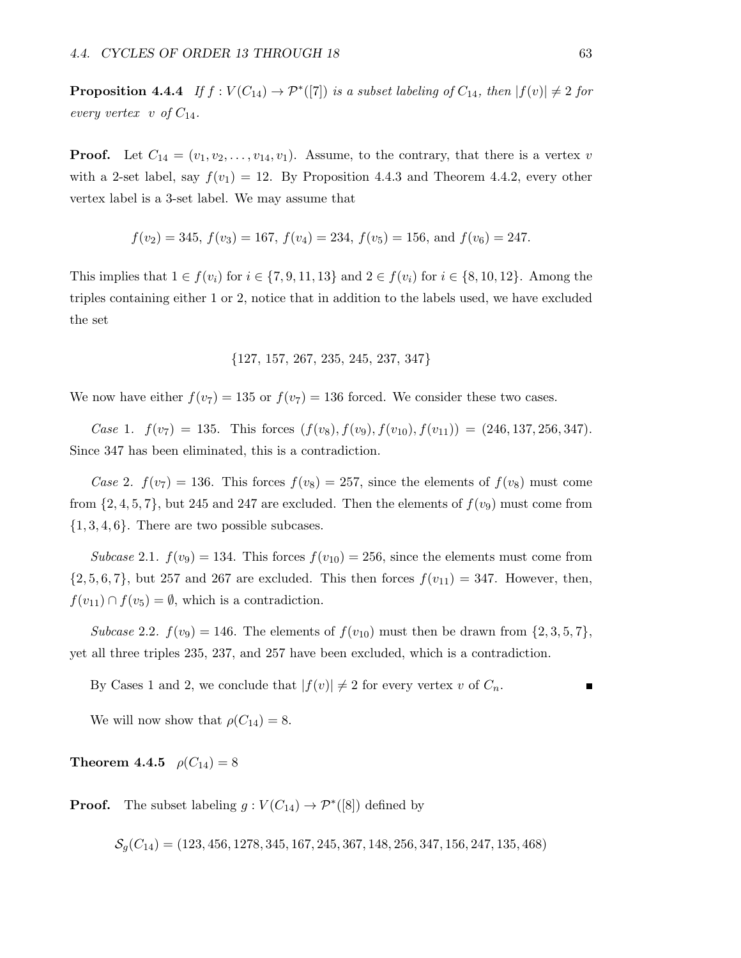**Proposition 4.4.4** If  $f: V(C_{14}) \to \mathcal{P}^*([7])$  is a subset labeling of  $C_{14}$ , then  $|f(v)| \neq 2$  for every vertex v of  $C_{14}$ .

**Proof.** Let  $C_{14} = (v_1, v_2, \ldots, v_{14}, v_1)$ . Assume, to the contrary, that there is a vertex v with a 2-set label, say  $f(v_1) = 12$ . By Proposition 4.4.3 and Theorem 4.4.2, every other vertex label is a 3-set label. We may assume that

$$
f(v_2) = 345
$$
,  $f(v_3) = 167$ ,  $f(v_4) = 234$ ,  $f(v_5) = 156$ , and  $f(v_6) = 247$ .

This implies that  $1 \in f(v_i)$  for  $i \in \{7, 9, 11, 13\}$  and  $2 \in f(v_i)$  for  $i \in \{8, 10, 12\}$ . Among the triples containing either 1 or 2, notice that in addition to the labels used, we have excluded the set

$$
\{127, 157, 267, 235, 245, 237, 347\}
$$

We now have either  $f(v_7) = 135$  or  $f(v_7) = 136$  forced. We consider these two cases.

Case 1.  $f(v_7) = 135$ . This forces  $(f(v_8), f(v_9), f(v_{10}), f(v_{11})) = (246, 137, 256, 347)$ . Since 347 has been eliminated, this is a contradiction.

Case 2.  $f(v_7) = 136$ . This forces  $f(v_8) = 257$ , since the elements of  $f(v_8)$  must come from  $\{2, 4, 5, 7\}$ , but 245 and 247 are excluded. Then the elements of  $f(v_9)$  must come from  $\{1, 3, 4, 6\}$ . There are two possible subcases.

Subcase 2.1.  $f(v_9) = 134$ . This forces  $f(v_{10}) = 256$ , since the elements must come from  $\{2, 5, 6, 7\}$ , but 257 and 267 are excluded. This then forces  $f(v_{11}) = 347$ . However, then,  $f(v_{11}) \cap f(v_5) = \emptyset$ , which is a contradiction.

Subcase 2.2.  $f(v_9) = 146$ . The elements of  $f(v_{10})$  must then be drawn from  $\{2,3,5,7\}$ , yet all three triples 235, 237, and 257 have been excluded, which is a contradiction.

By Cases 1 and 2, we conclude that  $|f(v)| \neq 2$  for every vertex v of  $C_n$ .

We will now show that  $\rho(C_{14}) = 8$ .

**Theorem 4.4.5**  $\rho(C_{14}) = 8$ 

**Proof.** The subset labeling  $g: V(C_{14}) \to \mathcal{P}^*([8])$  defined by

 $\mathcal{S}_a(C_{14}) = (123, 456, 1278, 345, 167, 245, 367, 148, 256, 347, 156, 247, 135, 468)$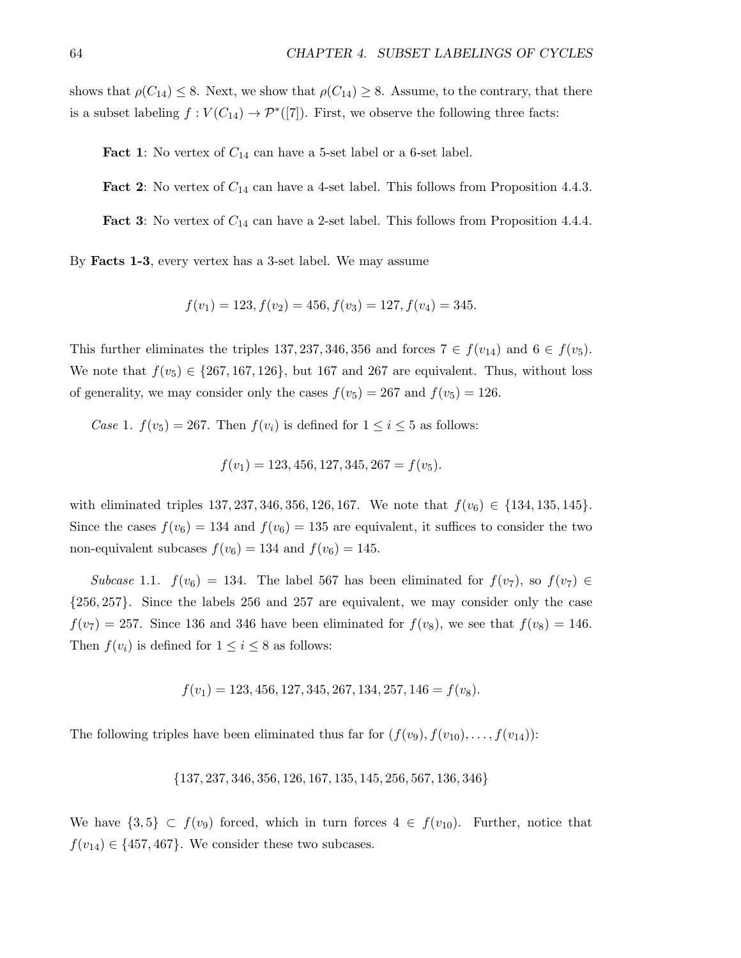shows that  $\rho(C_{14}) \leq 8$ . Next, we show that  $\rho(C_{14}) \geq 8$ . Assume, to the contrary, that there is a subset labeling  $f: V(C_{14}) \to \mathcal{P}^*([7])$ . First, we observe the following three facts:

**Fact 1:** No vertex of  $C_{14}$  can have a 5-set label or a 6-set label.

**Fact 2:** No vertex of  $C_{14}$  can have a 4-set label. This follows from Proposition 4.4.3.

**Fact 3:** No vertex of  $C_{14}$  can have a 2-set label. This follows from Proposition 4.4.4.

By Facts 1-3, every vertex has a 3-set label. We may assume

$$
f(v_1) = 123, f(v_2) = 456, f(v_3) = 127, f(v_4) = 345.
$$

This further eliminates the triples 137, 237, 346, 356 and forces  $7 \in f(v_{14})$  and  $6 \in f(v_{5})$ . We note that  $f(v_5) \in \{267, 167, 126\}$ , but 167 and 267 are equivalent. Thus, without loss of generality, we may consider only the cases  $f(v_5) = 267$  and  $f(v_5) = 126$ .

Case 1.  $f(v_5) = 267$ . Then  $f(v_i)$  is defined for  $1 \leq i \leq 5$  as follows:

$$
f(v_1) = 123, 456, 127, 345, 267 = f(v_5).
$$

with eliminated triples 137, 237, 346, 356, 126, 167. We note that  $f(v_6) \in \{134, 135, 145\}$ . Since the cases  $f(v_6) = 134$  and  $f(v_6) = 135$  are equivalent, it suffices to consider the two non-equivalent subcases  $f(v_6) = 134$  and  $f(v_6) = 145$ .

Subcase 1.1.  $f(v_6) = 134$ . The label 567 has been eliminated for  $f(v_7)$ , so  $f(v_7) \in$ {256, 257}. Since the labels 256 and 257 are equivalent, we may consider only the case  $f(v_7) = 257$ . Since 136 and 346 have been eliminated for  $f(v_8)$ , we see that  $f(v_8) = 146$ . Then  $f(v_i)$  is defined for  $1 \leq i \leq 8$  as follows:

$$
f(v_1) = 123,456,127,345,267,134,257,146 = f(v_8).
$$

The following triples have been eliminated thus far for  $(f(v_9), f(v_{10}), \ldots, f(v_{14}))$ :

{137, 237, 346, 356, 126, 167, 135, 145, 256, 567, 136, 346}

We have  $\{3,5\} \subset f(v_9)$  forced, which in turn forces  $4 \in f(v_{10})$ . Further, notice that  $f(v_{14}) \in \{457, 467\}$ . We consider these two subcases.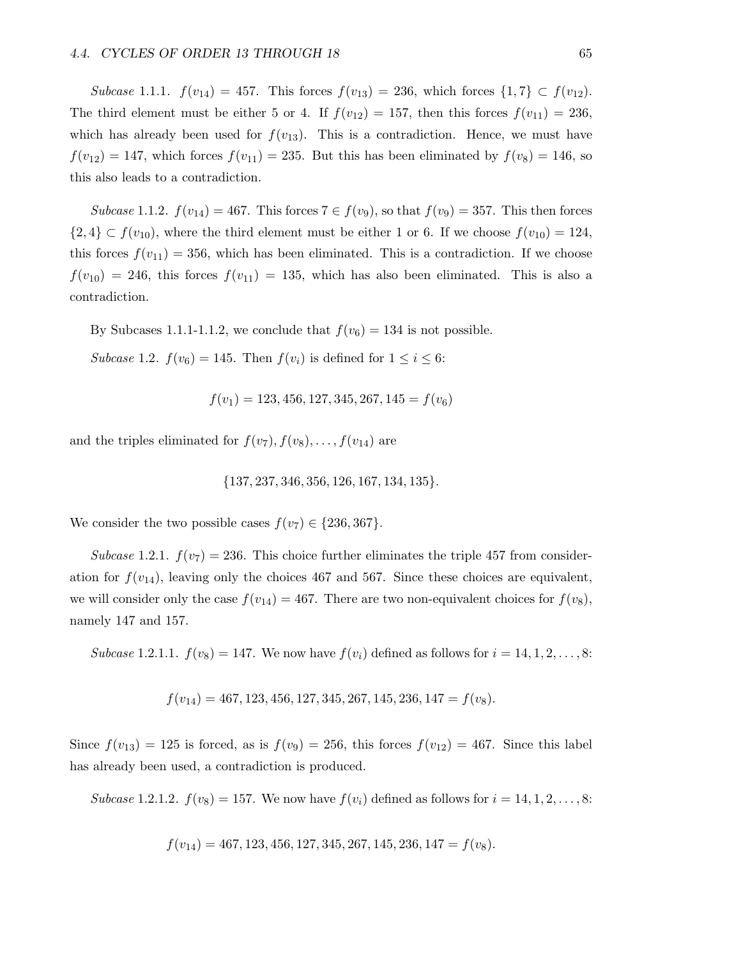Subcase 1.1.1.  $f(v_{14}) = 457$ . This forces  $f(v_{13}) = 236$ , which forces  $\{1, 7\} \subset f(v_{12})$ . The third element must be either 5 or 4. If  $f(v_{12}) = 157$ , then this forces  $f(v_{11}) = 236$ , which has already been used for  $f(v_{13})$ . This is a contradiction. Hence, we must have  $f(v_{12}) = 147$ , which forces  $f(v_{11}) = 235$ . But this has been eliminated by  $f(v_8) = 146$ , so this also leads to a contradiction.

Subcase 1.1.2.  $f(v_{14}) = 467$ . This forces  $7 \in f(v_9)$ , so that  $f(v_9) = 357$ . This then forces  $\{2,4\} \subset f(v_{10})$ , where the third element must be either 1 or 6. If we choose  $f(v_{10}) = 124$ , this forces  $f(v_{11}) = 356$ , which has been eliminated. This is a contradiction. If we choose  $f(v_{10}) = 246$ , this forces  $f(v_{11}) = 135$ , which has also been eliminated. This is also a contradiction.

By Subcases 1.1.1-1.1.2, we conclude that  $f(v_6) = 134$  is not possible.

Subcase 1.2.  $f(v_6) = 145$ . Then  $f(v_i)$  is defined for  $1 \leq i \leq 6$ :

$$
f(v_1) = 123,456,127,345,267,145 = f(v_6)
$$

and the triples eliminated for  $f(v_7), f(v_8), \ldots, f(v_{14})$  are

$$
\{137, 237, 346, 356, 126, 167, 134, 135\}.
$$

We consider the two possible cases  $f(v_7) \in \{236, 367\}.$ 

Subcase 1.2.1.  $f(v_7) = 236$ . This choice further eliminates the triple 457 from consideration for  $f(v_{14})$ , leaving only the choices 467 and 567. Since these choices are equivalent, we will consider only the case  $f(v_{14}) = 467$ . There are two non-equivalent choices for  $f(v_8)$ , namely 147 and 157.

Subcase 1.2.1.1.  $f(v_8) = 147$ . We now have  $f(v_i)$  defined as follows for  $i = 14, 1, 2, ..., 8$ :

$$
f(v_{14}) = 467, 123, 456, 127, 345, 267, 145, 236, 147 = f(v_8).
$$

Since  $f(v_{13}) = 125$  is forced, as is  $f(v_9) = 256$ , this forces  $f(v_{12}) = 467$ . Since this label has already been used, a contradiction is produced.

Subcase 1.2.1.2.  $f(v_8) = 157$ . We now have  $f(v_i)$  defined as follows for  $i = 14, 1, 2, ..., 8$ :

$$
f(v_{14}) = 467, 123, 456, 127, 345, 267, 145, 236, 147 = f(v_8).
$$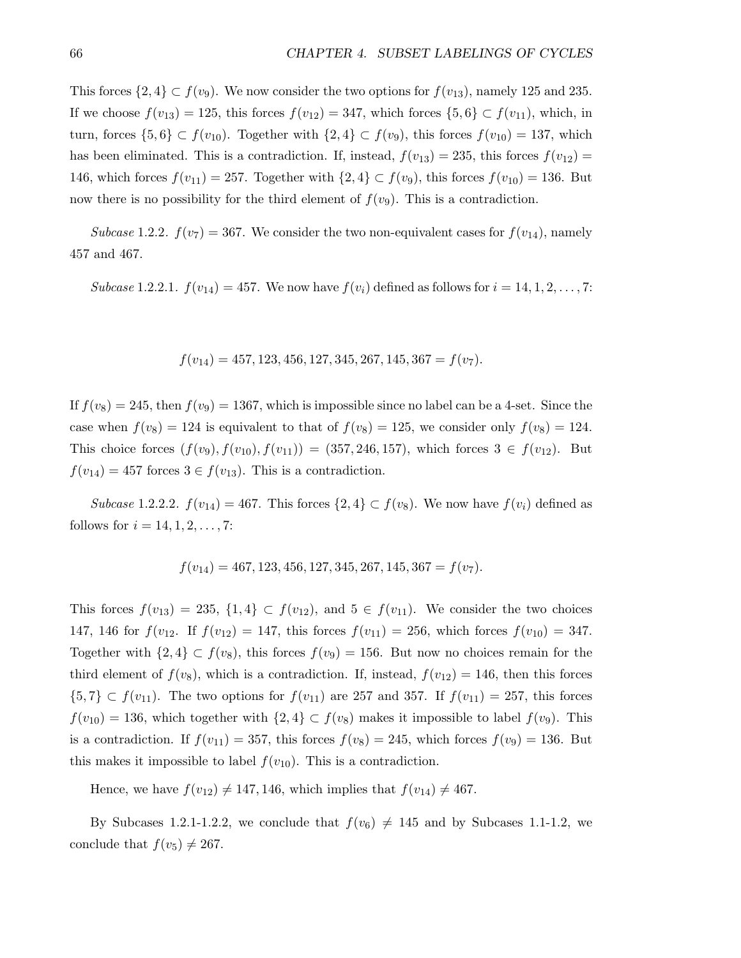This forces  $\{2,4\} \subset f(v_9)$ . We now consider the two options for  $f(v_{13})$ , namely 125 and 235. If we choose  $f(v_{13}) = 125$ , this forces  $f(v_{12}) = 347$ , which forces  $\{5, 6\} \subset f(v_{11})$ , which, in turn, forces  $\{5,6\} \subset f(v_{10})$ . Together with  $\{2,4\} \subset f(v_9)$ , this forces  $f(v_{10}) = 137$ , which has been eliminated. This is a contradiction. If, instead,  $f(v_{13}) = 235$ , this forces  $f(v_{12}) =$ 146, which forces  $f(v_{11}) = 257$ . Together with  $\{2,4\} \subset f(v_9)$ , this forces  $f(v_{10}) = 136$ . But now there is no possibility for the third element of  $f(v_9)$ . This is a contradiction.

Subcase 1.2.2.  $f(v_7) = 367$ . We consider the two non-equivalent cases for  $f(v_{14})$ , namely 457 and 467.

Subcase 1.2.2.1.  $f(v_{14}) = 457$ . We now have  $f(v_i)$  defined as follows for  $i = 14, 1, 2, ..., 7$ :

$$
f(v_{14}) = 457, 123, 456, 127, 345, 267, 145, 367 = f(v_7).
$$

If  $f(v_8) = 245$ , then  $f(v_9) = 1367$ , which is impossible since no label can be a 4-set. Since the case when  $f(v_8) = 124$  is equivalent to that of  $f(v_8) = 125$ , we consider only  $f(v_8) = 124$ . This choice forces  $(f(v_9), f(v_{10}), f(v_{11})) = (357, 246, 157)$ , which forces  $3 \in f(v_{12})$ . But  $f(v_{14}) = 457$  forces  $3 \in f(v_{13})$ . This is a contradiction.

Subcase 1.2.2.2.  $f(v_{14}) = 467$ . This forces  $\{2,4\} \subset f(v_8)$ . We now have  $f(v_i)$  defined as follows for  $i = 14, 1, 2, ..., 7$ :

$$
f(v_{14}) = 467, 123, 456, 127, 345, 267, 145, 367 = f(v_7).
$$

This forces  $f(v_{13}) = 235$ ,  $\{1,4\} \subset f(v_{12})$ , and  $5 \in f(v_{11})$ . We consider the two choices 147, 146 for  $f(v_{12}) = 147$ , this forces  $f(v_{11}) = 256$ , which forces  $f(v_{10}) = 347$ . Together with  $\{2,4\} \subset f(v_8)$ , this forces  $f(v_9) = 156$ . But now no choices remain for the third element of  $f(v_8)$ , which is a contradiction. If, instead,  $f(v_{12}) = 146$ , then this forces  $\{5,7\} \subset f(v_{11})$ . The two options for  $f(v_{11})$  are 257 and 357. If  $f(v_{11}) = 257$ , this forces  $f(v_{10}) = 136$ , which together with  $\{2,4\} \subset f(v_8)$  makes it impossible to label  $f(v_9)$ . This is a contradiction. If  $f(v_{11}) = 357$ , this forces  $f(v_8) = 245$ , which forces  $f(v_9) = 136$ . But this makes it impossible to label  $f(v_{10})$ . This is a contradiction.

Hence, we have  $f(v_{12}) \neq 147, 146$ , which implies that  $f(v_{14}) \neq 467$ .

By Subcases 1.2.1-1.2.2, we conclude that  $f(v_6) \neq 145$  and by Subcases 1.1-1.2, we conclude that  $f(v_5) \neq 267$ .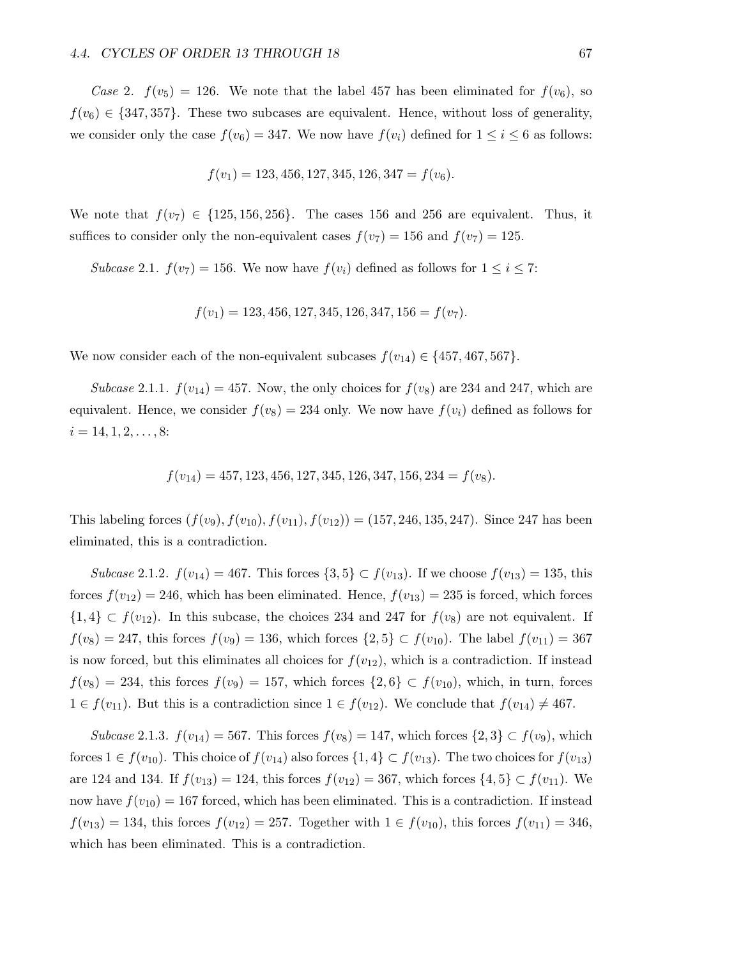Case 2.  $f(v_5) = 126$ . We note that the label 457 has been eliminated for  $f(v_6)$ , so  $f(v_6) \in \{347, 357\}$ . These two subcases are equivalent. Hence, without loss of generality, we consider only the case  $f(v_6) = 347$ . We now have  $f(v_i)$  defined for  $1 \le i \le 6$  as follows:

$$
f(v_1) = 123, 456, 127, 345, 126, 347 = f(v_6).
$$

We note that  $f(v_7) \in \{125, 156, 256\}$ . The cases 156 and 256 are equivalent. Thus, it suffices to consider only the non-equivalent cases  $f(v_7) = 156$  and  $f(v_7) = 125$ .

Subcase 2.1.  $f(v_7) = 156$ . We now have  $f(v_i)$  defined as follows for  $1 \leq i \leq 7$ :

$$
f(v_1) = 123,456,127,345,126,347,156 = f(v_7).
$$

We now consider each of the non-equivalent subcases  $f(v_{14}) \in \{457, 467, 567\}.$ 

Subcase 2.1.1.  $f(v_{14}) = 457$ . Now, the only choices for  $f(v_8)$  are 234 and 247, which are equivalent. Hence, we consider  $f(v_8) = 234$  only. We now have  $f(v_i)$  defined as follows for  $i = 14, 1, 2, \ldots, 8:$ 

$$
f(v_{14}) = 457, 123, 456, 127, 345, 126, 347, 156, 234 = f(v_8).
$$

This labeling forces  $(f(v_9), f(v_{10}), f(v_{11}), f(v_{12})) = (157, 246, 135, 247)$ . Since 247 has been eliminated, this is a contradiction.

Subcase 2.1.2.  $f(v_{14}) = 467$ . This forces  $\{3,5\} \subset f(v_{13})$ . If we choose  $f(v_{13}) = 135$ , this forces  $f(v_{12}) = 246$ , which has been eliminated. Hence,  $f(v_{13}) = 235$  is forced, which forces  $\{1,4\} \subset f(v_{12})$ . In this subcase, the choices 234 and 247 for  $f(v_8)$  are not equivalent. If  $f(v_8) = 247$ , this forces  $f(v_9) = 136$ , which forces  $\{2,5\} \subset f(v_{10})$ . The label  $f(v_{11}) = 367$ is now forced, but this eliminates all choices for  $f(v_{12})$ , which is a contradiction. If instead  $f(v_8) = 234$ , this forces  $f(v_9) = 157$ , which forces  $\{2,6\} \subset f(v_{10})$ , which, in turn, forces  $1 \in f(v_{11})$ . But this is a contradiction since  $1 \in f(v_{12})$ . We conclude that  $f(v_{14}) \neq 467$ .

Subcase 2.1.3.  $f(v_{14}) = 567$ . This forces  $f(v_8) = 147$ , which forces  $\{2,3\} \subset f(v_9)$ , which forces  $1 \in f(v_{10})$ . This choice of  $f(v_{14})$  also forces  $\{1,4\} \subset f(v_{13})$ . The two choices for  $f(v_{13})$ are 124 and 134. If  $f(v_{13}) = 124$ , this forces  $f(v_{12}) = 367$ , which forces  $\{4, 5\} \subset f(v_{11})$ . We now have  $f(v_{10}) = 167$  forced, which has been eliminated. This is a contradiction. If instead  $f(v_{13}) = 134$ , this forces  $f(v_{12}) = 257$ . Together with  $1 \in f(v_{10})$ , this forces  $f(v_{11}) = 346$ , which has been eliminated. This is a contradiction.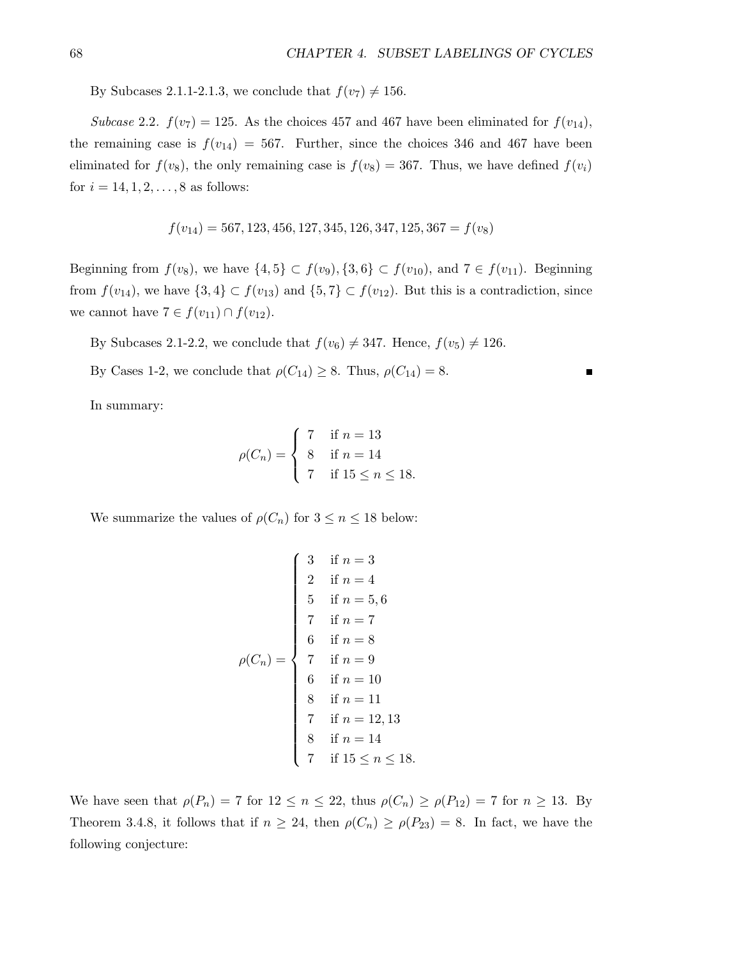п

By Subcases 2.1.1-2.1.3, we conclude that  $f(v_7) \neq 156$ .

Subcase 2.2.  $f(v_7) = 125$ . As the choices 457 and 467 have been eliminated for  $f(v_{14})$ , the remaining case is  $f(v_{14}) = 567$ . Further, since the choices 346 and 467 have been eliminated for  $f(v_8)$ , the only remaining case is  $f(v_8) = 367$ . Thus, we have defined  $f(v_i)$ for  $i = 14, 1, 2, ..., 8$  as follows:

$$
f(v_{14}) = 567, 123, 456, 127, 345, 126, 347, 125, 367 = f(v_8)
$$

Beginning from  $f(v_8)$ , we have  $\{4,5\} \subset f(v_9), \{3,6\} \subset f(v_{10})$ , and  $7 \in f(v_{11})$ . Beginning from  $f(v_{14})$ , we have  $\{3,4\} \subset f(v_{13})$  and  $\{5,7\} \subset f(v_{12})$ . But this is a contradiction, since we cannot have  $7 \in f(v_{11}) \cap f(v_{12})$ .

By Subcases 2.1-2.2, we conclude that  $f(v_6) \neq 347$ . Hence,  $f(v_5) \neq 126$ .

By Cases 1-2, we conclude that  $\rho(C_{14}) \geq 8$ . Thus,  $\rho(C_{14}) = 8$ .

In summary:

$$
\rho(C_n) = \begin{cases} 7 & \text{if } n = 13 \\ 8 & \text{if } n = 14 \\ 7 & \text{if } 15 \le n \le 18. \end{cases}
$$

We summarize the values of  $\rho(C_n)$  for  $3 \leq n \leq 18$  below:

$$
\rho(C_n) = \begin{cases}\n3 & \text{if } n = 3 \\
2 & \text{if } n = 4 \\
5 & \text{if } n = 5, 6 \\
7 & \text{if } n = 7 \\
6 & \text{if } n = 8 \\
7 & \text{if } n = 9 \\
6 & \text{if } n = 10 \\
8 & \text{if } n = 11 \\
7 & \text{if } n = 12, 13 \\
8 & \text{if } n = 14 \\
7 & \text{if } 15 \le n \le 18.\n\end{cases}
$$

We have seen that  $\rho(P_n) = 7$  for  $12 \le n \le 22$ , thus  $\rho(C_n) \ge \rho(P_{12}) = 7$  for  $n \ge 13$ . By Theorem 3.4.8, it follows that if  $n \geq 24$ , then  $\rho(C_n) \geq \rho(P_{23}) = 8$ . In fact, we have the following conjecture: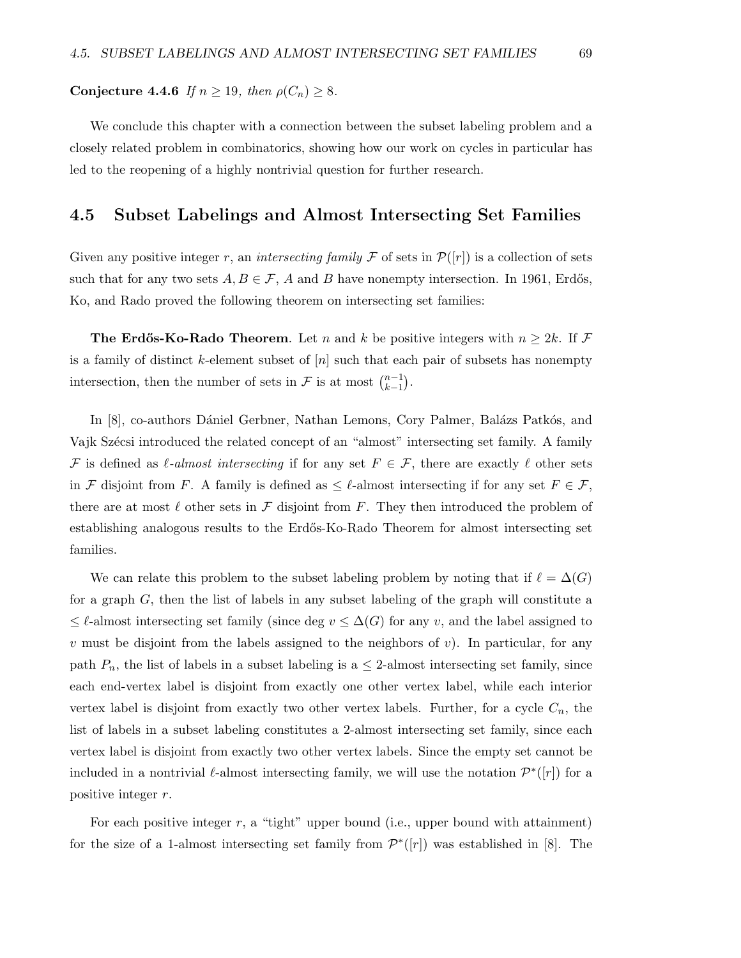#### Conjecture 4.4.6 If  $n \ge 19$ , then  $\rho(C_n) \ge 8$ .

We conclude this chapter with a connection between the subset labeling problem and a closely related problem in combinatorics, showing how our work on cycles in particular has led to the reopening of a highly nontrivial question for further research.

#### 4.5 Subset Labelings and Almost Intersecting Set Families

Given any positive integer r, an intersecting family F of sets in  $\mathcal{P}(|r|)$  is a collection of sets such that for any two sets  $A, B \in \mathcal{F}$ , A and B have nonempty intersection. In 1961, Erdős, Ko, and Rado proved the following theorem on intersecting set families:

**The Erdős-Ko-Rado Theorem.** Let n and k be positive integers with  $n \geq 2k$ . If F is a family of distinct k-element subset of  $[n]$  such that each pair of subsets has nonempty intersection, then the number of sets in F is at most  $\binom{n-1}{k-1}$  $_{k-1}^{n-1}$ ).

In [8], co-authors Dániel Gerbner, Nathan Lemons, Cory Palmer, Balázs Patkós, and Vajk Szécsi introduced the related concept of an "almost" intersecting set family. A family F is defined as  $\ell$ -almost intersecting if for any set  $F \in \mathcal{F}$ , there are exactly  $\ell$  other sets in F disjoint from F. A family is defined as  $\leq \ell$ -almost intersecting if for any set  $F \in \mathcal{F}$ , there are at most  $\ell$  other sets in F disjoint from F. They then introduced the problem of establishing analogous results to the Erd˝os-Ko-Rado Theorem for almost intersecting set families.

We can relate this problem to the subset labeling problem by noting that if  $\ell = \Delta(G)$ for a graph G, then the list of labels in any subset labeling of the graph will constitute a  $\leq \ell$ -almost intersecting set family (since deg  $v \leq \Delta(G)$  for any v, and the label assigned to v must be disjoint from the labels assigned to the neighbors of v). In particular, for any path  $P_n$ , the list of labels in a subset labeling is a  $\leq$  2-almost intersecting set family, since each end-vertex label is disjoint from exactly one other vertex label, while each interior vertex label is disjoint from exactly two other vertex labels. Further, for a cycle  $C_n$ , the list of labels in a subset labeling constitutes a 2-almost intersecting set family, since each vertex label is disjoint from exactly two other vertex labels. Since the empty set cannot be included in a nontrivial  $\ell$ -almost intersecting family, we will use the notation  $\mathcal{P}^*([r])$  for a positive integer r.

For each positive integer  $r$ , a "tight" upper bound (i.e., upper bound with attainment) for the size of a 1-almost intersecting set family from  $\mathcal{P}^*([r])$  was established in [8]. The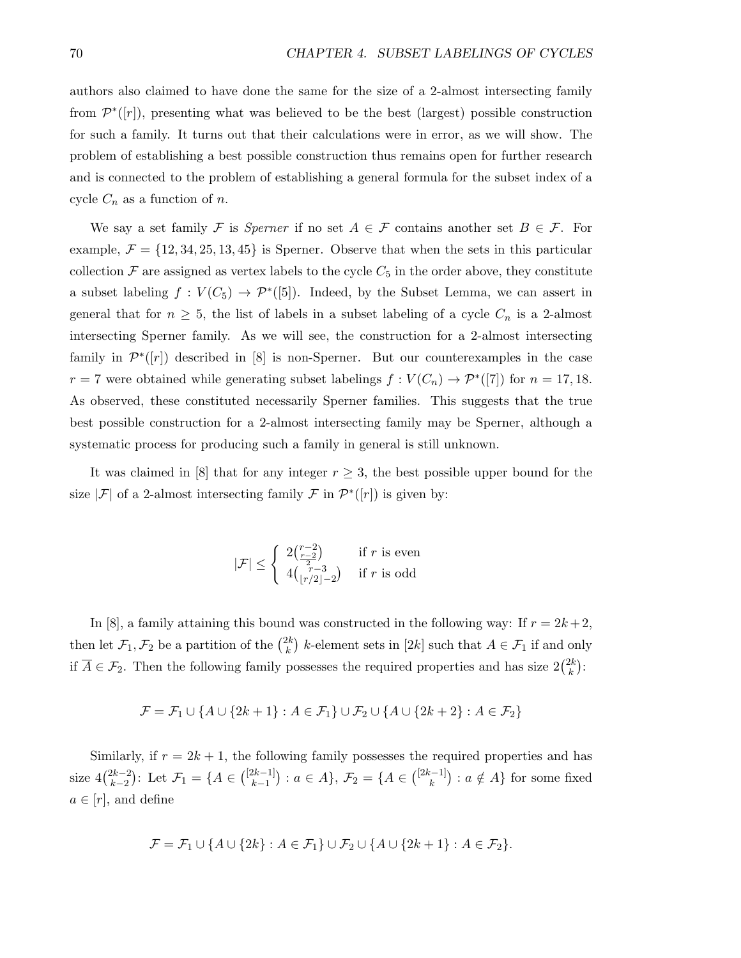authors also claimed to have done the same for the size of a 2-almost intersecting family from  $\mathcal{P}^*([r])$ , presenting what was believed to be the best (largest) possible construction for such a family. It turns out that their calculations were in error, as we will show. The problem of establishing a best possible construction thus remains open for further research and is connected to the problem of establishing a general formula for the subset index of a cycle  $C_n$  as a function of n.

We say a set family F is Sperner if no set  $A \in \mathcal{F}$  contains another set  $B \in \mathcal{F}$ . For example,  $\mathcal{F} = \{12, 34, 25, 13, 45\}$  is Sperner. Observe that when the sets in this particular collection  $\mathcal F$  are assigned as vertex labels to the cycle  $C_5$  in the order above, they constitute a subset labeling  $f: V(C_5) \to \mathcal{P}^*([5])$ . Indeed, by the Subset Lemma, we can assert in general that for  $n \geq 5$ , the list of labels in a subset labeling of a cycle  $C_n$  is a 2-almost intersecting Sperner family. As we will see, the construction for a 2-almost intersecting family in  $\mathcal{P}^*([r])$  described in [8] is non-Sperner. But our counterexamples in the case  $r = 7$  were obtained while generating subset labelings  $f: V(C_n) \to \mathcal{P}^*([7])$  for  $n = 17, 18$ . As observed, these constituted necessarily Sperner families. This suggests that the true best possible construction for a 2-almost intersecting family may be Sperner, although a systematic process for producing such a family in general is still unknown.

It was claimed in [8] that for any integer  $r \geq 3$ , the best possible upper bound for the size | $\mathcal{F}$ | of a 2-almost intersecting family  $\mathcal{F}$  in  $\mathcal{P}^*(r|)$  is given by:

$$
|\mathcal{F}| \leq \begin{cases} 2\binom{r-2}{\frac{r-2}{2}} & \text{if } r \text{ is even} \\ 4\binom{r-3}{\lfloor r/2 \rfloor -2} & \text{if } r \text{ is odd} \end{cases}
$$

In [8], a family attaining this bound was constructed in the following way: If  $r = 2k + 2$ , then let  $\mathcal{F}_1, \mathcal{F}_2$  be a partition of the  $\binom{2k}{k}$  $\binom{2k}{k}$  k-element sets in  $[2k]$  such that  $A \in \mathcal{F}_1$  if and only if  $\overline{A} \in \mathcal{F}_2$ . Then the following family possesses the required properties and has size  $2\binom{2k}{k}$  $\binom{2k}{k}$ :

$$
\mathcal{F} = \mathcal{F}_1 \cup \{ A \cup \{2k+1\} : A \in \mathcal{F}_1 \} \cup \mathcal{F}_2 \cup \{ A \cup \{2k+2\} : A \in \mathcal{F}_2 \}
$$

Similarly, if  $r = 2k + 1$ , the following family possesses the required properties and has size  $4\binom{2k-2}{k-2}$ <sup>2k-2</sup>): Let  $\mathcal{F}_1 = \{A \in \binom{[2k-1]}{k-1}$  $\binom{2k-1}{k-1}$  :  $a \in A$ ,  $\mathcal{F}_2 = \{A \in \binom{[2k-1]}{k}\}$  $\binom{c-1}{k}$  :  $a \notin A$  for some fixed  $a \in [r]$ , and define

$$
\mathcal{F}=\mathcal{F}_1\cup\{A\cup\{2k\}:A\in\mathcal{F}_1\}\cup\mathcal{F}_2\cup\{A\cup\{2k+1\}:A\in\mathcal{F}_2\}.
$$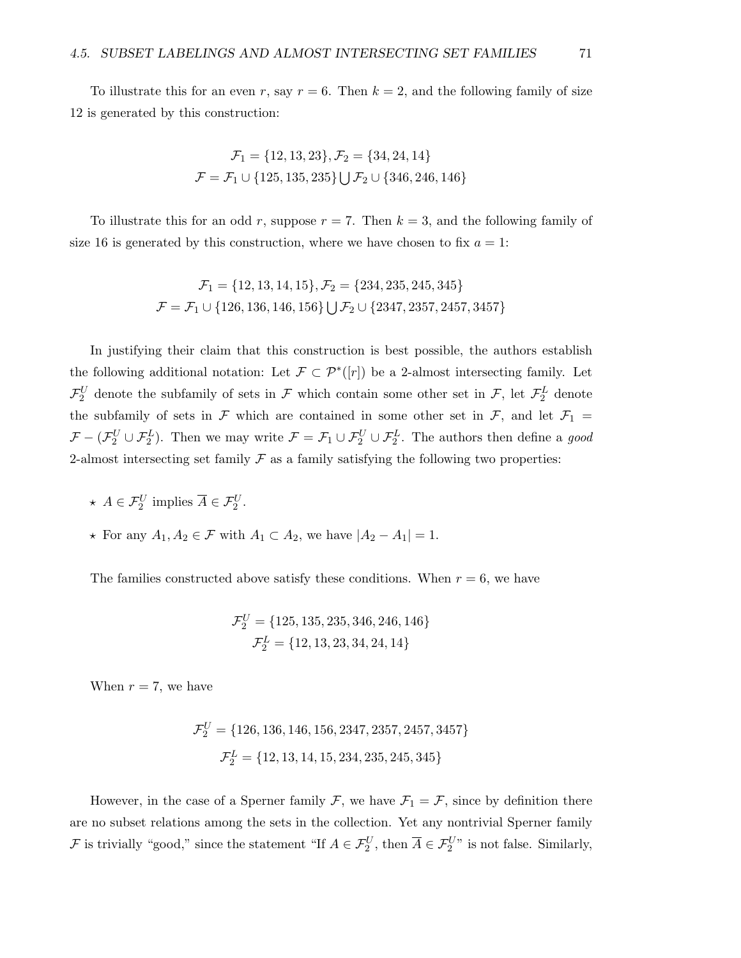To illustrate this for an even r, say  $r = 6$ . Then  $k = 2$ , and the following family of size 12 is generated by this construction:

$$
\mathcal{F}_1 = \{12, 13, 23\}, \mathcal{F}_2 = \{34, 24, 14\}
$$

$$
\mathcal{F} = \mathcal{F}_1 \cup \{125, 135, 235\} \cup \mathcal{F}_2 \cup \{346, 246, 146\}
$$

To illustrate this for an odd r, suppose  $r = 7$ . Then  $k = 3$ , and the following family of size 16 is generated by this construction, where we have chosen to fix  $a = 1$ :

$$
\mathcal{F}_1 = \{12, 13, 14, 15\}, \mathcal{F}_2 = \{234, 235, 245, 345\}
$$
\n
$$
\mathcal{F} = \mathcal{F}_1 \cup \{126, 136, 146, 156\} \cup \mathcal{F}_2 \cup \{2347, 2357, 2457, 3457\}
$$

In justifying their claim that this construction is best possible, the authors establish the following additional notation: Let  $\mathcal{F} \subset \mathcal{P}^*([r])$  be a 2-almost intersecting family. Let  $\mathcal{F}_2^U$  denote the subfamily of sets in  $\mathcal F$  which contain some other set in  $\mathcal F$ , let  $\mathcal F_2^L$  denote the subfamily of sets in  $\mathcal F$  which are contained in some other set in  $\mathcal F$ , and let  $\mathcal F_1$  =  $\mathcal{F}-(\mathcal{F}_2^U\cup\mathcal{F}_2^L)$ . Then we may write  $\mathcal{F}=\mathcal{F}_1\cup\mathcal{F}_2^U\cup\mathcal{F}_2^L$ . The authors then define a good 2-almost intersecting set family  $\mathcal F$  as a family satisfying the following two properties:

- $\star A \in \mathcal{F}_2^U$  implies  $\overline{A} \in \mathcal{F}_2^U$ .
- $\star$  For any  $A_1, A_2 \in \mathcal{F}$  with  $A_1 \subset A_2$ , we have  $|A_2 A_1| = 1$ .

The families constructed above satisfy these conditions. When  $r = 6$ , we have

$$
\mathcal{F}_2^U = \{125, 135, 235, 346, 246, 146\}
$$

$$
\mathcal{F}_2^L = \{12, 13, 23, 34, 24, 14\}
$$

When  $r = 7$ , we have

$$
\mathcal{F}_2^U = \{126, 136, 146, 156, 2347, 2357, 2457, 3457\}
$$

$$
\mathcal{F}_2^L = \{12, 13, 14, 15, 234, 235, 245, 345\}
$$

However, in the case of a Sperner family  $\mathcal{F}$ , we have  $\mathcal{F}_1 = \mathcal{F}$ , since by definition there are no subset relations among the sets in the collection. Yet any nontrivial Sperner family F is trivially "good," since the statement "If  $A \in \mathcal{F}_2^U$ , then  $\overline{A} \in \mathcal{F}_2^U$ " is not false. Similarly,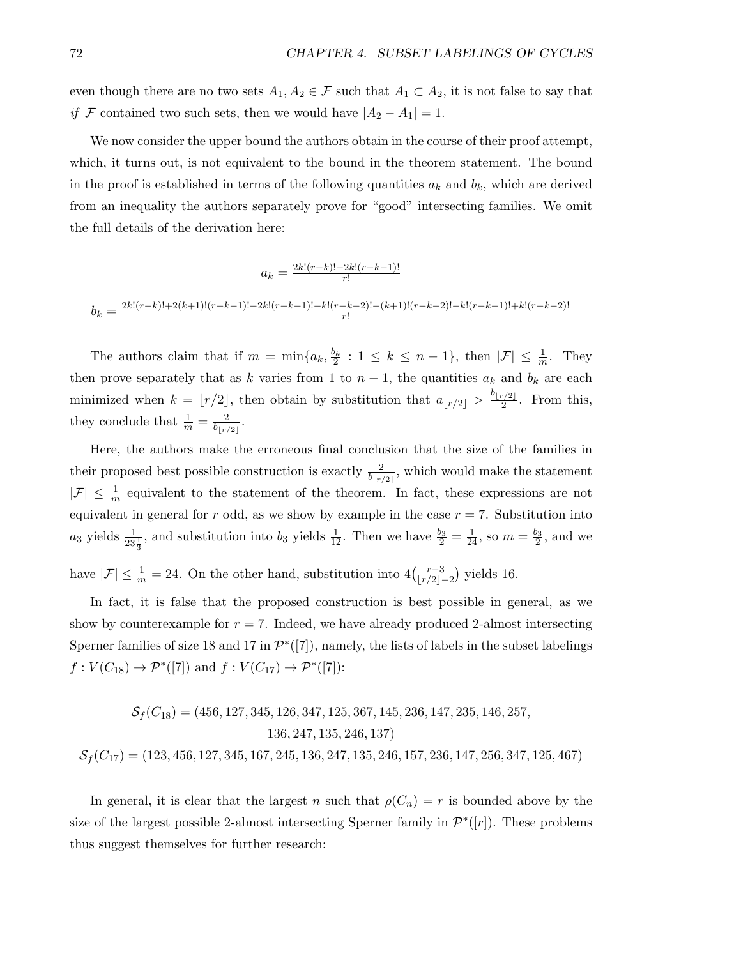even though there are no two sets  $A_1, A_2 \in \mathcal{F}$  such that  $A_1 \subset A_2$ , it is not false to say that if F contained two such sets, then we would have  $|A_2 - A_1| = 1$ .

We now consider the upper bound the authors obtain in the course of their proof attempt, which, it turns out, is not equivalent to the bound in the theorem statement. The bound in the proof is established in terms of the following quantities  $a_k$  and  $b_k$ , which are derived from an inequality the authors separately prove for "good" intersecting families. We omit the full details of the derivation here:

$$
a_k = \frac{2k!(r-k)! - 2k!(r-k-1)!}{r!}
$$

$$
b_k = \frac{2k!(r-k)! + 2(k+1)!(r-k-1)! - 2k!(r-k-1)! - k!(r-k-2)! - (k+1)!(r-k-2)! - k!(r-k-1)! + k!(r-k-2)!}{r!}
$$

The authors claim that if  $m = \min\{a_k, \frac{b_k}{2} : 1 \leq k \leq n-1\}$ , then  $|\mathcal{F}| \leq \frac{1}{m}$ . They then prove separately that as k varies from 1 to  $n-1$ , the quantities  $a_k$  and  $b_k$  are each minimized when  $k = \lfloor r/2 \rfloor$ , then obtain by substitution that  $a_{\lfloor r/2 \rfloor} > \frac{b_{\lfloor r/2 \rfloor}}{2}$  $\frac{1}{2}$ . From this, they conclude that  $\frac{1}{m} = \frac{2}{b_{1r}}$  $\frac{2}{b_{\lfloor r/2 \rfloor}}.$ 

Here, the authors make the erroneous final conclusion that the size of the families in their proposed best possible construction is exactly  $\frac{2}{b_{\lfloor r/2 \rfloor}}$ , which would make the statement  $|\mathcal{F}| \leq \frac{1}{m}$  equivalent to the statement of the theorem. In fact, these expressions are not equivalent in general for r odd, as we show by example in the case  $r = 7$ . Substitution into  $a_3$  yields  $\frac{1}{23\frac{1}{3}}$ , and substitution into  $b_3$  yields  $\frac{1}{12}$ . Then we have  $\frac{b_3}{2} = \frac{1}{24}$ , so  $m = \frac{b_3}{2}$ , and we have  $|\mathcal{F}| \leq \frac{1}{m} = 24$ . On the other hand, substitution into  $4\binom{r-3}{|r/2|}$ .  $\binom{r-3}{r/2-2}$  yields 16.

In fact, it is false that the proposed construction is best possible in general, as we show by counterexample for  $r = 7$ . Indeed, we have already produced 2-almost intersecting Sperner families of size 18 and 17 in  $\mathcal{P}^*([7])$ , namely, the lists of labels in the subset labelings  $f: V(C_{18}) \to \mathcal{P}^*([7])$  and  $f: V(C_{17}) \to \mathcal{P}^*([7])$ :

$$
\mathcal{S}_f(C_{18}) = (456, 127, 345, 126, 347, 125, 367, 145, 236, 147, 235, 146, 257, 136, 247, 135, 246, 137)
$$
  

$$
\mathcal{S}_f(C_{17}) = (123, 456, 127, 345, 167, 245, 136, 247, 135, 246, 157, 236, 147, 256, 347, 125, 467)
$$

In general, it is clear that the largest n such that  $\rho(C_n) = r$  is bounded above by the size of the largest possible 2-almost intersecting Sperner family in  $\mathcal{P}^*([r])$ . These problems thus suggest themselves for further research: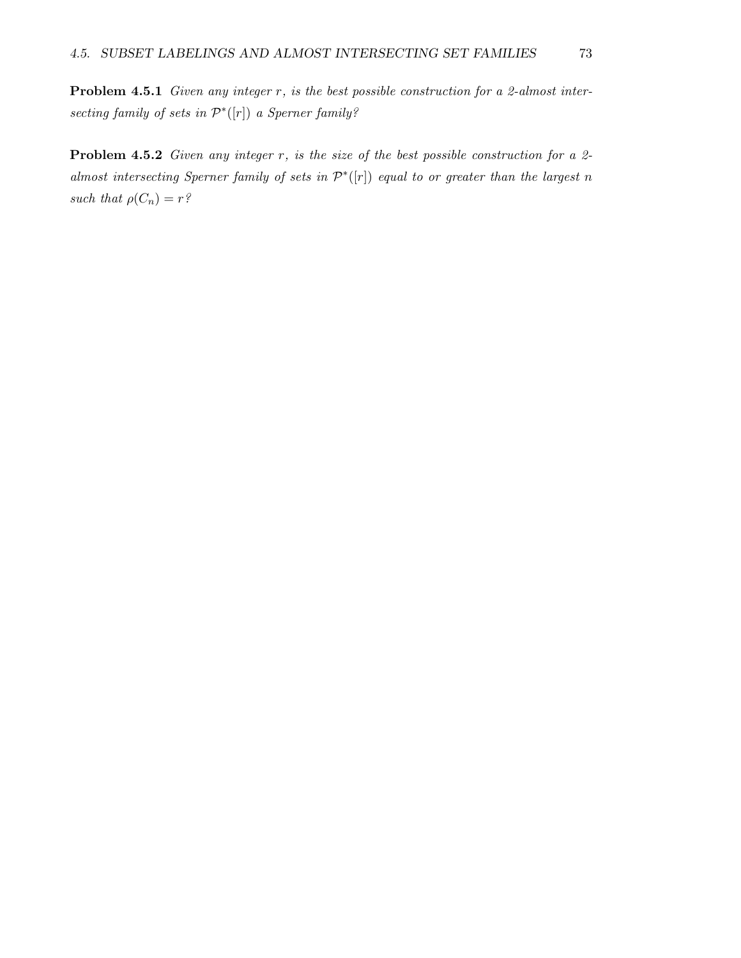Problem 4.5.1 Given any integer r, is the best possible construction for a 2-almost intersecting family of sets in  $\mathcal{P}^*([r])$  a Sperner family?

**Problem 4.5.2** Given any integer r, is the size of the best possible construction for a 2almost intersecting Sperner family of sets in  $\mathcal{P}^*([\mathbf{r}])$  equal to or greater than the largest n such that  $\rho(C_n) = r^2$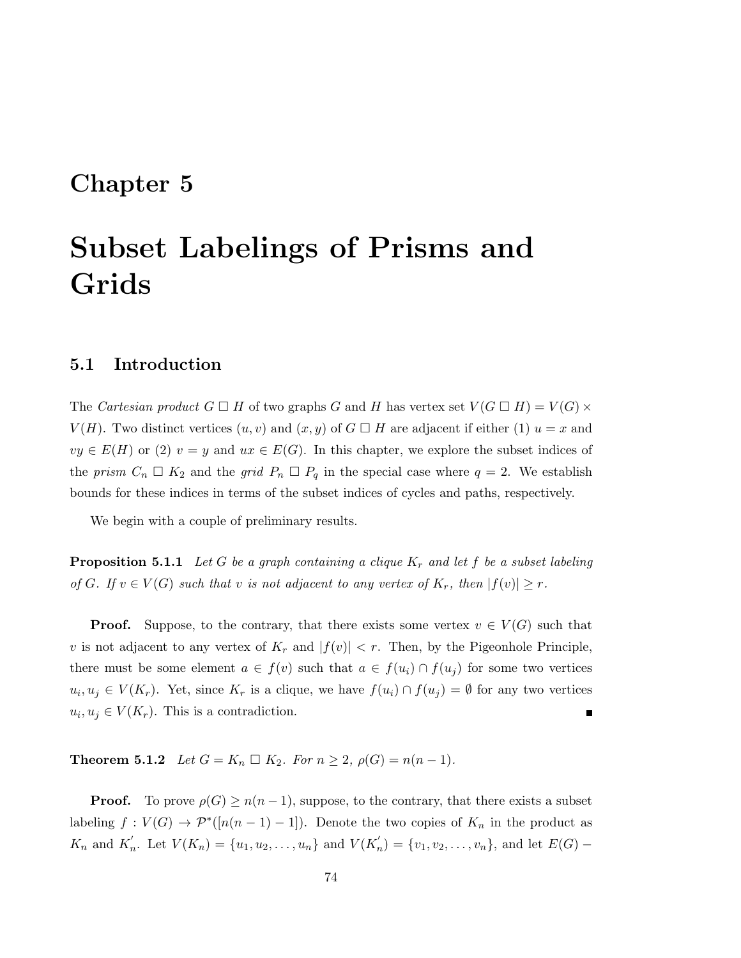## Chapter 5

# Subset Labelings of Prisms and Grids

#### 5.1 Introduction

The Cartesian product  $G \square H$  of two graphs G and H has vertex set  $V(G \square H) = V(G) \times$  $V(H)$ . Two distinct vertices  $(u, v)$  and  $(x, y)$  of  $G \square H$  are adjacent if either  $(1)$   $u = x$  and  $vy \in E(H)$  or (2)  $v = y$  and  $ux \in E(G)$ . In this chapter, we explore the subset indices of the prism  $C_n \square K_2$  and the grid  $P_n \square P_q$  in the special case where  $q = 2$ . We establish bounds for these indices in terms of the subset indices of cycles and paths, respectively.

We begin with a couple of preliminary results.

**Proposition 5.1.1** Let G be a graph containing a clique  $K_r$  and let f be a subset labeling of G. If  $v \in V(G)$  such that v is not adjacent to any vertex of  $K_r$ , then  $|f(v)| \geq r$ .

**Proof.** Suppose, to the contrary, that there exists some vertex  $v \in V(G)$  such that v is not adjacent to any vertex of  $K_r$  and  $|f(v)| < r$ . Then, by the Pigeonhole Principle, there must be some element  $a \in f(v)$  such that  $a \in f(u_i) \cap f(u_j)$  for some two vertices  $u_i, u_j \in V(K_r)$ . Yet, since  $K_r$  is a clique, we have  $f(u_i) \cap f(u_j) = \emptyset$  for any two vertices  $u_i, u_j \in V(K_r)$ . This is a contradiction.

**Theorem 5.1.2** Let  $G = K_n \square K_2$ . For  $n \ge 2$ ,  $\rho(G) = n(n-1)$ .

**Proof.** To prove  $\rho(G) \geq n(n-1)$ , suppose, to the contrary, that there exists a subset labeling  $f: V(G) \to \mathcal{P}^*([n(n-1)-1])$ . Denote the two copies of  $K_n$  in the product as  $K_n$  and  $K'_n$ . Let  $V(K_n) = \{u_1, u_2, \ldots, u_n\}$  and  $V(K'_n) = \{v_1, v_2, \ldots, v_n\}$ , and let  $E(G)$  –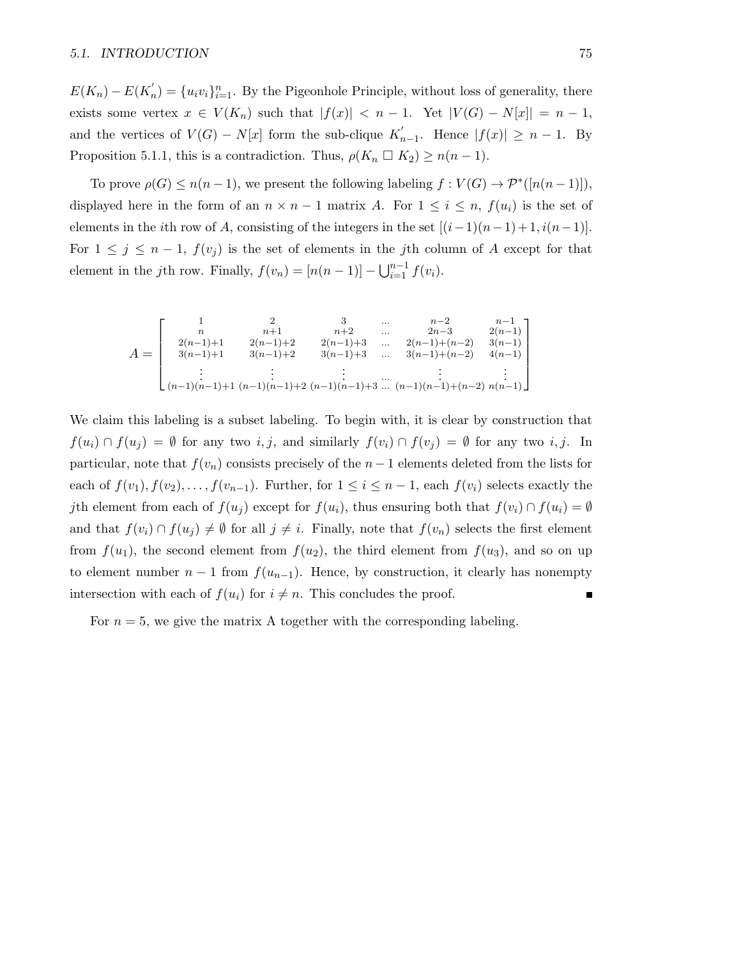#### 5.1. INTRODUCTION 75

 $E(K_n) - E(K'_n) = \{u_i v_i\}_{i=1}^n$ . By the Pigeonhole Principle, without loss of generality, there exists some vertex  $x \in V(K_n)$  such that  $|f(x)| < n-1$ . Yet  $|V(G) - N[x]| = n-1$ , and the vertices of  $V(G) - N[x]$  form the sub-clique  $K'_r$  $n_{n-1}$ . Hence  $|f(x)| \geq n-1$ . By Proposition 5.1.1, this is a contradiction. Thus,  $\rho(K_n \square K_2) \geq n(n-1)$ .

To prove  $\rho(G) \leq n(n-1)$ , we present the following labeling  $f: V(G) \to \mathcal{P}^*([n(n-1)])$ , displayed here in the form of an  $n \times n - 1$  matrix A. For  $1 \leq i \leq n$ ,  $f(u_i)$  is the set of elements in the *i*th row of A, consisting of the integers in the set  $[(i-1)(n-1)+1, i(n-1)]$ . For  $1 \leq j \leq n-1$ ,  $f(v_j)$  is the set of elements in the jth column of A except for that element in the *j*th row. Finally,  $f(v_n) = [n(n-1)] - \bigcup_{i=1}^{n-1} f(v_i)$ .

$$
A = \begin{bmatrix} 1 & 2 & 3 & \dots & n-2 & n-1 \\ n & n+1 & n+2 & \dots & 2n-3 & 2(n-1) \\ 2(n-1)+1 & 2(n-1)+2 & 2(n-1)+3 & \dots & 2(n-1)+(n-2) & 3(n-1) \\ 3(n-1)+1 & 3(n-1)+2 & 3(n-1)+3 & \dots & 3(n-1)+(n-2) & 4(n-1) \\ \vdots & \vdots & \vdots & \ddots & \vdots & \vdots \\ (n-1)(n-1)+1 & (n-1)(n-1)+2 & (n-1)(n-1)+3 & \dots & (n-1)(n-1)+(n-2) & n(n-1) \end{bmatrix}
$$

We claim this labeling is a subset labeling. To begin with, it is clear by construction that  $f(u_i) \cap f(u_j) = \emptyset$  for any two i, j, and similarly  $f(v_i) \cap f(v_j) = \emptyset$  for any two i, j. In particular, note that  $f(v_n)$  consists precisely of the  $n-1$  elements deleted from the lists for each of  $f(v_1), f(v_2), \ldots, f(v_{n-1})$ . Further, for  $1 \leq i \leq n-1$ , each  $f(v_i)$  selects exactly the jth element from each of  $f(u_i)$  except for  $f(u_i)$ , thus ensuring both that  $f(v_i) \cap f(u_i) = \emptyset$ and that  $f(v_i) \cap f(u_j) \neq \emptyset$  for all  $j \neq i$ . Finally, note that  $f(v_n)$  selects the first element from  $f(u_1)$ , the second element from  $f(u_2)$ , the third element from  $f(u_3)$ , and so on up to element number  $n-1$  from  $f(u_{n-1})$ . Hence, by construction, it clearly has nonempty intersection with each of  $f(u_i)$  for  $i \neq n$ . This concludes the proof.

For  $n = 5$ , we give the matrix A together with the corresponding labeling.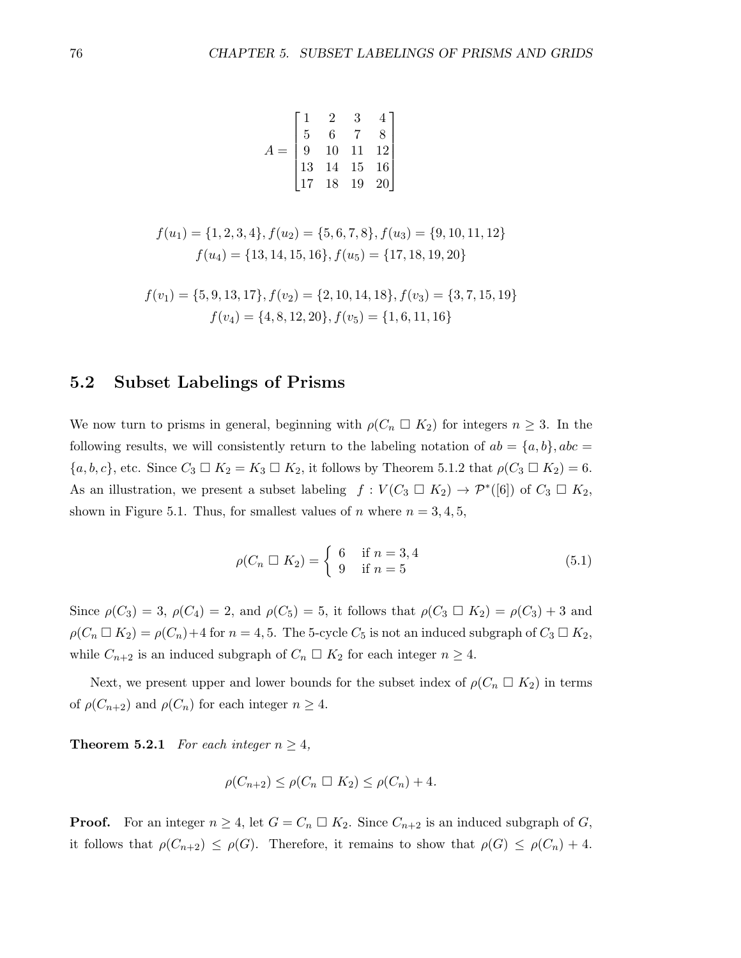$$
A = \begin{bmatrix} 1 & 2 & 3 & 4 \\ 5 & 6 & 7 & 8 \\ 9 & 10 & 11 & 12 \\ 13 & 14 & 15 & 16 \\ 17 & 18 & 19 & 20 \end{bmatrix}
$$

$$
f(u_1) = \{1, 2, 3, 4\}, f(u_2) = \{5, 6, 7, 8\}, f(u_3) = \{9, 10, 11, 12\}
$$

$$
f(u_4) = \{13, 14, 15, 16\}, f(u_5) = \{17, 18, 19, 20\}
$$

$$
f(v_1) = \{5, 9, 13, 17\}, f(v_2) = \{2, 10, 14, 18\}, f(v_3) = \{3, 7, 15, 19\}
$$

$$
f(v_4) = \{4, 8, 12, 20\}, f(v_5) = \{1, 6, 11, 16\}
$$

#### 5.2 Subset Labelings of Prisms

We now turn to prisms in general, beginning with  $\rho(C_n \square K_2)$  for integers  $n \geq 3$ . In the following results, we will consistently return to the labeling notation of  $ab = \{a, b\}$ ,  $abc =$  $\{a, b, c\}$ , etc. Since  $C_3 \square K_2 = K_3 \square K_2$ , it follows by Theorem 5.1.2 that  $\rho(C_3 \square K_2) = 6$ . As an illustration, we present a subset labeling  $f: V(C_3 \square K_2) \to \mathcal{P}^*([6])$  of  $C_3 \square K_2$ , shown in Figure 5.1. Thus, for smallest values of n where  $n = 3, 4, 5$ ,

$$
\rho(C_n \ \Box \ K_2) = \begin{cases} \ 6 & \text{if } n = 3, 4 \\ \ 9 & \text{if } n = 5 \end{cases} \tag{5.1}
$$

Since  $\rho(C_3) = 3$ ,  $\rho(C_4) = 2$ , and  $\rho(C_5) = 5$ , it follows that  $\rho(C_3 \square K_2) = \rho(C_3) + 3$  and  $\rho(C_n \square K_2) = \rho(C_n) + 4$  for  $n = 4, 5$ . The 5-cycle  $C_5$  is not an induced subgraph of  $C_3 \square K_2$ , while  $C_{n+2}$  is an induced subgraph of  $C_n \square K_2$  for each integer  $n \geq 4$ .

Next, we present upper and lower bounds for the subset index of  $\rho(C_n \square K_2)$  in terms of  $\rho(C_{n+2})$  and  $\rho(C_n)$  for each integer  $n \geq 4$ .

**Theorem 5.2.1** For each integer  $n \geq 4$ ,

$$
\rho(C_{n+2}) \le \rho(C_n \square K_2) \le \rho(C_n) + 4.
$$

**Proof.** For an integer  $n \geq 4$ , let  $G = C_n \square K_2$ . Since  $C_{n+2}$  is an induced subgraph of G, it follows that  $\rho(C_{n+2}) \leq \rho(G)$ . Therefore, it remains to show that  $\rho(G) \leq \rho(C_n) + 4$ .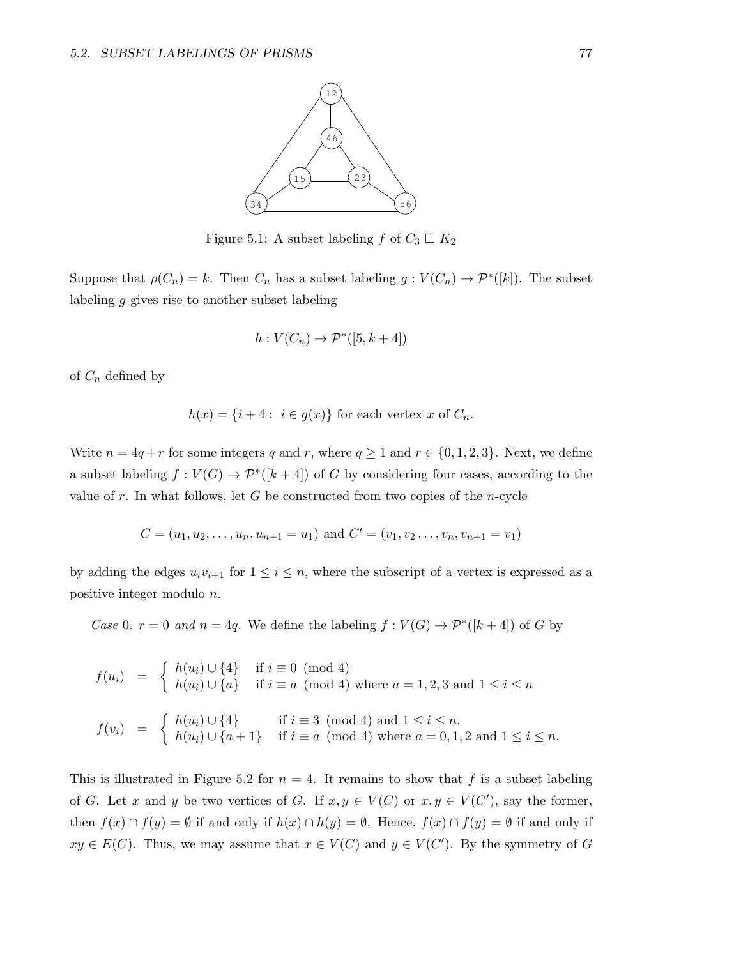

Figure 5.1: A subset labeling f of  $C_3 \square K_2$ 

Suppose that  $\rho(C_n) = k$ . Then  $C_n$  has a subset labeling  $g: V(C_n) \to \mathcal{P}^*([k])$ . The subset labeling g gives rise to another subset labeling

$$
h: V(C_n) \to \mathcal{P}^*([5, k+4])
$$

of  $C_n$  defined by

$$
h(x) = \{i+4 : i \in g(x)\}\
$$
for each vertex  $x$  of  $C_n$ .

Write  $n = 4q + r$  for some integers q and r, where  $q \ge 1$  and  $r \in \{0, 1, 2, 3\}$ . Next, we define a subset labeling  $f: V(G) \to \mathcal{P}^*(\{k+4\})$  of G by considering four cases, according to the value of r. In what follows, let G be constructed from two copies of the n-cycle

$$
C = (u_1, u_2, \dots, u_n, u_{n+1} = u_1)
$$
 and  $C' = (v_1, v_2, \dots, v_n, v_{n+1} = v_1)$ 

by adding the edges  $u_i v_{i+1}$  for  $1 \leq i \leq n$ , where the subscript of a vertex is expressed as a positive integer modulo n.

Case 0.  $r = 0$  and  $n = 4q$ . We define the labeling  $f: V(G) \to \mathcal{P}^*([k+4])$  of G by

$$
f(u_i) = \begin{cases} h(u_i) \cup \{4\} & \text{if } i \equiv 0 \pmod{4} \\ h(u_i) \cup \{a\} & \text{if } i \equiv a \pmod{4} \text{ where } a = 1, 2, 3 \text{ and } 1 \le i \le n \end{cases}
$$
  

$$
f(v_i) = \begin{cases} h(u_i) \cup \{4\} & \text{if } i \equiv 3 \pmod{4} \text{ and } 1 \le i \le n. \\ h(u_i) \cup \{a+1\} & \text{if } i \equiv a \pmod{4} \text{ where } a = 0, 1, 2 \text{ and } 1 \le i \le n. \end{cases}
$$

This is illustrated in Figure 5.2 for  $n = 4$ . It remains to show that f is a subset labeling of G. Let x and y be two vertices of G. If  $x, y \in V(C)$  or  $x, y \in V(C')$ , say the former, then  $f(x) \cap f(y) = \emptyset$  if and only if  $h(x) \cap h(y) = \emptyset$ . Hence,  $f(x) \cap f(y) = \emptyset$  if and only if  $xy \in E(C)$ . Thus, we may assume that  $x \in V(C)$  and  $y \in V(C')$ . By the symmetry of G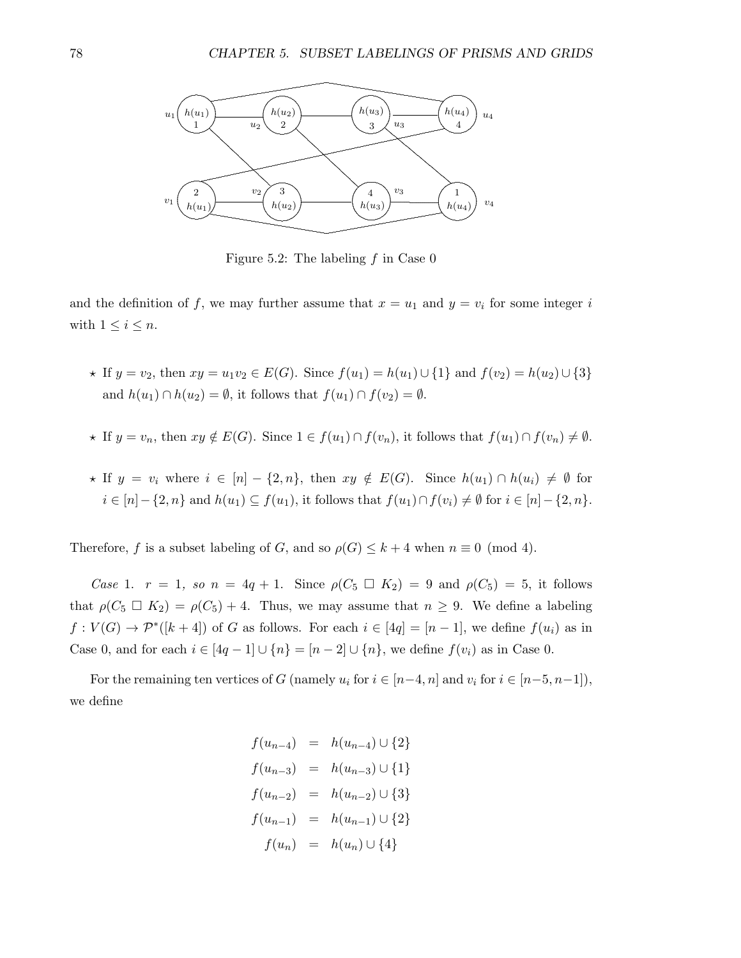

Figure 5.2: The labeling  $f$  in Case 0

and the definition of f, we may further assume that  $x = u_1$  and  $y = v_i$  for some integer i with  $1 \leq i \leq n$ .

- $\star$  If  $y = v_2$ , then  $xy = u_1v_2 \in E(G)$ . Since  $f(u_1) = h(u_1) \cup \{1\}$  and  $f(v_2) = h(u_2) \cup \{3\}$ and  $h(u_1) \cap h(u_2) = \emptyset$ , it follows that  $f(u_1) \cap f(v_2) = \emptyset$ .
- $\star$  If  $y = v_n$ , then  $xy \notin E(G)$ . Since  $1 \in f(u_1) \cap f(v_n)$ , it follows that  $f(u_1) \cap f(v_n) \neq \emptyset$ .
- $\star$  If  $y = v_i$  where  $i \in [n] \{2, n\}$ , then  $xy \notin E(G)$ . Since  $h(u_1) \cap h(u_i) \neq \emptyset$  for  $i \in [n] - \{2, n\}$  and  $h(u_1) \subseteq f(u_1)$ , it follows that  $f(u_1) \cap f(v_i) \neq \emptyset$  for  $i \in [n] - \{2, n\}$ .

Therefore, f is a subset labeling of G, and so  $\rho(G) \leq k + 4$  when  $n \equiv 0 \pmod{4}$ .

Case 1.  $r = 1$ , so  $n = 4q + 1$ . Since  $\rho(C_5 \square K_2) = 9$  and  $\rho(C_5) = 5$ , it follows that  $\rho(C_5 \square K_2) = \rho(C_5) + 4$ . Thus, we may assume that  $n \geq 9$ . We define a labeling  $f: V(G) \to \mathcal{P}^*([k+4])$  of G as follows. For each  $i \in [4q] = [n-1]$ , we define  $f(u_i)$  as in Case 0, and for each  $i \in [4q-1] \cup \{n\} = [n-2] \cup \{n\}$ , we define  $f(v_i)$  as in Case 0.

For the remaining ten vertices of G (namely  $u_i$  for  $i \in [n-4, n]$  and  $v_i$  for  $i \in [n-5, n-1]$ ), we define

$$
f(u_{n-4}) = h(u_{n-4}) \cup \{2\}
$$
  
\n
$$
f(u_{n-3}) = h(u_{n-3}) \cup \{1\}
$$
  
\n
$$
f(u_{n-2}) = h(u_{n-2}) \cup \{3\}
$$
  
\n
$$
f(u_{n-1}) = h(u_{n-1}) \cup \{2\}
$$
  
\n
$$
f(u_n) = h(u_n) \cup \{4\}
$$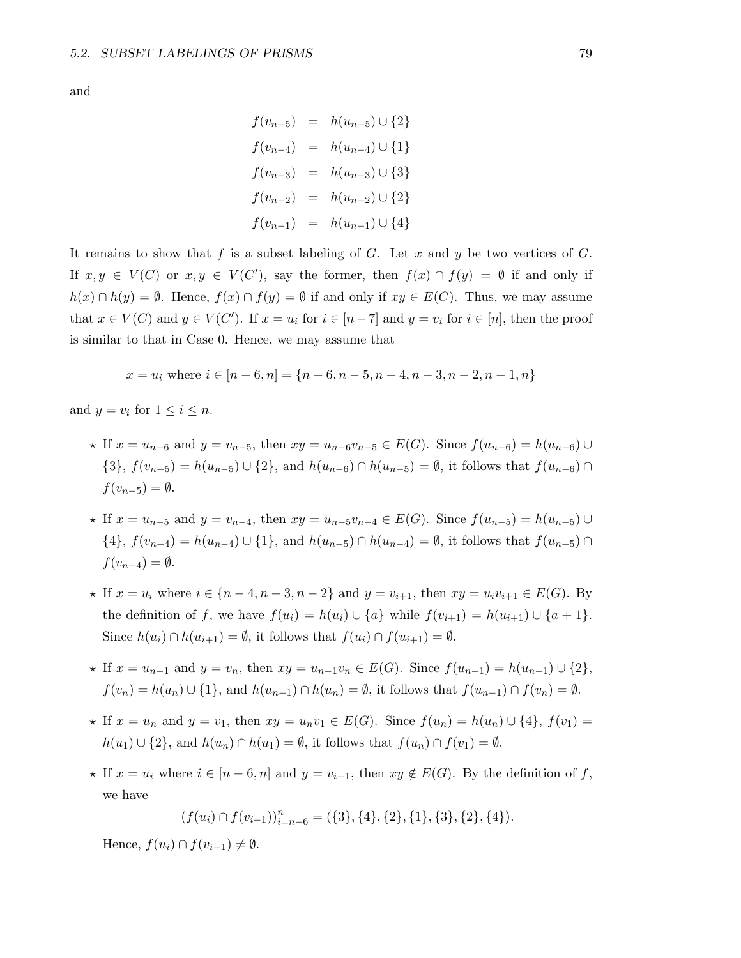and

$$
f(v_{n-5}) = h(u_{n-5}) \cup \{2\}
$$
  
\n
$$
f(v_{n-4}) = h(u_{n-4}) \cup \{1\}
$$
  
\n
$$
f(v_{n-3}) = h(u_{n-3}) \cup \{3\}
$$
  
\n
$$
f(v_{n-2}) = h(u_{n-2}) \cup \{2\}
$$
  
\n
$$
f(v_{n-1}) = h(u_{n-1}) \cup \{4\}
$$

It remains to show that f is a subset labeling of G. Let x and y be two vertices of G. If  $x, y \in V(C)$  or  $x, y \in V(C')$ , say the former, then  $f(x) \cap f(y) = \emptyset$  if and only if  $h(x) \cap h(y) = \emptyset$ . Hence,  $f(x) \cap f(y) = \emptyset$  if and only if  $xy \in E(C)$ . Thus, we may assume that  $x \in V(C)$  and  $y \in V(C')$ . If  $x = u_i$  for  $i \in [n-7]$  and  $y = v_i$  for  $i \in [n]$ , then the proof is similar to that in Case 0. Hence, we may assume that

$$
x = u_i
$$
 where  $i \in [n-6, n] = \{n-6, n-5, n-4, n-3, n-2, n-1, n\}$ 

and  $y = v_i$  for  $1 \leq i \leq n$ .

- $\star$  If  $x = u_{n-6}$  and  $y = v_{n-5}$ , then  $xy = u_{n-6}v_{n-5} \in E(G)$ . Since  $f(u_{n-6}) = h(u_{n-6}) \cup$  $\{3\}, f(v_{n-5}) = h(u_{n-5}) \cup \{2\}, \text{ and } h(u_{n-6}) \cap h(u_{n-5}) = \emptyset, \text{ it follows that } f(u_{n-6}) \cap h(u_{n-6}) = \emptyset.$  $f(v_{n-5}) = \emptyset.$
- $\star$  If  $x = u_{n-5}$  and  $y = v_{n-4}$ , then  $xy = u_{n-5}v_{n-4} \in E(G)$ . Since  $f(u_{n-5}) = h(u_{n-5}) \cup$  $\{4\}, f(v_{n-4}) = h(u_{n-4}) \cup \{1\}, \text{ and } h(u_{n-5}) \cap h(u_{n-4}) = \emptyset, \text{ it follows that } f(u_{n-5}) \cap h(u_{n-5})$  $f(v_{n-4}) = \emptyset.$
- $\star$  If  $x = u_i$  where  $i \in \{n-4, n-3, n-2\}$  and  $y = v_{i+1}$ , then  $xy = u_i v_{i+1} \in E(G)$ . By the definition of f, we have  $f(u_i) = h(u_i) \cup \{a\}$  while  $f(v_{i+1}) = h(u_{i+1}) \cup \{a+1\}$ . Since  $h(u_i) \cap h(u_{i+1}) = \emptyset$ , it follows that  $f(u_i) \cap f(u_{i+1}) = \emptyset$ .
- $\star$  If  $x = u_{n-1}$  and  $y = v_n$ , then  $xy = u_{n-1}v_n \in E(G)$ . Since  $f(u_{n-1}) = h(u_{n-1}) \cup \{2\},\$  $f(v_n) = h(u_n) \cup \{1\}$ , and  $h(u_{n-1}) \cap h(u_n) = \emptyset$ , it follows that  $f(u_{n-1}) \cap f(v_n) = \emptyset$ .
- \* If  $x = u_n$  and  $y = v_1$ , then  $xy = u_n v_1 \in E(G)$ . Since  $f(u_n) = h(u_n) \cup \{4\}$ ,  $f(v_1) =$  $h(u_1) \cup \{2\}$ , and  $h(u_n) \cap h(u_1) = \emptyset$ , it follows that  $f(u_n) \cap f(v_1) = \emptyset$ .
- $\star$  If  $x = u_i$  where  $i \in [n-6, n]$  and  $y = v_{i-1}$ , then  $xy \notin E(G)$ . By the definition of f, we have

$$
(f(u_i) \cap f(v_{i-1}))_{i=n-6}^n = (\{3\}, \{4\}, \{2\}, \{1\}, \{3\}, \{2\}, \{4\}).
$$

Hence,  $f(u_i) \cap f(v_{i-1}) \neq \emptyset$ .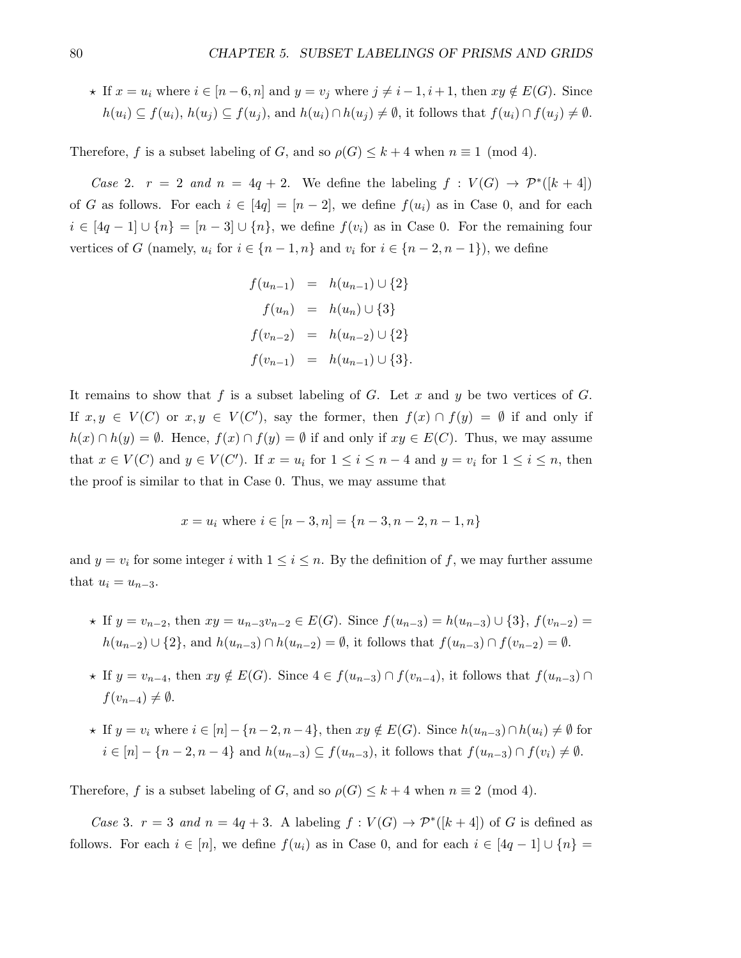$\star$  If  $x = u_i$  where  $i \in [n-6, n]$  and  $y = v_j$  where  $j \neq i-1, i+1$ , then  $xy \notin E(G)$ . Since  $h(u_i) \subseteq f(u_i)$ ,  $h(u_j) \subseteq f(u_j)$ , and  $h(u_i) \cap h(u_j) \neq \emptyset$ , it follows that  $f(u_i) \cap f(u_j) \neq \emptyset$ .

Therefore, f is a subset labeling of G, and so  $\rho(G) \leq k+4$  when  $n \equiv 1 \pmod{4}$ .

Case 2.  $r = 2$  and  $n = 4q + 2$ . We define the labeling  $f : V(G) \rightarrow \mathcal{P}^*([k+4])$ of G as follows. For each  $i \in [4q] = [n-2]$ , we define  $f(u_i)$  as in Case 0, and for each  $i \in [4q-1] \cup \{n\} = [n-3] \cup \{n\}$ , we define  $f(v_i)$  as in Case 0. For the remaining four vertices of G (namely,  $u_i$  for  $i \in \{n-1, n\}$  and  $v_i$  for  $i \in \{n-2, n-1\}$ ), we define

$$
f(u_{n-1}) = h(u_{n-1}) \cup \{2\}
$$
  
\n
$$
f(u_n) = h(u_n) \cup \{3\}
$$
  
\n
$$
f(v_{n-2}) = h(u_{n-2}) \cup \{2\}
$$
  
\n
$$
f(v_{n-1}) = h(u_{n-1}) \cup \{3\}.
$$

It remains to show that f is a subset labeling of G. Let x and y be two vertices of G. If  $x, y \in V(C)$  or  $x, y \in V(C')$ , say the former, then  $f(x) \cap f(y) = \emptyset$  if and only if  $h(x) \cap h(y) = \emptyset$ . Hence,  $f(x) \cap f(y) = \emptyset$  if and only if  $xy \in E(C)$ . Thus, we may assume that  $x \in V(C)$  and  $y \in V(C')$ . If  $x = u_i$  for  $1 \le i \le n-4$  and  $y = v_i$  for  $1 \le i \le n$ , then the proof is similar to that in Case 0. Thus, we may assume that

$$
x = u_i
$$
 where  $i \in [n-3, n] = \{n-3, n-2, n-1, n\}$ 

and  $y = v_i$  for some integer i with  $1 \leq i \leq n$ . By the definition of f, we may further assume that  $u_i = u_{n-3}$ .

- $\star$  If  $y = v_{n-2}$ , then  $xy = u_{n-3}v_{n-2} \in E(G)$ . Since  $f(u_{n-3}) = h(u_{n-3}) \cup \{3\}$ ,  $f(v_{n-2}) =$  $h(u_{n-2}) \cup \{2\}$ , and  $h(u_{n-3}) \cap h(u_{n-2}) = \emptyset$ , it follows that  $f(u_{n-3}) \cap f(v_{n-2}) = \emptyset$ .
- $\star$  If  $y = v_{n-4}$ , then  $xy \notin E(G)$ . Since  $4 \in f(u_{n-3}) \cap f(v_{n-4})$ , it follows that  $f(u_{n-3}) \cap f(v_{n-4})$  $f(v_{n-4}) \neq \emptyset$ .
- $\star$  If  $y = v_i$  where  $i \in [n] \{n-2, n-4\}$ , then  $xy \notin E(G)$ . Since  $h(u_{n-3}) \cap h(u_i) \neq \emptyset$  for  $i \in [n] - \{n-2, n-4\}$  and  $h(u_{n-3}) \subseteq f(u_{n-3})$ , it follows that  $f(u_{n-3}) \cap f(v_i) \neq \emptyset$ .

Therefore, f is a subset labeling of G, and so  $\rho(G) \leq k + 4$  when  $n \equiv 2 \pmod{4}$ .

Case 3.  $r = 3$  and  $n = 4q + 3$ . A labeling  $f : V(G) \to \mathcal{P}^*([k+4])$  of G is defined as follows. For each  $i \in [n]$ , we define  $f(u_i)$  as in Case 0, and for each  $i \in [4q-1] \cup \{n\}$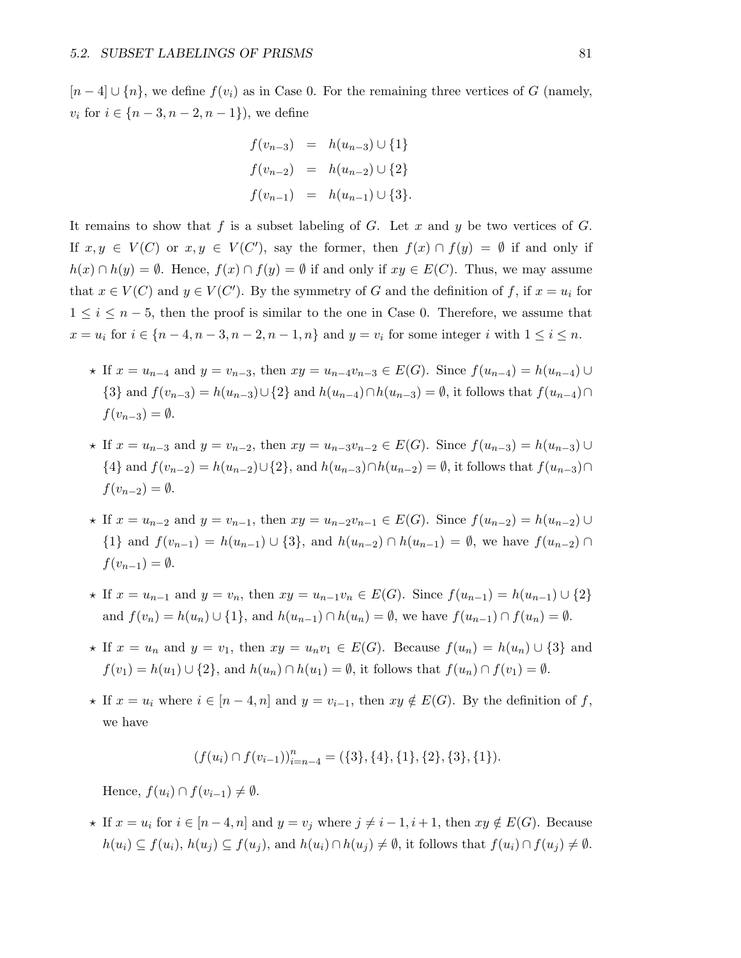$[n-4] \cup \{n\}$ , we define  $f(v_i)$  as in Case 0. For the remaining three vertices of G (namely,  $v_i$  for  $i \in \{n-3, n-2, n-1\}$ , we define

$$
f(v_{n-3}) = h(u_{n-3}) \cup \{1\}
$$
  

$$
f(v_{n-2}) = h(u_{n-2}) \cup \{2\}
$$
  

$$
f(v_{n-1}) = h(u_{n-1}) \cup \{3\}.
$$

It remains to show that f is a subset labeling of G. Let x and y be two vertices of G. If  $x, y \in V(C)$  or  $x, y \in V(C')$ , say the former, then  $f(x) \cap f(y) = \emptyset$  if and only if  $h(x) \cap h(y) = \emptyset$ . Hence,  $f(x) \cap f(y) = \emptyset$  if and only if  $xy \in E(C)$ . Thus, we may assume that  $x \in V(C)$  and  $y \in V(C')$ . By the symmetry of G and the definition of f, if  $x = u_i$  for  $1 \leq i \leq n-5$ , then the proof is similar to the one in Case 0. Therefore, we assume that  $x = u_i$  for  $i \in \{n-4, n-3, n-2, n-1, n\}$  and  $y = v_i$  for some integer i with  $1 \le i \le n$ .

- $\star$  If  $x = u_{n-4}$  and  $y = v_{n-3}$ , then  $xy = u_{n-4}v_{n-3} \in E(G)$ . Since  $f(u_{n-4}) = h(u_{n-4}) \cup$ {3} and  $f(v_{n-3}) = h(u_{n-3}) \cup {2}$  and  $h(u_{n-4}) \cap h(u_{n-3}) = ∅$ , it follows that  $f(u_{n-4}) \cap ...$  $f(v_{n-3}) = \emptyset$ .
- $\star$  If  $x = u_{n-3}$  and  $y = v_{n-2}$ , then  $xy = u_{n-3}v_{n-2} \in E(G)$ . Since  $f(u_{n-3}) = h(u_{n-3}) \cup$ {4} and  $f(v_{n-2}) = h(u_{n-2}) \cup \{2\}$ , and  $h(u_{n-3}) \cap h(u_{n-2}) = \emptyset$ , it follows that  $f(u_{n-3}) \cap$  $f(v_{n-2}) = \emptyset.$
- $\star$  If  $x = u_{n-2}$  and  $y = v_{n-1}$ , then  $xy = u_{n-2}v_{n-1} \in E(G)$ . Since  $f(u_{n-2}) = h(u_{n-2}) \cup$ {1} and  $f(v_{n-1}) = h(u_{n-1}) \cup \{3\}$ , and  $h(u_{n-2}) \cap h(u_{n-1}) = \emptyset$ , we have  $f(u_{n-2}) \cap$  $f(v_{n-1}) = \emptyset.$
- $\star$  If  $x = u_{n-1}$  and  $y = v_n$ , then  $xy = u_{n-1}v_n \in E(G)$ . Since  $f(u_{n-1}) = h(u_{n-1}) \cup \{2\}$ and  $f(v_n) = h(u_n) \cup \{1\}$ , and  $h(u_{n-1}) \cap h(u_n) = \emptyset$ , we have  $f(u_{n-1}) \cap f(u_n) = \emptyset$ .
- $\star$  If  $x = u_n$  and  $y = v_1$ , then  $xy = u_n v_1 \in E(G)$ . Because  $f(u_n) = h(u_n) \cup \{3\}$  and  $f(v_1) = h(u_1) \cup \{2\}$ , and  $h(u_n) \cap h(u_1) = \emptyset$ , it follows that  $f(u_n) \cap f(v_1) = \emptyset$ .
- $\star$  If  $x = u_i$  where  $i \in [n-4, n]$  and  $y = v_{i-1}$ , then  $xy \notin E(G)$ . By the definition of f, we have

$$
(f(u_i) \cap f(v_{i-1}))_{i=n-4}^n = (\{3\}, \{4\}, \{1\}, \{2\}, \{3\}, \{1\}).
$$

Hence,  $f(u_i) \cap f(v_{i-1}) \neq \emptyset$ .

★ If  $x = u_i$  for  $i \in [n-4, n]$  and  $y = v_j$  where  $j \neq i-1, i+1$ , then  $xy \notin E(G)$ . Because  $h(u_i) \subseteq f(u_i)$ ,  $h(u_j) \subseteq f(u_j)$ , and  $h(u_i) \cap h(u_j) \neq \emptyset$ , it follows that  $f(u_i) \cap f(u_j) \neq \emptyset$ .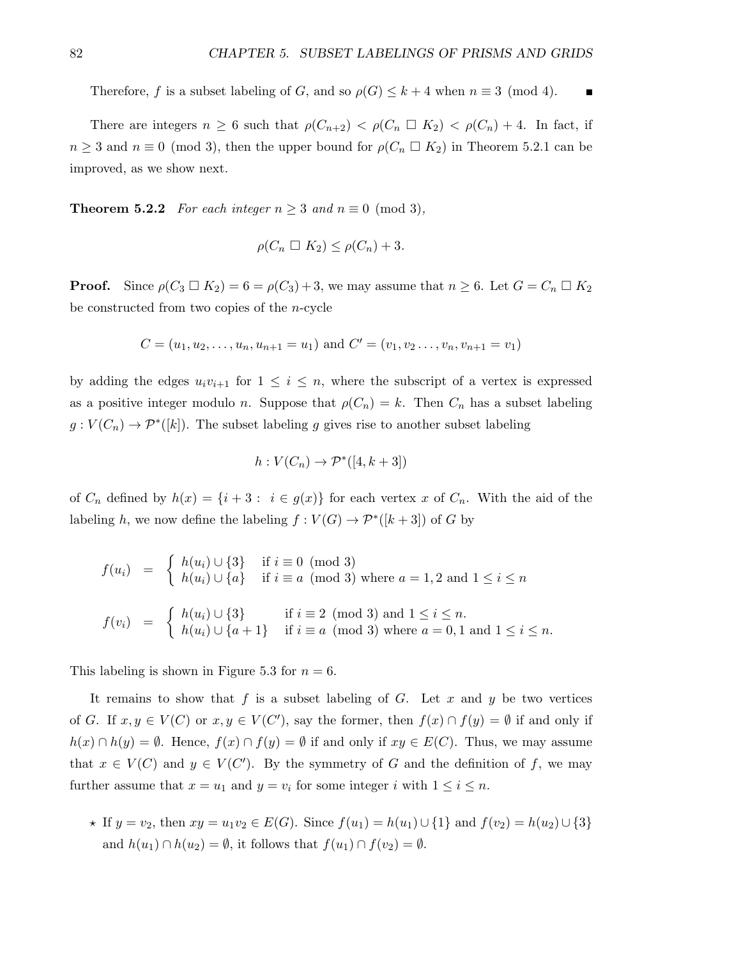Therefore, f is a subset labeling of G, and so  $\rho(G) \leq k+4$  when  $n \equiv 3 \pmod{4}$ .  $\overline{\phantom{a}}$ 

There are integers  $n \geq 6$  such that  $\rho(C_{n+2}) < \rho(C_n \square K_2) < \rho(C_n) + 4$ . In fact, if  $n \geq 3$  and  $n \equiv 0 \pmod{3}$ , then the upper bound for  $\rho(C_n \square K_2)$  in Theorem 5.2.1 can be improved, as we show next.

**Theorem 5.2.2** For each integer  $n \geq 3$  and  $n \equiv 0 \pmod{3}$ ,

$$
\rho(C_n \ \square \ K_2) \le \rho(C_n) + 3.
$$

**Proof.** Since  $\rho(C_3 \square K_2) = 6 = \rho(C_3) + 3$ , we may assume that  $n \geq 6$ . Let  $G = C_n \square K_2$ be constructed from two copies of the n-cycle

$$
C = (u_1, u_2, \dots, u_n, u_{n+1} = u_1)
$$
 and  $C' = (v_1, v_2, \dots, v_n, v_{n+1} = v_1)$ 

by adding the edges  $u_i v_{i+1}$  for  $1 \leq i \leq n$ , where the subscript of a vertex is expressed as a positive integer modulo n. Suppose that  $\rho(C_n) = k$ . Then  $C_n$  has a subset labeling  $g: V(C_n) \to \mathcal{P}^*([k])$ . The subset labeling g gives rise to another subset labeling

$$
h: V(C_n) \to \mathcal{P}^*([4, k+3])
$$

of  $C_n$  defined by  $h(x) = \{i+3 : i \in g(x)\}\$  for each vertex x of  $C_n$ . With the aid of the labeling h, we now define the labeling  $f: V(G) \to \mathcal{P}^*([k+3])$  of G by

$$
f(u_i) = \begin{cases} h(u_i) \cup \{3\} & \text{if } i \equiv 0 \pmod{3} \\ h(u_i) \cup \{a\} & \text{if } i \equiv a \pmod{3} \text{ where } a = 1, 2 \text{ and } 1 \le i \le n \end{cases}
$$
\n
$$
f(v_i) = \begin{cases} h(u_i) \cup \{3\} & \text{if } i \equiv 2 \pmod{3} \text{ and } 1 \le i \le n. \\ h(u_i) \cup \{a+1\} & \text{if } i \equiv a \pmod{3} \text{ where } a = 0, 1 \text{ and } 1 \le i \le n. \end{cases}
$$

This labeling is shown in Figure 5.3 for  $n = 6$ .

It remains to show that f is a subset labeling of G. Let x and y be two vertices of G. If  $x, y \in V(C)$  or  $x, y \in V(C')$ , say the former, then  $f(x) \cap f(y) = \emptyset$  if and only if  $h(x) \cap h(y) = \emptyset$ . Hence,  $f(x) \cap f(y) = \emptyset$  if and only if  $xy \in E(C)$ . Thus, we may assume that  $x \in V(C)$  and  $y \in V(C')$ . By the symmetry of G and the definition of f, we may further assume that  $x = u_1$  and  $y = v_i$  for some integer i with  $1 \le i \le n$ .

 $\star$  If  $y = v_2$ , then  $xy = u_1v_2 \in E(G)$ . Since  $f(u_1) = h(u_1) \cup \{1\}$  and  $f(v_2) = h(u_2) \cup \{3\}$ and  $h(u_1) \cap h(u_2) = \emptyset$ , it follows that  $f(u_1) \cap f(v_2) = \emptyset$ .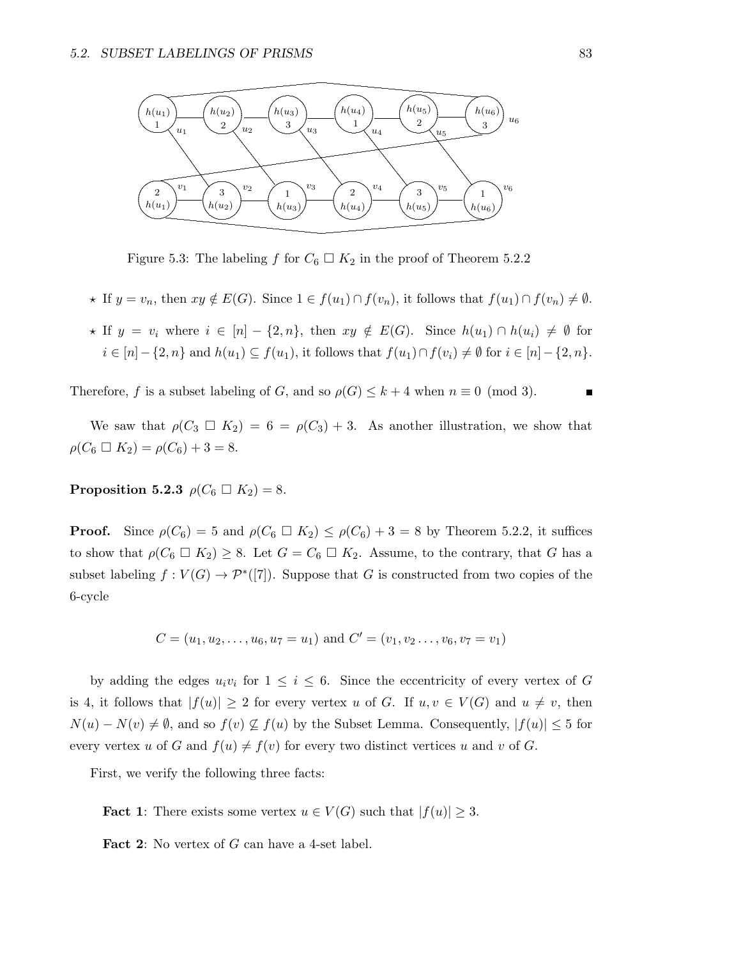

Figure 5.3: The labeling f for  $C_6 \square K_2$  in the proof of Theorem 5.2.2

- $\star$  If  $y = v_n$ , then  $xy \notin E(G)$ . Since  $1 \in f(u_1) \cap f(v_n)$ , it follows that  $f(u_1) \cap f(v_n) \neq \emptyset$ .
- $\star$  If  $y = v_i$  where  $i \in [n] \{2, n\}$ , then  $xy \notin E(G)$ . Since  $h(u_1) \cap h(u_i) \neq \emptyset$  for  $i \in [n] - \{2, n\}$  and  $h(u_1) \subseteq f(u_1)$ , it follows that  $f(u_1) \cap f(v_i) \neq \emptyset$  for  $i \in [n] - \{2, n\}$ .

Therefore, f is a subset labeling of G, and so  $\rho(G) \leq k+4$  when  $n \equiv 0 \pmod{3}$ . п

We saw that  $\rho(C_3 \square K_2) = 6 = \rho(C_3) + 3$ . As another illustration, we show that  $\rho(C_6 \square K_2) = \rho(C_6) + 3 = 8.$ 

Proposition 5.2.3  $\rho(C_6 \square K_2) = 8$ .

**Proof.** Since  $\rho(C_6) = 5$  and  $\rho(C_6 \square K_2) \leq \rho(C_6) + 3 = 8$  by Theorem 5.2.2, it suffices to show that  $\rho(C_6 \square K_2) \geq 8$ . Let  $G = C_6 \square K_2$ . Assume, to the contrary, that G has a subset labeling  $f: V(G) \to \mathcal{P}^*([7])$ . Suppose that G is constructed from two copies of the 6-cycle

$$
C = (u_1, u_2, \dots, u_6, u_7 = u_1)
$$
 and  $C' = (v_1, v_2, \dots, v_6, v_7 = v_1)$ 

by adding the edges  $u_i v_i$  for  $1 \leq i \leq 6$ . Since the eccentricity of every vertex of G is 4, it follows that  $|f(u)| \geq 2$  for every vertex u of G. If  $u, v \in V(G)$  and  $u \neq v$ , then  $N(u) - N(v) \neq \emptyset$ , and so  $f(v) \nsubseteq f(u)$  by the Subset Lemma. Consequently,  $|f(u)| \leq 5$  for every vertex u of G and  $f(u) \neq f(v)$  for every two distinct vertices u and v of G.

First, we verify the following three facts:

**Fact 1:** There exists some vertex  $u \in V(G)$  such that  $|f(u)| \geq 3$ .

**Fact 2:** No vertex of  $G$  can have a 4-set label.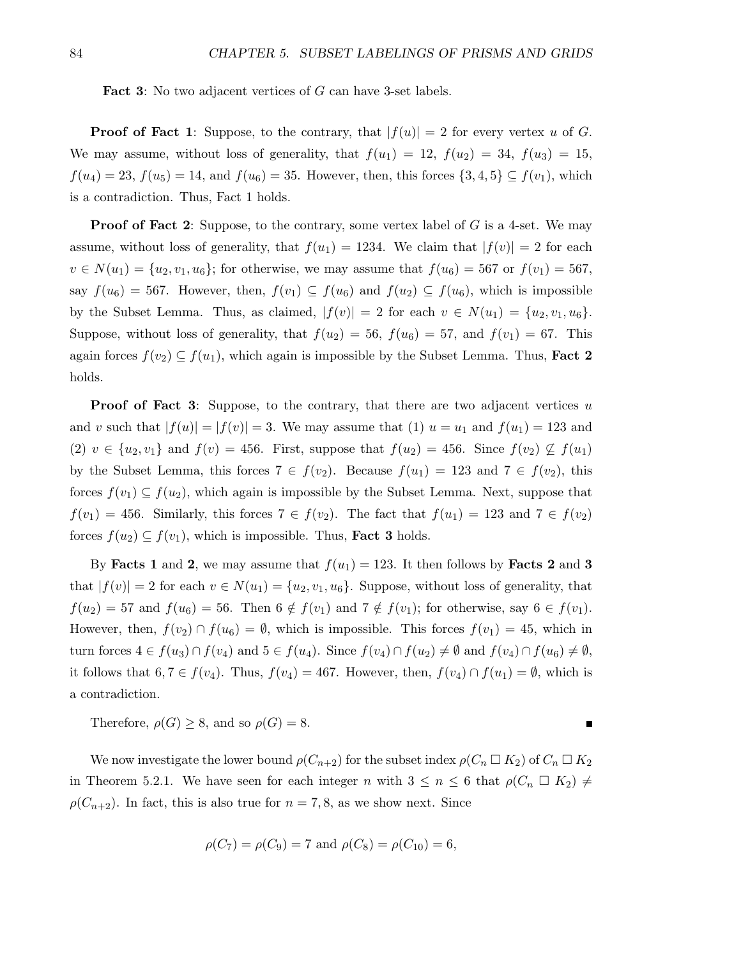Fact 3: No two adjacent vertices of G can have 3-set labels.

**Proof of Fact 1**: Suppose, to the contrary, that  $|f(u)| = 2$  for every vertex u of G. We may assume, without loss of generality, that  $f(u_1) = 12$ ,  $f(u_2) = 34$ ,  $f(u_3) = 15$ ,  $f(u_4) = 23$ ,  $f(u_5) = 14$ , and  $f(u_6) = 35$ . However, then, this forces  $\{3, 4, 5\} \subseteq f(v_1)$ , which is a contradiction. Thus, Fact 1 holds.

**Proof of Fact 2:** Suppose, to the contrary, some vertex label of  $G$  is a 4-set. We may assume, without loss of generality, that  $f(u_1) = 1234$ . We claim that  $|f(v)| = 2$  for each  $v \in N(u_1) = \{u_2, v_1, u_6\}$ ; for otherwise, we may assume that  $f(u_6) = 567$  or  $f(v_1) = 567$ , say  $f(u_6) = 567$ . However, then,  $f(v_1) \subseteq f(u_6)$  and  $f(u_2) \subseteq f(u_6)$ , which is impossible by the Subset Lemma. Thus, as claimed,  $|f(v)| = 2$  for each  $v \in N(u_1) = \{u_2, v_1, u_6\}.$ Suppose, without loss of generality, that  $f(u_2) = 56$ ,  $f(u_6) = 57$ , and  $f(v_1) = 67$ . This again forces  $f(v_2) \subseteq f(u_1)$ , which again is impossible by the Subset Lemma. Thus, **Fact 2** holds.

**Proof of Fact 3:** Suppose, to the contrary, that there are two adjacent vertices  $u$ and v such that  $|f(u)| = |f(v)| = 3$ . We may assume that (1)  $u = u_1$  and  $f(u_1) = 123$  and (2)  $v \in \{u_2, v_1\}$  and  $f(v) = 456$ . First, suppose that  $f(u_2) = 456$ . Since  $f(v_2) \nsubseteq f(u_1)$ by the Subset Lemma, this forces  $7 \in f(v_2)$ . Because  $f(u_1) = 123$  and  $7 \in f(v_2)$ , this forces  $f(v_1) \subseteq f(u_2)$ , which again is impossible by the Subset Lemma. Next, suppose that  $f(v_1) = 456$ . Similarly, this forces  $7 \in f(v_2)$ . The fact that  $f(u_1) = 123$  and  $7 \in f(v_2)$ forces  $f(u_2) \subseteq f(v_1)$ , which is impossible. Thus, **Fact 3** holds.

By Facts 1 and 2, we may assume that  $f(u_1) = 123$ . It then follows by Facts 2 and 3 that  $|f(v)| = 2$  for each  $v \in N(u_1) = \{u_2, v_1, u_6\}$ . Suppose, without loss of generality, that  $f(u_2) = 57$  and  $f(u_6) = 56$ . Then  $6 \notin f(v_1)$  and  $7 \notin f(v_1)$ ; for otherwise, say  $6 \in f(v_1)$ . However, then,  $f(v_2) \cap f(u_6) = \emptyset$ , which is impossible. This forces  $f(v_1) = 45$ , which in turn forces  $4 \in f(u_3) \cap f(v_4)$  and  $5 \in f(u_4)$ . Since  $f(v_4) \cap f(u_2) \neq \emptyset$  and  $f(v_4) \cap f(u_6) \neq \emptyset$ , it follows that  $6, 7 \in f(v_4)$ . Thus,  $f(v_4) = 467$ . However, then,  $f(v_4) \cap f(u_1) = \emptyset$ , which is a contradiction.

Therefore,  $\rho(G) \geq 8$ , and so  $\rho(G) = 8$ .

We now investigate the lower bound  $\rho(C_{n+2})$  for the subset index  $\rho(C_n \Box K_2)$  of  $C_n \Box K_2$ in Theorem 5.2.1. We have seen for each integer n with  $3 \leq n \leq 6$  that  $\rho(C_n \square K_2) \neq \emptyset$  $\rho(C_{n+2})$ . In fact, this is also true for  $n = 7, 8$ , as we show next. Since

П

$$
\rho(C_7) = \rho(C_9) = 7
$$
 and  $\rho(C_8) = \rho(C_{10}) = 6$ ,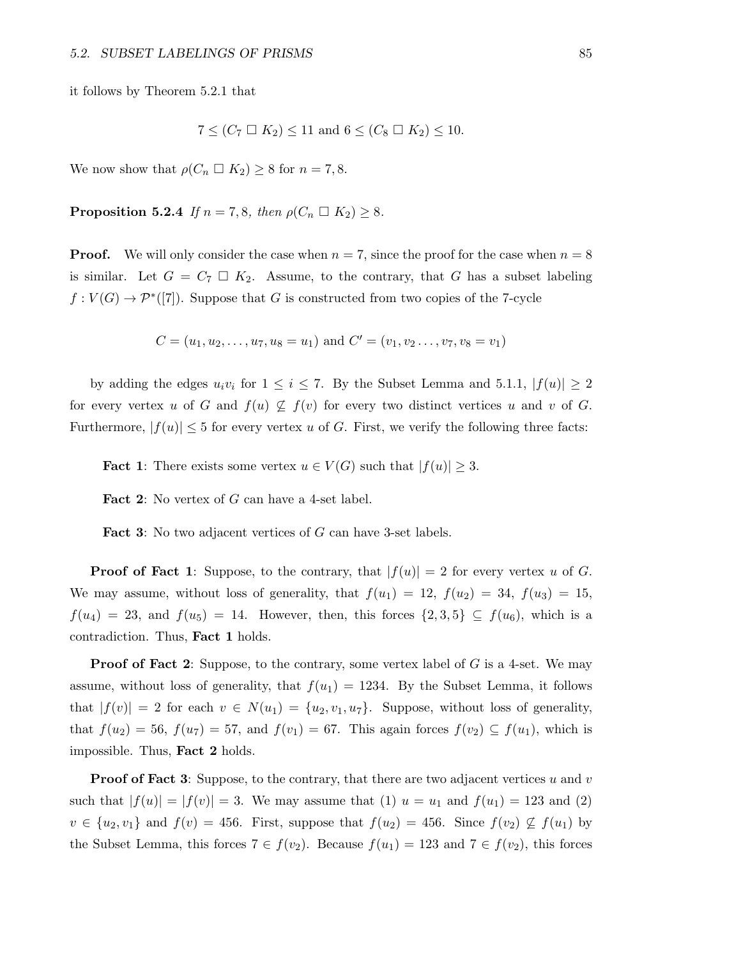it follows by Theorem 5.2.1 that

$$
7 \leq (C_7 \square K_2) \leq 11 \text{ and } 6 \leq (C_8 \square K_2) \leq 10.
$$

We now show that  $\rho(C_n \square K_2) \geq 8$  for  $n = 7, 8$ .

**Proposition 5.2.4** If  $n = 7, 8$ , then  $\rho(C_n \square K_2) \geq 8$ .

**Proof.** We will only consider the case when  $n = 7$ , since the proof for the case when  $n = 8$ is similar. Let  $G = C_7 \square K_2$ . Assume, to the contrary, that G has a subset labeling  $f: V(G) \to \mathcal{P}^*([7])$ . Suppose that G is constructed from two copies of the 7-cycle

 $C = (u_1, u_2, \dots, u_7, u_8 = u_1)$  and  $C' = (v_1, v_2, \dots, v_7, v_8 = v_1)$ 

by adding the edges  $u_i v_i$  for  $1 \leq i \leq 7$ . By the Subset Lemma and 5.1.1,  $|f(u)| \geq 2$ for every vertex u of G and  $f(u) \nsubseteq f(v)$  for every two distinct vertices u and v of G. Furthermore,  $|f(u)| \leq 5$  for every vertex u of G. First, we verify the following three facts:

**Fact 1:** There exists some vertex  $u \in V(G)$  such that  $|f(u)| \geq 3$ .

Fact 2: No vertex of G can have a 4-set label.

**Fact 3:** No two adjacent vertices of G can have 3-set labels.

**Proof of Fact 1**: Suppose, to the contrary, that  $|f(u)| = 2$  for every vertex u of G. We may assume, without loss of generality, that  $f(u_1) = 12$ ,  $f(u_2) = 34$ ,  $f(u_3) = 15$ ,  $f(u_4) = 23$ , and  $f(u_5) = 14$ . However, then, this forces  $\{2,3,5\} \subseteq f(u_6)$ , which is a contradiction. Thus, Fact 1 holds.

**Proof of Fact 2:** Suppose, to the contrary, some vertex label of  $G$  is a 4-set. We may assume, without loss of generality, that  $f(u_1) = 1234$ . By the Subset Lemma, it follows that  $|f(v)| = 2$  for each  $v \in N(u_1) = \{u_2, v_1, u_7\}$ . Suppose, without loss of generality, that  $f(u_2) = 56$ ,  $f(u_7) = 57$ , and  $f(v_1) = 67$ . This again forces  $f(v_2) \subseteq f(u_1)$ , which is impossible. Thus, Fact 2 holds.

**Proof of Fact 3:** Suppose, to the contrary, that there are two adjacent vertices u and v such that  $|f(u)| = |f(v)| = 3$ . We may assume that (1)  $u = u_1$  and  $f(u_1) = 123$  and (2)  $v \in \{u_2, v_1\}$  and  $f(v) = 456$ . First, suppose that  $f(u_2) = 456$ . Since  $f(v_2) \nsubseteq f(u_1)$  by the Subset Lemma, this forces  $7 \in f(v_2)$ . Because  $f(u_1) = 123$  and  $7 \in f(v_2)$ , this forces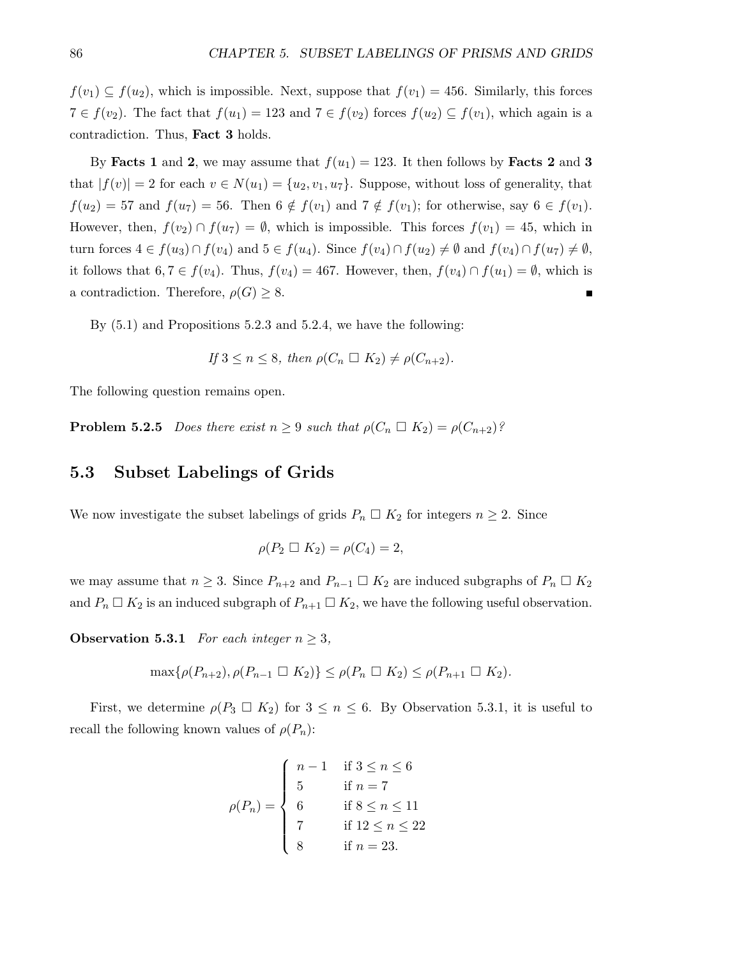$f(v_1) \subseteq f(u_2)$ , which is impossible. Next, suppose that  $f(v_1) = 456$ . Similarly, this forces  $7 \in f(v_2)$ . The fact that  $f(u_1) = 123$  and  $7 \in f(v_2)$  forces  $f(u_2) \subseteq f(v_1)$ , which again is a contradiction. Thus, Fact 3 holds.

By Facts 1 and 2, we may assume that  $f(u_1) = 123$ . It then follows by Facts 2 and 3 that  $|f(v)| = 2$  for each  $v \in N(u_1) = \{u_2, v_1, u_7\}$ . Suppose, without loss of generality, that  $f(u_2) = 57$  and  $f(u_7) = 56$ . Then  $6 \notin f(v_1)$  and  $7 \notin f(v_1)$ ; for otherwise, say  $6 \in f(v_1)$ . However, then,  $f(v_2) \cap f(u_7) = \emptyset$ , which is impossible. This forces  $f(v_1) = 45$ , which in turn forces  $4 \in f(u_3) \cap f(v_4)$  and  $5 \in f(u_4)$ . Since  $f(v_4) \cap f(u_2) \neq \emptyset$  and  $f(v_4) \cap f(u_7) \neq \emptyset$ , it follows that  $6, 7 \in f(v_4)$ . Thus,  $f(v_4) = 467$ . However, then,  $f(v_4) \cap f(u_1) = \emptyset$ , which is a contradiction. Therefore,  $\rho(G) \geq 8$ .

By (5.1) and Propositions 5.2.3 and 5.2.4, we have the following:

If 
$$
3 \le n \le 8
$$
, then  $\rho(C_n \square K_2) \ne \rho(C_{n+2})$ .

The following question remains open.

**Problem 5.2.5** Does there exist  $n \geq 9$  such that  $\rho(C_n \square K_2) = \rho(C_{n+2})$ ?

#### 5.3 Subset Labelings of Grids

We now investigate the subset labelings of grids  $P_n \square K_2$  for integers  $n \geq 2$ . Since

$$
\rho(P_2 \ \square \ K_2) = \rho(C_4) = 2,
$$

we may assume that  $n \geq 3$ . Since  $P_{n+2}$  and  $P_{n-1} \square K_2$  are induced subgraphs of  $P_n \square K_2$ and  $P_n \square K_2$  is an induced subgraph of  $P_{n+1} \square K_2$ , we have the following useful observation.

**Observation 5.3.1** For each integer  $n \geq 3$ ,

$$
\max\{\rho(P_{n+2}), \rho(P_{n-1} \square K_2)\} \le \rho(P_n \square K_2) \le \rho(P_{n+1} \square K_2).
$$

First, we determine  $\rho(P_3 \square K_2)$  for  $3 \leq n \leq 6$ . By Observation 5.3.1, it is useful to recall the following known values of  $\rho(P_n)$ :

$$
\rho(P_n) = \begin{cases}\n n - 1 & \text{if } 3 \le n \le 6 \\
 5 & \text{if } n = 7 \\
 6 & \text{if } 8 \le n \le 11 \\
 7 & \text{if } 12 \le n \le 22 \\
 8 & \text{if } n = 23.\n\end{cases}
$$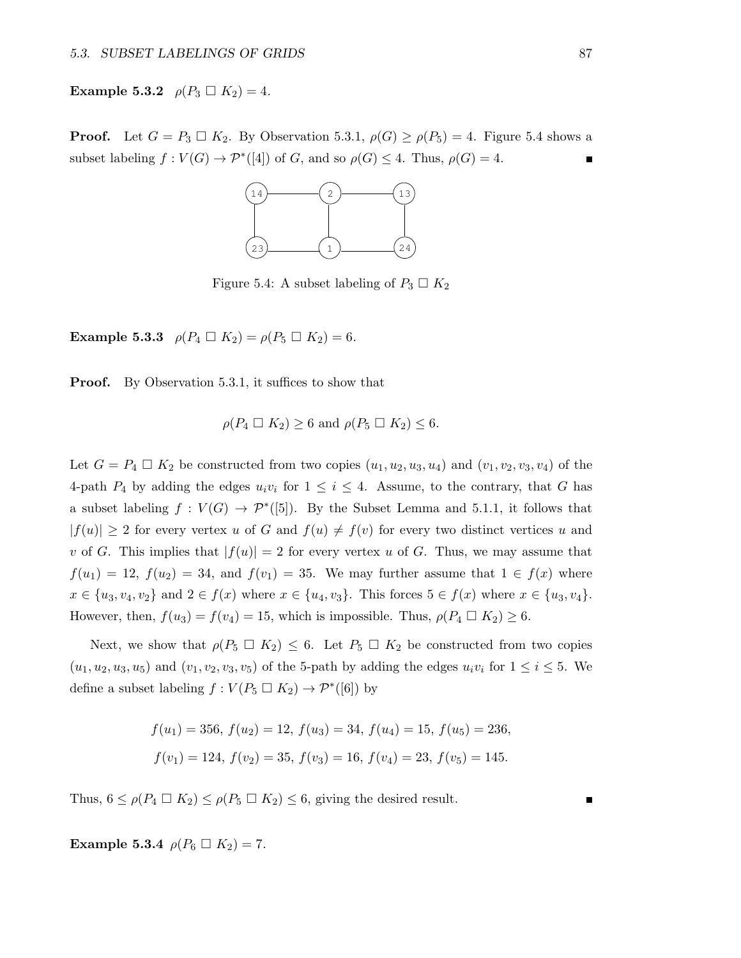**Example 5.3.2**  $\rho(P_3 \square K_2) = 4$ .

**Proof.** Let  $G = P_3 \square K_2$ . By Observation 5.3.1,  $\rho(G) \ge \rho(P_5) = 4$ . Figure 5.4 shows a subset labeling  $f: V(G) \to \mathcal{P}^*([4])$  of G, and so  $\rho(G) \leq 4$ . Thus,  $\rho(G) = 4$ .



Figure 5.4: A subset labeling of  $P_3 \square K_2$ 

**Example 5.3.3**  $\rho(P_4 \square K_2) = \rho(P_5 \square K_2) = 6.$ 

**Proof.** By Observation 5.3.1, it suffices to show that

$$
\rho(P_4 \ \square \ K_2) \ge 6 \text{ and } \rho(P_5 \ \square \ K_2) \le 6.
$$

Let  $G = P_4 \square K_2$  be constructed from two copies  $(u_1, u_2, u_3, u_4)$  and  $(v_1, v_2, v_3, v_4)$  of the 4-path  $P_4$  by adding the edges  $u_i v_i$  for  $1 \leq i \leq 4$ . Assume, to the contrary, that G has a subset labeling  $f: V(G) \to \mathcal{P}^*([5])$ . By the Subset Lemma and 5.1.1, it follows that  $|f(u)| \geq 2$  for every vertex u of G and  $f(u) \neq f(v)$  for every two distinct vertices u and v of G. This implies that  $|f(u)| = 2$  for every vertex u of G. Thus, we may assume that  $f(u_1) = 12$ ,  $f(u_2) = 34$ , and  $f(v_1) = 35$ . We may further assume that  $1 \in f(x)$  where  $x \in \{u_3, v_4, v_2\}$  and  $2 \in f(x)$  where  $x \in \{u_4, v_3\}$ . This forces  $5 \in f(x)$  where  $x \in \{u_3, v_4\}$ . However, then,  $f(u_3) = f(v_4) = 15$ , which is impossible. Thus,  $\rho(P_4 \square K_2) \ge 6$ .

Next, we show that  $\rho(P_5 \square K_2) \leq 6$ . Let  $P_5 \square K_2$  be constructed from two copies  $(u_1, u_2, u_3, u_5)$  and  $(v_1, v_2, v_3, v_5)$  of the 5-path by adding the edges  $u_i v_i$  for  $1 \le i \le 5$ . We define a subset labeling  $f: V(P_5 \square K_2) \to \mathcal{P}^*([6])$  by

> $f(u_1) = 356, f(u_2) = 12, f(u_3) = 34, f(u_4) = 15, f(u_5) = 236,$  $f(v_1) = 124$ ,  $f(v_2) = 35$ ,  $f(v_3) = 16$ ,  $f(v_4) = 23$ ,  $f(v_5) = 145$ .

Thus,  $6 \leq \rho(P_4 \square K_2) \leq \rho(P_5 \square K_2) \leq 6$ , giving the desired result.

**Example 5.3.4**  $\rho(P_6 \square K_2) = 7$ .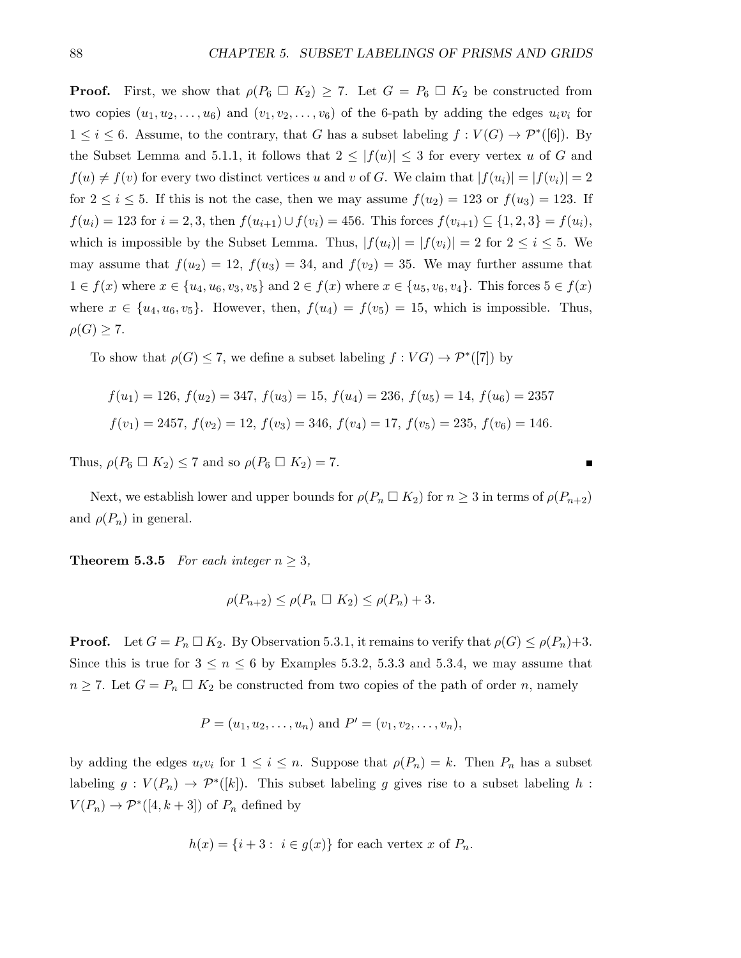**Proof.** First, we show that  $\rho(P_6 \square K_2) \geq 7$ . Let  $G = P_6 \square K_2$  be constructed from two copies  $(u_1, u_2, \ldots, u_6)$  and  $(v_1, v_2, \ldots, v_6)$  of the 6-path by adding the edges  $u_i v_i$  for  $1 \leq i \leq 6$ . Assume, to the contrary, that G has a subset labeling  $f: V(G) \to \mathcal{P}^*([6])$ . By the Subset Lemma and 5.1.1, it follows that  $2 \leq |f(u)| \leq 3$  for every vertex u of G and  $f(u) \neq f(v)$  for every two distinct vertices u and v of G. We claim that  $|f(u_i)| = |f(v_i)| = 2$ for  $2 \leq i \leq 5$ . If this is not the case, then we may assume  $f(u_2) = 123$  or  $f(u_3) = 123$ . If  $f(u_i) = 123$  for  $i = 2, 3$ , then  $f(u_{i+1}) \cup f(v_i) = 456$ . This forces  $f(v_{i+1}) \subseteq \{1, 2, 3\} = f(u_i)$ , which is impossible by the Subset Lemma. Thus,  $|f(u_i)| = |f(v_i)| = 2$  for  $2 \le i \le 5$ . We may assume that  $f(u_2) = 12$ ,  $f(u_3) = 34$ , and  $f(v_2) = 35$ . We may further assume that  $1 \in f(x)$  where  $x \in \{u_4, u_6, v_3, v_5\}$  and  $2 \in f(x)$  where  $x \in \{u_5, v_6, v_4\}$ . This forces  $5 \in f(x)$ where  $x \in \{u_4, u_6, v_5\}$ . However, then,  $f(u_4) = f(v_5) = 15$ , which is impossible. Thus,  $\rho(G) \geq 7$ .

To show that  $\rho(G) \leq 7$ , we define a subset labeling  $f: VG) \to \mathcal{P}^*([7])$  by

$$
f(u_1) = 126, f(u_2) = 347, f(u_3) = 15, f(u_4) = 236, f(u_5) = 14, f(u_6) = 2357
$$
  

$$
f(v_1) = 2457, f(v_2) = 12, f(v_3) = 346, f(v_4) = 17, f(v_5) = 235, f(v_6) = 146.
$$

Thus,  $\rho(P_6 \square K_2) \leq 7$  and so  $\rho(P_6 \square K_2) = 7$ .

Next, we establish lower and upper bounds for  $\rho(P_n \square K_2)$  for  $n \geq 3$  in terms of  $\rho(P_{n+2})$ and  $\rho(P_n)$  in general.

**Theorem 5.3.5** For each integer  $n \geq 3$ ,

$$
\rho(P_{n+2}) \le \rho(P_n \square K_2) \le \rho(P_n) + 3.
$$

**Proof.** Let  $G = P_n \square K_2$ . By Observation 5.3.1, it remains to verify that  $\rho(G) \leq \rho(P_n)+3$ . Since this is true for  $3 \leq n \leq 6$  by Examples 5.3.2, 5.3.3 and 5.3.4, we may assume that  $n \geq 7$ . Let  $G = P_n \square K_2$  be constructed from two copies of the path of order n, namely

$$
P = (u_1, u_2, \dots, u_n)
$$
 and  $P' = (v_1, v_2, \dots, v_n)$ ,

by adding the edges  $u_i v_i$  for  $1 \leq i \leq n$ . Suppose that  $\rho(P_n) = k$ . Then  $P_n$  has a subset labeling  $g: V(P_n) \to \mathcal{P}^*([k])$ . This subset labeling g gives rise to a subset labeling h:  $V(P_n) \to \mathcal{P}^*([4, k+3])$  of  $P_n$  defined by

$$
h(x) = \{i+3 : i \in g(x)\}\
$$
for each vertex  $x$  of  $P_n$ .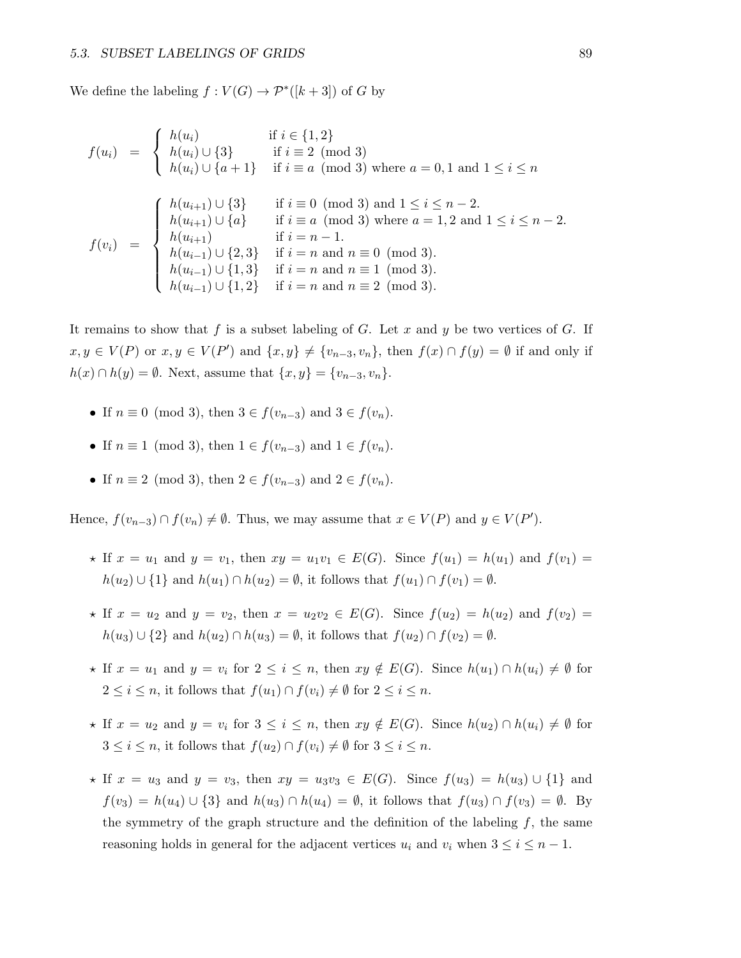We define the labeling  $f: V(G) \to \mathcal{P}^*([k+3])$  of G by

$$
f(u_i) = \begin{cases} h(u_i) & \text{if } i \in \{1, 2\} \\ h(u_i) \cup \{3\} & \text{if } i \equiv 2 \pmod{3} \\ h(u_i) \cup \{a+1\} & \text{if } i \equiv a \pmod{3} \text{ where } a = 0, 1 \text{ and } 1 \le i \le n \end{cases}
$$
  

$$
f(v_i) = \begin{cases} h(u_{i+1}) \cup \{3\} & \text{if } i \equiv 0 \pmod{3} \text{ and } 1 \le i \le n-2. \\ h(u_{i+1}) \cup \{a\} & \text{if } i \equiv a \pmod{3} \text{ where } a = 1, 2 \text{ and } 1 \le i \le n-2. \\ h(u_{i+1}) & \text{if } i = n-1. \\ h(u_{i-1}) \cup \{2, 3\} & \text{if } i = n \text{ and } n \equiv 0 \pmod{3}. \\ h(u_{i-1}) \cup \{1, 3\} & \text{if } i = n \text{ and } n \equiv 1 \pmod{3}. \\ h(u_{i-1}) \cup \{1, 2\} & \text{if } i = n \text{ and } n \equiv 2 \pmod{3}. \end{cases}
$$

It remains to show that f is a subset labeling of G. Let x and y be two vertices of G. If  $x, y \in V(P)$  or  $x, y \in V(P')$  and  $\{x, y\} \neq \{v_{n-3}, v_n\}$ , then  $f(x) \cap f(y) = \emptyset$  if and only if  $h(x) \cap h(y) = \emptyset$ . Next, assume that  $\{x, y\} = \{v_{n-3}, v_n\}.$ 

- If  $n \equiv 0 \pmod{3}$ , then  $3 \in f(v_{n-3})$  and  $3 \in f(v_n)$ .
- If  $n \equiv 1 \pmod{3}$ , then  $1 \in f(v_{n-3})$  and  $1 \in f(v_n)$ .
- If  $n \equiv 2 \pmod{3}$ , then  $2 \in f(v_{n-3})$  and  $2 \in f(v_n)$ .

Hence,  $f(v_{n-3}) \cap f(v_n) \neq \emptyset$ . Thus, we may assume that  $x \in V(P)$  and  $y \in V(P')$ .

- $\star$  If  $x = u_1$  and  $y = v_1$ , then  $xy = u_1v_1 \in E(G)$ . Since  $f(u_1) = h(u_1)$  and  $f(v_1) =$  $h(u_2) \cup \{1\}$  and  $h(u_1) \cap h(u_2) = \emptyset$ , it follows that  $f(u_1) \cap f(v_1) = \emptyset$ .
- $\star$  If  $x = u_2$  and  $y = v_2$ , then  $x = u_2v_2 \in E(G)$ . Since  $f(u_2) = h(u_2)$  and  $f(v_2) =$  $h(u_3) \cup \{2\}$  and  $h(u_2) \cap h(u_3) = \emptyset$ , it follows that  $f(u_2) \cap f(v_2) = \emptyset$ .
- $\star$  If  $x = u_1$  and  $y = v_i$  for  $2 \leq i \leq n$ , then  $xy \notin E(G)$ . Since  $h(u_1) \cap h(u_i) \neq \emptyset$  for  $2 \leq i \leq n$ , it follows that  $f(u_1) \cap f(v_i) \neq \emptyset$  for  $2 \leq i \leq n$ .
- $\star$  If  $x = u_2$  and  $y = v_i$  for  $3 \leq i \leq n$ , then  $xy \notin E(G)$ . Since  $h(u_2) \cap h(u_i) \neq \emptyset$  for  $3 \leq i \leq n$ , it follows that  $f(u_2) \cap f(v_i) \neq \emptyset$  for  $3 \leq i \leq n$ .
- \* If  $x = u_3$  and  $y = v_3$ , then  $xy = u_3v_3 \in E(G)$ . Since  $f(u_3) = h(u_3) \cup \{1\}$  and  $f(v_3) = h(u_4) \cup \{3\}$  and  $h(u_3) \cap h(u_4) = \emptyset$ , it follows that  $f(u_3) \cap f(v_3) = \emptyset$ . By the symmetry of the graph structure and the definition of the labeling  $f$ , the same reasoning holds in general for the adjacent vertices  $u_i$  and  $v_i$  when  $3 \leq i \leq n-1$ .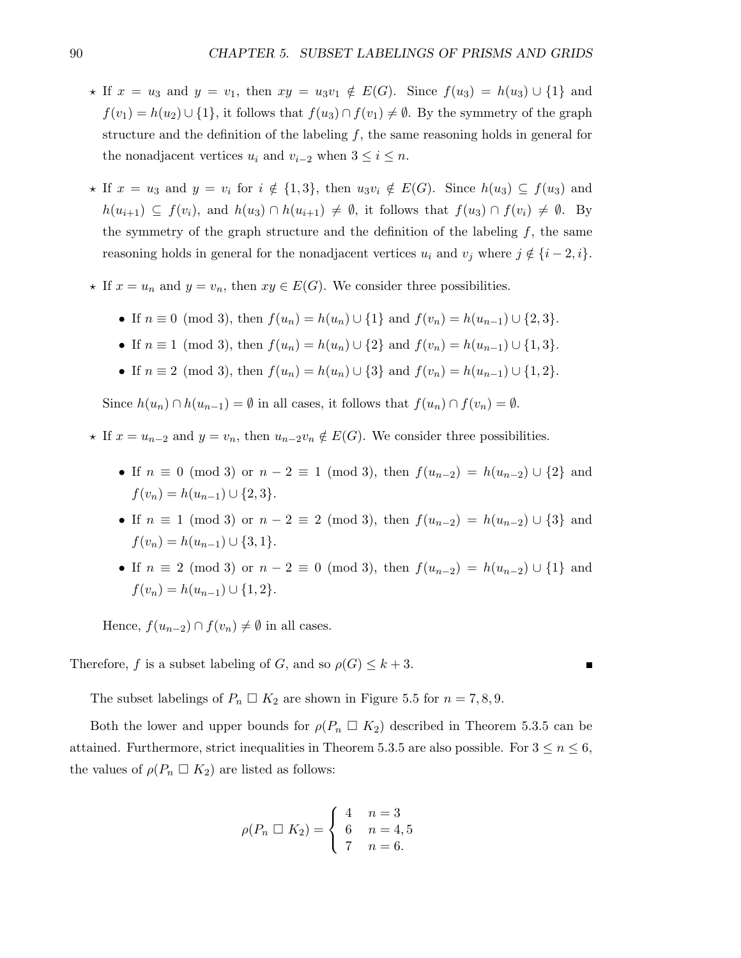- $\star$  If  $x = u_3$  and  $y = v_1$ , then  $xy = u_3v_1 \notin E(G)$ . Since  $f(u_3) = h(u_3) \cup \{1\}$  and  $f(v_1) = h(u_2) \cup \{1\}$ , it follows that  $f(u_3) \cap f(v_1) \neq \emptyset$ . By the symmetry of the graph structure and the definition of the labeling  $f$ , the same reasoning holds in general for the nonadjacent vertices  $u_i$  and  $v_{i-2}$  when  $3 \leq i \leq n$ .
- $\star$  If  $x = u_3$  and  $y = v_i$  for  $i \notin \{1, 3\}$ , then  $u_3v_i \notin E(G)$ . Since  $h(u_3) \subseteq f(u_3)$  and  $h(u_{i+1}) \subseteq f(v_i)$ , and  $h(u_3) \cap h(u_{i+1}) \neq \emptyset$ , it follows that  $f(u_3) \cap f(v_i) \neq \emptyset$ . By the symmetry of the graph structure and the definition of the labeling  $f$ , the same reasoning holds in general for the nonadjacent vertices  $u_i$  and  $v_j$  where  $j \notin \{i-2, i\}.$
- $\star$  If  $x = u_n$  and  $y = v_n$ , then  $xy \in E(G)$ . We consider three possibilities.
	- If  $n \equiv 0 \pmod{3}$ , then  $f(u_n) = h(u_n) \cup \{1\}$  and  $f(v_n) = h(u_{n-1}) \cup \{2, 3\}.$
	- If  $n \equiv 1 \pmod{3}$ , then  $f(u_n) = h(u_n) \cup \{2\}$  and  $f(v_n) = h(u_{n-1}) \cup \{1, 3\}$ .
	- If  $n \equiv 2 \pmod{3}$ , then  $f(u_n) = h(u_n) \cup \{3\}$  and  $f(v_n) = h(u_{n-1}) \cup \{1, 2\}$ .

Since  $h(u_n) \cap h(u_{n-1}) = \emptyset$  in all cases, it follows that  $f(u_n) \cap f(v_n) = \emptyset$ .

- ★ If  $x = u_{n-2}$  and  $y = v_n$ , then  $u_{n-2}v_n \notin E(G)$ . We consider three possibilities.
	- If  $n \equiv 0 \pmod{3}$  or  $n-2 \equiv 1 \pmod{3}$ , then  $f(u_{n-2}) = h(u_{n-2}) \cup \{2\}$  and  $f(v_n) = h(u_{n-1}) \cup \{2,3\}.$
	- If  $n \equiv 1 \pmod{3}$  or  $n-2 \equiv 2 \pmod{3}$ , then  $f(u_{n-2}) = h(u_{n-2}) \cup \{3\}$  and  $f(v_n) = h(u_{n-1}) \cup \{3, 1\}.$
	- If  $n \equiv 2 \pmod{3}$  or  $n-2 \equiv 0 \pmod{3}$ , then  $f(u_{n-2}) = h(u_{n-2}) \cup \{1\}$  and  $f(v_n) = h(u_{n-1}) \cup \{1,2\}.$

Hence,  $f(u_{n-2}) \cap f(v_n) \neq \emptyset$  in all cases.

Therefore, f is a subset labeling of G, and so  $\rho(G) \leq k+3$ .

The subset labelings of  $P_n \square K_2$  are shown in Figure 5.5 for  $n = 7, 8, 9$ .

Both the lower and upper bounds for  $\rho(P_n \square K_2)$  described in Theorem 5.3.5 can be attained. Furthermore, strict inequalities in Theorem 5.3.5 are also possible. For  $3 \le n \le 6$ , the values of  $\rho(P_n \square K_2)$  are listed as follows:

$$
\rho(P_n \Box K_2) = \begin{cases} 4 & n = 3 \\ 6 & n = 4, 5 \\ 7 & n = 6. \end{cases}
$$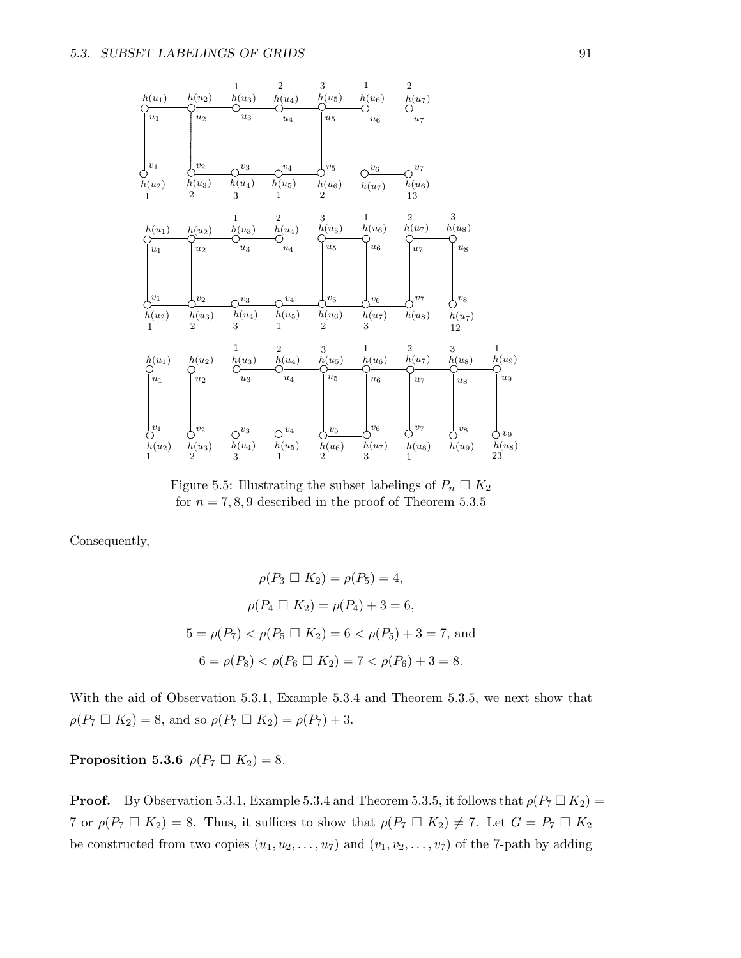

Figure 5.5: Illustrating the subset labelings of  $P_n \square K_2$ for  $n = 7, 8, 9$  described in the proof of Theorem 5.3.5

Consequently,

$$
\rho(P_3 \square K_2) = \rho(P_5) = 4,
$$
  
\n
$$
\rho(P_4 \square K_2) = \rho(P_4) + 3 = 6,
$$
  
\n
$$
5 = \rho(P_7) < \rho(P_5 \square K_2) = 6 < \rho(P_5) + 3 = 7, \text{ and}
$$
  
\n
$$
6 = \rho(P_8) < \rho(P_6 \square K_2) = 7 < \rho(P_6) + 3 = 8.
$$

With the aid of Observation 5.3.1, Example 5.3.4 and Theorem 5.3.5, we next show that  $\rho(P_7 \Box K_2) = 8$ , and so  $\rho(P_7 \Box K_2) = \rho(P_7) + 3$ .

**Proposition 5.3.6**  $\rho(P_7 \square K_2) = 8$ .

**Proof.** By Observation 5.3.1, Example 5.3.4 and Theorem 5.3.5, it follows that  $\rho(P_7 \square K_2)$  = 7 or  $\rho(P_7 \square K_2) = 8$ . Thus, it suffices to show that  $\rho(P_7 \square K_2) \neq 7$ . Let  $G = P_7 \square K_2$ be constructed from two copies  $(u_1, u_2, \ldots, u_7)$  and  $(v_1, v_2, \ldots, v_7)$  of the 7-path by adding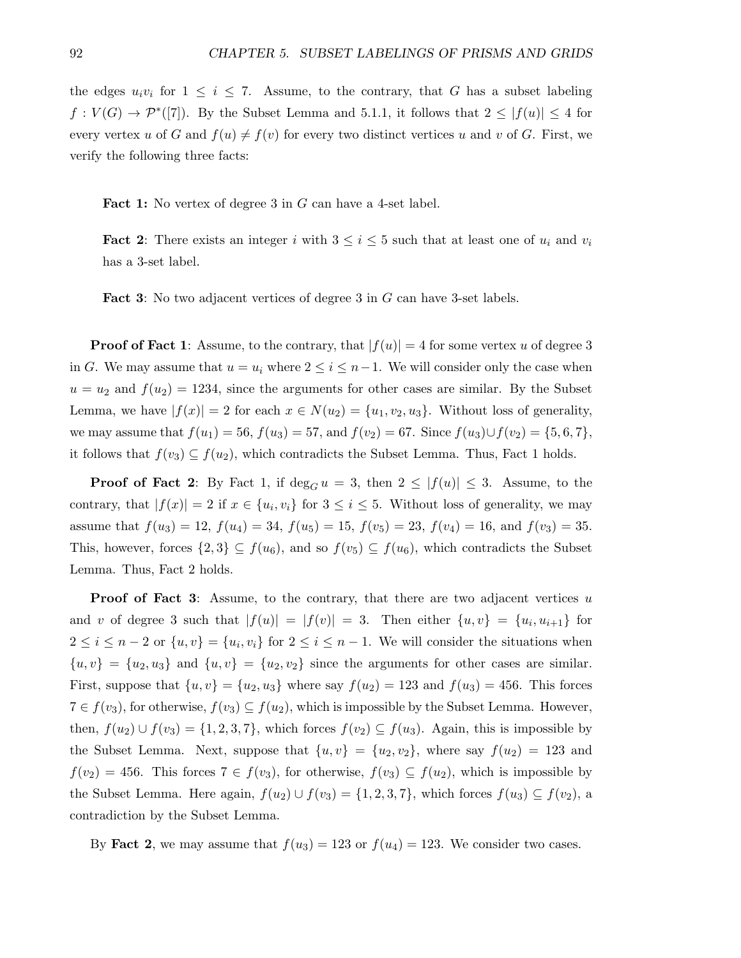the edges  $u_i v_i$  for  $1 \leq i \leq 7$ . Assume, to the contrary, that G has a subset labeling  $f: V(G) \to \mathcal{P}^*([7])$ . By the Subset Lemma and 5.1.1, it follows that  $2 \leq |f(u)| \leq 4$  for every vertex u of G and  $f(u) \neq f(v)$  for every two distinct vertices u and v of G. First, we verify the following three facts:

Fact 1: No vertex of degree 3 in G can have a 4-set label.

**Fact 2:** There exists an integer i with  $3 \leq i \leq 5$  such that at least one of  $u_i$  and  $v_i$ has a 3-set label.

Fact 3: No two adjacent vertices of degree 3 in G can have 3-set labels.

**Proof of Fact 1:** Assume, to the contrary, that  $|f(u)| = 4$  for some vertex u of degree 3 in G. We may assume that  $u = u_i$  where  $2 \leq i \leq n-1$ . We will consider only the case when  $u = u_2$  and  $f(u_2) = 1234$ , since the arguments for other cases are similar. By the Subset Lemma, we have  $|f(x)| = 2$  for each  $x \in N(u_2) = \{u_1, v_2, u_3\}$ . Without loss of generality, we may assume that  $f(u_1) = 56$ ,  $f(u_3) = 57$ , and  $f(v_2) = 67$ . Since  $f(u_3) \cup f(v_2) = \{5, 6, 7\}$ , it follows that  $f(v_3) \subseteq f(u_2)$ , which contradicts the Subset Lemma. Thus, Fact 1 holds.

**Proof of Fact 2:** By Fact 1, if  $\deg_G u = 3$ , then  $2 \leq |f(u)| \leq 3$ . Assume, to the contrary, that  $|f(x)| = 2$  if  $x \in \{u_i, v_i\}$  for  $3 \leq i \leq 5$ . Without loss of generality, we may assume that  $f(u_3) = 12$ ,  $f(u_4) = 34$ ,  $f(u_5) = 15$ ,  $f(v_5) = 23$ ,  $f(v_4) = 16$ , and  $f(v_3) = 35$ . This, however, forces  $\{2,3\} \subseteq f(u_6)$ , and so  $f(v_5) \subseteq f(u_6)$ , which contradicts the Subset Lemma. Thus, Fact 2 holds.

**Proof of Fact 3:** Assume, to the contrary, that there are two adjacent vertices  $u$ and v of degree 3 such that  $|f(u)| = |f(v)| = 3$ . Then either  $\{u, v\} = \{u_i, u_{i+1}\}\$  for  $2 \leq i \leq n-2$  or  $\{u, v\} = \{u_i, v_i\}$  for  $2 \leq i \leq n-1$ . We will consider the situations when  ${u, v} = {u_2, u_3}$  and  ${u, v} = {u_2, v_2}$  since the arguments for other cases are similar. First, suppose that  $\{u, v\} = \{u_2, u_3\}$  where say  $f(u_2) = 123$  and  $f(u_3) = 456$ . This forces  $7 \in f(v_3)$ , for otherwise,  $f(v_3) \subseteq f(u_2)$ , which is impossible by the Subset Lemma. However, then,  $f(u_2) \cup f(v_3) = \{1, 2, 3, 7\}$ , which forces  $f(v_2) \subseteq f(u_3)$ . Again, this is impossible by the Subset Lemma. Next, suppose that  $\{u, v\} = \{u_2, v_2\}$ , where say  $f(u_2) = 123$  and  $f(v_2) = 456$ . This forces  $7 \in f(v_3)$ , for otherwise,  $f(v_3) \subseteq f(u_2)$ , which is impossible by the Subset Lemma. Here again,  $f(u_2) \cup f(v_3) = \{1, 2, 3, 7\}$ , which forces  $f(u_3) \subseteq f(v_2)$ , a contradiction by the Subset Lemma.

By Fact 2, we may assume that  $f(u_3) = 123$  or  $f(u_4) = 123$ . We consider two cases.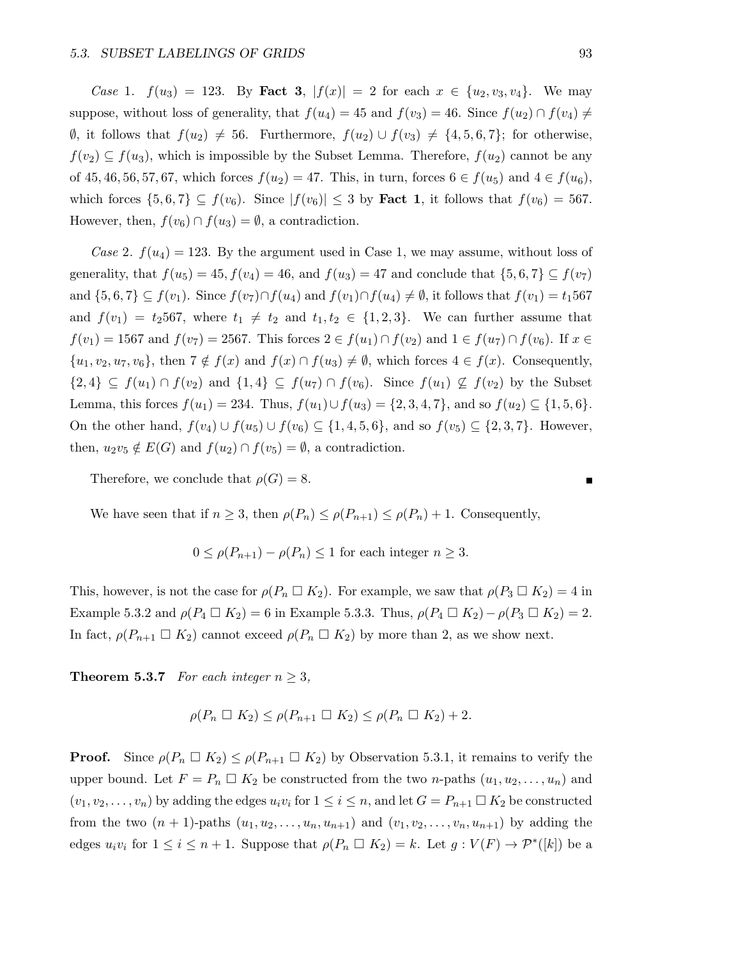Case 1.  $f(u_3) = 123$ . By Fact 3,  $|f(x)| = 2$  for each  $x \in \{u_2, v_3, v_4\}$ . We may suppose, without loss of generality, that  $f(u_4) = 45$  and  $f(v_3) = 46$ . Since  $f(u_2) \cap f(v_4) \neq$  $\emptyset$ , it follows that  $f(u_2) \neq 56$ . Furthermore,  $f(u_2) \cup f(v_3) \neq \{4, 5, 6, 7\}$ ; for otherwise,  $f(v_2) \subseteq f(u_3)$ , which is impossible by the Subset Lemma. Therefore,  $f(u_2)$  cannot be any of 45, 46, 56, 57, 67, which forces  $f(u_2) = 47$ . This, in turn, forces  $6 \in f(u_5)$  and  $4 \in f(u_6)$ , which forces  $\{5,6,7\} \subseteq f(v_6)$ . Since  $|f(v_6)| \leq 3$  by **Fact 1**, it follows that  $f(v_6) = 567$ . However, then,  $f(v_6) \cap f(u_3) = \emptyset$ , a contradiction.

Case 2.  $f(u_4) = 123$ . By the argument used in Case 1, we may assume, without loss of generality, that  $f(u_5) = 45$ ,  $f(v_4) = 46$ , and  $f(u_3) = 47$  and conclude that  $\{5, 6, 7\} \subseteq f(v_7)$ and  $\{5,6,7\} \subseteq f(v_1)$ . Since  $f(v_7) \cap f(u_4)$  and  $f(v_1) \cap f(u_4) \neq \emptyset$ , it follows that  $f(v_1) = t_1567$ and  $f(v_1) = t_2567$ , where  $t_1 \neq t_2$  and  $t_1, t_2 \in \{1, 2, 3\}$ . We can further assume that  $f(v_1) = 1567$  and  $f(v_7) = 2567$ . This forces  $2 \in f(u_1) \cap f(v_2)$  and  $1 \in f(u_7) \cap f(v_6)$ . If  $x \in$  $\{u_1, v_2, u_7, v_6\}$ , then  $7 \notin f(x)$  and  $f(x) \cap f(u_3) \neq \emptyset$ , which forces  $4 \in f(x)$ . Consequently,  $\{2,4\} \subseteq f(u_1) \cap f(v_2)$  and  $\{1,4\} \subseteq f(u_7) \cap f(v_6)$ . Since  $f(u_1) \nsubseteq f(v_2)$  by the Subset Lemma, this forces  $f(u_1) = 234$ . Thus,  $f(u_1) \cup f(u_3) = \{2, 3, 4, 7\}$ , and so  $f(u_2) \subseteq \{1, 5, 6\}$ . On the other hand,  $f(v_4) \cup f(v_5) \cup f(v_6) \subseteq \{1, 4, 5, 6\}$ , and so  $f(v_5) \subseteq \{2, 3, 7\}$ . However, then,  $u_2v_5 \notin E(G)$  and  $f(u_2) \cap f(v_5) = \emptyset$ , a contradiction.

Therefore, we conclude that  $\rho(G) = 8$ .

We have seen that if  $n \geq 3$ , then  $\rho(P_n) \leq \rho(P_{n+1}) \leq \rho(P_n) + 1$ . Consequently,

$$
0 \leq \rho(P_{n+1}) - \rho(P_n) \leq 1
$$
 for each integer  $n \geq 3$ .

This, however, is not the case for  $\rho(P_n \square K_2)$ . For example, we saw that  $\rho(P_3 \square K_2) = 4$  in Example 5.3.2 and  $\rho(P_4 \square K_2) = 6$  in Example 5.3.3. Thus,  $\rho(P_4 \square K_2) - \rho(P_3 \square K_2) = 2$ . In fact,  $\rho(P_{n+1} \square K_2)$  cannot exceed  $\rho(P_n \square K_2)$  by more than 2, as we show next.

**Theorem 5.3.7** For each integer  $n \geq 3$ ,

$$
\rho(P_n \square K_2) \leq \rho(P_{n+1} \square K_2) \leq \rho(P_n \square K_2) + 2.
$$

**Proof.** Since  $\rho(P_n \square K_2) \leq \rho(P_{n+1} \square K_2)$  by Observation 5.3.1, it remains to verify the upper bound. Let  $F = P_n \square K_2$  be constructed from the two *n*-paths  $(u_1, u_2, \ldots, u_n)$  and  $(v_1, v_2, \ldots, v_n)$  by adding the edges  $u_i v_i$  for  $1 \leq i \leq n$ , and let  $G = P_{n+1} \square K_2$  be constructed from the two  $(n + 1)$ -paths  $(u_1, u_2, \ldots, u_n, u_{n+1})$  and  $(v_1, v_2, \ldots, v_n, u_{n+1})$  by adding the edges  $u_i v_i$  for  $1 \le i \le n+1$ . Suppose that  $\rho(P_n \square K_2) = k$ . Let  $g: V(F) \to \mathcal{P}^*([k])$  be a

П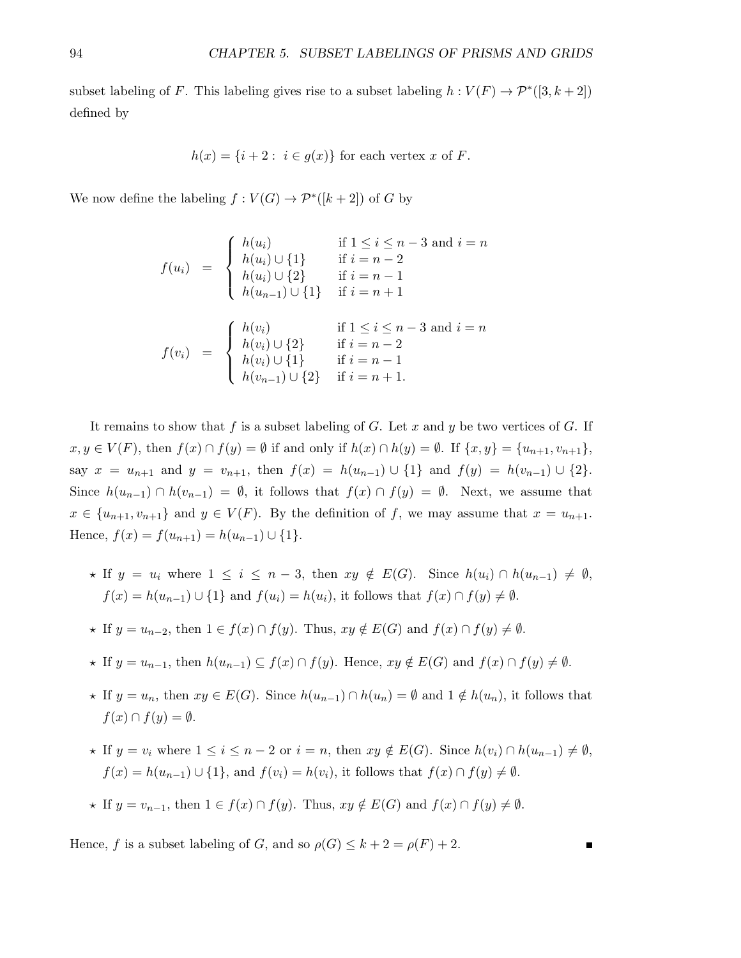subset labeling of F. This labeling gives rise to a subset labeling  $h: V(F) \to \mathcal{P}^*([3, k+2])$ defined by

$$
h(x) = \{i+2 : i \in g(x)\} \text{ for each vertex } x \text{ of } F.
$$

We now define the labeling  $f: V(G) \to \mathcal{P}^*([k+2])$  of G by

$$
f(u_i) = \begin{cases} h(u_i) & \text{if } 1 \le i \le n-3 \text{ and } i = n \\ h(u_i) \cup \{1\} & \text{if } i = n-2 \\ h(u_i) \cup \{2\} & \text{if } i = n-1 \\ h(u_{n-1}) \cup \{1\} & \text{if } i = n+1 \end{cases}
$$

$$
f(v_i) = \begin{cases} h(v_i) & \text{if } 1 \le i \le n-3 \text{ and } i = n \\ h(v_i) \cup \{2\} & \text{if } i = n-2 \\ h(v_i) \cup \{1\} & \text{if } i = n-1 \\ h(v_{n-1}) \cup \{2\} & \text{if } i = n+1. \end{cases}
$$

It remains to show that f is a subset labeling of G. Let x and y be two vertices of G. If  $x, y \in V(F)$ , then  $f(x) \cap f(y) = \emptyset$  if and only if  $h(x) \cap h(y) = \emptyset$ . If  $\{x, y\} = \{u_{n+1}, v_{n+1}\},$ say  $x = u_{n+1}$  and  $y = v_{n+1}$ , then  $f(x) = h(u_{n-1}) \cup \{1\}$  and  $f(y) = h(v_{n-1}) \cup \{2\}$ . Since  $h(u_{n-1}) \cap h(v_{n-1}) = \emptyset$ , it follows that  $f(x) \cap f(y) = \emptyset$ . Next, we assume that  $x \in \{u_{n+1}, v_{n+1}\}\$ and  $y \in V(F)$ . By the definition of f, we may assume that  $x = u_{n+1}$ . Hence,  $f(x) = f(u_{n+1}) = h(u_{n-1}) \cup \{1\}.$ 

- $\star$  If  $y = u_i$  where  $1 \leq i \leq n-3$ , then  $xy \notin E(G)$ . Since  $h(u_i) \cap h(u_{n-1}) \neq \emptyset$ ,  $f(x) = h(u_{n-1}) \cup \{1\}$  and  $f(u_i) = h(u_i)$ , it follows that  $f(x) \cap f(y) \neq \emptyset$ .
- $\star$  If  $y = u_{n-2}$ , then  $1 \in f(x) \cap f(y)$ . Thus,  $xy \notin E(G)$  and  $f(x) \cap f(y) \neq \emptyset$ .
- $\star$  If  $y = u_{n-1}$ , then  $h(u_{n-1}) \subseteq f(x) \cap f(y)$ . Hence,  $xy \notin E(G)$  and  $f(x) \cap f(y) \neq \emptyset$ .
- $\star$  If  $y = u_n$ , then  $xy \in E(G)$ . Since  $h(u_{n-1}) \cap h(u_n) = \emptyset$  and  $1 \notin h(u_n)$ , it follows that  $f(x) \cap f(y) = \emptyset.$
- $\star$  If  $y = v_i$  where  $1 \leq i \leq n-2$  or  $i = n$ , then  $xy \notin E(G)$ . Since  $h(v_i) \cap h(u_{n-1}) \neq \emptyset$ ,  $f(x) = h(u_{n-1}) \cup \{1\}$ , and  $f(v_i) = h(v_i)$ , it follows that  $f(x) \cap f(y) \neq \emptyset$ .
- $\star$  If  $y = v_{n-1}$ , then  $1 \in f(x) \cap f(y)$ . Thus,  $xy \notin E(G)$  and  $f(x) \cap f(y) \neq \emptyset$ .

Hence, f is a subset labeling of G, and so  $\rho(G) \leq k + 2 = \rho(F) + 2$ .

$$
\blacksquare
$$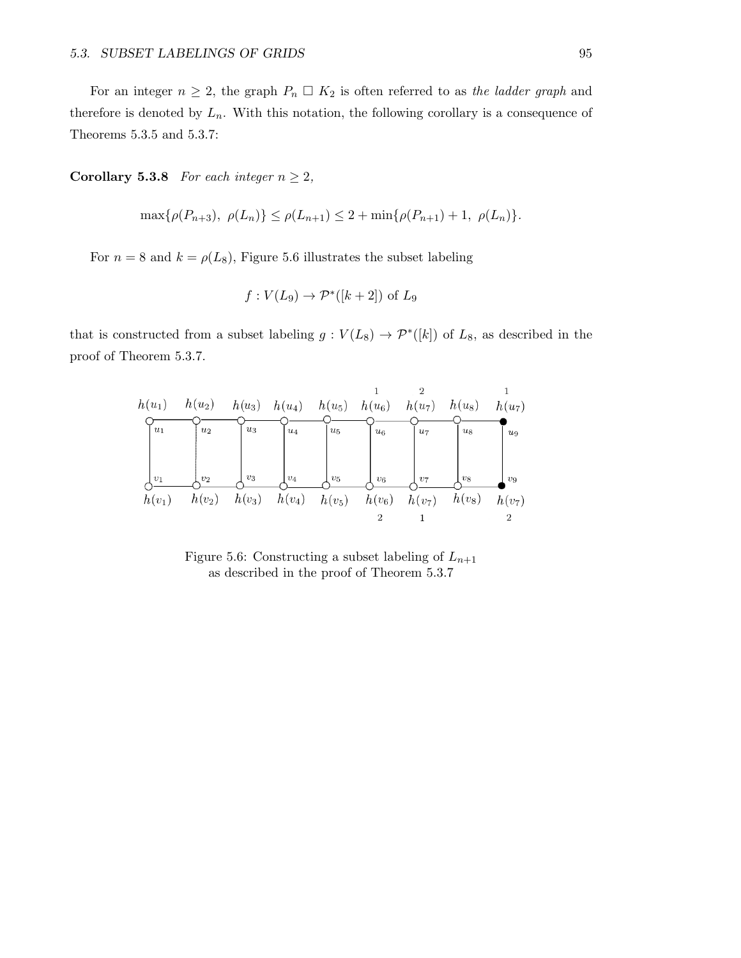For an integer  $n \geq 2$ , the graph  $P_n \square K_2$  is often referred to as the ladder graph and therefore is denoted by  $L_n$ . With this notation, the following corollary is a consequence of Theorems 5.3.5 and 5.3.7:

Corollary 5.3.8 For each integer  $n \geq 2$ ,

$$
\max\{\rho(P_{n+3}), \ \rho(L_n)\} \le \rho(L_{n+1}) \le 2 + \min\{\rho(P_{n+1}) + 1, \ \rho(L_n)\}.
$$

For  $n = 8$  and  $k = \rho(L_8)$ , Figure 5.6 illustrates the subset labeling

$$
f: V(L_9) \to \mathcal{P}^*([k+2]) \text{ of } L_9
$$

that is constructed from a subset labeling  $g: V(L_8) \to \mathcal{P}^*([k])$  of  $L_8$ , as described in the proof of Theorem 5.3.7.



Figure 5.6: Constructing a subset labeling of  $L_{n+1}$ as described in the proof of Theorem 5.3.7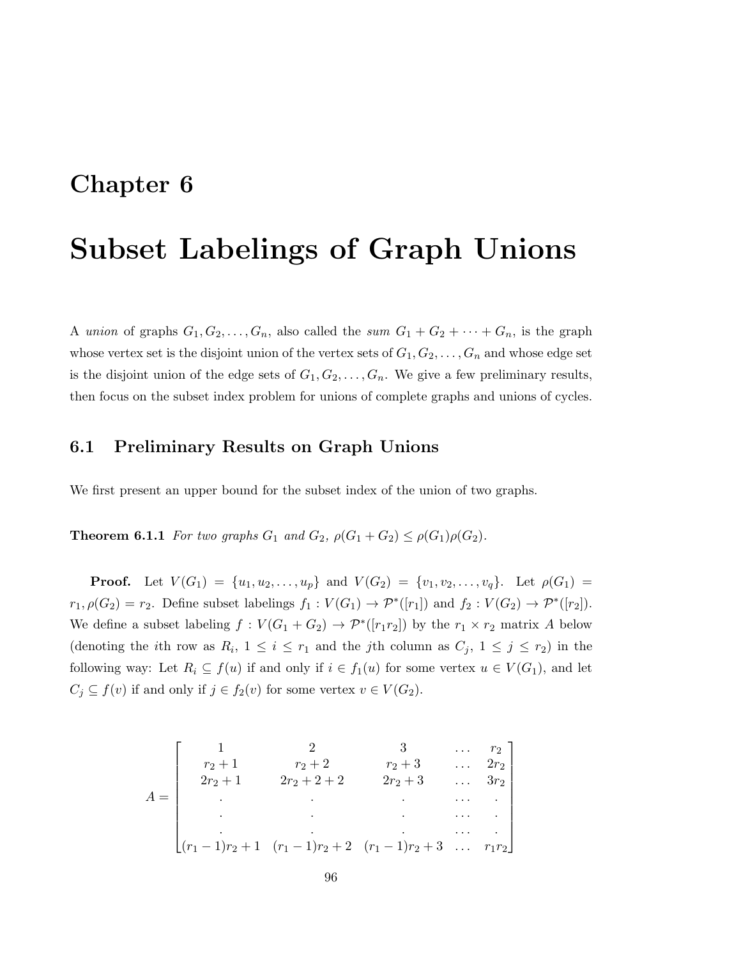## Chapter 6

# Subset Labelings of Graph Unions

A union of graphs  $G_1, G_2, \ldots, G_n$ , also called the sum  $G_1 + G_2 + \cdots + G_n$ , is the graph whose vertex set is the disjoint union of the vertex sets of  $G_1, G_2, \ldots, G_n$  and whose edge set is the disjoint union of the edge sets of  $G_1, G_2, \ldots, G_n$ . We give a few preliminary results, then focus on the subset index problem for unions of complete graphs and unions of cycles.

### 6.1 Preliminary Results on Graph Unions

We first present an upper bound for the subset index of the union of two graphs.

**Theorem 6.1.1** For two graphs  $G_1$  and  $G_2$ ,  $\rho(G_1+G_2) \leq \rho(G_1)\rho(G_2)$ .

**Proof.** Let  $V(G_1) = \{u_1, u_2, \ldots, u_p\}$  and  $V(G_2) = \{v_1, v_2, \ldots, v_q\}$ . Let  $\rho(G_1) =$  $r_1, \rho(G_2) = r_2$ . Define subset labelings  $f_1 : V(G_1) \to \mathcal{P}^*([r_1])$  and  $f_2 : V(G_2) \to \mathcal{P}^*([r_2])$ . We define a subset labeling  $f: V(G_1 + G_2) \to \mathcal{P}^*([r_1r_2])$  by the  $r_1 \times r_2$  matrix A below (denoting the *i*th row as  $R_i$ ,  $1 \leq i \leq r_1$  and the *j*th column as  $C_j$ ,  $1 \leq j \leq r_2$ ) in the following way: Let  $R_i \subseteq f(u)$  if and only if  $i \in f_1(u)$  for some vertex  $u \in V(G_1)$ , and let  $C_j \subseteq f(v)$  if and only if  $j \in f_2(v)$  for some vertex  $v \in V(G_2)$ .

$$
A = \begin{bmatrix} 1 & 2 & 3 & \dots & r_2 \\ r_2 + 1 & r_2 + 2 & r_2 + 3 & \dots & 2r_2 \\ 2r_2 + 1 & 2r_2 + 2 + 2 & 2r_2 + 3 & \dots & 3r_2 \\ \vdots & \vdots & \vdots & \ddots & \vdots & \vdots \\ (r_1 - 1)r_2 + 1 & (r_1 - 1)r_2 + 2 & (r_1 - 1)r_2 + 3 & \dots & r_1r_2 \end{bmatrix}
$$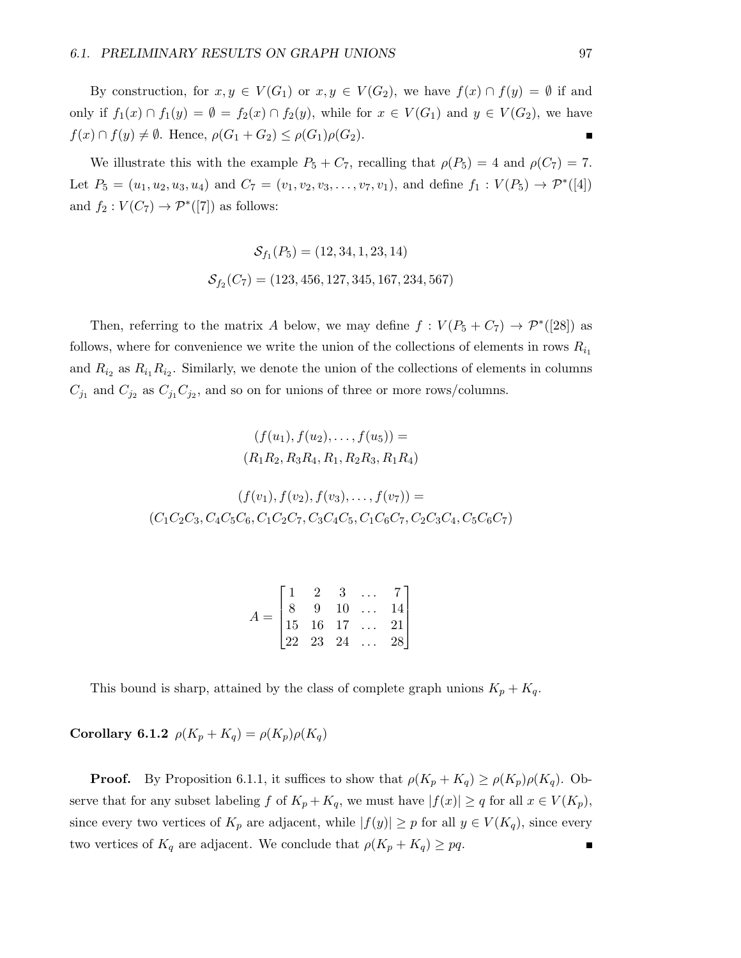By construction, for  $x, y \in V(G_1)$  or  $x, y \in V(G_2)$ , we have  $f(x) \cap f(y) = \emptyset$  if and only if  $f_1(x) \cap f_1(y) = \emptyset = f_2(x) \cap f_2(y)$ , while for  $x \in V(G_1)$  and  $y \in V(G_2)$ , we have  $f(x) \cap f(y) \neq \emptyset$ . Hence,  $\rho(G_1 + G_2) \leq \rho(G_1)\rho(G_2)$ . É

We illustrate this with the example  $P_5 + C_7$ , recalling that  $\rho(P_5) = 4$  and  $\rho(C_7) = 7$ . Let  $P_5 = (u_1, u_2, u_3, u_4)$  and  $C_7 = (v_1, v_2, v_3, \ldots, v_7, v_1)$ , and define  $f_1 : V(P_5) \to \mathcal{P}^*([4])$ and  $f_2: V(C_7) \to \mathcal{P}^*([7])$  as follows:

$$
\mathcal{S}_{f_1}(P_5) = (12, 34, 1, 23, 14)
$$
  

$$
\mathcal{S}_{f_2}(C_7) = (123, 456, 127, 345, 167, 234, 567)
$$

Then, referring to the matrix A below, we may define  $f: V(P_5 + C_7) \to \mathcal{P}^*([28])$  as follows, where for convenience we write the union of the collections of elements in rows  $R_{i_1}$ and  $R_{i_2}$  as  $R_{i_1}R_{i_2}$ . Similarly, we denote the union of the collections of elements in columns  $C_{j_1}$  and  $C_{j_2}$  as  $C_{j_1}C_{j_2}$ , and so on for unions of three or more rows/columns.

$$
(f(u_1), f(u_2), \dots, f(u_5)) =
$$

$$
(R_1 R_2, R_3 R_4, R_1, R_2 R_3, R_1 R_4)
$$

$$
(f(v_1), f(v_2), f(v_3), \dots, f(v_7)) =
$$
  

$$
(C_1C_2C_3, C_4C_5C_6, C_1C_2C_7, C_3C_4C_5, C_1C_6C_7, C_2C_3C_4, C_5C_6C_7)
$$

| $\frac{1}{1}$ |  |                                                                                                                                                |  |
|---------------|--|------------------------------------------------------------------------------------------------------------------------------------------------|--|
|               |  |                                                                                                                                                |  |
|               |  |                                                                                                                                                |  |
|               |  | $\begin{bmatrix} 1 & 2 & 3 & \ldots & 7 \\ 8 & 9 & 10 & \ldots & 14 \\ 15 & 16 & 17 & \ldots & 21 \\ 22 & 23 & 24 & \ldots & 28 \end{bmatrix}$ |  |

This bound is sharp, attained by the class of complete graph unions  $K_p + K_q$ .

Corollary 6.1.2  $\rho(K_p + K_q) = \rho(K_p)\rho(K_q)$ 

**Proof.** By Proposition 6.1.1, it suffices to show that  $\rho(K_p + K_q) \geq \rho(K_p)\rho(K_q)$ . Observe that for any subset labeling f of  $K_p + K_q$ , we must have  $|f(x)| \ge q$  for all  $x \in V(K_p)$ , since every two vertices of  $K_p$  are adjacent, while  $|f(y)| \geq p$  for all  $y \in V(K_q)$ , since every two vertices of  $K_q$  are adjacent. We conclude that  $\rho(K_p + K_q) \geq pq$ .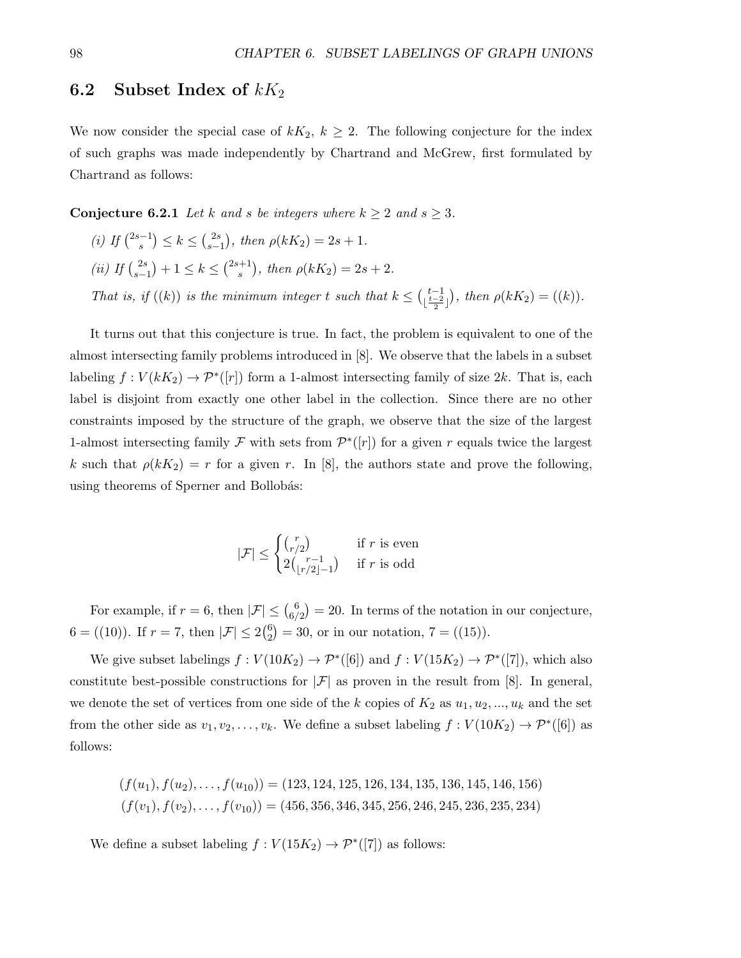#### 6.2 Subset Index of  $kK_2$

We now consider the special case of  $kK_2$ ,  $k \geq 2$ . The following conjecture for the index of such graphs was made independently by Chartrand and McGrew, first formulated by Chartrand as follows:

**Conjecture 6.2.1** Let k and s be integers where  $k \geq 2$  and  $s \geq 3$ .

(*i*) If  $\binom{2s-1}{s}$  $s^{(-1)}$  $\leq k \leq {2s \choose s-1}$  $s_{s-1}^{2s}$ , then  $\rho(kK_2) = 2s + 1$ . (ii) If  $\binom{2s}{s-1}$  $s-1$ <sup>2s</sup> + 1 ≤  $k \leq {2s+1 \choose s}$  $s^{(+)}, \text{ then } \rho(kK_2) = 2s + 2.$ That is, if  $((k))$  is the minimum integer t such that  $k \leq {t-1 \choose \lfloor \frac{t-2}{2} \rfloor}$ , then  $\rho(kK_2) = ((k)).$ 

It turns out that this conjecture is true. In fact, the problem is equivalent to one of the almost intersecting family problems introduced in [8]. We observe that the labels in a subset labeling  $f: V(kK_2) \to \mathcal{P}^*([r])$  form a 1-almost intersecting family of size 2k. That is, each label is disjoint from exactly one other label in the collection. Since there are no other constraints imposed by the structure of the graph, we observe that the size of the largest 1-almost intersecting family F with sets from  $\mathcal{P}^*([r])$  for a given r equals twice the largest k such that  $\rho(kK_2) = r$  for a given r. In [8], the authors state and prove the following, using theorems of Sperner and Bollobás:

$$
|\mathcal{F}| \leq \begin{cases} {r \choose r/2} & \text{if } r \text{ is even} \\ 2{r-1 \choose |r/2|-1} & \text{if } r \text{ is odd} \end{cases}
$$

For example, if  $r = 6$ , then  $|\mathcal{F}| \leq \binom{6}{6}$  $\binom{6}{6/2} = 20$ . In terms of the notation in our conjecture,  $6 = ((10))$ . If  $r = 7$ , then  $|\mathcal{F}| \leq 2\binom{6}{2}$  $_{2}^{6}$ ) = 30, or in our notation, 7 = ((15)).

We give subset labelings  $f: V(10K_2) \to \mathcal{P}^*([6])$  and  $f: V(15K_2) \to \mathcal{P}^*([7])$ , which also constitute best-possible constructions for  $|\mathcal{F}|$  as proven in the result from [8]. In general, we denote the set of vertices from one side of the k copies of  $K_2$  as  $u_1, u_2, ..., u_k$  and the set from the other side as  $v_1, v_2, \ldots, v_k$ . We define a subset labeling  $f: V(10K_2) \to \mathcal{P}^*([6])$  as follows:

$$
(f(u_1), f(u_2), \dots, f(u_{10})) = (123, 124, 125, 126, 134, 135, 136, 145, 146, 156)
$$

$$
(f(v_1), f(v_2), \dots, f(v_{10})) = (456, 356, 346, 345, 256, 246, 245, 236, 235, 234)
$$

We define a subset labeling  $f: V(15K_2) \to \mathcal{P}^*([7])$  as follows: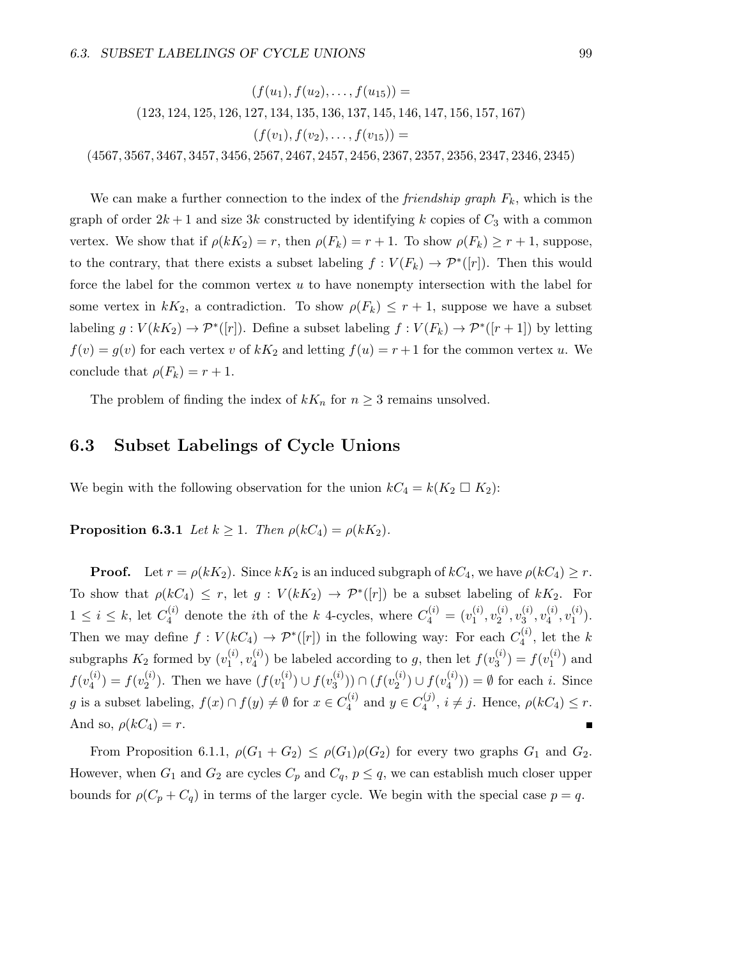$(f(u_1), f(u_2), \ldots, f(u_{15})) =$ (123, 124, 125, 126, 127, 134, 135, 136, 137, 145, 146, 147, 156, 157, 167)  $(f(v_1), f(v_2), \ldots, f(v_{15})) =$ (4567, 3567, 3467, 3457, 3456, 2567, 2467, 2457, 2456, 2367, 2357, 2356, 2347, 2346, 2345)

We can make a further connection to the index of the *friendship graph*  $F_k$ , which is the graph of order  $2k + 1$  and size 3k constructed by identifying k copies of  $C_3$  with a common vertex. We show that if  $\rho(kK_2) = r$ , then  $\rho(F_k) = r + 1$ . To show  $\rho(F_k) \ge r + 1$ , suppose, to the contrary, that there exists a subset labeling  $f: V(F_k) \to \mathcal{P}^*([r])$ . Then this would force the label for the common vertex  $u$  to have nonempty intersection with the label for some vertex in  $kK_2$ , a contradiction. To show  $\rho(F_k) \leq r+1$ , suppose we have a subset labeling  $g: V(kK_2) \to \mathcal{P}^*([r])$ . Define a subset labeling  $f: V(F_k) \to \mathcal{P}^*([r+1])$  by letting  $f(v) = g(v)$  for each vertex v of  $kK_2$  and letting  $f(u) = r + 1$  for the common vertex u. We conclude that  $\rho(F_k) = r + 1$ .

The problem of finding the index of  $kK_n$  for  $n \geq 3$  remains unsolved.

### 6.3 Subset Labelings of Cycle Unions

We begin with the following observation for the union  $kC_4 = k(K_2 \square K_2)$ :

**Proposition 6.3.1** Let  $k \geq 1$ . Then  $\rho(kC_4) = \rho(kK_2)$ .

**Proof.** Let  $r = \rho(kK_2)$ . Since  $kK_2$  is an induced subgraph of  $kC_4$ , we have  $\rho(kC_4) \geq r$ . To show that  $\rho(kC_4) \leq r$ , let  $g: V(kK_2) \to \mathcal{P}^*([r])$  be a subset labeling of  $kK_2$ . For  $1 \leq i \leq k$ , let  $C_4^{(i)}$  $Q_4^{(i)}$  denote the *i*<sup>th</sup> of the *k* 4-cycles, where  $C_4^{(i)} = (v_1^{(i)})$  $\mathbf{v}_1^{(i)}, \mathbf{v}_2^{(i)}$  $\stackrel{(i)}{2},v_3^{(i)}$  $_3^{\left( i\right) },v_4^{\left( i\right) }$  $\mathbf{u}_4^{(i)}, \mathbf{v}_1^{(i)}$  $\binom{1}{1}$ . Then we may define  $f: V(kC_4) \to \mathcal{P}^*([r])$  in the following way: For each  $C_4^{(i)}$  $\mathfrak{q}_4^{(i)}$ , let the  $k$ subgraphs  $K_2$  formed by  $(v_1^{(i)})$  $\stackrel{(i)}{1},\stackrel{(i)}{v_4^{\left(i\right)}}$  $\binom{(i)}{4}$  be labeled according to g, then let  $f(v_3^{(i)})$  $f_3^{(i)}$ ) =  $f(v_1^{(i)}$  $\binom{1}{1}$  and  $f(v_4^{(i)}$  $\binom{i}{4} = f(v_2^{(i)})$  $2^{(i)}$ ). Then we have  $(f(v_1^{(i)})$  $\binom{i}{1} \cup f(v_3^{(i)}$  $\binom{(i)}{3}$ )  $\cap (f(v_2^{(i)})$  $2^{(i)}$ )  $\cup f(v_4^{(i)})$  $\binom{1}{4}$ ) =  $\emptyset$  for each *i*. Since g is a subset labeling,  $f(x) \cap f(y) \neq \emptyset$  for  $x \in C_4^{(i)}$  $y_4^{(i)}$  and  $y \in C_4^{(j)}$  $\eta_4^{(J)}$ ,  $i \neq j$ . Hence,  $\rho(kC_4) \leq r$ . And so,  $\rho(kC_4) = r$ .

From Proposition 6.1.1,  $\rho(G_1+G_2) \leq \rho(G_1)\rho(G_2)$  for every two graphs  $G_1$  and  $G_2$ . However, when  $G_1$  and  $G_2$  are cycles  $C_p$  and  $C_q$ ,  $p \leq q$ , we can establish much closer upper bounds for  $\rho(C_p + C_q)$  in terms of the larger cycle. We begin with the special case  $p = q$ .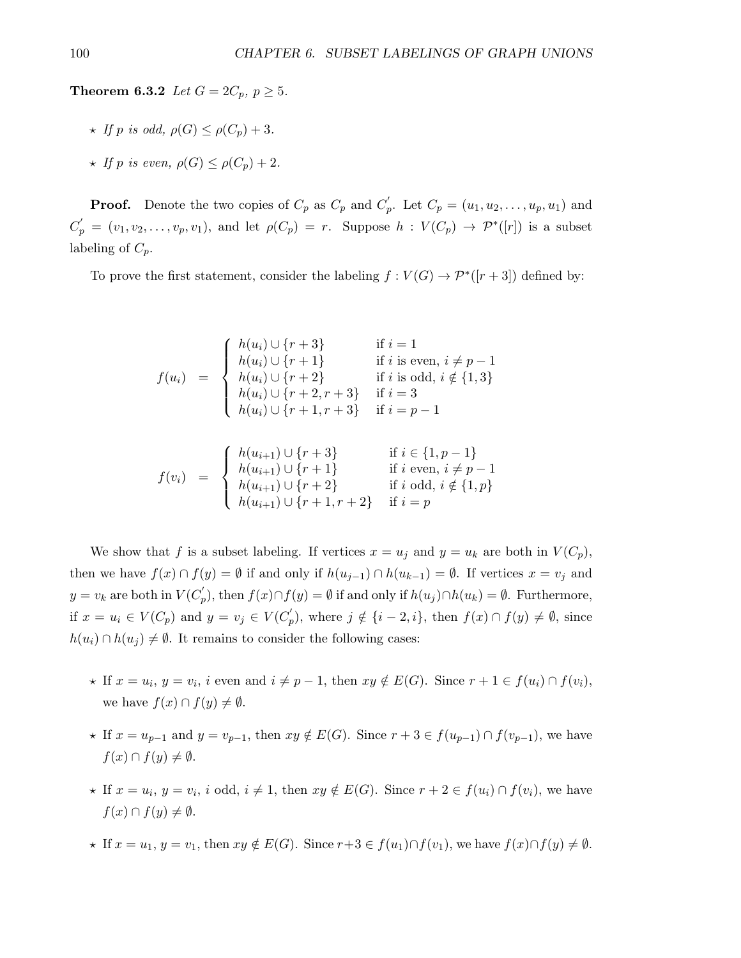**Theorem 6.3.2** Let  $G = 2C_p, p \ge 5$ .

- $\star$  If p is odd,  $\rho(G) \leq \rho(C_n) + 3$ .
- $\star$  If p is even,  $\rho(G) \leq \rho(C_n) + 2$ .

**Proof.** Denote the two copies of  $C_p$  as  $C_p$  and  $C'_p$ . Let  $C_p = (u_1, u_2, \ldots, u_p, u_1)$  and  $C'_p = (v_1, v_2, \ldots, v_p, v_1)$ , and let  $\rho(C_p) = r$ . Suppose  $h : V(C_p) \to \mathcal{P}^*([r])$  is a subset labeling of  $C_p$ .

To prove the first statement, consider the labeling  $f: V(G) \to \mathcal{P}^*([r+3])$  defined by:

$$
f(u_i) = \begin{cases} h(u_i) \cup \{r+3\} & \text{if } i = 1\\ h(u_i) \cup \{r+1\} & \text{if } i \text{ is even, } i \neq p-1\\ h(u_i) \cup \{r+2\} & \text{if } i \text{ is odd, } i \notin \{1,3\}\\ h(u_i) \cup \{r+2, r+3\} & \text{if } i = 3\\ h(u_i) \cup \{r+1, r+3\} & \text{if } i = p-1 \end{cases}
$$

$$
f(v_i) = \begin{cases} h(u_{i+1}) \cup \{r+3\} & \text{if } i \in \{1, p-1\}\\ h(u_{i+1}) \cup \{r+1\} & \text{if } i \text{ even, } i \neq p-1\\ h(u_{i+1}) \cup \{r+2\} & \text{if } i \text{ odd, } i \notin \{1, p\}\\ h(u_{i+1}) \cup \{r+1, r+2\} & \text{if } i = p \end{cases}
$$

We show that f is a subset labeling. If vertices  $x = u_j$  and  $y = u_k$  are both in  $V(C_p)$ , then we have  $f(x) \cap f(y) = \emptyset$  if and only if  $h(u_{j-1}) \cap h(u_{k-1}) = \emptyset$ . If vertices  $x = v_j$  and  $y = v_k$  are both in  $V(C_p)$ , then  $f(x) \cap f(y) = \emptyset$  if and only if  $h(u_j) \cap h(u_k) = \emptyset$ . Furthermore, if  $x = u_i \in V(C_p)$  and  $y = v_j \in V(C'_p)$ , where  $j \notin \{i-2, i\}$ , then  $f(x) \cap f(y) \neq \emptyset$ , since  $h(u_i) \cap h(u_j) \neq \emptyset$ . It remains to consider the following cases:

 $h(u_{i+1}) \cup \{r+1, r+2\}$  if  $i = p$ 

- $\star$  If  $x = u_i, y = v_i$ , i even and  $i \neq p-1$ , then  $xy \notin E(G)$ . Since  $r + 1 \in f(u_i) \cap f(v_i)$ , we have  $f(x) \cap f(y) \neq \emptyset$ .
- $\star$  If  $x = u_{p-1}$  and  $y = v_{p-1}$ , then  $xy \notin E(G)$ . Since  $r + 3 \in f(u_{p-1}) \cap f(v_{p-1})$ , we have  $f(x) \cap f(y) \neq \emptyset$ .
- $\star$  If  $x = u_i, y = v_i$ , i odd,  $i \neq 1$ , then  $xy \notin E(G)$ . Since  $r + 2 \in f(u_i) \cap f(v_i)$ , we have  $f(x) \cap f(y) \neq \emptyset$ .
- $\star$  If  $x = u_1, y = v_1$ , then  $xy \notin E(G)$ . Since  $r+3 \in f(u_1) \cap f(v_1)$ , we have  $f(x) \cap f(y) \neq \emptyset$ .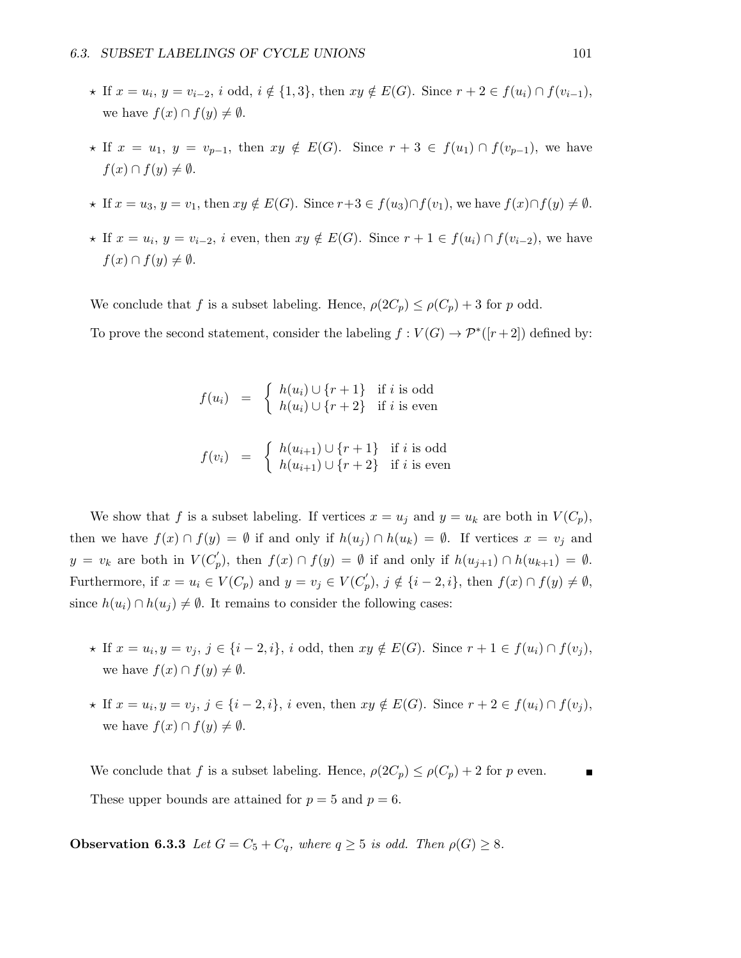- $\star$  If  $x = u_i, y = v_{i-2}, i$  odd,  $i \notin \{1, 3\}$ , then  $xy \notin E(G)$ . Since  $r + 2 \in f(u_i) \cap f(v_{i-1}),$ we have  $f(x) \cap f(y) \neq \emptyset$ .
- $\star$  If  $x = u_1, y = v_{p-1}$ , then  $xy \notin E(G)$ . Since  $r + 3 \in f(u_1) \cap f(v_{p-1})$ , we have  $f(x) \cap f(y) \neq \emptyset$ .
- $\star$  If  $x = u_3, y = v_1$ , then  $xy \notin E(G)$ . Since  $r+3 \in f(u_3) \cap f(v_1)$ , we have  $f(x) \cap f(y) \neq \emptyset$ .
- $\star$  If  $x = u_i, y = v_{i-2}, i$  even, then  $xy \notin E(G)$ . Since  $r + 1 \in f(u_i) \cap f(v_{i-2}),$  we have  $f(x) \cap f(y) \neq \emptyset$ .

We conclude that f is a subset labeling. Hence,  $\rho(2C_p) \leq \rho(C_p) + 3$  for p odd.

To prove the second statement, consider the labeling  $f: V(G) \to \mathcal{P}^*([r+2])$  defined by:

$$
f(u_i) = \begin{cases} h(u_i) \cup \{r+1\} & \text{if } i \text{ is odd} \\ h(u_i) \cup \{r+2\} & \text{if } i \text{ is even} \end{cases}
$$
  

$$
f(v_i) = \begin{cases} h(u_{i+1}) \cup \{r+1\} & \text{if } i \text{ is odd} \\ h(u_{i+1}) \cup \{r+2\} & \text{if } i \text{ is even} \end{cases}
$$

We show that f is a subset labeling. If vertices  $x = u_j$  and  $y = u_k$  are both in  $V(C_p)$ , then we have  $f(x) \cap f(y) = \emptyset$  if and only if  $h(u_i) \cap h(u_k) = \emptyset$ . If vertices  $x = v_i$  and  $y = v_k$  are both in  $V(C_p')$ , then  $f(x) \cap f(y) = \emptyset$  if and only if  $h(u_{j+1}) \cap h(u_{k+1}) = \emptyset$ . Furthermore, if  $x = u_i \in V(C_p)$  and  $y = v_j \in V(C'_p)$ ,  $j \notin \{i-2, i\}$ , then  $f(x) \cap f(y) \neq \emptyset$ , since  $h(u_i) \cap h(u_j) \neq \emptyset$ . It remains to consider the following cases:

- $\star$  If  $x = u_i, y = v_j, j \in \{i 2, i\}, i$  odd, then  $xy \notin E(G)$ . Since  $r + 1 \in f(u_i) \cap f(v_j)$ , we have  $f(x) \cap f(y) \neq \emptyset$ .
- $\star$  If  $x = u_i, y = v_j, j \in \{i-2, i\}, i$  even, then  $xy \notin E(G)$ . Since  $r + 2 \in f(u_i) \cap f(v_j)$ , we have  $f(x) \cap f(y) \neq \emptyset$ .

We conclude that f is a subset labeling. Hence,  $\rho(2C_p) \leq \rho(C_p) + 2$  for p even. These upper bounds are attained for  $p = 5$  and  $p = 6$ .

**Observation 6.3.3** Let  $G = C_5 + C_q$ , where  $q \geq 5$  is odd. Then  $\rho(G) \geq 8$ .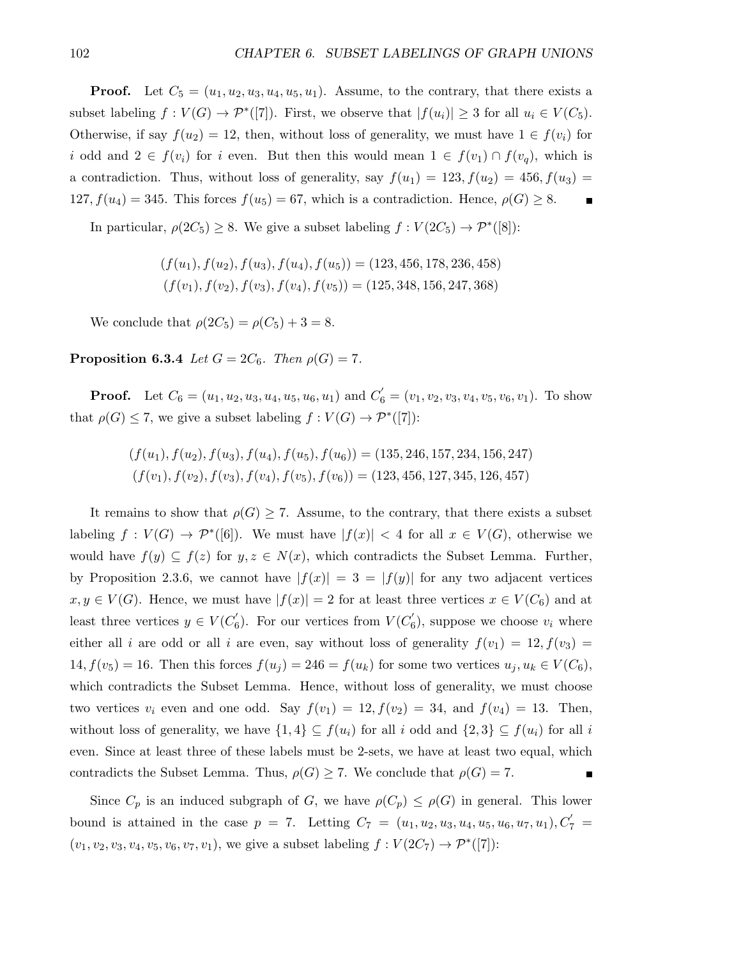**Proof.** Let  $C_5 = (u_1, u_2, u_3, u_4, u_5, u_1)$ . Assume, to the contrary, that there exists a subset labeling  $f: V(G) \to \mathcal{P}^*([7])$ . First, we observe that  $|f(u_i)| \geq 3$  for all  $u_i \in V(C_5)$ . Otherwise, if say  $f(u_2) = 12$ , then, without loss of generality, we must have  $1 \in f(v_i)$  for i odd and  $2 \in f(v_i)$  for i even. But then this would mean  $1 \in f(v_1) \cap f(v_q)$ , which is a contradiction. Thus, without loss of generality, say  $f(u_1) = 123, f(u_2) = 456, f(u_3) =$ 127,  $f(u_4) = 345$ . This forces  $f(u_5) = 67$ , which is a contradiction. Hence,  $\rho(G) \geq 8$ .  $\blacksquare$ 

In particular,  $\rho(2C_5) \geq 8$ . We give a subset labeling  $f: V(2C_5) \to \mathcal{P}^*([8])$ :

$$
(f(u_1), f(u_2), f(u_3), f(u_4), f(u_5)) = (123, 456, 178, 236, 458)
$$
  

$$
(f(v_1), f(v_2), f(v_3), f(v_4), f(v_5)) = (125, 348, 156, 247, 368)
$$

We conclude that  $\rho(2C_5) = \rho(C_5) + 3 = 8$ .

Proposition 6.3.4 Let  $G = 2C_6$ . Then  $\rho(G) = 7$ .

**Proof.** Let  $C_6 = (u_1, u_2, u_3, u_4, u_5, u_6, u_1)$  and  $C'_6 = (v_1, v_2, v_3, v_4, v_5, v_6, v_1)$ . To show that  $\rho(G) \leq 7$ , we give a subset labeling  $f: V(G) \to \mathcal{P}^*([7])$ :

$$
(f(u_1), f(u_2), f(u_3), f(u_4), f(u_5), f(u_6)) = (135, 246, 157, 234, 156, 247)
$$
  

$$
(f(v_1), f(v_2), f(v_3), f(v_4), f(v_5), f(v_6)) = (123, 456, 127, 345, 126, 457)
$$

It remains to show that  $\rho(G) \geq 7$ . Assume, to the contrary, that there exists a subset labeling  $f: V(G) \to \mathcal{P}^*([6])$ . We must have  $|f(x)| < 4$  for all  $x \in V(G)$ , otherwise we would have  $f(y) \subseteq f(z)$  for  $y, z \in N(x)$ , which contradicts the Subset Lemma. Further, by Proposition 2.3.6, we cannot have  $|f(x)| = 3 = |f(y)|$  for any two adjacent vertices  $x, y \in V(G)$ . Hence, we must have  $|f(x)| = 2$  for at least three vertices  $x \in V(C_6)$  and at least three vertices  $y \in V(C'_{\epsilon})$  $b'_6$ ). For our vertices from  $V(C'_6)$  $(v_6)$ , suppose we choose  $v_i$  where either all i are odd or all i are even, say without loss of generality  $f(v_1) = 12, f(v_3) =$  $14, f(v_5) = 16$ . Then this forces  $f(u_i) = 246 = f(u_k)$  for some two vertices  $u_i, u_k \in V(C_6)$ , which contradicts the Subset Lemma. Hence, without loss of generality, we must choose two vertices  $v_i$  even and one odd. Say  $f(v_1) = 12, f(v_2) = 34$ , and  $f(v_4) = 13$ . Then, without loss of generality, we have  $\{1,4\} \subseteq f(u_i)$  for all i odd and  $\{2,3\} \subseteq f(u_i)$  for all i even. Since at least three of these labels must be 2-sets, we have at least two equal, which contradicts the Subset Lemma. Thus,  $\rho(G) \geq 7$ . We conclude that  $\rho(G) = 7$ .

Since  $C_p$  is an induced subgraph of G, we have  $\rho(C_p) \leq \rho(G)$  in general. This lower bound is attained in the case  $p = 7$ . Letting  $C_7 = (u_1, u_2, u_3, u_4, u_5, u_6, u_7, u_1), C'_7 =$  $(v_1, v_2, v_3, v_4, v_5, v_6, v_7, v_1)$ , we give a subset labeling  $f: V(2C_7) \to \mathcal{P}^*([7])$ :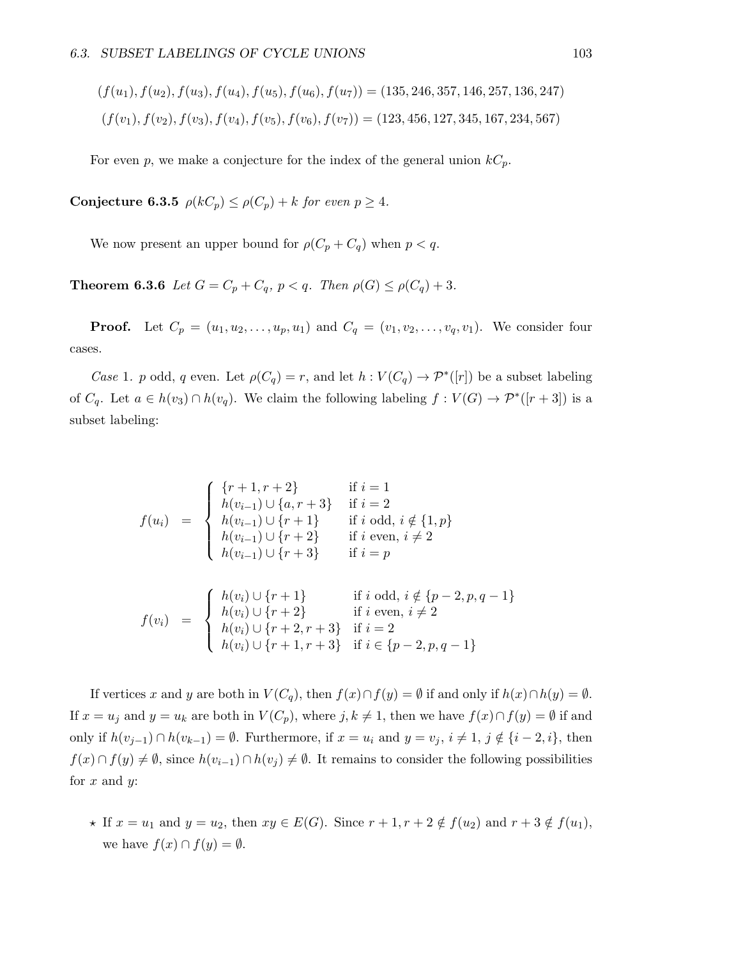$$
(f(u_1), f(u_2), f(u_3), f(u_4), f(u_5), f(u_6), f(u_7)) = (135, 246, 357, 146, 257, 136, 247)
$$
  

$$
(f(v_1), f(v_2), f(v_3), f(v_4), f(v_5), f(v_6), f(v_7)) = (123, 456, 127, 345, 167, 234, 567)
$$

For even p, we make a conjecture for the index of the general union  $kC_p$ .

Conjecture 6.3.5  $\rho(kC_p) \leq \rho(C_p) + k$  for even  $p \geq 4$ .

We now present an upper bound for  $\rho(C_p + C_q)$  when  $p < q$ .

**Theorem 6.3.6** Let  $G = C_p + C_q$ ,  $p < q$ . Then  $\rho(G) \leq \rho(C_q) + 3$ .

**Proof.** Let  $C_p = (u_1, u_2, \dots, u_p, u_1)$  and  $C_q = (v_1, v_2, \dots, v_q, v_1)$ . We consider four cases.

Case 1. p odd, q even. Let  $\rho(C_q) = r$ , and let  $h: V(C_q) \to \mathcal{P}^*([r])$  be a subset labeling of  $C_q$ . Let  $a \in h(v_3) \cap h(v_q)$ . We claim the following labeling  $f: V(G) \to \mathcal{P}^*([r+3])$  is a subset labeling:

$$
f(u_i) = \begin{cases} \{r+1, r+2\} & \text{if } i = 1\\ h(v_{i-1}) \cup \{a, r+3\} & \text{if } i = 2\\ h(v_{i-1}) \cup \{r+1\} & \text{if } i \text{ odd, } i \notin \{1, p\} \\ h(v_{i-1}) \cup \{r+2\} & \text{if } i \text{ even, } i \neq 2 \\ h(v_{i-1}) \cup \{r+3\} & \text{if } i = p \end{cases}
$$

$$
f(v_i) = \begin{cases} h(v_i) \cup \{r+1\} & \text{if } i \text{ odd, } i \notin \{p-2, p, q-1\} \\ h(v_i) \cup \{r+2\} & \text{if } i \text{ even, } i \neq 2 \\ h(v_i) \cup \{r+2, r+3\} & \text{if } i = 2 \\ h(v_i) \cup \{r+1, r+3\} & \text{if } i \in \{p-2, p, q-1\} \end{cases}
$$

If vertices x and y are both in  $V(C_q)$ , then  $f(x) \cap f(y) = \emptyset$  if and only if  $h(x) \cap h(y) = \emptyset$ . If  $x = u_j$  and  $y = u_k$  are both in  $V(C_p)$ , where  $j, k \neq 1$ , then we have  $f(x) \cap f(y) = \emptyset$  if and only if  $h(v_{j-1}) \cap h(v_{k-1}) = ∅$ . Furthermore, if  $x = u_i$  and  $y = v_j$ ,  $i \neq 1$ ,  $j \notin \{i-2, i\}$ , then  $f(x) \cap f(y) \neq \emptyset$ , since  $h(v_{i-1}) \cap h(v_i) \neq \emptyset$ . It remains to consider the following possibilities for  $x$  and  $y$ :

 $h(v_i) \cup \{r+1, r+3\}$  if  $i \in \{p-2, p, q-1\}$ 

 $\star$  If  $x = u_1$  and  $y = u_2$ , then  $xy \in E(G)$ . Since  $r + 1, r + 2 \notin f(u_2)$  and  $r + 3 \notin f(u_1)$ , we have  $f(x) \cap f(y) = \emptyset$ .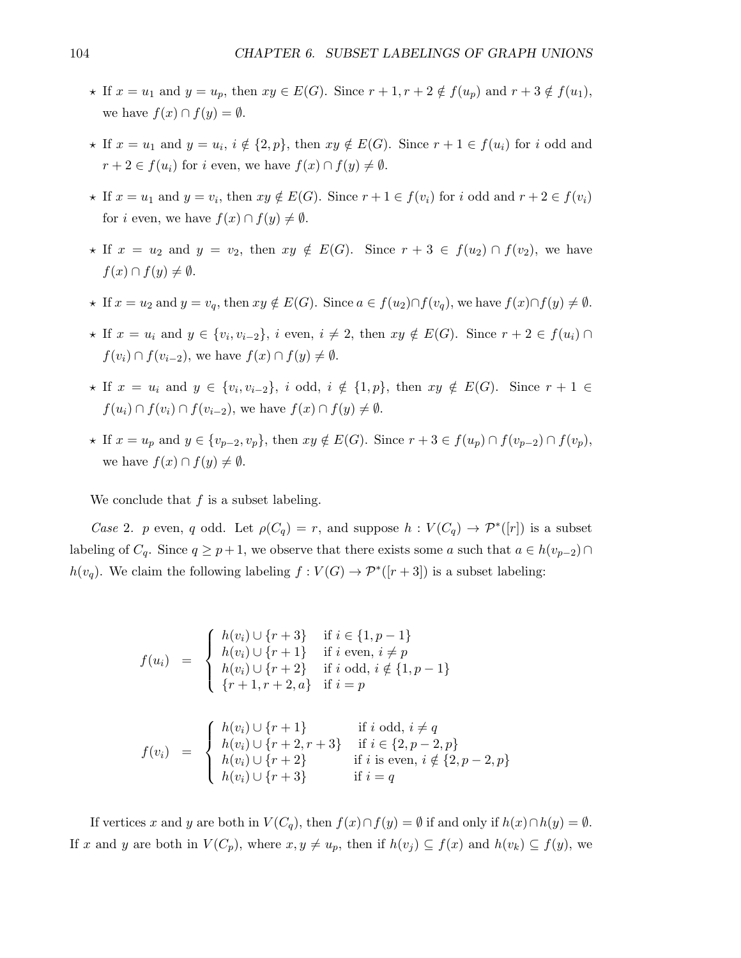- $\star$  If  $x = u_1$  and  $y = u_p$ , then  $xy \in E(G)$ . Since  $r + 1, r + 2 \notin f(u_p)$  and  $r + 3 \notin f(u_1)$ , we have  $f(x) \cap f(y) = \emptyset$ .
- $\star$  If  $x = u_1$  and  $y = u_i$ ,  $i \notin \{2, p\}$ , then  $xy \notin E(G)$ . Since  $r + 1 \in f(u_i)$  for i odd and  $r + 2 \in f(u_i)$  for i even, we have  $f(x) \cap f(y) \neq \emptyset$ .
- $\star$  If  $x = u_1$  and  $y = v_i$ , then  $xy \notin E(G)$ . Since  $r + 1 \in f(v_i)$  for i odd and  $r + 2 \in f(v_i)$ for *i* even, we have  $f(x) \cap f(y) \neq \emptyset$ .
- $\star$  If  $x = u_2$  and  $y = v_2$ , then  $xy \notin E(G)$ . Since  $r + 3 \in f(u_2) \cap f(v_2)$ , we have  $f(x) \cap f(y) \neq \emptyset$ .
- $\star$  If  $x = u_2$  and  $y = v_q$ , then  $xy \notin E(G)$ . Since  $a \in f(u_2) \cap f(v_q)$ , we have  $f(x) \cap f(y) \neq \emptyset$ .
- $\star$  If  $x = u_i$  and  $y \in \{v_i, v_{i-2}\}, i$  even,  $i \neq 2$ , then  $xy \notin E(G)$ . Since  $r + 2 \in f(u_i) \cap$  $f(v_i) \cap f(v_{i-2}),$  we have  $f(x) \cap f(y) \neq \emptyset$ .
- $\star$  If  $x = u_i$  and  $y \in \{v_i, v_{i-2}\}, i$  odd,  $i \notin \{1, p\}$ , then  $xy \notin E(G)$ . Since  $r + 1 \in$  $f(u_i) \cap f(v_i) \cap f(v_{i-2})$ , we have  $f(x) \cap f(y) \neq \emptyset$ .
- $\star$  If  $x = u_p$  and  $y \in \{v_{p-2}, v_p\}$ , then  $xy \notin E(G)$ . Since  $r + 3 \in f(u_p) \cap f(v_{p-2}) \cap f(v_p)$ , we have  $f(x) \cap f(y) \neq \emptyset$ .

We conclude that  $f$  is a subset labeling.

Case 2. p even, q odd. Let  $\rho(C_q) = r$ , and suppose  $h: V(C_q) \to \mathcal{P}^*([r])$  is a subset labeling of  $C_q$ . Since  $q \geq p+1$ , we observe that there exists some a such that  $a \in h(v_{p-2}) \cap$  $h(v_q)$ . We claim the following labeling  $f: V(G) \to \mathcal{P}^*([r+3])$  is a subset labeling:

$$
f(u_i) = \begin{cases} h(v_i) \cup \{r+3\} & \text{if } i \in \{1, p-1\} \\ h(v_i) \cup \{r+1\} & \text{if } i \text{ even, } i \neq p \\ h(v_i) \cup \{r+2\} & \text{if } i \text{ odd, } i \notin \{1, p-1\} \\ \{r+1, r+2, a\} & \text{if } i = p \end{cases}
$$

$$
f(v_i) = \begin{cases} h(v_i) \cup \{r+1\} & \text{if } i \text{ odd, } i \neq q \\ h(v_i) \cup \{r+2, r+3\} & \text{if } i \in \{2, p-2, p\} \\ h(v_i) \cup \{r+2\} & \text{if } i \text{ is even, } i \notin \{2, p-2, p\} \\ h(v_i) \cup \{r+3\} & \text{if } i = q \end{cases}
$$

If vertices x and y are both in  $V(C_q)$ , then  $f(x) \cap f(y) = \emptyset$  if and only if  $h(x) \cap h(y) = \emptyset$ . If x and y are both in  $V(C_p)$ , where  $x, y \neq u_p$ , then if  $h(v_i) \subseteq f(x)$  and  $h(v_k) \subseteq f(y)$ , we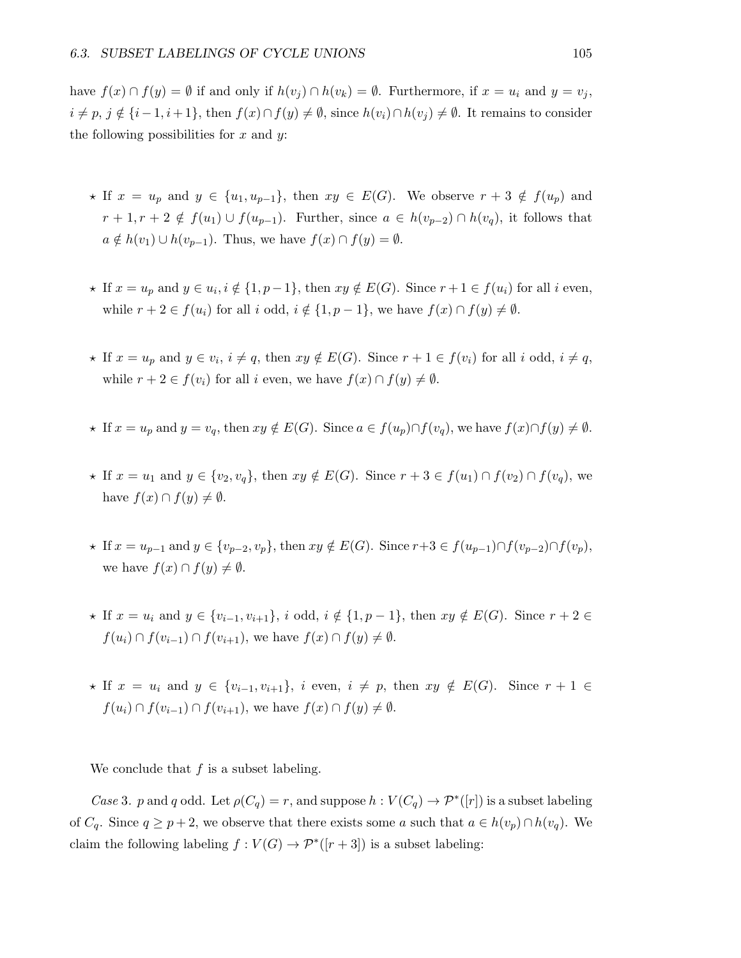have  $f(x) \cap f(y) = \emptyset$  if and only if  $h(v_i) \cap h(v_k) = \emptyset$ . Furthermore, if  $x = u_i$  and  $y = v_j$ ,  $i \neq p, j \notin \{i-1, i+1\}$ , then  $f(x) \cap f(y) \neq \emptyset$ , since  $h(v_i) \cap h(v_j) \neq \emptyset$ . It remains to consider the following possibilities for  $x$  and  $y$ :

- $\star$  If  $x = u_p$  and  $y \in \{u_1, u_{p-1}\},\$  then  $xy \in E(G)$ . We observe  $r + 3 \notin f(u_p)$  and  $r+1, r+2 \notin f(u_1) \cup f(u_{p-1})$ . Further, since  $a \in h(v_{p-2}) \cap h(v_q)$ , it follows that  $a \notin h(v_1) \cup h(v_{p-1})$ . Thus, we have  $f(x) \cap f(y) = \emptyset$ .
- $\star$  If  $x = u_p$  and  $y \in u_i, i \notin \{1, p-1\}$ , then  $xy \notin E(G)$ . Since  $r + 1 \in f(u_i)$  for all i even, while  $r + 2 \in f(u_i)$  for all i odd,  $i \notin \{1, p - 1\}$ , we have  $f(x) \cap f(y) \neq \emptyset$ .
- $\star$  If  $x = u_p$  and  $y \in v_i$ ,  $i \neq q$ , then  $xy \notin E(G)$ . Since  $r + 1 \in f(v_i)$  for all i odd,  $i \neq q$ , while  $r + 2 \in f(v_i)$  for all i even, we have  $f(x) \cap f(y) \neq \emptyset$ .
- $\star$  If  $x = u_p$  and  $y = v_q$ , then  $xy \notin E(G)$ . Since  $a \in f(u_p) \cap f(v_q)$ , we have  $f(x) \cap f(y) \neq \emptyset$ .
- $\star$  If  $x = u_1$  and  $y \in \{v_2, v_q\}$ , then  $xy \notin E(G)$ . Since  $r + 3 \in f(u_1) \cap f(v_2) \cap f(v_q)$ , we have  $f(x) \cap f(y) \neq \emptyset$ .
- $\star$  If  $x = u_{p-1}$  and  $y \in \{v_{p-2}, v_p\}$ , then  $xy \notin E(G)$ . Since  $r+3 \in f(u_{p-1}) \cap f(v_{p-2}) \cap f(v_p)$ , we have  $f(x) \cap f(y) \neq \emptyset$ .
- $\star$  If  $x = u_i$  and  $y \in \{v_{i-1}, v_{i+1}\}, i$  odd,  $i \notin \{1, p-1\}$ , then  $xy \notin E(G)$ . Since  $r + 2 \in$  $f(u_i) \cap f(v_{i-1}) \cap f(v_{i+1}),$  we have  $f(x) \cap f(y) \neq \emptyset$ .
- $\star$  If  $x = u_i$  and  $y \in \{v_{i-1}, v_{i+1}\}, i$  even,  $i \neq p$ , then  $xy \notin E(G)$ . Since  $r + 1 \in$  $f(u_i) \cap f(v_{i-1}) \cap f(v_{i+1}),$  we have  $f(x) \cap f(y) \neq \emptyset$ .

We conclude that  $f$  is a subset labeling.

Case 3. p and q odd. Let  $\rho(C_q) = r$ , and suppose  $h: V(C_q) \to \mathcal{P}^*([r])$  is a subset labeling of  $C_q$ . Since  $q \geq p+2$ , we observe that there exists some a such that  $a \in h(v_p) \cap h(v_q)$ . We claim the following labeling  $f: V(G) \to \mathcal{P}^*([r+3])$  is a subset labeling: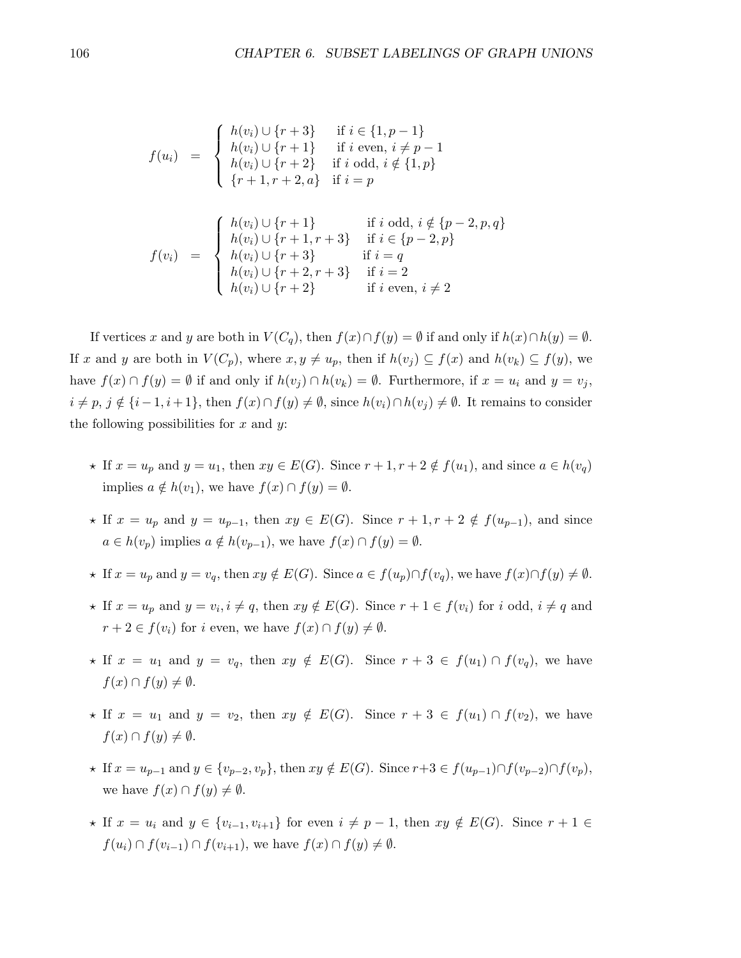$$
f(u_i) = \begin{cases} h(v_i) \cup \{r+3\} & \text{if } i \in \{1, p-1\} \\ h(v_i) \cup \{r+1\} & \text{if } i \text{ even, } i \neq p-1 \\ h(v_i) \cup \{r+2\} & \text{if } i \text{ odd, } i \notin \{1, p\} \\ \{r+1, r+2, a\} & \text{if } i = p \end{cases}
$$

$$
f(v_i) = \begin{cases} h(v_i) \cup \{r+1\} & \text{if } i \text{ odd, } i \notin \{p-2, p, q\} \\ h(v_i) \cup \{r+1, r+3\} & \text{if } i \in \{p-2, p\} \\ h(v_i) \cup \{r+3\} & \text{if } i = q \\ h(v_i) \cup \{r+2, r+3\} & \text{if } i = 2 \\ h(v_i) \cup \{r+2\} & \text{if } i \text{ even, } i \neq 2 \end{cases}
$$

If vertices x and y are both in  $V(C_q)$ , then  $f(x) \cap f(y) = \emptyset$  if and only if  $h(x) \cap h(y) = \emptyset$ . If x and y are both in  $V(C_p)$ , where  $x, y \neq u_p$ , then if  $h(v_j) \subseteq f(x)$  and  $h(v_k) \subseteq f(y)$ , we have  $f(x) \cap f(y) = \emptyset$  if and only if  $h(v_i) \cap h(v_k) = \emptyset$ . Furthermore, if  $x = u_i$  and  $y = v_i$ ,  $i \neq p, j \notin \{i-1, i+1\}$ , then  $f(x) \cap f(y) \neq \emptyset$ , since  $h(v_i) \cap h(v_j) \neq \emptyset$ . It remains to consider the following possibilities for  $x$  and  $y$ :

- $\star$  If  $x = u_p$  and  $y = u_1$ , then  $xy \in E(G)$ . Since  $r + 1, r + 2 \notin f(u_1)$ , and since  $a \in h(v_q)$ implies  $a \notin h(v_1)$ , we have  $f(x) \cap f(y) = \emptyset$ .
- $\star$  If  $x = u_p$  and  $y = u_{p-1}$ , then  $xy \in E(G)$ . Since  $r + 1, r + 2 \notin f(u_{p-1})$ , and since  $a \in h(v_p)$  implies  $a \notin h(v_{p-1})$ , we have  $f(x) \cap f(y) = \emptyset$ .
- $\star$  If  $x = u_p$  and  $y = v_q$ , then  $xy \notin E(G)$ . Since  $a \in f(u_p) \cap f(v_q)$ , we have  $f(x) \cap f(y) \neq \emptyset$ .
- $\star$  If  $x = u_p$  and  $y = v_i, i \neq q$ , then  $xy \notin E(G)$ . Since  $r + 1 \in f(v_i)$  for i odd,  $i \neq q$  and  $r + 2 \in f(v_i)$  for i even, we have  $f(x) \cap f(y) \neq \emptyset$ .
- $\star$  If  $x = u_1$  and  $y = v_q$ , then  $xy \notin E(G)$ . Since  $r + 3 \in f(u_1) \cap f(v_q)$ , we have  $f(x) \cap f(y) \neq \emptyset$ .
- $\star$  If  $x = u_1$  and  $y = v_2$ , then  $xy \notin E(G)$ . Since  $r + 3 \in f(u_1) \cap f(v_2)$ , we have  $f(x) \cap f(y) \neq \emptyset$ .
- $\star$  If  $x = u_{p-1}$  and  $y \in \{v_{p-2}, v_p\}$ , then  $xy \notin E(G)$ . Since  $r+3 \in f(u_{p-1}) \cap f(v_{p-2}) \cap f(v_p)$ , we have  $f(x) \cap f(y) \neq \emptyset$ .
- $\star$  If  $x = u_i$  and  $y \in \{v_{i-1}, v_{i+1}\}\)$  for even  $i \neq p-1$ , then  $xy \notin E(G)$ . Since  $r+1 \in$  $f(u_i) \cap f(v_{i-1}) \cap f(v_{i+1}),$  we have  $f(x) \cap f(y) \neq \emptyset$ .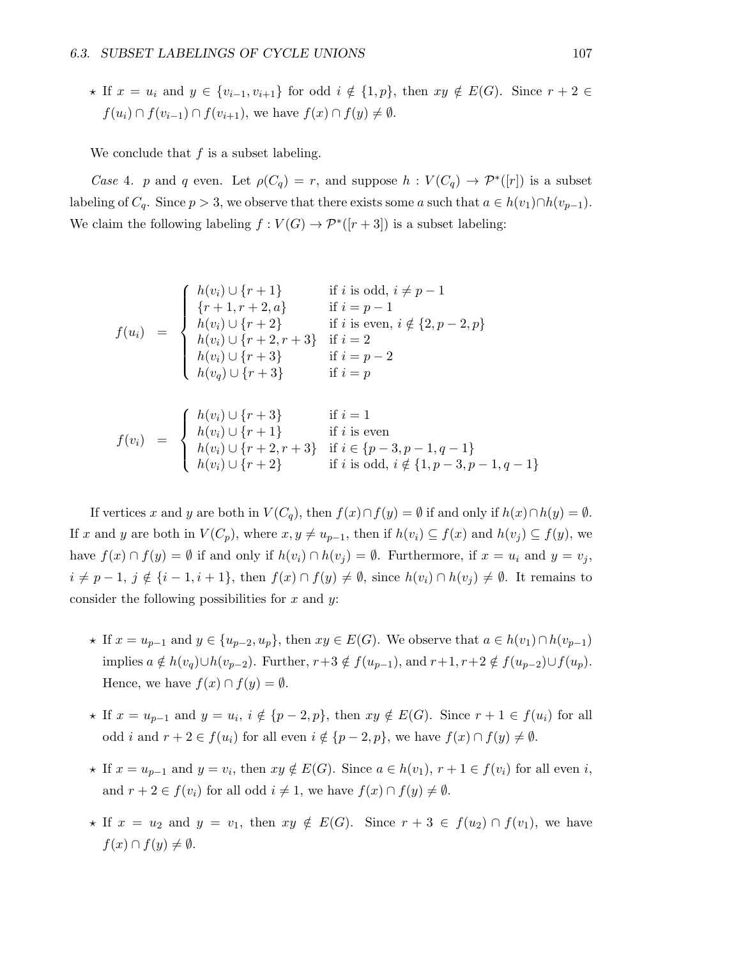$\star$  If  $x = u_i$  and  $y \in \{v_{i-1}, v_{i+1}\}$  for odd  $i \notin \{1, p\}$ , then  $xy \notin E(G)$ . Since  $r + 2 \in$  $f(u_i) \cap f(v_{i-1}) \cap f(v_{i+1}),$  we have  $f(x) \cap f(y) \neq \emptyset$ .

We conclude that  $f$  is a subset labeling.

Case 4. p and q even. Let  $\rho(C_q) = r$ , and suppose  $h: V(C_q) \to \mathcal{P}^*([r])$  is a subset labeling of  $C_q$ . Since  $p > 3$ , we observe that there exists some a such that  $a \in h(v_1) \cap h(v_{p-1})$ . We claim the following labeling  $f: V(G) \to \mathcal{P}^*([r+3])$  is a subset labeling:

$$
f(u_i) = \begin{cases} h(v_i) \cup \{r+1\} & \text{if } i \text{ is odd, } i \neq p-1 \\ \{r+1, r+2, a\} & \text{if } i = p-1 \\ h(v_i) \cup \{r+2\} & \text{if } i \text{ is even, } i \notin \{2, p-2, p\} \\ h(v_i) \cup \{r+2, r+3\} & \text{if } i = 2 \\ h(v_i) \cup \{r+3\} & \text{if } i = p-2 \\ h(v_q) \cup \{r+3\} & \text{if } i = p \end{cases}
$$

$$
f(v_i) = \begin{cases} h(v_i) \cup \{r+3\} & \text{if } i = 1\\ h(v_i) \cup \{r+1\} & \text{if } i \text{ is even} \\ h(v_i) \cup \{r+2, r+3\} & \text{if } i \in \{p-3, p-1, q-1\} \\ h(v_i) \cup \{r+2\} & \text{if } i \text{ is odd, } i \notin \{1, p-3, p-1, q-1\} \end{cases}
$$

If vertices x and y are both in  $V(C_q)$ , then  $f(x) \cap f(y) = \emptyset$  if and only if  $h(x) \cap h(y) = \emptyset$ . If x and y are both in  $V(C_p)$ , where  $x, y \neq u_{p-1}$ , then if  $h(v_i) \subseteq f(x)$  and  $h(v_j) \subseteq f(y)$ , we have  $f(x) \cap f(y) = \emptyset$  if and only if  $h(v_i) \cap h(v_j) = \emptyset$ . Furthermore, if  $x = u_i$  and  $y = v_j$ ,  $i \neq p-1$ ,  $j \notin \{i-1, i+1\}$ , then  $f(x) \cap f(y) \neq \emptyset$ , since  $h(v_i) \cap h(v_j) \neq \emptyset$ . It remains to consider the following possibilities for  $x$  and  $y$ :

- $\star$  If  $x = u_{p-1}$  and  $y \in \{u_{p-2}, u_p\}$ , then  $xy \in E(G)$ . We observe that  $a \in h(v_1) \cap h(v_{p-1})$ implies  $a \notin h(v_q) \cup h(v_{p-2})$ . Further,  $r+3 \notin f(u_{p-1})$ , and  $r+1$ ,  $r+2 \notin f(u_{p-2}) \cup f(u_p)$ . Hence, we have  $f(x) \cap f(y) = \emptyset$ .
- $\star$  If  $x = u_{p-1}$  and  $y = u_i$ ,  $i \notin \{p-2, p\}$ , then  $xy \notin E(G)$ . Since  $r + 1 \in f(u_i)$  for all odd *i* and  $r + 2 \in f(u_i)$  for all even  $i \notin \{p - 2, p\}$ , we have  $f(x) \cap f(y) \neq \emptyset$ .
- ★ If  $x = u_{p-1}$  and  $y = v_i$ , then  $xy \notin E(G)$ . Since  $a \in h(v_1)$ ,  $r + 1 \in f(v_i)$  for all even i, and  $r + 2 \in f(v_i)$  for all odd  $i \neq 1$ , we have  $f(x) \cap f(y) \neq \emptyset$ .
- $\star$  If  $x = u_2$  and  $y = v_1$ , then  $xy \notin E(G)$ . Since  $r + 3 \in f(u_2) \cap f(v_1)$ , we have  $f(x) \cap f(y) \neq \emptyset$ .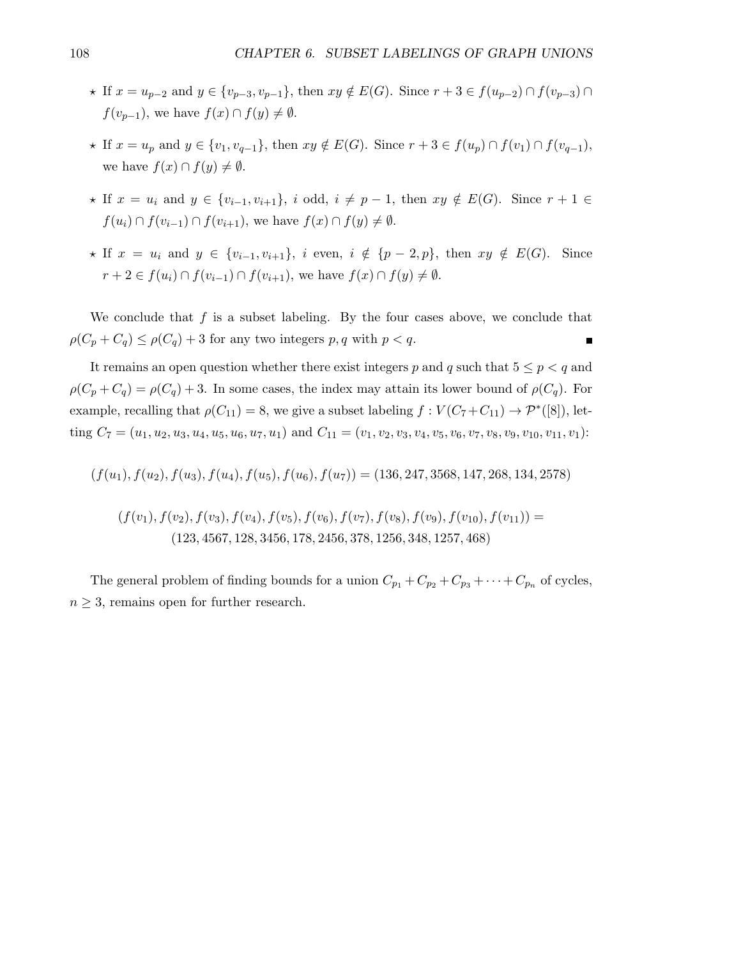- $\star$  If  $x = u_{p-2}$  and  $y \in \{v_{p-3}, v_{p-1}\}\$ , then  $xy \notin E(G)$ . Since  $r + 3 \in f(u_{p-2}) \cap f(v_{p-3}) \cap f(v_{p-4})$  $f(v_{p-1}),$  we have  $f(x) \cap f(y) \neq \emptyset$ .
- $\star$  If  $x = u_p$  and  $y \in \{v_1, v_{q-1}\},\$  then  $xy \notin E(G)$ . Since  $r + 3 \in f(u_p) \cap f(v_1) \cap f(v_{q-1}),$ we have  $f(x) \cap f(y) \neq \emptyset$ .
- $\star$  If  $x = u_i$  and  $y \in \{v_{i-1}, v_{i+1}\}, i$  odd,  $i \neq p-1$ , then  $xy \notin E(G)$ . Since  $r+1 \in$  $f(u_i) \cap f(v_{i-1}) \cap f(v_{i+1}),$  we have  $f(x) \cap f(y) \neq \emptyset$ .
- $\star$  If  $x = u_i$  and  $y \in \{v_{i-1}, v_{i+1}\}, i$  even,  $i \notin \{p-2, p\}, \text{ then } xy \notin E(G)$ . Since  $r + 2 \in f(u_i) \cap f(v_{i-1}) \cap f(v_{i+1}),$  we have  $f(x) \cap f(y) \neq \emptyset$ .

We conclude that  $f$  is a subset labeling. By the four cases above, we conclude that  $\rho(C_p + C_q) \leq \rho(C_q) + 3$  for any two integers p, q with  $p < q$ . П

It remains an open question whether there exist integers p and q such that  $5 \leq p < q$  and  $\rho(C_p + C_q) = \rho(C_q) + 3$ . In some cases, the index may attain its lower bound of  $\rho(C_q)$ . For example, recalling that  $\rho(C_{11}) = 8$ , we give a subset labeling  $f: V(C_7 + C_{11}) \to \mathcal{P}^*([8])$ , letting  $C_7 = (u_1, u_2, u_3, u_4, u_5, u_6, u_7, u_1)$  and  $C_{11} = (v_1, v_2, v_3, v_4, v_5, v_6, v_7, v_8, v_9, v_{10}, v_{11}, v_1)$ :

$$
(f(u_1), f(u_2), f(u_3), f(u_4), f(u_5), f(u_6), f(u_7)) = (136, 247, 3568, 147, 268, 134, 2578)
$$

$$
(f(v_1), f(v_2), f(v_3), f(v_4), f(v_5), f(v_6), f(v_7), f(v_8), f(v_9), f(v_{10}), f(v_{11})) = (123, 4567, 128, 3456, 178, 2456, 378, 1256, 348, 1257, 468)
$$

The general problem of finding bounds for a union  $C_{p_1} + C_{p_2} + C_{p_3} + \cdots + C_{p_n}$  of cycles,  $n\geq 3,$  remains open for further research.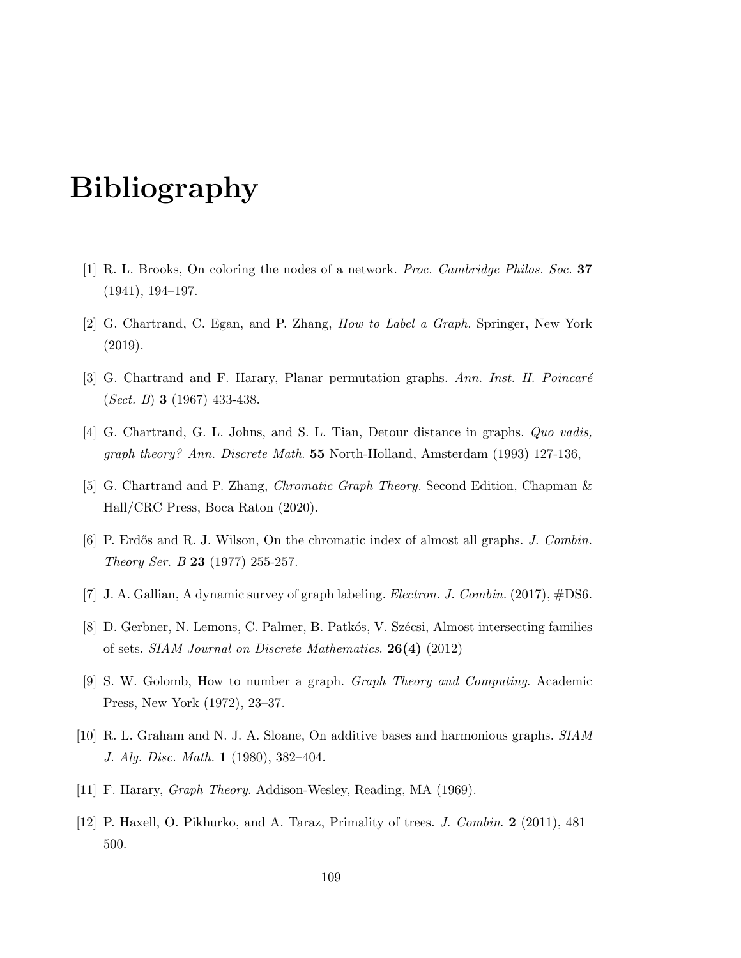## Bibliography

- [1] R. L. Brooks, On coloring the nodes of a network. Proc. Cambridge Philos. Soc. 37 (1941), 194–197.
- [2] G. Chartrand, C. Egan, and P. Zhang, How to Label a Graph. Springer, New York (2019).
- [3] G. Chartrand and F. Harary, Planar permutation graphs. Ann. Inst. H. Poincaré (Sect. B) 3 (1967) 433-438.
- [4] G. Chartrand, G. L. Johns, and S. L. Tian, Detour distance in graphs. *Quo vadis*, graph theory? Ann. Discrete Math. 55 North-Holland, Amsterdam (1993) 127-136,
- [5] G. Chartrand and P. Zhang, Chromatic Graph Theory. Second Edition, Chapman & Hall/CRC Press, Boca Raton (2020).
- [6] P. Erdős and R. J. Wilson, On the chromatic index of almost all graphs. J. Combin. Theory Ser. B 23 (1977) 255-257.
- [7] J. A. Gallian, A dynamic survey of graph labeling. Electron. J. Combin. (2017), #DS6.
- [8] D. Gerbner, N. Lemons, C. Palmer, B. Patkós, V. Szécsi, Almost intersecting families of sets. SIAM Journal on Discrete Mathematics. 26(4) (2012)
- [9] S. W. Golomb, How to number a graph. Graph Theory and Computing. Academic Press, New York (1972), 23–37.
- [10] R. L. Graham and N. J. A. Sloane, On additive bases and harmonious graphs. SIAM J. Alg. Disc. Math. 1 (1980), 382–404.
- [11] F. Harary, Graph Theory. Addison-Wesley, Reading, MA (1969).
- [12] P. Haxell, O. Pikhurko, and A. Taraz, Primality of trees. J. Combin. 2 (2011), 481– 500.